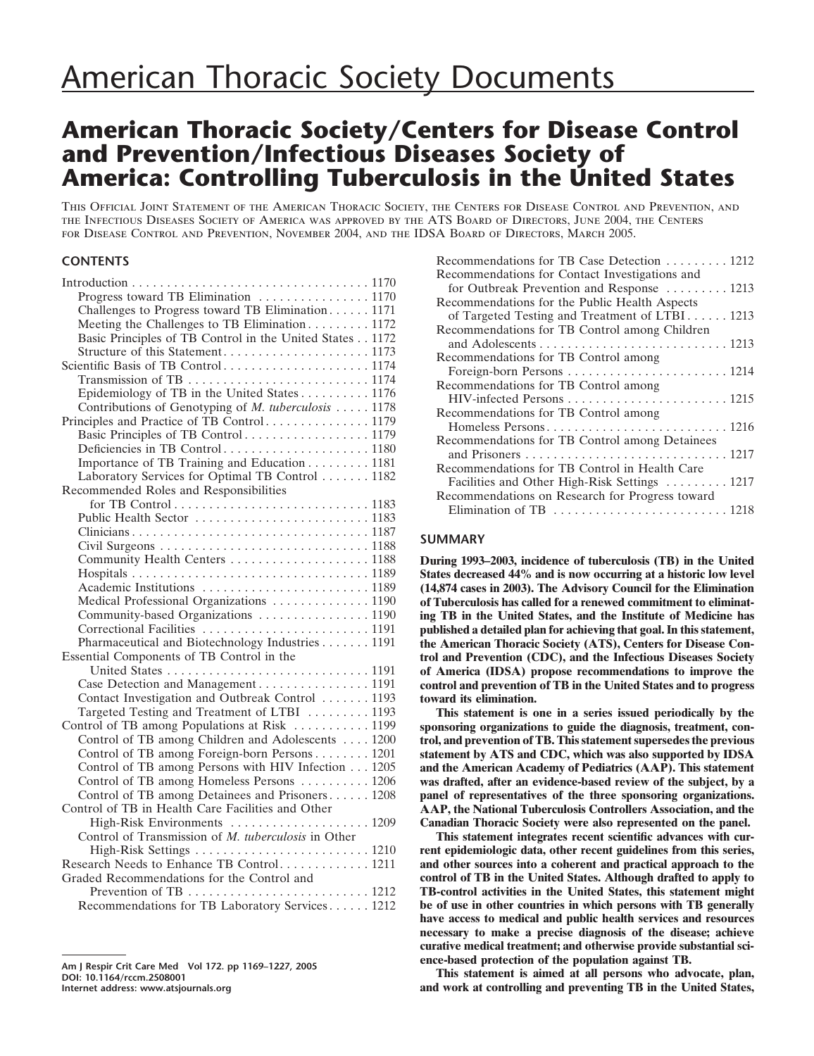# **American Thoracic Society/Centers for Disease Control and Prevention/Infectious Diseases Society of America: Controlling Tuberculosis in the United States**

This Official Joint Statement of the American Thoracic Society, the Centers for Disease Control and Prevention, and the Infectious Diseases Society of America was approved by the ATS Board of Directors, June 2004, the Centers for Disease Control and Prevention, November 2004, and the IDSA Board of Directors, March 2005.

# **CONTENTS**

| Progress toward TB Elimination  1170                     |  |
|----------------------------------------------------------|--|
| Challenges to Progress toward TB Elimination 1171        |  |
| Meeting the Challenges to TB Elimination 1172            |  |
| Basic Principles of TB Control in the United States 1172 |  |
|                                                          |  |
| Scientific Basis of TB Control 1174                      |  |
|                                                          |  |
| Epidemiology of TB in the United States 1176             |  |
| Contributions of Genotyping of M. tuberculosis  1178     |  |
| Principles and Practice of TB Control1179                |  |
|                                                          |  |
| Deficiencies in TB Control1180                           |  |
| Importance of TB Training and Education 1181             |  |
| Laboratory Services for Optimal TB Control 1182          |  |
| Recommended Roles and Responsibilities                   |  |
|                                                          |  |
|                                                          |  |
|                                                          |  |
|                                                          |  |
|                                                          |  |
|                                                          |  |
|                                                          |  |
| Medical Professional Organizations  1190                 |  |
| Community-based Organizations  1190                      |  |
| Correctional Facilities  1191                            |  |
| Pharmaceutical and Biotechnology Industries 1191         |  |
| Essential Components of TB Control in the                |  |
|                                                          |  |
| Case Detection and Management1191                        |  |
| Contact Investigation and Outbreak Control  1193         |  |
| Targeted Testing and Treatment of LTBI  1193             |  |
| Control of TB among Populations at Risk  1199            |  |
| Control of TB among Children and Adolescents 1200        |  |
| Control of TB among Foreign-born Persons 1201            |  |
| Control of TB among Persons with HIV Infection 1205      |  |
| Control of TB among Homeless Persons  1206               |  |
| Control of TB among Detainees and Prisoners 1208         |  |
| Control of TB in Health Care Facilities and Other        |  |
|                                                          |  |
| Control of Transmission of M. tuberculosis in Other      |  |
|                                                          |  |
| Research Needs to Enhance TB Control 1211                |  |
| Graded Recommendations for the Control and               |  |
|                                                          |  |
| Recommendations for TB Laboratory Services 1212          |  |

**Internet address: www.atsjournals.org**

| Recommendations for TB Case Detection 1212      |
|-------------------------------------------------|
| Recommendations for Contact Investigations and  |
| for Outbreak Prevention and Response  1213      |
| Recommendations for the Public Health Aspects   |
| of Targeted Testing and Treatment of LTBI 1213  |
| Recommendations for TB Control among Children   |
|                                                 |
|                                                 |
| Recommendations for TB Control among            |
|                                                 |
| Recommendations for TB Control among            |
|                                                 |
| Recommendations for TB Control among            |
|                                                 |
| Recommendations for TB Control among Detainees  |
|                                                 |
| Recommendations for TB Control in Health Care   |
| Facilities and Other High-Risk Settings  1217   |
| Recommendations on Research for Progress toward |
|                                                 |
|                                                 |

### **SUMMARY**

**During 1993–2003, incidence of tuberculosis (TB) in the United States decreased 44% and is now occurring at a historic low level (14,874 cases in 2003). The Advisory Council for the Elimination of Tuberculosis has called for a renewed commitment to eliminating TB in the United States, and the Institute of Medicine has published a detailed plan for achieving that goal. In this statement, the American Thoracic Society (ATS), Centers for Disease Control and Prevention (CDC), and the Infectious Diseases Society of America (IDSA) propose recommendations to improve the control and prevention of TB in the United States and to progress toward its elimination.**

**This statement is one in a series issued periodically by the sponsoring organizations to guide the diagnosis, treatment, control, and prevention of TB. This statement supersedes the previous statement by ATS and CDC, which was also supported by IDSA and the American Academy of Pediatrics (AAP). This statement was drafted, after an evidence-based review of the subject, by a panel of representatives of the three sponsoring organizations. AAP, the National Tuberculosis Controllers Association, and the Canadian Thoracic Society were also represented on the panel.**

**This statement integrates recent scientific advances with current epidemiologic data, other recent guidelines from this series, and other sources into a coherent and practical approach to the control of TB in the United States. Although drafted to apply to TB-control activities in the United States, this statement might be of use in other countries in which persons with TB generally have access to medical and public health services and resources necessary to make a precise diagnosis of the disease; achieve curative medical treatment; and otherwise provide substantial science-based protection of the population against TB.**

**This statement is aimed at all persons who advocate, plan, and work at controlling and preventing TB in the United States,**

**Am J Respir Crit Care Med Vol 172. pp 1169–1227, 2005 DOI: 10.1164/rccm.2508001**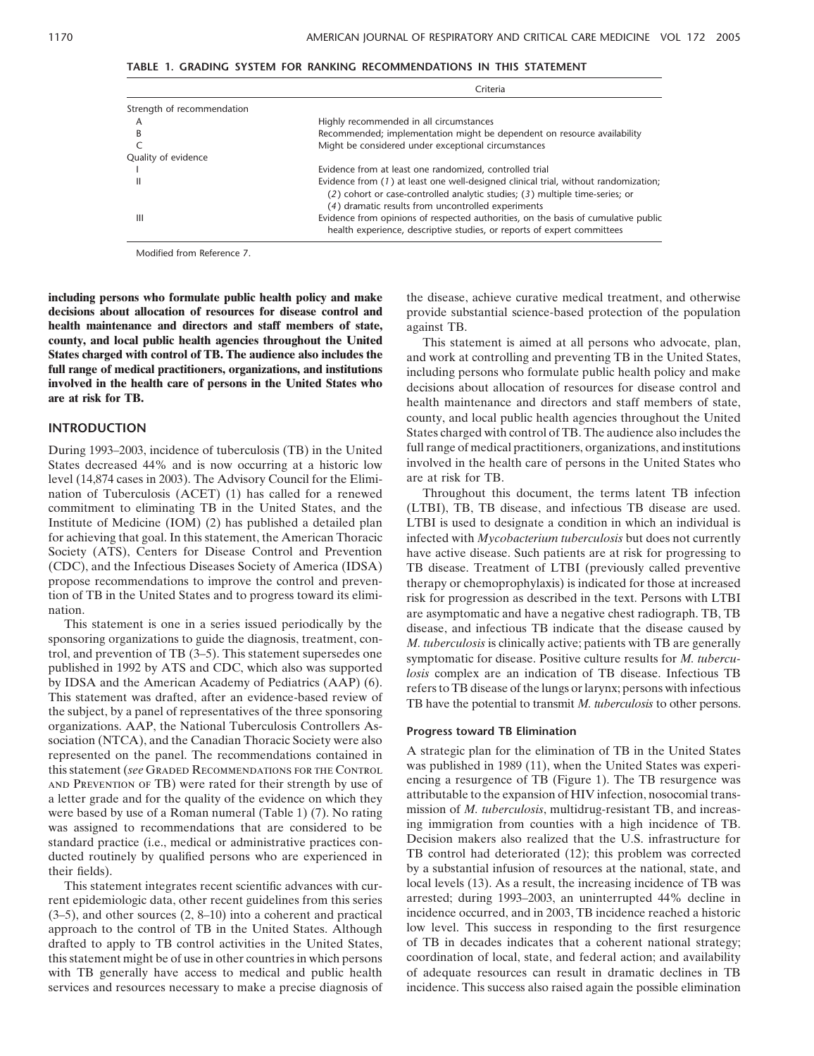|                            | Criteria                                                                                                                                                                                                                  |
|----------------------------|---------------------------------------------------------------------------------------------------------------------------------------------------------------------------------------------------------------------------|
| Strength of recommendation |                                                                                                                                                                                                                           |
| А                          | Highly recommended in all circumstances                                                                                                                                                                                   |
| В                          | Recommended; implementation might be dependent on resource availability                                                                                                                                                   |
|                            | Might be considered under exceptional circumstances                                                                                                                                                                       |
| Quality of evidence        |                                                                                                                                                                                                                           |
|                            | Evidence from at least one randomized, controlled trial                                                                                                                                                                   |
| Ш                          | Evidence from (1) at least one well-designed clinical trial, without randomization;<br>(2) cohort or case-controlled analytic studies; (3) multiple time-series; or<br>(4) dramatic results from uncontrolled experiments |
| Ш                          | Evidence from opinions of respected authorities, on the basis of cumulative public<br>health experience, descriptive studies, or reports of expert committees                                                             |

**TABLE 1. GRADING SYSTEM FOR RANKING RECOMMENDATIONS IN THIS STATEMENT**

Modified from Reference 7.

**including persons who formulate public health policy and make decisions about allocation of resources for disease control and health maintenance and directors and staff members of state, county, and local public health agencies throughout the United States charged with control of TB. The audience also includes the full range of medical practitioners, organizations, and institutions involved in the health care of persons in the United States who are at risk for TB.**

#### **INTRODUCTION**

During 1993–2003, incidence of tuberculosis (TB) in the United States decreased 44% and is now occurring at a historic low level (14,874 cases in 2003). The Advisory Council for the Elimination of Tuberculosis (ACET) (1) has called for a renewed commitment to eliminating TB in the United States, and the Institute of Medicine (IOM) (2) has published a detailed plan for achieving that goal. In this statement, the American Thoracic Society (ATS), Centers for Disease Control and Prevention (CDC), and the Infectious Diseases Society of America (IDSA) propose recommendations to improve the control and prevention of TB in the United States and to progress toward its elimination.

This statement is one in a series issued periodically by the sponsoring organizations to guide the diagnosis, treatment, control, and prevention of TB (3–5). This statement supersedes one published in 1992 by ATS and CDC, which also was supported by IDSA and the American Academy of Pediatrics (AAP) (6). This statement was drafted, after an evidence-based review of the subject, by a panel of representatives of the three sponsoring organizations. AAP, the National Tuberculosis Controllers Association (NTCA), and the Canadian Thoracic Society were also represented on the panel. The recommendations contained in this statement (*see* Graded Recommendations for the Control and Prevention of TB) were rated for their strength by use of a letter grade and for the quality of the evidence on which they were based by use of a Roman numeral (Table 1) (7). No rating was assigned to recommendations that are considered to be standard practice (i.e., medical or administrative practices conducted routinely by qualified persons who are experienced in their fields).

This statement integrates recent scientific advances with current epidemiologic data, other recent guidelines from this series (3–5), and other sources (2, 8–10) into a coherent and practical approach to the control of TB in the United States. Although drafted to apply to TB control activities in the United States, this statement might be of use in other countries in which persons with TB generally have access to medical and public health services and resources necessary to make a precise diagnosis of

the disease, achieve curative medical treatment, and otherwise provide substantial science-based protection of the population against TB.

This statement is aimed at all persons who advocate, plan, and work at controlling and preventing TB in the United States, including persons who formulate public health policy and make decisions about allocation of resources for disease control and health maintenance and directors and staff members of state, county, and local public health agencies throughout the United States charged with control of TB. The audience also includes the full range of medical practitioners, organizations, and institutions involved in the health care of persons in the United States who are at risk for TB.

Throughout this document, the terms latent TB infection (LTBI), TB, TB disease, and infectious TB disease are used. LTBI is used to designate a condition in which an individual is infected with *Mycobacterium tuberculosis* but does not currently have active disease. Such patients are at risk for progressing to TB disease. Treatment of LTBI (previously called preventive therapy or chemoprophylaxis) is indicated for those at increased risk for progression as described in the text. Persons with LTBI are asymptomatic and have a negative chest radiograph. TB, TB disease, and infectious TB indicate that the disease caused by *M. tuberculosis* is clinically active; patients with TB are generally symptomatic for disease. Positive culture results for *M. tuberculosis* complex are an indication of TB disease. Infectious TB refers to TB disease of the lungs or larynx; persons with infectious TB have the potential to transmit *M. tuberculosis* to other persons.

#### **Progress toward TB Elimination**

A strategic plan for the elimination of TB in the United States was published in 1989 (11), when the United States was experiencing a resurgence of TB (Figure 1). The TB resurgence was attributable to the expansion of HIV infection, nosocomial transmission of *M. tuberculosis*, multidrug-resistant TB, and increasing immigration from counties with a high incidence of TB. Decision makers also realized that the U.S. infrastructure for TB control had deteriorated (12); this problem was corrected by a substantial infusion of resources at the national, state, and local levels (13). As a result, the increasing incidence of TB was arrested; during 1993–2003, an uninterrupted 44% decline in incidence occurred, and in 2003, TB incidence reached a historic low level. This success in responding to the first resurgence of TB in decades indicates that a coherent national strategy; coordination of local, state, and federal action; and availability of adequate resources can result in dramatic declines in TB incidence. This success also raised again the possible elimination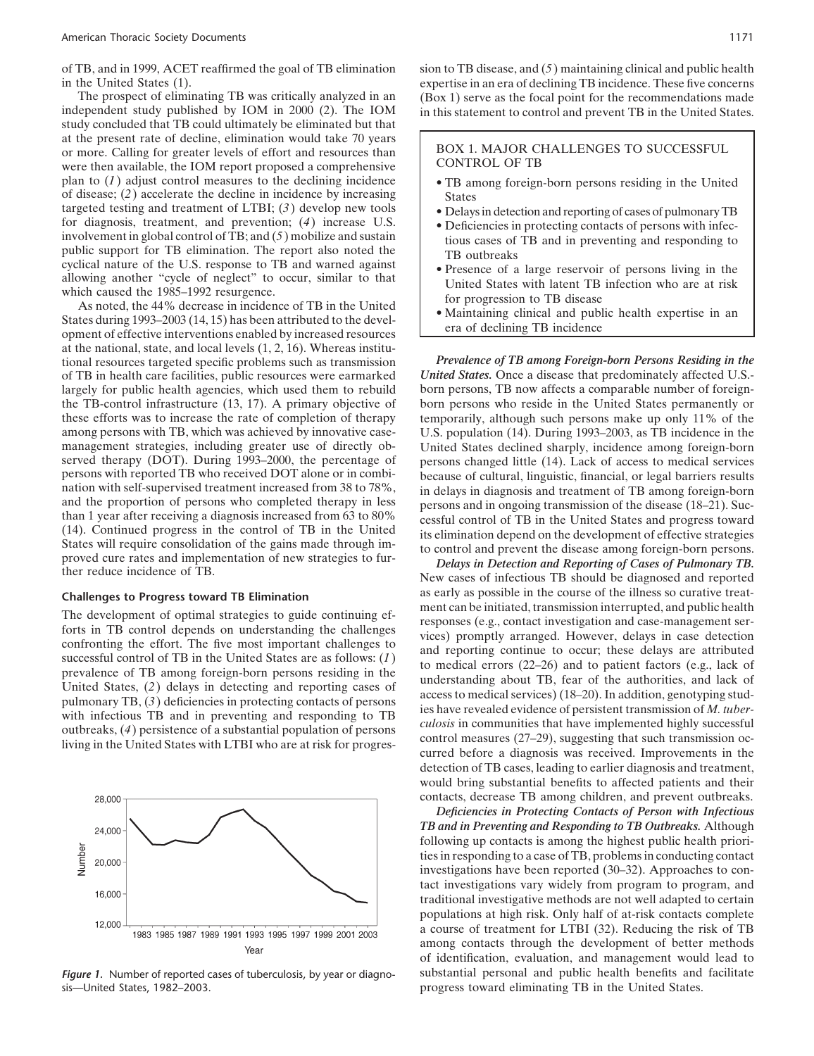of TB, and in 1999, ACET reaffirmed the goal of TB elimination in the United States (1).

The prospect of eliminating TB was critically analyzed in an independent study published by IOM in 2000 (2). The IOM study concluded that TB could ultimately be eliminated but that at the present rate of decline, elimination would take 70 years or more. Calling for greater levels of effort and resources than were then available, the IOM report proposed a comprehensive plan to (*1*) adjust control measures to the declining incidence of disease; (*2*) accelerate the decline in incidence by increasing targeted testing and treatment of LTBI; (*3*) develop new tools for diagnosis, treatment, and prevention; (*4*) increase U.S. involvement in global control of TB; and (*5*) mobilize and sustain public support for TB elimination. The report also noted the cyclical nature of the U.S. response to TB and warned against allowing another "cycle of neglect" to occur, similar to that which caused the 1985–1992 resurgence.

As noted, the 44% decrease in incidence of TB in the United States during 1993–2003 (14, 15) has been attributed to the development of effective interventions enabled by increased resources at the national, state, and local levels (1, 2, 16). Whereas institutional resources targeted specific problems such as transmission of TB in health care facilities, public resources were earmarked largely for public health agencies, which used them to rebuild the TB-control infrastructure (13, 17). A primary objective of these efforts was to increase the rate of completion of therapy among persons with TB, which was achieved by innovative casemanagement strategies, including greater use of directly observed therapy (DOT). During 1993–2000, the percentage of persons with reported TB who received DOT alone or in combination with self-supervised treatment increased from 38 to 78%, and the proportion of persons who completed therapy in less than 1 year after receiving a diagnosis increased from 63 to 80% (14). Continued progress in the control of TB in the United States will require consolidation of the gains made through improved cure rates and implementation of new strategies to further reduce incidence of TB.

#### **Challenges to Progress toward TB Elimination**

The development of optimal strategies to guide continuing efforts in TB control depends on understanding the challenges confronting the effort. The five most important challenges to successful control of TB in the United States are as follows: (*1*) prevalence of TB among foreign-born persons residing in the United States, (*2*) delays in detecting and reporting cases of pulmonary TB, (*3*) deficiencies in protecting contacts of persons with infectious TB and in preventing and responding to TB outbreaks, (*4*) persistence of a substantial population of persons living in the United States with LTBI who are at risk for progres-



*Figure 1.* Number of reported cases of tuberculosis, by year or diagnosis—United States, 1982–2003.

sion to TB disease, and (*5*) maintaining clinical and public health expertise in an era of declining TB incidence. These five concerns (Box 1) serve as the focal point for the recommendations made in this statement to control and prevent TB in the United States.

### BOX 1. MAJOR CHALLENGES TO SUCCESSFUL CONTROL OF TB

- TB among foreign-born persons residing in the United States
- Delays in detection and reporting of cases of pulmonary TB
- Deficiencies in protecting contacts of persons with infectious cases of TB and in preventing and responding to TB outbreaks
- Presence of a large reservoir of persons living in the United States with latent TB infection who are at risk for progression to TB disease
- Maintaining clinical and public health expertise in an era of declining TB incidence

*Prevalence of TB among Foreign-born Persons Residing in the United States.* Once a disease that predominately affected U.S. born persons, TB now affects a comparable number of foreignborn persons who reside in the United States permanently or temporarily, although such persons make up only 11% of the U.S. population (14). During 1993–2003, as TB incidence in the United States declined sharply, incidence among foreign-born persons changed little (14). Lack of access to medical services because of cultural, linguistic, financial, or legal barriers results in delays in diagnosis and treatment of TB among foreign-born persons and in ongoing transmission of the disease (18–21). Successful control of TB in the United States and progress toward its elimination depend on the development of effective strategies to control and prevent the disease among foreign-born persons.

*Delays in Detection and Reporting of Cases of Pulmonary TB.* New cases of infectious TB should be diagnosed and reported as early as possible in the course of the illness so curative treatment can be initiated, transmission interrupted, and public health responses (e.g., contact investigation and case-management services) promptly arranged. However, delays in case detection and reporting continue to occur; these delays are attributed to medical errors (22–26) and to patient factors (e.g., lack of understanding about TB, fear of the authorities, and lack of access to medical services) (18–20). In addition, genotyping studies have revealed evidence of persistent transmission of *M. tuberculosis* in communities that have implemented highly successful control measures (27–29), suggesting that such transmission occurred before a diagnosis was received. Improvements in the detection of TB cases, leading to earlier diagnosis and treatment, would bring substantial benefits to affected patients and their contacts, decrease TB among children, and prevent outbreaks.

*Deficiencies in Protecting Contacts of Person with Infectious TB and in Preventing and Responding to TB Outbreaks.* Although following up contacts is among the highest public health priorities in responding to a case of TB, problems in conducting contact investigations have been reported (30–32). Approaches to contact investigations vary widely from program to program, and traditional investigative methods are not well adapted to certain populations at high risk. Only half of at-risk contacts complete a course of treatment for LTBI (32). Reducing the risk of TB among contacts through the development of better methods of identification, evaluation, and management would lead to substantial personal and public health benefits and facilitate progress toward eliminating TB in the United States.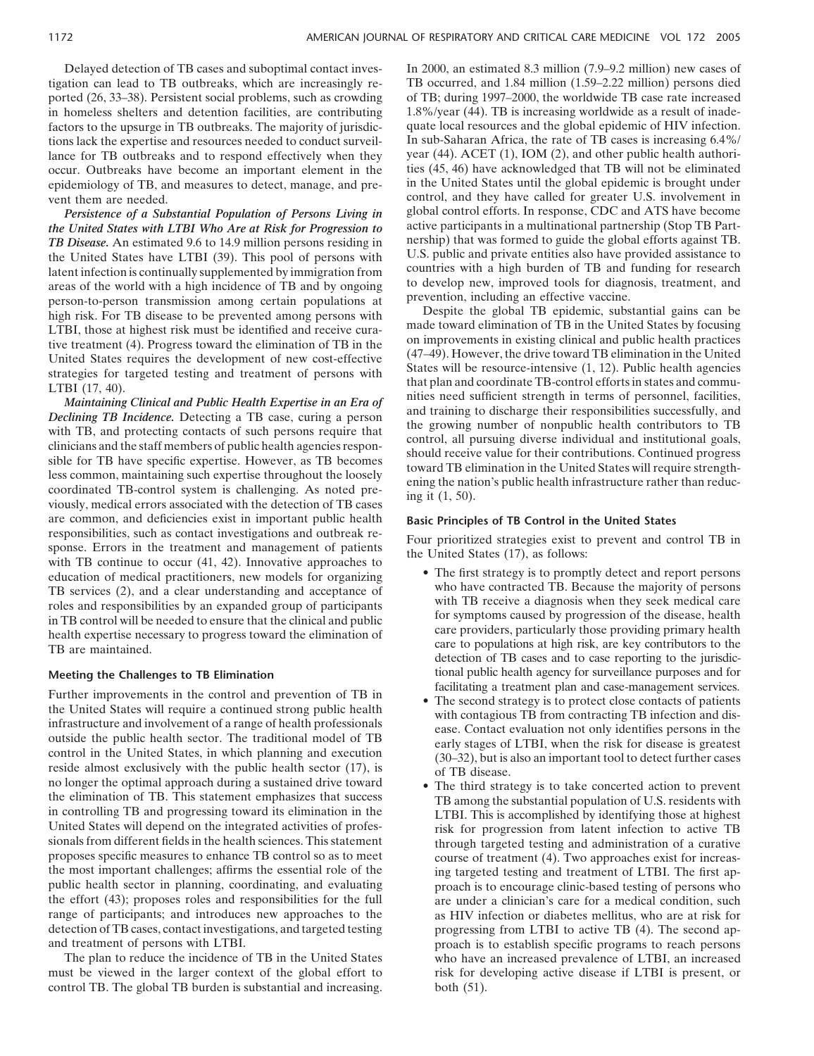Delayed detection of TB cases and suboptimal contact investigation can lead to TB outbreaks, which are increasingly reported (26, 33–38). Persistent social problems, such as crowding in homeless shelters and detention facilities, are contributing factors to the upsurge in TB outbreaks. The majority of jurisdictions lack the expertise and resources needed to conduct surveillance for TB outbreaks and to respond effectively when they occur. Outbreaks have become an important element in the epidemiology of TB, and measures to detect, manage, and prevent them are needed.

*Persistence of a Substantial Population of Persons Living in the United States with LTBI Who Are at Risk for Progression to TB Disease.* An estimated 9.6 to 14.9 million persons residing in the United States have LTBI (39). This pool of persons with latent infection is continually supplemented by immigration from areas of the world with a high incidence of TB and by ongoing person-to-person transmission among certain populations at high risk. For TB disease to be prevented among persons with LTBI, those at highest risk must be identified and receive curative treatment (4). Progress toward the elimination of TB in the United States requires the development of new cost-effective strategies for targeted testing and treatment of persons with LTBI (17, 40).

*Maintaining Clinical and Public Health Expertise in an Era of Declining TB Incidence.* Detecting a TB case, curing a person with TB, and protecting contacts of such persons require that clinicians and the staff members of public health agencies responsible for TB have specific expertise. However, as TB becomes less common, maintaining such expertise throughout the loosely coordinated TB-control system is challenging. As noted previously, medical errors associated with the detection of TB cases are common, and deficiencies exist in important public health responsibilities, such as contact investigations and outbreak response. Errors in the treatment and management of patients with TB continue to occur (41, 42). Innovative approaches to education of medical practitioners, new models for organizing TB services (2), and a clear understanding and acceptance of roles and responsibilities by an expanded group of participants in TB control will be needed to ensure that the clinical and public health expertise necessary to progress toward the elimination of TB are maintained.

### **Meeting the Challenges to TB Elimination**

Further improvements in the control and prevention of TB in the United States will require a continued strong public health infrastructure and involvement of a range of health professionals outside the public health sector. The traditional model of TB control in the United States, in which planning and execution reside almost exclusively with the public health sector (17), is no longer the optimal approach during a sustained drive toward the elimination of TB. This statement emphasizes that success in controlling TB and progressing toward its elimination in the United States will depend on the integrated activities of professionals from different fields in the health sciences. This statement proposes specific measures to enhance TB control so as to meet the most important challenges; affirms the essential role of the public health sector in planning, coordinating, and evaluating the effort (43); proposes roles and responsibilities for the full range of participants; and introduces new approaches to the detection of TB cases, contact investigations, and targeted testing and treatment of persons with LTBI.

The plan to reduce the incidence of TB in the United States must be viewed in the larger context of the global effort to control TB. The global TB burden is substantial and increasing.

In 2000, an estimated 8.3 million (7.9–9.2 million) new cases of TB occurred, and 1.84 million (1.59–2.22 million) persons died of TB; during 1997–2000, the worldwide TB case rate increased 1.8%/year (44). TB is increasing worldwide as a result of inadequate local resources and the global epidemic of HIV infection. In sub-Saharan Africa, the rate of TB cases is increasing 6.4%/ year (44). ACET (1), IOM (2), and other public health authorities (45, 46) have acknowledged that TB will not be eliminated in the United States until the global epidemic is brought under control, and they have called for greater U.S. involvement in global control efforts. In response, CDC and ATS have become active participants in a multinational partnership (Stop TB Partnership) that was formed to guide the global efforts against TB. U.S. public and private entities also have provided assistance to countries with a high burden of TB and funding for research to develop new, improved tools for diagnosis, treatment, and prevention, including an effective vaccine.

Despite the global TB epidemic, substantial gains can be made toward elimination of TB in the United States by focusing on improvements in existing clinical and public health practices (47–49). However, the drive toward TB elimination in the United States will be resource-intensive (1, 12). Public health agencies that plan and coordinate TB-control efforts in states and communities need sufficient strength in terms of personnel, facilities, and training to discharge their responsibilities successfully, and the growing number of nonpublic health contributors to TB control, all pursuing diverse individual and institutional goals, should receive value for their contributions. Continued progress toward TB elimination in the United States will require strengthening the nation's public health infrastructure rather than reducing it (1, 50).

# **Basic Principles of TB Control in the United States**

Four prioritized strategies exist to prevent and control TB in the United States (17), as follows:

- The first strategy is to promptly detect and report persons who have contracted TB. Because the majority of persons with TB receive a diagnosis when they seek medical care for symptoms caused by progression of the disease, health care providers, particularly those providing primary health care to populations at high risk, are key contributors to the detection of TB cases and to case reporting to the jurisdictional public health agency for surveillance purposes and for facilitating a treatment plan and case-management services.
- The second strategy is to protect close contacts of patients with contagious TB from contracting TB infection and disease. Contact evaluation not only identifies persons in the early stages of LTBI, when the risk for disease is greatest (30–32), but is also an important tool to detect further cases of TB disease.
- The third strategy is to take concerted action to prevent TB among the substantial population of U.S. residents with LTBI. This is accomplished by identifying those at highest risk for progression from latent infection to active TB through targeted testing and administration of a curative course of treatment (4). Two approaches exist for increasing targeted testing and treatment of LTBI. The first approach is to encourage clinic-based testing of persons who are under a clinician's care for a medical condition, such as HIV infection or diabetes mellitus, who are at risk for progressing from LTBI to active TB (4). The second approach is to establish specific programs to reach persons who have an increased prevalence of LTBI, an increased risk for developing active disease if LTBI is present, or both (51).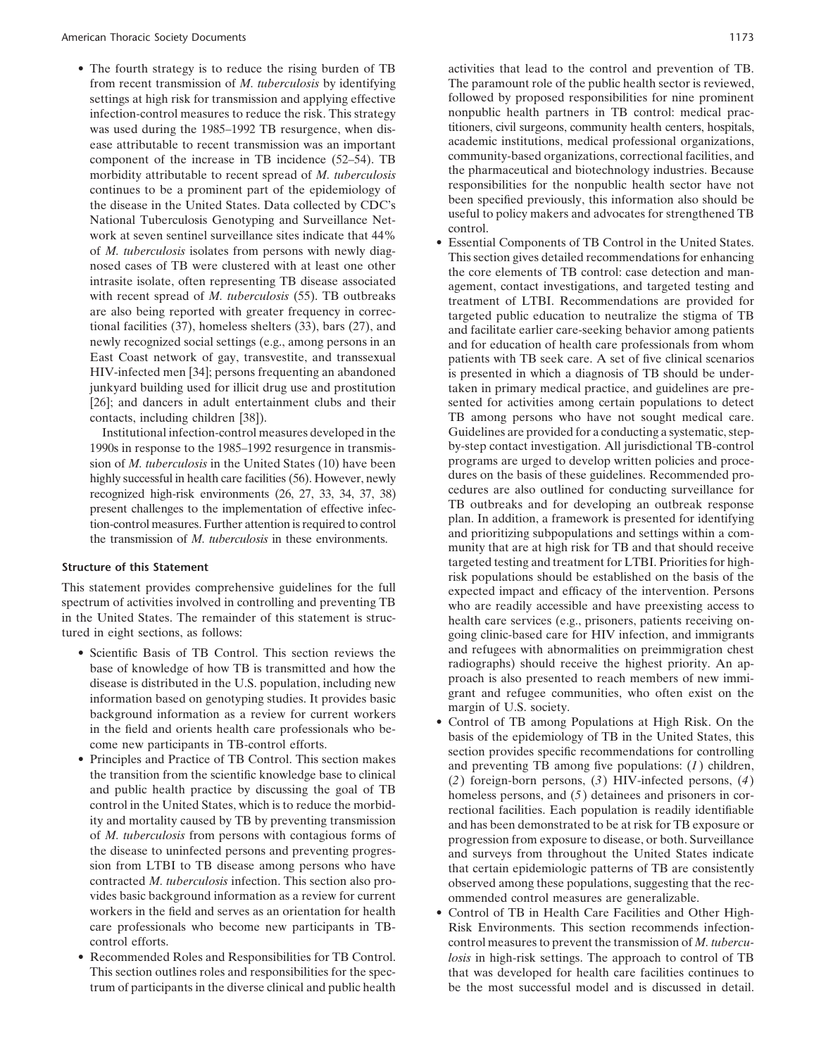• The fourth strategy is to reduce the rising burden of TB from recent transmission of *M. tuberculosis* by identifying settings at high risk for transmission and applying effective infection-control measures to reduce the risk. This strategy was used during the 1985–1992 TB resurgence, when disease attributable to recent transmission was an important component of the increase in TB incidence (52–54). TB morbidity attributable to recent spread of *M. tuberculosis* continues to be a prominent part of the epidemiology of the disease in the United States. Data collected by CDC's National Tuberculosis Genotyping and Surveillance Network at seven sentinel surveillance sites indicate that 44% of *M. tuberculosis* isolates from persons with newly diagnosed cases of TB were clustered with at least one other intrasite isolate, often representing TB disease associated with recent spread of *M. tuberculosis* (55). TB outbreaks are also being reported with greater frequency in correctional facilities (37), homeless shelters (33), bars (27), and newly recognized social settings (e.g., among persons in an East Coast network of gay, transvestite, and transsexual HIV-infected men [34]; persons frequenting an abandoned junkyard building used for illicit drug use and prostitution [26]; and dancers in adult entertainment clubs and their contacts, including children [38]).

Institutional infection-control measures developed in the 1990s in response to the 1985–1992 resurgence in transmission of *M. tuberculosis* in the United States (10) have been highly successful in health care facilities (56). However, newly recognized high-risk environments (26, 27, 33, 34, 37, 38) present challenges to the implementation of effective infection-control measures. Further attention is required to control the transmission of *M. tuberculosis* in these environments.

# **Structure of this Statement**

This statement provides comprehensive guidelines for the full spectrum of activities involved in controlling and preventing TB in the United States. The remainder of this statement is structured in eight sections, as follows:

- Scientific Basis of TB Control. This section reviews the base of knowledge of how TB is transmitted and how the disease is distributed in the U.S. population, including new information based on genotyping studies. It provides basic background information as a review for current workers in the field and orients health care professionals who become new participants in TB-control efforts.
- Principles and Practice of TB Control. This section makes the transition from the scientific knowledge base to clinical and public health practice by discussing the goal of TB control in the United States, which is to reduce the morbidity and mortality caused by TB by preventing transmission of *M. tuberculosis* from persons with contagious forms of the disease to uninfected persons and preventing progression from LTBI to TB disease among persons who have contracted *M. tuberculosis* infection. This section also provides basic background information as a review for current workers in the field and serves as an orientation for health care professionals who become new participants in TBcontrol efforts.
- Recommended Roles and Responsibilities for TB Control. This section outlines roles and responsibilities for the spectrum of participants in the diverse clinical and public health

activities that lead to the control and prevention of TB. The paramount role of the public health sector is reviewed, followed by proposed responsibilities for nine prominent nonpublic health partners in TB control: medical practitioners, civil surgeons, community health centers, hospitals, academic institutions, medical professional organizations, community-based organizations, correctional facilities, and the pharmaceutical and biotechnology industries. Because responsibilities for the nonpublic health sector have not been specified previously, this information also should be useful to policy makers and advocates for strengthened TB control.

- Essential Components of TB Control in the United States. This section gives detailed recommendations for enhancing the core elements of TB control: case detection and management, contact investigations, and targeted testing and treatment of LTBI. Recommendations are provided for targeted public education to neutralize the stigma of TB and facilitate earlier care-seeking behavior among patients and for education of health care professionals from whom patients with TB seek care. A set of five clinical scenarios is presented in which a diagnosis of TB should be undertaken in primary medical practice, and guidelines are presented for activities among certain populations to detect TB among persons who have not sought medical care. Guidelines are provided for a conducting a systematic, stepby-step contact investigation. All jurisdictional TB-control programs are urged to develop written policies and procedures on the basis of these guidelines. Recommended procedures are also outlined for conducting surveillance for TB outbreaks and for developing an outbreak response plan. In addition, a framework is presented for identifying and prioritizing subpopulations and settings within a community that are at high risk for TB and that should receive targeted testing and treatment for LTBI. Priorities for highrisk populations should be established on the basis of the expected impact and efficacy of the intervention. Persons who are readily accessible and have preexisting access to health care services (e.g., prisoners, patients receiving ongoing clinic-based care for HIV infection, and immigrants and refugees with abnormalities on preimmigration chest radiographs) should receive the highest priority. An approach is also presented to reach members of new immigrant and refugee communities, who often exist on the margin of U.S. society.
- Control of TB among Populations at High Risk. On the basis of the epidemiology of TB in the United States, this section provides specific recommendations for controlling and preventing TB among five populations: (*1*) children, (*2*) foreign-born persons, (*3*) HIV-infected persons, (*4*) homeless persons, and (*5*) detainees and prisoners in correctional facilities. Each population is readily identifiable and has been demonstrated to be at risk for TB exposure or progression from exposure to disease, or both. Surveillance and surveys from throughout the United States indicate that certain epidemiologic patterns of TB are consistently observed among these populations, suggesting that the recommended control measures are generalizable.
- Control of TB in Health Care Facilities and Other High-Risk Environments. This section recommends infectioncontrol measures to prevent the transmission of *M. tuberculosis* in high-risk settings. The approach to control of TB that was developed for health care facilities continues to be the most successful model and is discussed in detail.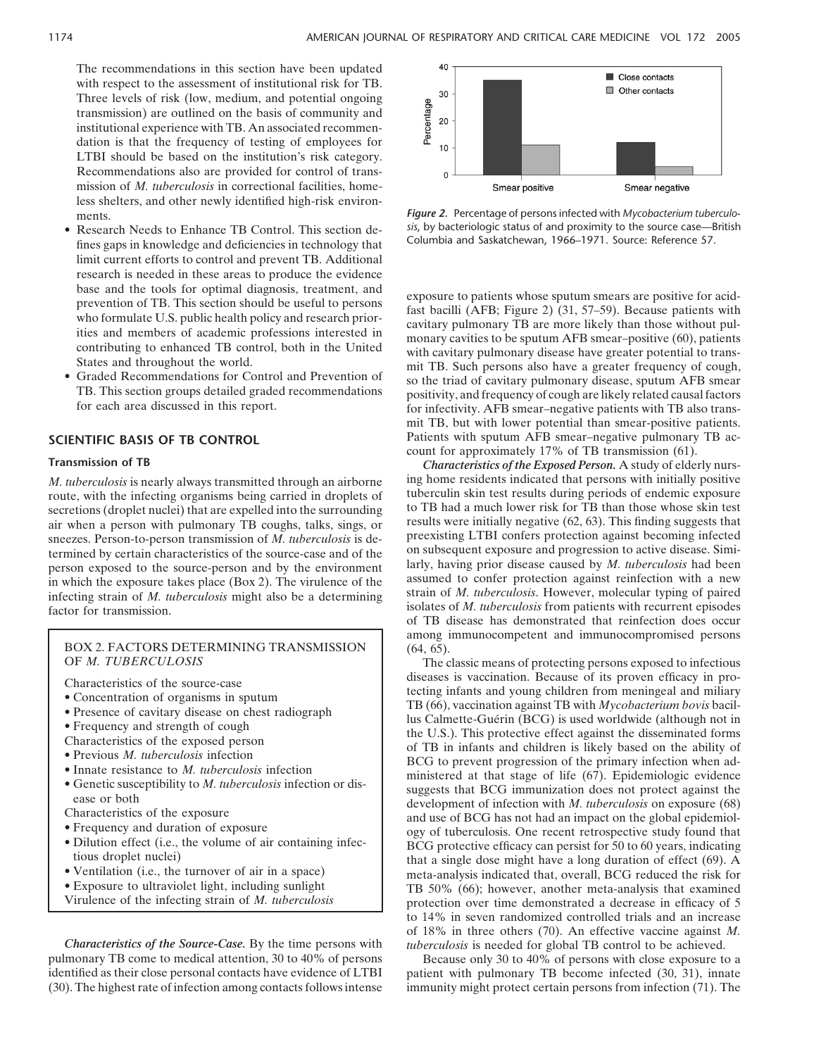The recommendations in this section have been updated with respect to the assessment of institutional risk for TB. Three levels of risk (low, medium, and potential ongoing transmission) are outlined on the basis of community and institutional experience with TB. An associated recommendation is that the frequency of testing of employees for LTBI should be based on the institution's risk category. Recommendations also are provided for control of transmission of *M. tuberculosis* in correctional facilities, homeless shelters, and other newly identified high-risk environments.

- Research Needs to Enhance TB Control. This section defines gaps in knowledge and deficiencies in technology that limit current efforts to control and prevent TB. Additional research is needed in these areas to produce the evidence base and the tools for optimal diagnosis, treatment, and prevention of TB. This section should be useful to persons who formulate U.S. public health policy and research priorities and members of academic professions interested in contributing to enhanced TB control, both in the United States and throughout the world.
- Graded Recommendations for Control and Prevention of TB. This section groups detailed graded recommendations for each area discussed in this report.

# **SCIENTIFIC BASIS OF TB CONTROL**

# **Transmission of TB**

*M. tuberculosis* is nearly always transmitted through an airborne route, with the infecting organisms being carried in droplets of secretions (droplet nuclei) that are expelled into the surrounding air when a person with pulmonary TB coughs, talks, sings, or sneezes. Person-to-person transmission of *M. tuberculosis* is determined by certain characteristics of the source-case and of the person exposed to the source-person and by the environment in which the exposure takes place (Box 2). The virulence of the infecting strain of *M. tuberculosis* might also be a determining factor for transmission.

### BOX 2. FACTORS DETERMINING TRANSMISSION OF *M. TUBERCULOSIS*

Characteristics of the source-case

- Concentration of organisms in sputum
- Presence of cavitary disease on chest radiograph
- Frequency and strength of cough
- Characteristics of the exposed person
- Previous *M. tuberculosis* infection
- Innate resistance to *M. tuberculosis* infection
- Genetic susceptibility to *M. tuberculosis* infection or disease or both
- Characteristics of the exposure
- Frequency and duration of exposure
- Dilution effect (i.e., the volume of air containing infectious droplet nuclei)
- Ventilation (i.e., the turnover of air in a space)
- Exposure to ultraviolet light, including sunlight
- Virulence of the infecting strain of *M. tuberculosis*

*Characteristics of the Source-Case.* By the time persons with pulmonary TB come to medical attention, 30 to 40% of persons identified as their close personal contacts have evidence of LTBI (30). The highest rate of infection among contacts follows intense



*Figure 2.* Percentage of persons infected with *Mycobacterium tuberculosis*, by bacteriologic status of and proximity to the source case—British Columbia and Saskatchewan, 1966–1971. Source: Reference 57.

exposure to patients whose sputum smears are positive for acidfast bacilli (AFB; Figure 2) (31, 57–59). Because patients with cavitary pulmonary TB are more likely than those without pulmonary cavities to be sputum AFB smear–positive (60), patients with cavitary pulmonary disease have greater potential to transmit TB. Such persons also have a greater frequency of cough, so the triad of cavitary pulmonary disease, sputum AFB smear positivity, and frequency of cough are likely related causal factors for infectivity. AFB smear–negative patients with TB also transmit TB, but with lower potential than smear-positive patients. Patients with sputum AFB smear–negative pulmonary TB account for approximately 17% of TB transmission (61).

*Characteristics of the Exposed Person.* A study of elderly nursing home residents indicated that persons with initially positive tuberculin skin test results during periods of endemic exposure to TB had a much lower risk for TB than those whose skin test results were initially negative (62, 63). This finding suggests that preexisting LTBI confers protection against becoming infected on subsequent exposure and progression to active disease. Similarly, having prior disease caused by *M. tuberculosis* had been assumed to confer protection against reinfection with a new strain of *M. tuberculosis*. However, molecular typing of paired isolates of *M. tuberculosis* from patients with recurrent episodes of TB disease has demonstrated that reinfection does occur among immunocompetent and immunocompromised persons (64, 65).

The classic means of protecting persons exposed to infectious diseases is vaccination. Because of its proven efficacy in protecting infants and young children from meningeal and miliary TB (66), vaccination against TB with *Mycobacterium bovis* bacillus Calmette-Guérin (BCG) is used worldwide (although not in the U.S.). This protective effect against the disseminated forms of TB in infants and children is likely based on the ability of BCG to prevent progression of the primary infection when administered at that stage of life (67). Epidemiologic evidence suggests that BCG immunization does not protect against the development of infection with *M. tuberculosis* on exposure (68) and use of BCG has not had an impact on the global epidemiology of tuberculosis. One recent retrospective study found that BCG protective efficacy can persist for 50 to 60 years, indicating that a single dose might have a long duration of effect (69). A meta-analysis indicated that, overall, BCG reduced the risk for TB 50% (66); however, another meta-analysis that examined protection over time demonstrated a decrease in efficacy of 5 to 14% in seven randomized controlled trials and an increase of 18% in three others (70). An effective vaccine against *M. tuberculosis* is needed for global TB control to be achieved.

Because only 30 to 40% of persons with close exposure to a patient with pulmonary TB become infected (30, 31), innate immunity might protect certain persons from infection (71). The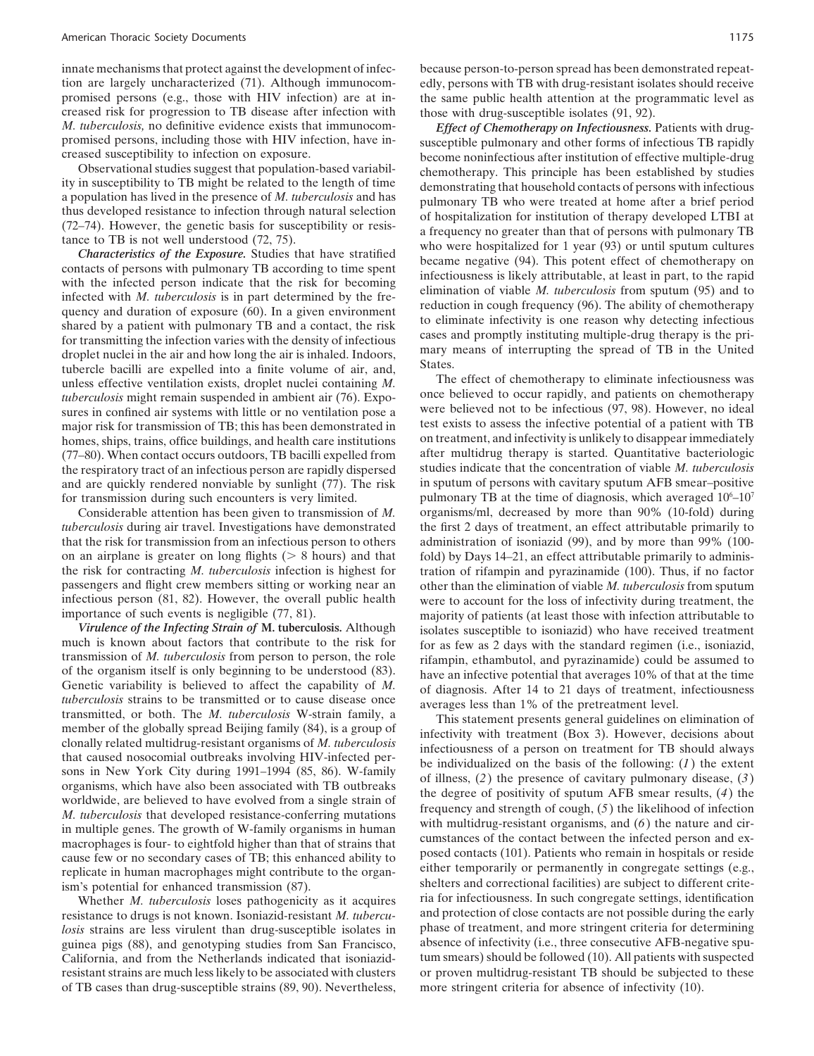innate mechanisms that protect against the development of infection are largely uncharacterized (71). Although immunocompromised persons (e.g., those with HIV infection) are at increased risk for progression to TB disease after infection with *M. tuberculosis,* no definitive evidence exists that immunocompromised persons, including those with HIV infection, have increased susceptibility to infection on exposure.

Observational studies suggest that population-based variability in susceptibility to TB might be related to the length of time a population has lived in the presence of *M. tuberculosis* and has thus developed resistance to infection through natural selection (72–74). However, the genetic basis for susceptibility or resistance to TB is not well understood (72, 75).

*Characteristics of the Exposure.* Studies that have stratified contacts of persons with pulmonary TB according to time spent with the infected person indicate that the risk for becoming infected with *M. tuberculosis* is in part determined by the frequency and duration of exposure (60). In a given environment shared by a patient with pulmonary TB and a contact, the risk for transmitting the infection varies with the density of infectious droplet nuclei in the air and how long the air is inhaled. Indoors, tubercle bacilli are expelled into a finite volume of air, and, unless effective ventilation exists, droplet nuclei containing *M. tuberculosis* might remain suspended in ambient air (76). Exposures in confined air systems with little or no ventilation pose a major risk for transmission of TB; this has been demonstrated in homes, ships, trains, office buildings, and health care institutions (77–80). When contact occurs outdoors, TB bacilli expelled from the respiratory tract of an infectious person are rapidly dispersed and are quickly rendered nonviable by sunlight (77). The risk for transmission during such encounters is very limited.

Considerable attention has been given to transmission of *M. tuberculosis* during air travel. Investigations have demonstrated that the risk for transmission from an infectious person to others on an airplane is greater on long flights ( $> 8$  hours) and that the risk for contracting *M. tuberculosis* infection is highest for passengers and flight crew members sitting or working near an infectious person (81, 82). However, the overall public health importance of such events is negligible (77, 81).

*Virulence of the Infecting Strain of* **M. tuberculosis.** Although much is known about factors that contribute to the risk for transmission of *M. tuberculosis* from person to person, the role of the organism itself is only beginning to be understood (83). Genetic variability is believed to affect the capability of *M. tuberculosis* strains to be transmitted or to cause disease once transmitted, or both. The *M. tuberculosis* W-strain family, a member of the globally spread Beijing family (84), is a group of clonally related multidrug-resistant organisms of *M. tuberculosis* that caused nosocomial outbreaks involving HIV-infected persons in New York City during 1991–1994 (85, 86). W-family organisms, which have also been associated with TB outbreaks worldwide, are believed to have evolved from a single strain of *M. tuberculosis* that developed resistance-conferring mutations in multiple genes. The growth of W-family organisms in human macrophages is four- to eightfold higher than that of strains that cause few or no secondary cases of TB; this enhanced ability to replicate in human macrophages might contribute to the organism's potential for enhanced transmission (87).

Whether *M. tuberculosis* loses pathogenicity as it acquires resistance to drugs is not known. Isoniazid-resistant *M. tuberculosis* strains are less virulent than drug-susceptible isolates in guinea pigs (88), and genotyping studies from San Francisco, California, and from the Netherlands indicated that isoniazidresistant strains are much less likely to be associated with clusters of TB cases than drug-susceptible strains (89, 90). Nevertheless, because person-to-person spread has been demonstrated repeatedly, persons with TB with drug-resistant isolates should receive the same public health attention at the programmatic level as those with drug-susceptible isolates (91, 92).

*Effect of Chemotherapy on Infectiousness.* Patients with drugsusceptible pulmonary and other forms of infectious TB rapidly become noninfectious after institution of effective multiple-drug chemotherapy. This principle has been established by studies demonstrating that household contacts of persons with infectious pulmonary TB who were treated at home after a brief period of hospitalization for institution of therapy developed LTBI at a frequency no greater than that of persons with pulmonary TB who were hospitalized for 1 year (93) or until sputum cultures became negative (94). This potent effect of chemotherapy on infectiousness is likely attributable, at least in part, to the rapid elimination of viable *M. tuberculosis* from sputum (95) and to reduction in cough frequency (96). The ability of chemotherapy to eliminate infectivity is one reason why detecting infectious cases and promptly instituting multiple-drug therapy is the primary means of interrupting the spread of TB in the United States.

The effect of chemotherapy to eliminate infectiousness was once believed to occur rapidly, and patients on chemotherapy were believed not to be infectious (97, 98). However, no ideal test exists to assess the infective potential of a patient with TB on treatment, and infectivity is unlikely to disappear immediately after multidrug therapy is started. Quantitative bacteriologic studies indicate that the concentration of viable *M. tuberculosis* in sputum of persons with cavitary sputum AFB smear–positive pulmonary TB at the time of diagnosis, which averaged  $10^6$ – $10^7$ organisms/ml, decreased by more than 90% (10-fold) during the first 2 days of treatment, an effect attributable primarily to administration of isoniazid (99), and by more than 99% (100 fold) by Days 14–21, an effect attributable primarily to administration of rifampin and pyrazinamide (100). Thus, if no factor other than the elimination of viable *M. tuberculosis* from sputum were to account for the loss of infectivity during treatment, the majority of patients (at least those with infection attributable to isolates susceptible to isoniazid) who have received treatment for as few as 2 days with the standard regimen (i.e., isoniazid, rifampin, ethambutol, and pyrazinamide) could be assumed to have an infective potential that averages 10% of that at the time of diagnosis. After 14 to 21 days of treatment, infectiousness averages less than 1% of the pretreatment level.

This statement presents general guidelines on elimination of infectivity with treatment (Box 3). However, decisions about infectiousness of a person on treatment for TB should always be individualized on the basis of the following: (*1*) the extent of illness, (*2*) the presence of cavitary pulmonary disease, (*3*) the degree of positivity of sputum AFB smear results, (*4*) the frequency and strength of cough, (*5*) the likelihood of infection with multidrug-resistant organisms, and (*6*) the nature and circumstances of the contact between the infected person and exposed contacts (101). Patients who remain in hospitals or reside either temporarily or permanently in congregate settings (e.g., shelters and correctional facilities) are subject to different criteria for infectiousness. In such congregate settings, identification and protection of close contacts are not possible during the early phase of treatment, and more stringent criteria for determining absence of infectivity (i.e., three consecutive AFB-negative sputum smears) should be followed (10). All patients with suspected or proven multidrug-resistant TB should be subjected to these more stringent criteria for absence of infectivity (10).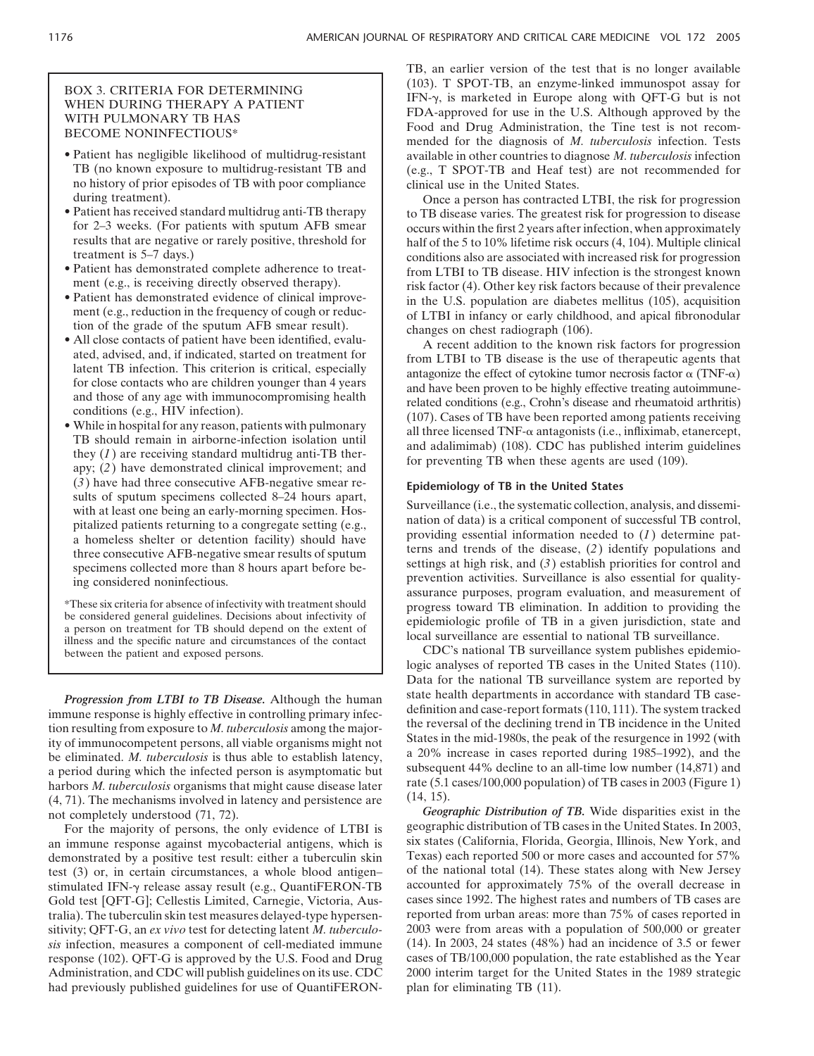# BOX 3. CRITERIA FOR DETERMINING WHEN DURING THERAPY A PATIENT WITH PULMONARY TB HAS BECOME NONINFECTIOUS\*

- Patient has negligible likelihood of multidrug-resistant TB (no known exposure to multidrug-resistant TB and no history of prior episodes of TB with poor compliance during treatment).
- Patient has received standard multidrug anti-TB therapy for 2–3 weeks. (For patients with sputum AFB smear results that are negative or rarely positive, threshold for treatment is 5–7 days.)
- Patient has demonstrated complete adherence to treatment (e.g., is receiving directly observed therapy).
- Patient has demonstrated evidence of clinical improvement (e.g., reduction in the frequency of cough or reduction of the grade of the sputum AFB smear result).
- All close contacts of patient have been identified, evaluated, advised, and, if indicated, started on treatment for latent TB infection. This criterion is critical, especially for close contacts who are children younger than 4 years and those of any age with immunocompromising health conditions (e.g., HIV infection).
- While in hospital for any reason, patients with pulmonary TB should remain in airborne-infection isolation until they (*1*) are receiving standard multidrug anti-TB therapy; (*2*) have demonstrated clinical improvement; and (*3*) have had three consecutive AFB-negative smear results of sputum specimens collected 8–24 hours apart, with at least one being an early-morning specimen. Hospitalized patients returning to a congregate setting (e.g., a homeless shelter or detention facility) should have three consecutive AFB-negative smear results of sputum specimens collected more than 8 hours apart before being considered noninfectious.

\*These six criteria for absence of infectivity with treatment should be considered general guidelines. Decisions about infectivity of a person on treatment for TB should depend on the extent of illness and the specific nature and circumstances of the contact between the patient and exposed persons.

*Progression from LTBI to TB Disease.* Although the human immune response is highly effective in controlling primary infection resulting from exposure to *M. tuberculosis* among the majority of immunocompetent persons, all viable organisms might not be eliminated. *M. tuberculosis* is thus able to establish latency, a period during which the infected person is asymptomatic but harbors *M. tuberculosis* organisms that might cause disease later (4, 71). The mechanisms involved in latency and persistence are not completely understood (71, 72).

For the majority of persons, the only evidence of LTBI is an immune response against mycobacterial antigens, which is demonstrated by a positive test result: either a tuberculin skin test (3) or, in certain circumstances, a whole blood antigen– stimulated IFN-y release assay result (e.g., QuantiFERON-TB Gold test [QFT-G]; Cellestis Limited, Carnegie, Victoria, Australia). The tuberculin skin test measures delayed-type hypersensitivity; QFT-G, an *ex vivo* test for detecting latent *M. tuberculosis* infection, measures a component of cell-mediated immune response (102). QFT-G is approved by the U.S. Food and Drug Administration, and CDC will publish guidelines on its use. CDC had previously published guidelines for use of QuantiFERON-

TB, an earlier version of the test that is no longer available (103). T SPOT-TB, an enzyme-linked immunospot assay for IFN- $\gamma$ , is marketed in Europe along with QFT-G but is not FDA-approved for use in the U.S. Although approved by the Food and Drug Administration, the Tine test is not recommended for the diagnosis of *M. tuberculosis* infection. Tests available in other countries to diagnose *M. tuberculosis* infection (e.g., T SPOT-TB and Heaf test) are not recommended for clinical use in the United States.

Once a person has contracted LTBI, the risk for progression to TB disease varies. The greatest risk for progression to disease occurs within the first 2 years after infection, when approximately half of the 5 to 10% lifetime risk occurs (4, 104). Multiple clinical conditions also are associated with increased risk for progression from LTBI to TB disease. HIV infection is the strongest known risk factor (4). Other key risk factors because of their prevalence in the U.S. population are diabetes mellitus (105), acquisition of LTBI in infancy or early childhood, and apical fibronodular changes on chest radiograph (106).

A recent addition to the known risk factors for progression from LTBI to TB disease is the use of therapeutic agents that antagonize the effect of cytokine tumor necrosis factor  $\alpha$  (TNF- $\alpha$ ) and have been proven to be highly effective treating autoimmunerelated conditions (e.g., Crohn's disease and rheumatoid arthritis) (107). Cases of TB have been reported among patients receiving all three licensed TNF- $\alpha$  antagonists (i.e., infliximab, etanercept, and adalimimab) (108). CDC has published interim guidelines for preventing TB when these agents are used (109).

### **Epidemiology of TB in the United States**

Surveillance (i.e., the systematic collection, analysis, and dissemination of data) is a critical component of successful TB control, providing essential information needed to (*1*) determine patterns and trends of the disease, (*2*) identify populations and settings at high risk, and (*3*) establish priorities for control and prevention activities. Surveillance is also essential for qualityassurance purposes, program evaluation, and measurement of progress toward TB elimination. In addition to providing the epidemiologic profile of TB in a given jurisdiction, state and local surveillance are essential to national TB surveillance.

CDC's national TB surveillance system publishes epidemiologic analyses of reported TB cases in the United States (110). Data for the national TB surveillance system are reported by state health departments in accordance with standard TB casedefinition and case-report formats (110, 111). The system tracked the reversal of the declining trend in TB incidence in the United States in the mid-1980s, the peak of the resurgence in 1992 (with a 20% increase in cases reported during 1985–1992), and the subsequent 44% decline to an all-time low number (14,871) and rate (5.1 cases/100,000 population) of TB cases in 2003 (Figure 1) (14, 15).

*Geographic Distribution of TB.* Wide disparities exist in the geographic distribution of TB cases in the United States. In 2003, six states (California, Florida, Georgia, Illinois, New York, and Texas) each reported 500 or more cases and accounted for 57% of the national total (14). These states along with New Jersey accounted for approximately 75% of the overall decrease in cases since 1992. The highest rates and numbers of TB cases are reported from urban areas: more than 75% of cases reported in 2003 were from areas with a population of 500,000 or greater (14). In 2003, 24 states (48%) had an incidence of 3.5 or fewer cases of TB/100,000 population, the rate established as the Year 2000 interim target for the United States in the 1989 strategic plan for eliminating TB (11).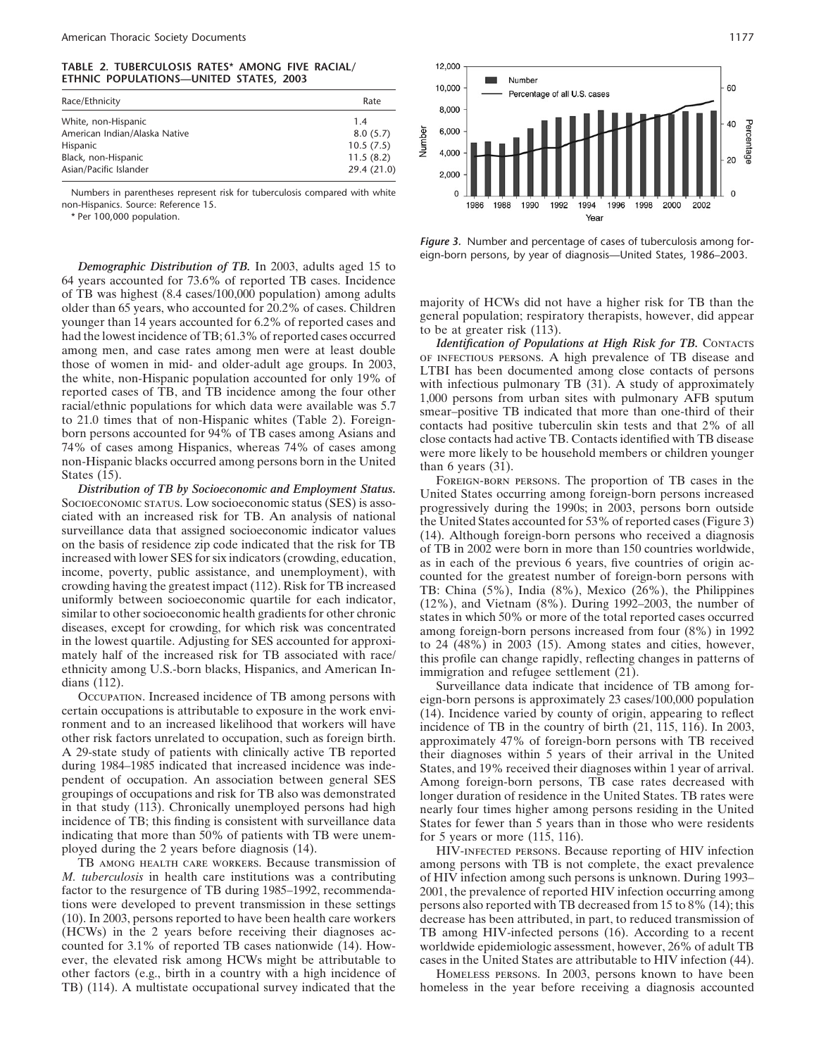**TABLE 2. TUBERCULOSIS RATES**\* **AMONG FIVE RACIAL/ ETHNIC POPULATIONS—UNITED STATES, 2003**

| Race/Ethnicity                | Rate        |
|-------------------------------|-------------|
| White, non-Hispanic           | 1.4         |
| American Indian/Alaska Native | 8.0(5.7)    |
| Hispanic                      | 10.5(7.5)   |
| Black, non-Hispanic           | 11.5(8.2)   |
| Asian/Pacific Islander        | 29.4 (21.0) |

Numbers in parentheses represent risk for tuberculosis compared with white non-Hispanics. Source: Reference 15.

\* Per 100,000 population.

*Demographic Distribution of TB.* In 2003, adults aged 15 to 64 years accounted for 73.6% of reported TB cases. Incidence of TB was highest (8.4 cases/100,000 population) among adults older than 65 years, who accounted for 20.2% of cases. Children younger than 14 years accounted for 6.2% of reported cases and had the lowest incidence of TB; 61.3% of reported cases occurred among men, and case rates among men were at least double those of women in mid- and older-adult age groups. In 2003, the white, non-Hispanic population accounted for only 19% of reported cases of TB, and TB incidence among the four other racial/ethnic populations for which data were available was 5.7 to 21.0 times that of non-Hispanic whites (Table 2). Foreignborn persons accounted for 94% of TB cases among Asians and 74% of cases among Hispanics, whereas 74% of cases among non-Hispanic blacks occurred among persons born in the United States (15).

*Distribution of TB by Socioeconomic and Employment Status.* Socioeconomic status. Low socioeconomic status (SES) is associated with an increased risk for TB. An analysis of national surveillance data that assigned socioeconomic indicator values on the basis of residence zip code indicated that the risk for TB increased with lower SES for six indicators (crowding, education, income, poverty, public assistance, and unemployment), with crowding having the greatest impact (112). Risk for TB increased uniformly between socioeconomic quartile for each indicator, similar to other socioeconomic health gradients for other chronic diseases, except for crowding, for which risk was concentrated in the lowest quartile. Adjusting for SES accounted for approximately half of the increased risk for TB associated with race/ ethnicity among U.S.-born blacks, Hispanics, and American Indians (112).

Occupation. Increased incidence of TB among persons with certain occupations is attributable to exposure in the work environment and to an increased likelihood that workers will have other risk factors unrelated to occupation, such as foreign birth. A 29-state study of patients with clinically active TB reported during 1984–1985 indicated that increased incidence was independent of occupation. An association between general SES groupings of occupations and risk for TB also was demonstrated in that study (113). Chronically unemployed persons had high incidence of TB; this finding is consistent with surveillance data indicating that more than 50% of patients with TB were unemployed during the 2 years before diagnosis (14).

TB among health care workers. Because transmission of *M. tuberculosis* in health care institutions was a contributing factor to the resurgence of TB during 1985–1992, recommendations were developed to prevent transmission in these settings (10). In 2003, persons reported to have been health care workers (HCWs) in the 2 years before receiving their diagnoses accounted for 3.1% of reported TB cases nationwide (14). However, the elevated risk among HCWs might be attributable to other factors (e.g., birth in a country with a high incidence of TB) (114). A multistate occupational survey indicated that the



*Figure 3.* Number and percentage of cases of tuberculosis among foreign-born persons, by year of diagnosis—United States, 1986–2003.

majority of HCWs did not have a higher risk for TB than the general population; respiratory therapists, however, did appear to be at greater risk (113).

Identification of Populations at High Risk for TB. CONTACTS of infectious persons. A high prevalence of TB disease and LTBI has been documented among close contacts of persons with infectious pulmonary TB (31). A study of approximately 1,000 persons from urban sites with pulmonary AFB sputum smear–positive TB indicated that more than one-third of their contacts had positive tuberculin skin tests and that 2% of all close contacts had active TB. Contacts identified with TB disease were more likely to be household members or children younger than 6 years (31).

Foreign-born persons. The proportion of TB cases in the United States occurring among foreign-born persons increased progressively during the 1990s; in 2003, persons born outside the United States accounted for 53% of reported cases (Figure 3) (14). Although foreign-born persons who received a diagnosis of TB in 2002 were born in more than 150 countries worldwide, as in each of the previous 6 years, five countries of origin accounted for the greatest number of foreign-born persons with TB: China (5%), India (8%), Mexico (26%), the Philippines (12%), and Vietnam (8%). During 1992–2003, the number of states in which 50% or more of the total reported cases occurred among foreign-born persons increased from four (8%) in 1992 to 24 (48%) in 2003 (15). Among states and cities, however, this profile can change rapidly, reflecting changes in patterns of immigration and refugee settlement (21).

Surveillance data indicate that incidence of TB among foreign-born persons is approximately 23 cases/100,000 population (14). Incidence varied by county of origin, appearing to reflect incidence of TB in the country of birth (21, 115, 116). In 2003, approximately 47% of foreign-born persons with TB received their diagnoses within 5 years of their arrival in the United States, and 19% received their diagnoses within 1 year of arrival. Among foreign-born persons, TB case rates decreased with longer duration of residence in the United States. TB rates were nearly four times higher among persons residing in the United States for fewer than 5 years than in those who were residents for 5 years or more (115, 116).

HIV-infected persons. Because reporting of HIV infection among persons with TB is not complete, the exact prevalence of HIV infection among such persons is unknown. During 1993– 2001, the prevalence of reported HIV infection occurring among persons also reported with TB decreased from 15 to 8% (14); this decrease has been attributed, in part, to reduced transmission of TB among HIV-infected persons (16). According to a recent worldwide epidemiologic assessment, however, 26% of adult TB cases in the United States are attributable to HIV infection (44).

Homeless persons. In 2003, persons known to have been homeless in the year before receiving a diagnosis accounted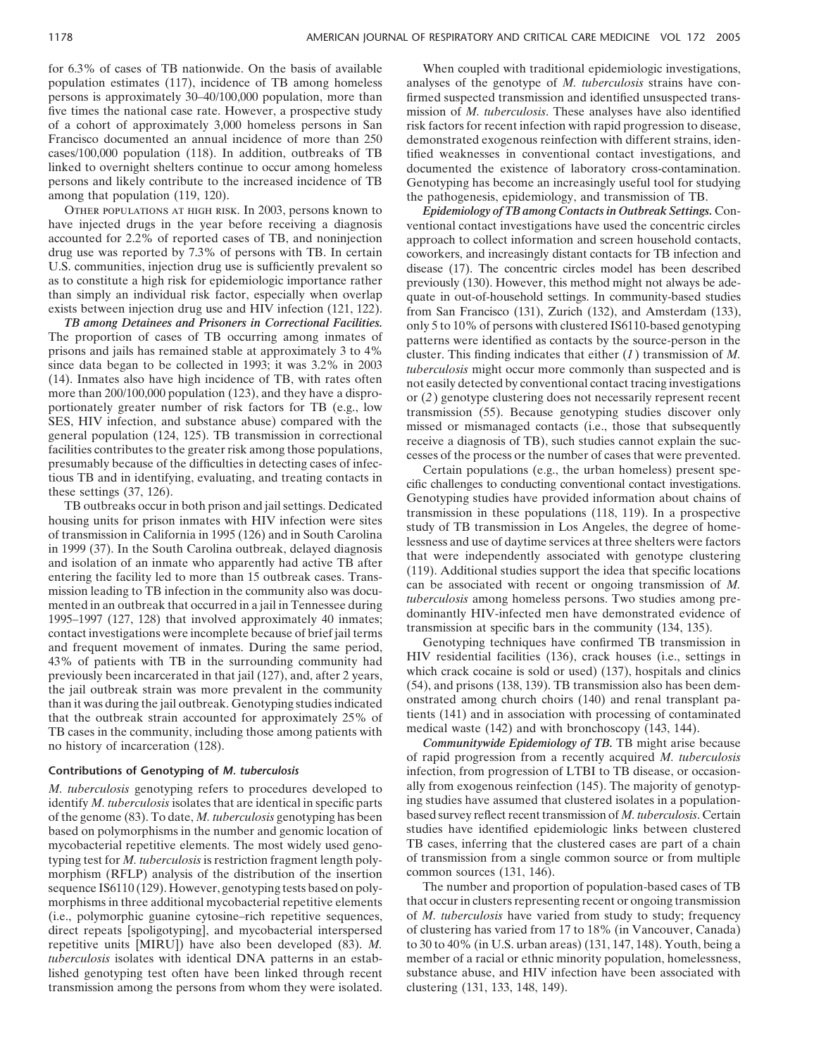for 6.3% of cases of TB nationwide. On the basis of available population estimates (117), incidence of TB among homeless persons is approximately 30–40/100,000 population, more than five times the national case rate. However, a prospective study of a cohort of approximately 3,000 homeless persons in San Francisco documented an annual incidence of more than 250 cases/100,000 population (118). In addition, outbreaks of TB linked to overnight shelters continue to occur among homeless persons and likely contribute to the increased incidence of TB among that population (119, 120).

Other populations at high risk. In 2003, persons known to have injected drugs in the year before receiving a diagnosis accounted for 2.2% of reported cases of TB, and noninjection drug use was reported by 7.3% of persons with TB. In certain U.S. communities, injection drug use is sufficiently prevalent so as to constitute a high risk for epidemiologic importance rather than simply an individual risk factor, especially when overlap exists between injection drug use and HIV infection (121, 122).

*TB among Detainees and Prisoners in Correctional Facilities.* The proportion of cases of TB occurring among inmates of prisons and jails has remained stable at approximately 3 to 4% since data began to be collected in 1993; it was 3.2% in 2003 (14). Inmates also have high incidence of TB, with rates often more than 200/100,000 population (123), and they have a disproportionately greater number of risk factors for TB (e.g., low SES, HIV infection, and substance abuse) compared with the general population (124, 125). TB transmission in correctional facilities contributes to the greater risk among those populations, presumably because of the difficulties in detecting cases of infectious TB and in identifying, evaluating, and treating contacts in these settings (37, 126).

TB outbreaks occur in both prison and jail settings. Dedicated housing units for prison inmates with HIV infection were sites of transmission in California in 1995 (126) and in South Carolina in 1999 (37). In the South Carolina outbreak, delayed diagnosis and isolation of an inmate who apparently had active TB after entering the facility led to more than 15 outbreak cases. Transmission leading to TB infection in the community also was documented in an outbreak that occurred in a jail in Tennessee during 1995–1997 (127, 128) that involved approximately 40 inmates; contact investigations were incomplete because of brief jail terms and frequent movement of inmates. During the same period, 43% of patients with TB in the surrounding community had previously been incarcerated in that jail (127), and, after 2 years, the jail outbreak strain was more prevalent in the community than it was during the jail outbreak. Genotyping studies indicated that the outbreak strain accounted for approximately 25% of TB cases in the community, including those among patients with no history of incarceration (128).

#### **Contributions of Genotyping of** *M. tuberculosis*

*M. tuberculosis* genotyping refers to procedures developed to identify *M. tuberculosis* isolates that are identical in specific parts of the genome (83). To date, *M. tuberculosis* genotyping has been based on polymorphisms in the number and genomic location of mycobacterial repetitive elements. The most widely used genotyping test for *M. tuberculosis* is restriction fragment length polymorphism (RFLP) analysis of the distribution of the insertion sequence IS6110 (129). However, genotyping tests based on polymorphisms in three additional mycobacterial repetitive elements (i.e., polymorphic guanine cytosine–rich repetitive sequences, direct repeats [spoligotyping], and mycobacterial interspersed repetitive units [MIRU]) have also been developed (83). *M. tuberculosis* isolates with identical DNA patterns in an established genotyping test often have been linked through recent transmission among the persons from whom they were isolated.

When coupled with traditional epidemiologic investigations, analyses of the genotype of *M. tuberculosis* strains have confirmed suspected transmission and identified unsuspected transmission of *M. tuberculosis*. These analyses have also identified risk factors for recent infection with rapid progression to disease, demonstrated exogenous reinfection with different strains, identified weaknesses in conventional contact investigations, and documented the existence of laboratory cross-contamination. Genotyping has become an increasingly useful tool for studying the pathogenesis, epidemiology, and transmission of TB.

*Epidemiology of TB among Contacts in Outbreak Settings.* Conventional contact investigations have used the concentric circles approach to collect information and screen household contacts, coworkers, and increasingly distant contacts for TB infection and disease (17). The concentric circles model has been described previously (130). However, this method might not always be adequate in out-of-household settings. In community-based studies from San Francisco (131), Zurich (132), and Amsterdam (133), only 5 to 10% of persons with clustered IS6110-based genotyping patterns were identified as contacts by the source-person in the cluster. This finding indicates that either (*1*) transmission of *M. tuberculosis* might occur more commonly than suspected and is not easily detected by conventional contact tracing investigations or (*2*) genotype clustering does not necessarily represent recent transmission (55). Because genotyping studies discover only missed or mismanaged contacts (i.e., those that subsequently receive a diagnosis of TB), such studies cannot explain the successes of the process or the number of cases that were prevented.

Certain populations (e.g., the urban homeless) present specific challenges to conducting conventional contact investigations. Genotyping studies have provided information about chains of transmission in these populations (118, 119). In a prospective study of TB transmission in Los Angeles, the degree of homelessness and use of daytime services at three shelters were factors that were independently associated with genotype clustering (119). Additional studies support the idea that specific locations can be associated with recent or ongoing transmission of *M. tuberculosis* among homeless persons. Two studies among predominantly HIV-infected men have demonstrated evidence of transmission at specific bars in the community (134, 135).

Genotyping techniques have confirmed TB transmission in HIV residential facilities (136), crack houses (i.e., settings in which crack cocaine is sold or used) (137), hospitals and clinics (54), and prisons (138, 139). TB transmission also has been demonstrated among church choirs (140) and renal transplant patients (141) and in association with processing of contaminated medical waste (142) and with bronchoscopy (143, 144).

*Communitywide Epidemiology of TB.* TB might arise because of rapid progression from a recently acquired *M. tuberculosis* infection, from progression of LTBI to TB disease, or occasionally from exogenous reinfection (145). The majority of genotyping studies have assumed that clustered isolates in a populationbased survey reflect recent transmission of *M. tuberculosis*. Certain studies have identified epidemiologic links between clustered TB cases, inferring that the clustered cases are part of a chain of transmission from a single common source or from multiple common sources (131, 146).

The number and proportion of population-based cases of TB that occur in clusters representing recent or ongoing transmission of *M. tuberculosis* have varied from study to study; frequency of clustering has varied from 17 to 18% (in Vancouver, Canada) to 30 to 40% (in U.S. urban areas) (131, 147, 148). Youth, being a member of a racial or ethnic minority population, homelessness, substance abuse, and HIV infection have been associated with clustering (131, 133, 148, 149).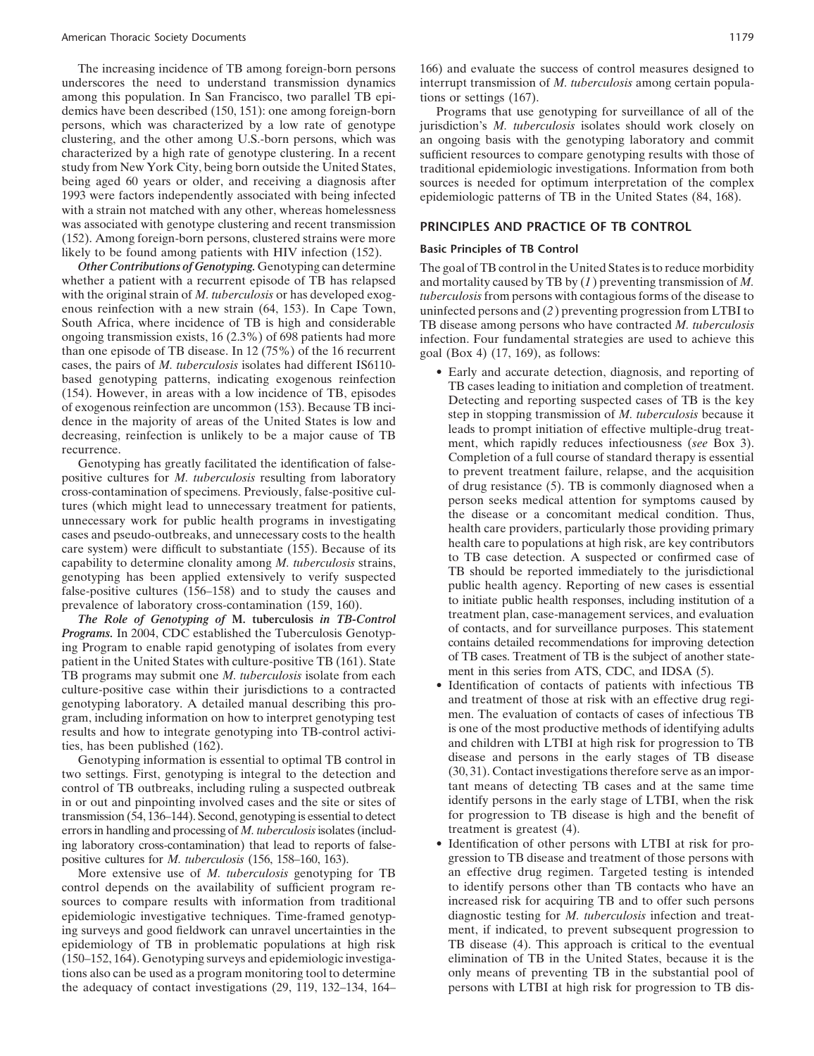The increasing incidence of TB among foreign-born persons underscores the need to understand transmission dynamics among this population. In San Francisco, two parallel TB epidemics have been described (150, 151): one among foreign-born persons, which was characterized by a low rate of genotype clustering, and the other among U.S.-born persons, which was characterized by a high rate of genotype clustering. In a recent study from New York City, being born outside the United States, being aged 60 years or older, and receiving a diagnosis after 1993 were factors independently associated with being infected with a strain not matched with any other, whereas homelessness was associated with genotype clustering and recent transmission (152). Among foreign-born persons, clustered strains were more likely to be found among patients with HIV infection (152).

*Other Contributions of Genotyping.* Genotyping can determine whether a patient with a recurrent episode of TB has relapsed with the original strain of *M. tuberculosis* or has developed exogenous reinfection with a new strain (64, 153). In Cape Town, South Africa, where incidence of TB is high and considerable ongoing transmission exists, 16 (2.3%) of 698 patients had more than one episode of TB disease. In 12 (75%) of the 16 recurrent cases, the pairs of *M. tuberculosis* isolates had different IS6110 based genotyping patterns, indicating exogenous reinfection (154). However, in areas with a low incidence of TB, episodes of exogenous reinfection are uncommon (153). Because TB incidence in the majority of areas of the United States is low and decreasing, reinfection is unlikely to be a major cause of TB recurrence.

Genotyping has greatly facilitated the identification of falsepositive cultures for *M. tuberculosis* resulting from laboratory cross-contamination of specimens. Previously, false-positive cultures (which might lead to unnecessary treatment for patients, unnecessary work for public health programs in investigating cases and pseudo-outbreaks, and unnecessary costs to the health care system) were difficult to substantiate (155). Because of its capability to determine clonality among *M. tuberculosis* strains, genotyping has been applied extensively to verify suspected false-positive cultures (156–158) and to study the causes and prevalence of laboratory cross-contamination (159, 160).

*The Role of Genotyping of* **M. tuberculosis** *in TB-Control Programs.* In 2004, CDC established the Tuberculosis Genotyping Program to enable rapid genotyping of isolates from every patient in the United States with culture-positive TB (161). State TB programs may submit one *M. tuberculosis* isolate from each culture-positive case within their jurisdictions to a contracted genotyping laboratory. A detailed manual describing this program, including information on how to interpret genotyping test results and how to integrate genotyping into TB-control activities, has been published (162).

Genotyping information is essential to optimal TB control in two settings. First, genotyping is integral to the detection and control of TB outbreaks, including ruling a suspected outbreak in or out and pinpointing involved cases and the site or sites of transmission (54, 136–144). Second, genotyping is essential to detect errors in handling and processing of *M. tuberculosis*isolates (including laboratory cross-contamination) that lead to reports of falsepositive cultures for *M. tuberculosis* (156, 158–160, 163).

More extensive use of *M. tuberculosis* genotyping for TB control depends on the availability of sufficient program resources to compare results with information from traditional epidemiologic investigative techniques. Time-framed genotyping surveys and good fieldwork can unravel uncertainties in the epidemiology of TB in problematic populations at high risk (150–152, 164). Genotyping surveys and epidemiologic investigations also can be used as a program monitoring tool to determine the adequacy of contact investigations (29, 119, 132–134, 164– 166) and evaluate the success of control measures designed to interrupt transmission of *M. tuberculosis* among certain populations or settings (167).

Programs that use genotyping for surveillance of all of the jurisdiction's *M. tuberculosis* isolates should work closely on an ongoing basis with the genotyping laboratory and commit sufficient resources to compare genotyping results with those of traditional epidemiologic investigations. Information from both sources is needed for optimum interpretation of the complex epidemiologic patterns of TB in the United States (84, 168).

#### **PRINCIPLES AND PRACTICE OF TB CONTROL**

#### **Basic Principles of TB Control**

The goal of TB control in the United States is to reduce morbidity and mortality caused by TB by (*1*) preventing transmission of *M. tuberculosis* from persons with contagious forms of the disease to uninfected persons and (*2*) preventing progression from LTBI to TB disease among persons who have contracted *M. tuberculosis* infection. Four fundamental strategies are used to achieve this goal (Box 4) (17, 169), as follows:

- Early and accurate detection, diagnosis, and reporting of TB cases leading to initiation and completion of treatment. Detecting and reporting suspected cases of TB is the key step in stopping transmission of *M. tuberculosis* because it leads to prompt initiation of effective multiple-drug treatment, which rapidly reduces infectiousness (*see* Box 3). Completion of a full course of standard therapy is essential to prevent treatment failure, relapse, and the acquisition of drug resistance (5). TB is commonly diagnosed when a person seeks medical attention for symptoms caused by the disease or a concomitant medical condition. Thus, health care providers, particularly those providing primary health care to populations at high risk, are key contributors to TB case detection. A suspected or confirmed case of TB should be reported immediately to the jurisdictional public health agency. Reporting of new cases is essential to initiate public health responses, including institution of a treatment plan, case-management services, and evaluation of contacts, and for surveillance purposes. This statement contains detailed recommendations for improving detection of TB cases. Treatment of TB is the subject of another statement in this series from ATS, CDC, and IDSA (5).
- Identification of contacts of patients with infectious TB and treatment of those at risk with an effective drug regimen. The evaluation of contacts of cases of infectious TB is one of the most productive methods of identifying adults and children with LTBI at high risk for progression to TB disease and persons in the early stages of TB disease (30, 31). Contact investigations therefore serve as an important means of detecting TB cases and at the same time identify persons in the early stage of LTBI, when the risk for progression to TB disease is high and the benefit of treatment is greatest (4).
- Identification of other persons with LTBI at risk for progression to TB disease and treatment of those persons with an effective drug regimen. Targeted testing is intended to identify persons other than TB contacts who have an increased risk for acquiring TB and to offer such persons diagnostic testing for *M. tuberculosis* infection and treatment, if indicated, to prevent subsequent progression to TB disease (4). This approach is critical to the eventual elimination of TB in the United States, because it is the only means of preventing TB in the substantial pool of persons with LTBI at high risk for progression to TB dis-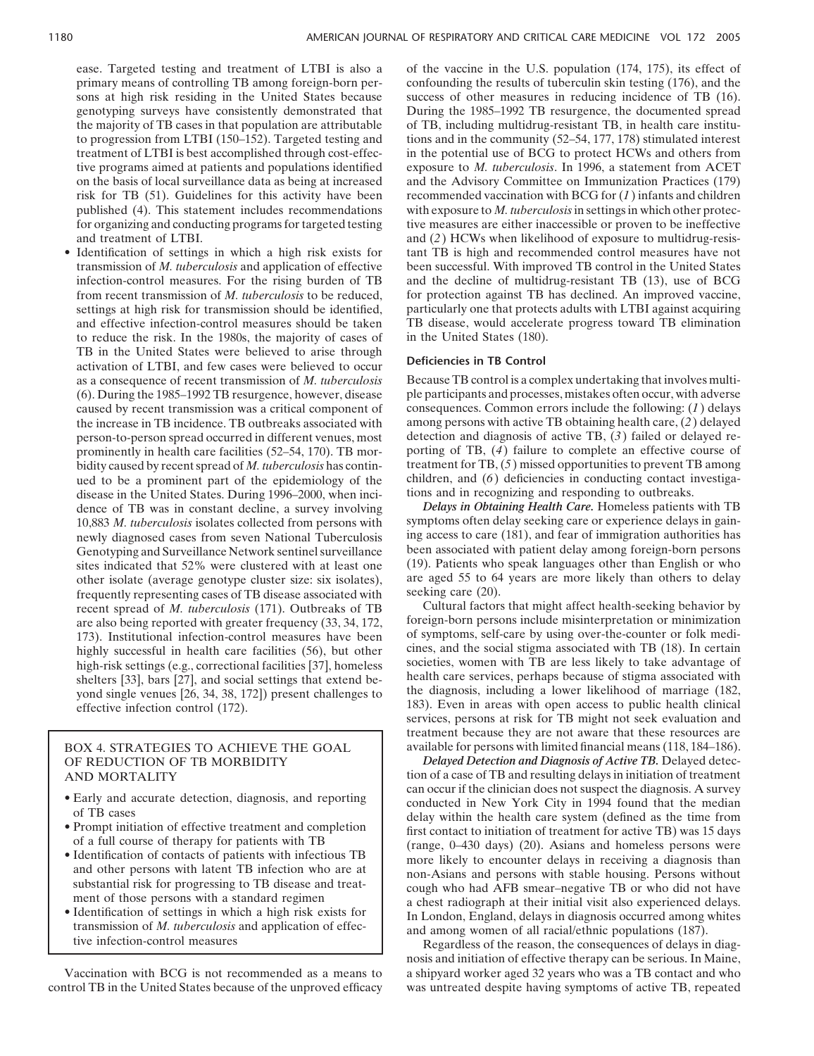ease. Targeted testing and treatment of LTBI is also a primary means of controlling TB among foreign-born persons at high risk residing in the United States because genotyping surveys have consistently demonstrated that the majority of TB cases in that population are attributable to progression from LTBI (150–152). Targeted testing and treatment of LTBI is best accomplished through cost-effective programs aimed at patients and populations identified on the basis of local surveillance data as being at increased risk for TB (51). Guidelines for this activity have been published (4). This statement includes recommendations for organizing and conducting programs for targeted testing and treatment of LTBI.

• Identification of settings in which a high risk exists for transmission of *M. tuberculosis* and application of effective infection-control measures. For the rising burden of TB from recent transmission of *M. tuberculosis* to be reduced, settings at high risk for transmission should be identified, and effective infection-control measures should be taken to reduce the risk. In the 1980s, the majority of cases of TB in the United States were believed to arise through activation of LTBI, and few cases were believed to occur as a consequence of recent transmission of *M. tuberculosis* (6). During the 1985–1992 TB resurgence, however, disease caused by recent transmission was a critical component of the increase in TB incidence. TB outbreaks associated with person-to-person spread occurred in different venues, most prominently in health care facilities (52–54, 170). TB morbidity caused by recent spread of *M. tuberculosis* has continued to be a prominent part of the epidemiology of the disease in the United States. During 1996–2000, when incidence of TB was in constant decline, a survey involving 10,883 *M. tuberculosis* isolates collected from persons with newly diagnosed cases from seven National Tuberculosis Genotyping and Surveillance Network sentinel surveillance sites indicated that 52% were clustered with at least one other isolate (average genotype cluster size: six isolates), frequently representing cases of TB disease associated with recent spread of *M. tuberculosis* (171). Outbreaks of TB are also being reported with greater frequency (33, 34, 172, 173). Institutional infection-control measures have been highly successful in health care facilities (56), but other high-risk settings (e.g., correctional facilities [37], homeless shelters [33], bars [27], and social settings that extend beyond single venues [26, 34, 38, 172]) present challenges to effective infection control (172).

### BOX 4. STRATEGIES TO ACHIEVE THE GOAL OF REDUCTION OF TB MORBIDITY AND MORTALITY

- Early and accurate detection, diagnosis, and reporting of TB cases
- Prompt initiation of effective treatment and completion of a full course of therapy for patients with TB
- Identification of contacts of patients with infectious TB and other persons with latent TB infection who are at substantial risk for progressing to TB disease and treatment of those persons with a standard regimen
- Identification of settings in which a high risk exists for transmission of *M. tuberculosis* and application of effective infection-control measures

Vaccination with BCG is not recommended as a means to control TB in the United States because of the unproved efficacy

of the vaccine in the U.S. population (174, 175), its effect of confounding the results of tuberculin skin testing (176), and the success of other measures in reducing incidence of TB (16). During the 1985–1992 TB resurgence, the documented spread of TB, including multidrug-resistant TB, in health care institutions and in the community (52–54, 177, 178) stimulated interest in the potential use of BCG to protect HCWs and others from exposure to *M. tuberculosis*. In 1996, a statement from ACET and the Advisory Committee on Immunization Practices (179) recommended vaccination with BCG for (*1*) infants and children with exposure to *M. tuberculosis*in settings in which other protective measures are either inaccessible or proven to be ineffective and (*2*) HCWs when likelihood of exposure to multidrug-resistant TB is high and recommended control measures have not been successful. With improved TB control in the United States and the decline of multidrug-resistant TB (13), use of BCG for protection against TB has declined. An improved vaccine, particularly one that protects adults with LTBI against acquiring TB disease, would accelerate progress toward TB elimination in the United States (180).

### **Deficiencies in TB Control**

Because TB control is a complex undertaking that involves multiple participants and processes, mistakes often occur, with adverse consequences. Common errors include the following: (*1*) delays among persons with active TB obtaining health care, (*2*) delayed detection and diagnosis of active TB, (*3*) failed or delayed reporting of TB, (*4*) failure to complete an effective course of treatment for TB, (*5*) missed opportunities to prevent TB among children, and (*6*) deficiencies in conducting contact investigations and in recognizing and responding to outbreaks.

*Delays in Obtaining Health Care.* Homeless patients with TB symptoms often delay seeking care or experience delays in gaining access to care (181), and fear of immigration authorities has been associated with patient delay among foreign-born persons (19). Patients who speak languages other than English or who are aged 55 to 64 years are more likely than others to delay seeking care (20).

Cultural factors that might affect health-seeking behavior by foreign-born persons include misinterpretation or minimization of symptoms, self-care by using over-the-counter or folk medicines, and the social stigma associated with TB (18). In certain societies, women with TB are less likely to take advantage of health care services, perhaps because of stigma associated with the diagnosis, including a lower likelihood of marriage (182, 183). Even in areas with open access to public health clinical services, persons at risk for TB might not seek evaluation and treatment because they are not aware that these resources are available for persons with limited financial means (118, 184–186).

*Delayed Detection and Diagnosis of Active TB.* Delayed detection of a case of TB and resulting delays in initiation of treatment can occur if the clinician does not suspect the diagnosis. A survey conducted in New York City in 1994 found that the median delay within the health care system (defined as the time from first contact to initiation of treatment for active TB) was 15 days (range, 0–430 days) (20). Asians and homeless persons were more likely to encounter delays in receiving a diagnosis than non-Asians and persons with stable housing. Persons without cough who had AFB smear–negative TB or who did not have a chest radiograph at their initial visit also experienced delays. In London, England, delays in diagnosis occurred among whites and among women of all racial/ethnic populations (187).

Regardless of the reason, the consequences of delays in diagnosis and initiation of effective therapy can be serious. In Maine, a shipyard worker aged 32 years who was a TB contact and who was untreated despite having symptoms of active TB, repeated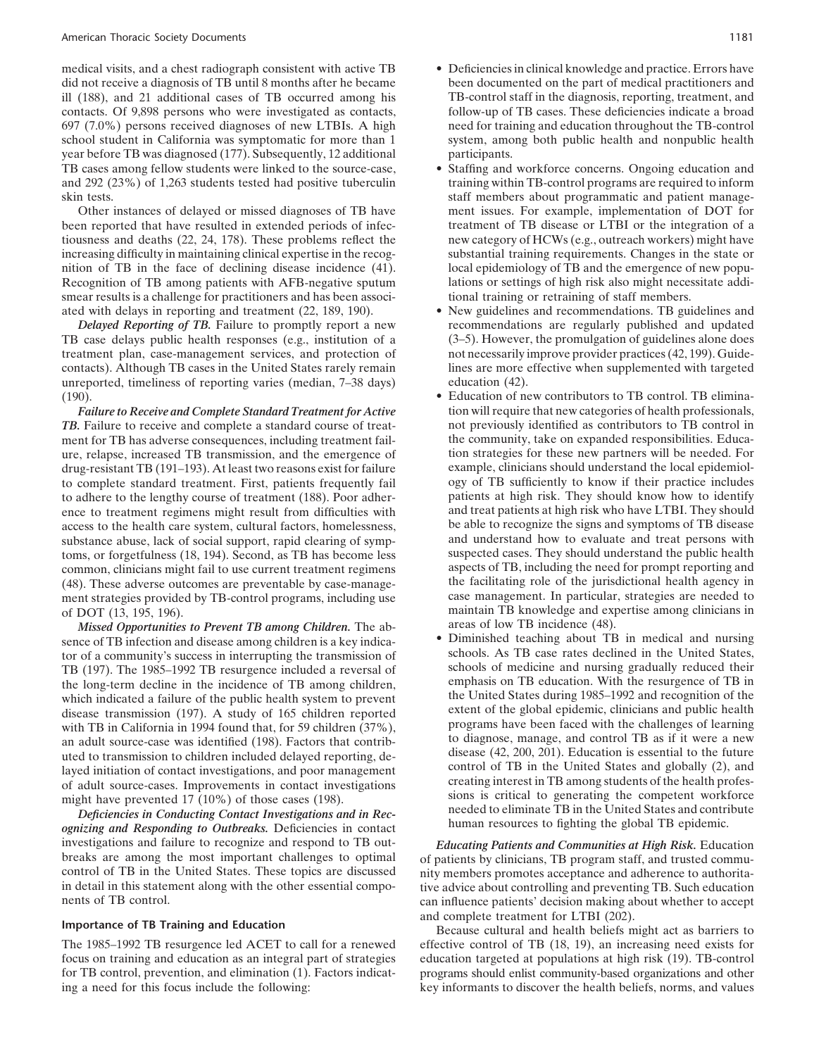medical visits, and a chest radiograph consistent with active TB did not receive a diagnosis of TB until 8 months after he became ill (188), and 21 additional cases of TB occurred among his contacts. Of 9,898 persons who were investigated as contacts, 697 (7.0%) persons received diagnoses of new LTBIs. A high school student in California was symptomatic for more than 1 year before TB was diagnosed (177). Subsequently, 12 additional TB cases among fellow students were linked to the source-case, and 292 (23%) of 1,263 students tested had positive tuberculin skin tests.

Other instances of delayed or missed diagnoses of TB have been reported that have resulted in extended periods of infectiousness and deaths (22, 24, 178). These problems reflect the increasing difficulty in maintaining clinical expertise in the recognition of TB in the face of declining disease incidence (41). Recognition of TB among patients with AFB-negative sputum smear results is a challenge for practitioners and has been associated with delays in reporting and treatment (22, 189, 190).

*Delayed Reporting of TB.* Failure to promptly report a new TB case delays public health responses (e.g., institution of a treatment plan, case-management services, and protection of contacts). Although TB cases in the United States rarely remain unreported, timeliness of reporting varies (median, 7–38 days) (190).

*Failure to Receive and Complete Standard Treatment for Active TB.* Failure to receive and complete a standard course of treatment for TB has adverse consequences, including treatment failure, relapse, increased TB transmission, and the emergence of drug-resistant TB (191–193). At least two reasons exist for failure to complete standard treatment. First, patients frequently fail to adhere to the lengthy course of treatment (188). Poor adherence to treatment regimens might result from difficulties with access to the health care system, cultural factors, homelessness, substance abuse, lack of social support, rapid clearing of symptoms, or forgetfulness (18, 194). Second, as TB has become less common, clinicians might fail to use current treatment regimens (48). These adverse outcomes are preventable by case-management strategies provided by TB-control programs, including use of DOT (13, 195, 196).

*Missed Opportunities to Prevent TB among Children.* The absence of TB infection and disease among children is a key indicator of a community's success in interrupting the transmission of TB (197). The 1985–1992 TB resurgence included a reversal of the long-term decline in the incidence of TB among children, which indicated a failure of the public health system to prevent disease transmission (197). A study of 165 children reported with TB in California in 1994 found that, for 59 children (37%), an adult source-case was identified (198). Factors that contributed to transmission to children included delayed reporting, delayed initiation of contact investigations, and poor management of adult source-cases. Improvements in contact investigations might have prevented 17 (10%) of those cases (198).

*Deficiencies in Conducting Contact Investigations and in Recognizing and Responding to Outbreaks.* Deficiencies in contact investigations and failure to recognize and respond to TB outbreaks are among the most important challenges to optimal control of TB in the United States. These topics are discussed in detail in this statement along with the other essential components of TB control.

# **Importance of TB Training and Education**

The 1985–1992 TB resurgence led ACET to call for a renewed focus on training and education as an integral part of strategies for TB control, prevention, and elimination (1). Factors indicating a need for this focus include the following:

- Staffing and workforce concerns. Ongoing education and training within TB-control programs are required to inform staff members about programmatic and patient management issues. For example, implementation of DOT for treatment of TB disease or LTBI or the integration of a new category of HCWs (e.g., outreach workers) might have substantial training requirements. Changes in the state or local epidemiology of TB and the emergence of new populations or settings of high risk also might necessitate additional training or retraining of staff members.
- New guidelines and recommendations. TB guidelines and recommendations are regularly published and updated (3–5). However, the promulgation of guidelines alone does not necessarily improve provider practices (42, 199). Guidelines are more effective when supplemented with targeted education (42).
- Education of new contributors to TB control. TB elimination will require that new categories of health professionals, not previously identified as contributors to TB control in the community, take on expanded responsibilities. Education strategies for these new partners will be needed. For example, clinicians should understand the local epidemiology of TB sufficiently to know if their practice includes patients at high risk. They should know how to identify and treat patients at high risk who have LTBI. They should be able to recognize the signs and symptoms of TB disease and understand how to evaluate and treat persons with suspected cases. They should understand the public health aspects of TB, including the need for prompt reporting and the facilitating role of the jurisdictional health agency in case management. In particular, strategies are needed to maintain TB knowledge and expertise among clinicians in areas of low TB incidence (48).
- Diminished teaching about TB in medical and nursing schools. As TB case rates declined in the United States, schools of medicine and nursing gradually reduced their emphasis on TB education. With the resurgence of TB in the United States during 1985–1992 and recognition of the extent of the global epidemic, clinicians and public health programs have been faced with the challenges of learning to diagnose, manage, and control TB as if it were a new disease (42, 200, 201). Education is essential to the future control of TB in the United States and globally (2), and creating interest in TB among students of the health professions is critical to generating the competent workforce needed to eliminate TB in the United States and contribute human resources to fighting the global TB epidemic.

*Educating Patients and Communities at High Risk.* Education of patients by clinicians, TB program staff, and trusted community members promotes acceptance and adherence to authoritative advice about controlling and preventing TB. Such education can influence patients' decision making about whether to accept and complete treatment for LTBI (202).

Because cultural and health beliefs might act as barriers to effective control of TB (18, 19), an increasing need exists for education targeted at populations at high risk (19). TB-control programs should enlist community-based organizations and other key informants to discover the health beliefs, norms, and values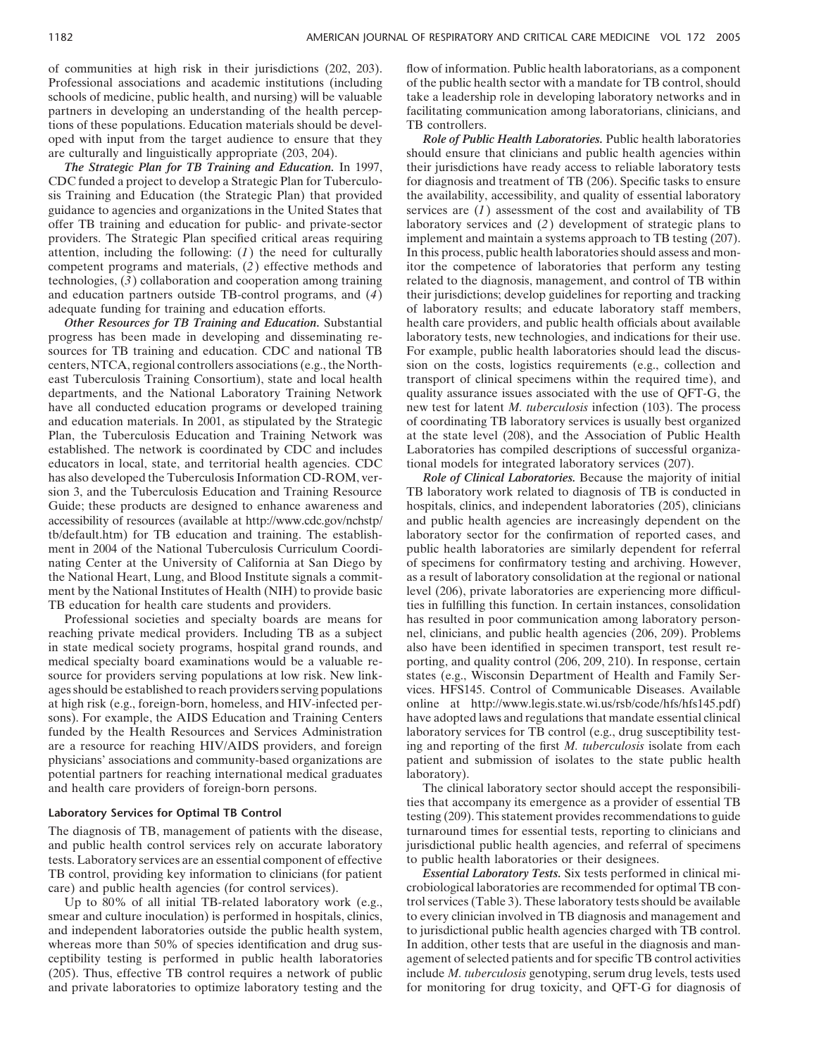of communities at high risk in their jurisdictions (202, 203). Professional associations and academic institutions (including schools of medicine, public health, and nursing) will be valuable partners in developing an understanding of the health perceptions of these populations. Education materials should be developed with input from the target audience to ensure that they are culturally and linguistically appropriate (203, 204).

*The Strategic Plan for TB Training and Education.* In 1997, CDC funded a project to develop a Strategic Plan for Tuberculosis Training and Education (the Strategic Plan) that provided guidance to agencies and organizations in the United States that offer TB training and education for public- and private-sector providers. The Strategic Plan specified critical areas requiring attention, including the following: (*1*) the need for culturally competent programs and materials, (*2*) effective methods and technologies, (*3*) collaboration and cooperation among training and education partners outside TB-control programs, and (*4*) adequate funding for training and education efforts.

*Other Resources for TB Training and Education.* Substantial progress has been made in developing and disseminating resources for TB training and education. CDC and national TB centers, NTCA, regional controllers associations (e.g., the Northeast Tuberculosis Training Consortium), state and local health departments, and the National Laboratory Training Network have all conducted education programs or developed training and education materials. In 2001, as stipulated by the Strategic Plan, the Tuberculosis Education and Training Network was established. The network is coordinated by CDC and includes educators in local, state, and territorial health agencies. CDC has also developed the Tuberculosis Information CD-ROM, version 3, and the Tuberculosis Education and Training Resource Guide; these products are designed to enhance awareness and accessibility of resources (available at http://www.cdc.gov/nchstp/ tb/default.htm) for TB education and training. The establishment in 2004 of the National Tuberculosis Curriculum Coordinating Center at the University of California at San Diego by the National Heart, Lung, and Blood Institute signals a commitment by the National Institutes of Health (NIH) to provide basic TB education for health care students and providers.

Professional societies and specialty boards are means for reaching private medical providers. Including TB as a subject in state medical society programs, hospital grand rounds, and medical specialty board examinations would be a valuable resource for providers serving populations at low risk. New linkages should be established to reach providers serving populations at high risk (e.g., foreign-born, homeless, and HIV-infected persons). For example, the AIDS Education and Training Centers funded by the Health Resources and Services Administration are a resource for reaching HIV/AIDS providers, and foreign physicians' associations and community-based organizations are potential partners for reaching international medical graduates and health care providers of foreign-born persons.

#### **Laboratory Services for Optimal TB Control**

The diagnosis of TB, management of patients with the disease, and public health control services rely on accurate laboratory tests. Laboratory services are an essential component of effective TB control, providing key information to clinicians (for patient care) and public health agencies (for control services).

Up to 80% of all initial TB-related laboratory work (e.g., smear and culture inoculation) is performed in hospitals, clinics, and independent laboratories outside the public health system, whereas more than 50% of species identification and drug susceptibility testing is performed in public health laboratories (205). Thus, effective TB control requires a network of public and private laboratories to optimize laboratory testing and the

flow of information. Public health laboratorians, as a component of the public health sector with a mandate for TB control, should take a leadership role in developing laboratory networks and in facilitating communication among laboratorians, clinicians, and TB controllers.

*Role of Public Health Laboratories.* Public health laboratories should ensure that clinicians and public health agencies within their jurisdictions have ready access to reliable laboratory tests for diagnosis and treatment of TB (206). Specific tasks to ensure the availability, accessibility, and quality of essential laboratory services are (*1*) assessment of the cost and availability of TB laboratory services and (*2*) development of strategic plans to implement and maintain a systems approach to TB testing (207). In this process, public health laboratories should assess and monitor the competence of laboratories that perform any testing related to the diagnosis, management, and control of TB within their jurisdictions; develop guidelines for reporting and tracking of laboratory results; and educate laboratory staff members, health care providers, and public health officials about available laboratory tests, new technologies, and indications for their use. For example, public health laboratories should lead the discussion on the costs, logistics requirements (e.g., collection and transport of clinical specimens within the required time), and quality assurance issues associated with the use of QFT-G, the new test for latent *M. tuberculosis* infection (103). The process of coordinating TB laboratory services is usually best organized at the state level (208), and the Association of Public Health Laboratories has compiled descriptions of successful organizational models for integrated laboratory services (207).

*Role of Clinical Laboratories.* Because the majority of initial TB laboratory work related to diagnosis of TB is conducted in hospitals, clinics, and independent laboratories (205), clinicians and public health agencies are increasingly dependent on the laboratory sector for the confirmation of reported cases, and public health laboratories are similarly dependent for referral of specimens for confirmatory testing and archiving. However, as a result of laboratory consolidation at the regional or national level (206), private laboratories are experiencing more difficulties in fulfilling this function. In certain instances, consolidation has resulted in poor communication among laboratory personnel, clinicians, and public health agencies (206, 209). Problems also have been identified in specimen transport, test result reporting, and quality control (206, 209, 210). In response, certain states (e.g., Wisconsin Department of Health and Family Services. HFS145. Control of Communicable Diseases. Available online at http://www.legis.state.wi.us/rsb/code/hfs/hfs145.pdf) have adopted laws and regulations that mandate essential clinical laboratory services for TB control (e.g., drug susceptibility testing and reporting of the first *M. tuberculosis* isolate from each patient and submission of isolates to the state public health laboratory).

The clinical laboratory sector should accept the responsibilities that accompany its emergence as a provider of essential TB testing (209). This statement provides recommendations to guide turnaround times for essential tests, reporting to clinicians and jurisdictional public health agencies, and referral of specimens to public health laboratories or their designees.

*Essential Laboratory Tests.* Six tests performed in clinical microbiological laboratories are recommended for optimal TB control services (Table 3). These laboratory tests should be available to every clinician involved in TB diagnosis and management and to jurisdictional public health agencies charged with TB control. In addition, other tests that are useful in the diagnosis and management of selected patients and for specific TB control activities include *M. tuberculosis* genotyping, serum drug levels, tests used for monitoring for drug toxicity, and QFT-G for diagnosis of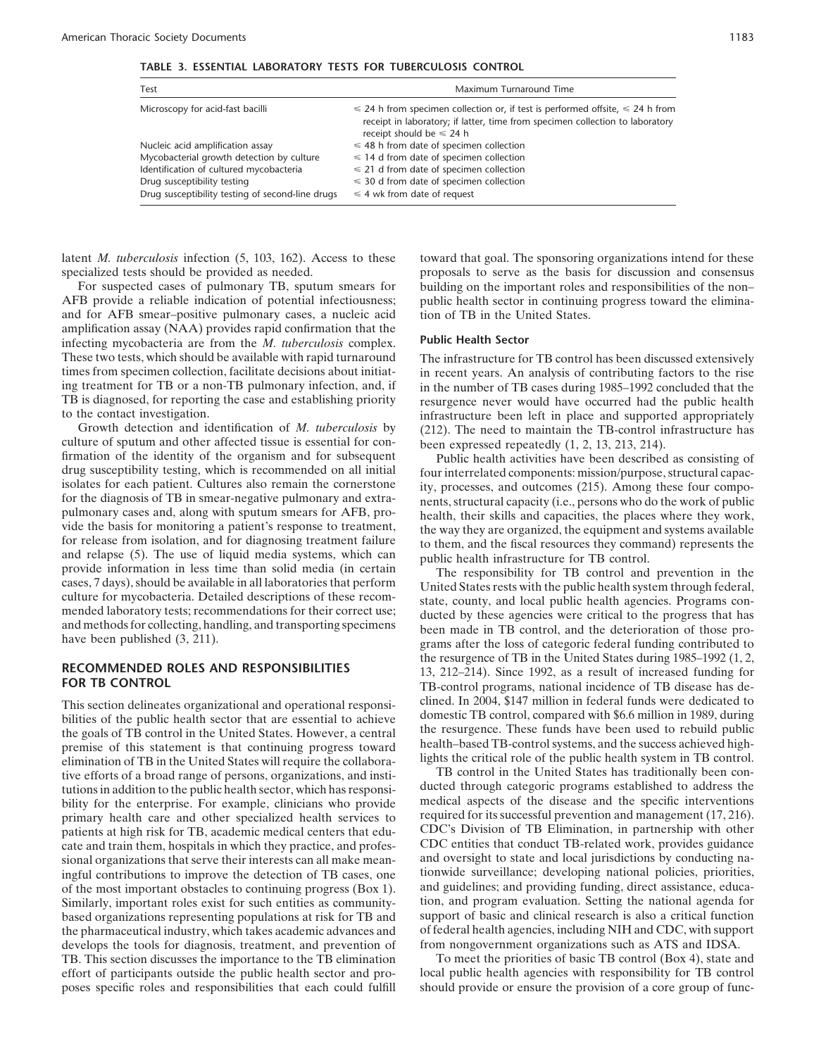**TABLE 3. ESSENTIAL LABORATORY TESTS FOR TUBERCULOSIS CONTROL**

| Test                                             | Maximum Turnaround Time                                                                                                                                                                                   |
|--------------------------------------------------|-----------------------------------------------------------------------------------------------------------------------------------------------------------------------------------------------------------|
| Microscopy for acid-fast bacilli                 | $\leq$ 24 h from specimen collection or, if test is performed offsite, $\leq$ 24 h from<br>receipt in laboratory; if latter, time from specimen collection to laboratory<br>receipt should be $\leq 24$ h |
| Nucleic acid amplification assay                 | $\leq 48$ h from date of specimen collection                                                                                                                                                              |
| Mycobacterial growth detection by culture        | $\leq$ 14 d from date of specimen collection                                                                                                                                                              |
| Identification of cultured mycobacteria          | $\leq$ 21 d from date of specimen collection                                                                                                                                                              |
| Drug susceptibility testing                      | $\leq$ 30 d from date of specimen collection                                                                                                                                                              |
| Drug susceptibility testing of second-line drugs | $\leq 4$ wk from date of request                                                                                                                                                                          |

latent *M. tuberculosis* infection (5, 103, 162). Access to these specialized tests should be provided as needed.

For suspected cases of pulmonary TB, sputum smears for AFB provide a reliable indication of potential infectiousness; and for AFB smear–positive pulmonary cases, a nucleic acid amplification assay (NAA) provides rapid confirmation that the infecting mycobacteria are from the *M. tuberculosis* complex. These two tests, which should be available with rapid turnaround times from specimen collection, facilitate decisions about initiating treatment for TB or a non-TB pulmonary infection, and, if TB is diagnosed, for reporting the case and establishing priority to the contact investigation.

Growth detection and identification of *M. tuberculosis* by culture of sputum and other affected tissue is essential for confirmation of the identity of the organism and for subsequent drug susceptibility testing, which is recommended on all initial isolates for each patient. Cultures also remain the cornerstone for the diagnosis of TB in smear-negative pulmonary and extrapulmonary cases and, along with sputum smears for AFB, provide the basis for monitoring a patient's response to treatment, for release from isolation, and for diagnosing treatment failure and relapse (5). The use of liquid media systems, which can provide information in less time than solid media (in certain cases, 7 days), should be available in all laboratories that perform culture for mycobacteria. Detailed descriptions of these recommended laboratory tests; recommendations for their correct use; and methods for collecting, handling, and transporting specimens have been published (3, 211).

# **RECOMMENDED ROLES AND RESPONSIBILITIES FOR TB CONTROL**

This section delineates organizational and operational responsibilities of the public health sector that are essential to achieve the goals of TB control in the United States. However, a central premise of this statement is that continuing progress toward elimination of TB in the United States will require the collaborative efforts of a broad range of persons, organizations, and institutions in addition to the public health sector, which has responsibility for the enterprise. For example, clinicians who provide primary health care and other specialized health services to patients at high risk for TB, academic medical centers that educate and train them, hospitals in which they practice, and professional organizations that serve their interests can all make meaningful contributions to improve the detection of TB cases, one of the most important obstacles to continuing progress (Box 1). Similarly, important roles exist for such entities as communitybased organizations representing populations at risk for TB and the pharmaceutical industry, which takes academic advances and develops the tools for diagnosis, treatment, and prevention of TB. This section discusses the importance to the TB elimination effort of participants outside the public health sector and proposes specific roles and responsibilities that each could fulfill

toward that goal. The sponsoring organizations intend for these proposals to serve as the basis for discussion and consensus building on the important roles and responsibilities of the non– public health sector in continuing progress toward the elimination of TB in the United States.

#### **Public Health Sector**

The infrastructure for TB control has been discussed extensively in recent years. An analysis of contributing factors to the rise in the number of TB cases during 1985–1992 concluded that the resurgence never would have occurred had the public health infrastructure been left in place and supported appropriately (212). The need to maintain the TB-control infrastructure has been expressed repeatedly (1, 2, 13, 213, 214).

Public health activities have been described as consisting of four interrelated components: mission/purpose, structural capacity, processes, and outcomes (215). Among these four components, structural capacity (i.e., persons who do the work of public health, their skills and capacities, the places where they work, the way they are organized, the equipment and systems available to them, and the fiscal resources they command) represents the public health infrastructure for TB control.

The responsibility for TB control and prevention in the United States rests with the public health system through federal, state, county, and local public health agencies. Programs conducted by these agencies were critical to the progress that has been made in TB control, and the deterioration of those programs after the loss of categoric federal funding contributed to the resurgence of TB in the United States during 1985–1992 (1, 2, 13, 212–214). Since 1992, as a result of increased funding for TB-control programs, national incidence of TB disease has declined. In 2004, \$147 million in federal funds were dedicated to domestic TB control, compared with \$6.6 million in 1989, during the resurgence. These funds have been used to rebuild public health–based TB-control systems, and the success achieved highlights the critical role of the public health system in TB control.

TB control in the United States has traditionally been conducted through categoric programs established to address the medical aspects of the disease and the specific interventions required for its successful prevention and management (17, 216). CDC's Division of TB Elimination, in partnership with other CDC entities that conduct TB-related work, provides guidance and oversight to state and local jurisdictions by conducting nationwide surveillance; developing national policies, priorities, and guidelines; and providing funding, direct assistance, education, and program evaluation. Setting the national agenda for support of basic and clinical research is also a critical function of federal health agencies, including NIH and CDC, with support from nongovernment organizations such as ATS and IDSA.

To meet the priorities of basic TB control (Box 4), state and local public health agencies with responsibility for TB control should provide or ensure the provision of a core group of func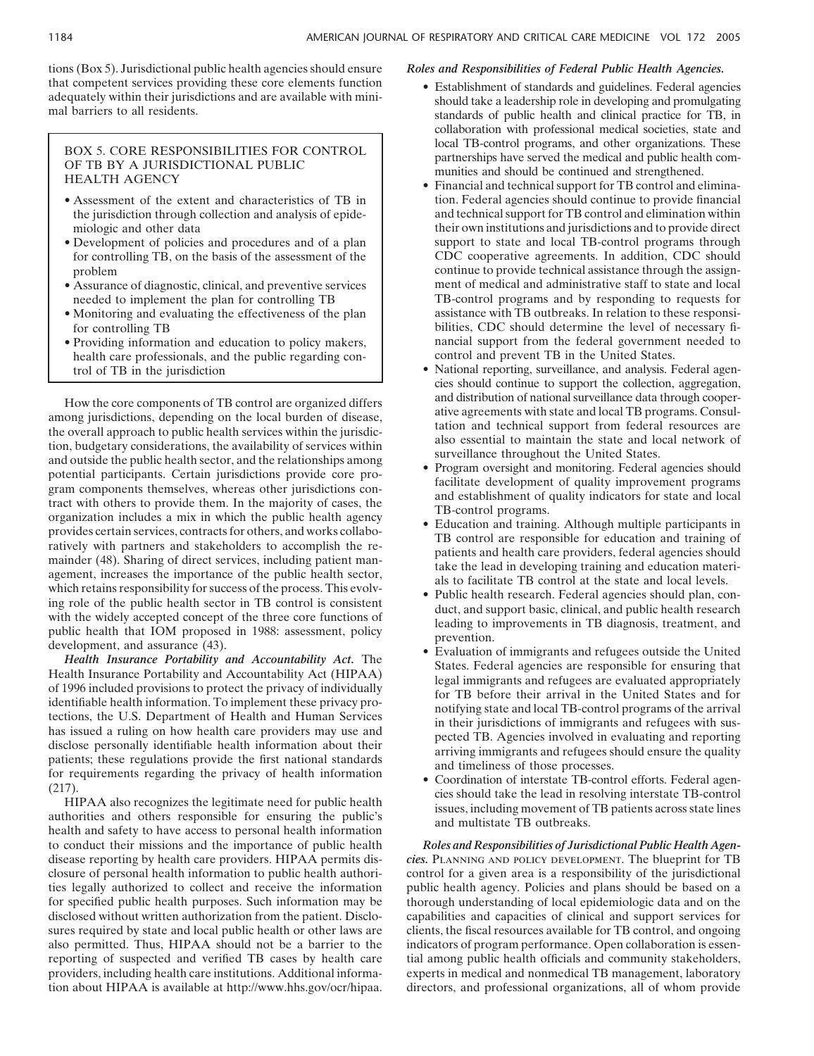tions (Box 5). Jurisdictional public health agencies should ensure that competent services providing these core elements function adequately within their jurisdictions and are available with minimal barriers to all residents.

### BOX 5. CORE RESPONSIBILITIES FOR CONTROL OF TB BY A JURISDICTIONAL PUBLIC HEALTH AGENCY

- Assessment of the extent and characteristics of TB in the jurisdiction through collection and analysis of epidemiologic and other data
- Development of policies and procedures and of a plan for controlling TB, on the basis of the assessment of the problem
- Assurance of diagnostic, clinical, and preventive services needed to implement the plan for controlling TB
- Monitoring and evaluating the effectiveness of the plan for controlling TB
- Providing information and education to policy makers, health care professionals, and the public regarding control of TB in the jurisdiction

How the core components of TB control are organized differs among jurisdictions, depending on the local burden of disease, the overall approach to public health services within the jurisdiction, budgetary considerations, the availability of services within and outside the public health sector, and the relationships among potential participants. Certain jurisdictions provide core program components themselves, whereas other jurisdictions contract with others to provide them. In the majority of cases, the organization includes a mix in which the public health agency provides certain services, contracts for others, and works collaboratively with partners and stakeholders to accomplish the remainder (48). Sharing of direct services, including patient management, increases the importance of the public health sector, which retains responsibility for success of the process. This evolving role of the public health sector in TB control is consistent with the widely accepted concept of the three core functions of public health that IOM proposed in 1988: assessment, policy development, and assurance (43).

*Health Insurance Portability and Accountability Act.* The Health Insurance Portability and Accountability Act (HIPAA) of 1996 included provisions to protect the privacy of individually identifiable health information. To implement these privacy protections, the U.S. Department of Health and Human Services has issued a ruling on how health care providers may use and disclose personally identifiable health information about their patients; these regulations provide the first national standards for requirements regarding the privacy of health information (217).

HIPAA also recognizes the legitimate need for public health authorities and others responsible for ensuring the public's health and safety to have access to personal health information to conduct their missions and the importance of public health disease reporting by health care providers. HIPAA permits disclosure of personal health information to public health authorities legally authorized to collect and receive the information for specified public health purposes. Such information may be disclosed without written authorization from the patient. Disclosures required by state and local public health or other laws are also permitted. Thus, HIPAA should not be a barrier to the reporting of suspected and verified TB cases by health care providers, including health care institutions. Additional information about HIPAA is available at http://www.hhs.gov/ocr/hipaa.

# *Roles and Responsibilities of Federal Public Health Agencies.*

- Establishment of standards and guidelines. Federal agencies should take a leadership role in developing and promulgating standards of public health and clinical practice for TB, in collaboration with professional medical societies, state and local TB-control programs, and other organizations. These partnerships have served the medical and public health communities and should be continued and strengthened.
- Financial and technical support for TB control and elimination. Federal agencies should continue to provide financial and technical support for TB control and elimination within their own institutions and jurisdictions and to provide direct support to state and local TB-control programs through CDC cooperative agreements. In addition, CDC should continue to provide technical assistance through the assignment of medical and administrative staff to state and local TB-control programs and by responding to requests for assistance with TB outbreaks. In relation to these responsibilities, CDC should determine the level of necessary financial support from the federal government needed to control and prevent TB in the United States.
- National reporting, surveillance, and analysis. Federal agencies should continue to support the collection, aggregation, and distribution of national surveillance data through cooperative agreements with state and local TB programs. Consultation and technical support from federal resources are also essential to maintain the state and local network of surveillance throughout the United States.
- Program oversight and monitoring. Federal agencies should facilitate development of quality improvement programs and establishment of quality indicators for state and local TB-control programs.
- Education and training. Although multiple participants in TB control are responsible for education and training of patients and health care providers, federal agencies should take the lead in developing training and education materials to facilitate TB control at the state and local levels.
- Public health research. Federal agencies should plan, conduct, and support basic, clinical, and public health research leading to improvements in TB diagnosis, treatment, and prevention.
- Evaluation of immigrants and refugees outside the United States. Federal agencies are responsible for ensuring that legal immigrants and refugees are evaluated appropriately for TB before their arrival in the United States and for notifying state and local TB-control programs of the arrival in their jurisdictions of immigrants and refugees with suspected TB. Agencies involved in evaluating and reporting arriving immigrants and refugees should ensure the quality and timeliness of those processes.
- Coordination of interstate TB-control efforts. Federal agencies should take the lead in resolving interstate TB-control issues, including movement of TB patients across state lines and multistate TB outbreaks.

*Roles and Responsibilities of Jurisdictional Public Health Agencies.* Planning and policy development. The blueprint for TB control for a given area is a responsibility of the jurisdictional public health agency. Policies and plans should be based on a thorough understanding of local epidemiologic data and on the capabilities and capacities of clinical and support services for clients, the fiscal resources available for TB control, and ongoing indicators of program performance. Open collaboration is essential among public health officials and community stakeholders, experts in medical and nonmedical TB management, laboratory directors, and professional organizations, all of whom provide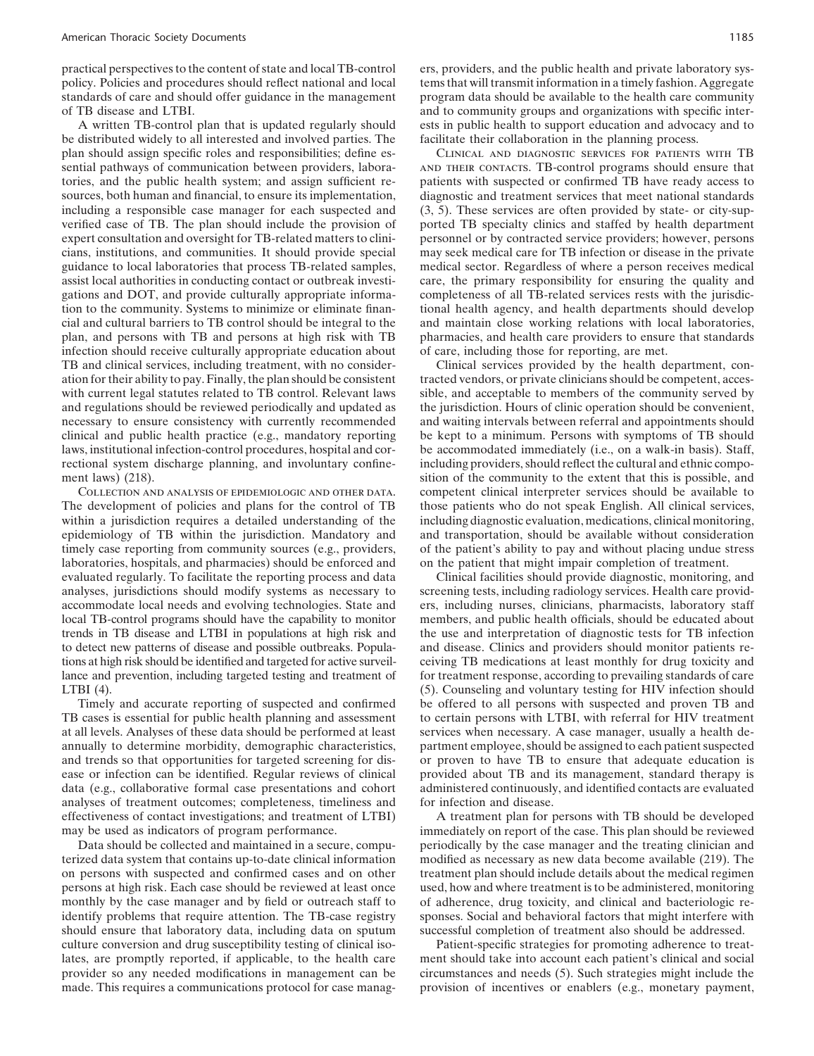practical perspectives to the content of state and local TB-control policy. Policies and procedures should reflect national and local standards of care and should offer guidance in the management of TB disease and LTBI.

A written TB-control plan that is updated regularly should be distributed widely to all interested and involved parties. The plan should assign specific roles and responsibilities; define essential pathways of communication between providers, laboratories, and the public health system; and assign sufficient resources, both human and financial, to ensure its implementation, including a responsible case manager for each suspected and verified case of TB. The plan should include the provision of expert consultation and oversight for TB-related matters to clinicians, institutions, and communities. It should provide special guidance to local laboratories that process TB-related samples, assist local authorities in conducting contact or outbreak investigations and DOT, and provide culturally appropriate information to the community. Systems to minimize or eliminate financial and cultural barriers to TB control should be integral to the plan, and persons with TB and persons at high risk with TB infection should receive culturally appropriate education about TB and clinical services, including treatment, with no consideration for their ability to pay. Finally, the plan should be consistent with current legal statutes related to TB control. Relevant laws and regulations should be reviewed periodically and updated as necessary to ensure consistency with currently recommended clinical and public health practice (e.g., mandatory reporting laws, institutional infection-control procedures, hospital and correctional system discharge planning, and involuntary confinement laws) (218).

Collection and analysis of epidemiologic and other data. The development of policies and plans for the control of TB within a jurisdiction requires a detailed understanding of the epidemiology of TB within the jurisdiction. Mandatory and timely case reporting from community sources (e.g., providers, laboratories, hospitals, and pharmacies) should be enforced and evaluated regularly. To facilitate the reporting process and data analyses, jurisdictions should modify systems as necessary to accommodate local needs and evolving technologies. State and local TB-control programs should have the capability to monitor trends in TB disease and LTBI in populations at high risk and to detect new patterns of disease and possible outbreaks. Populations at high risk should be identified and targeted for active surveillance and prevention, including targeted testing and treatment of LTBI (4).

Timely and accurate reporting of suspected and confirmed TB cases is essential for public health planning and assessment at all levels. Analyses of these data should be performed at least annually to determine morbidity, demographic characteristics, and trends so that opportunities for targeted screening for disease or infection can be identified. Regular reviews of clinical data (e.g., collaborative formal case presentations and cohort analyses of treatment outcomes; completeness, timeliness and effectiveness of contact investigations; and treatment of LTBI) may be used as indicators of program performance.

Data should be collected and maintained in a secure, computerized data system that contains up-to-date clinical information on persons with suspected and confirmed cases and on other persons at high risk. Each case should be reviewed at least once monthly by the case manager and by field or outreach staff to identify problems that require attention. The TB-case registry should ensure that laboratory data, including data on sputum culture conversion and drug susceptibility testing of clinical isolates, are promptly reported, if applicable, to the health care provider so any needed modifications in management can be made. This requires a communications protocol for case managers, providers, and the public health and private laboratory systems that will transmit information in a timely fashion. Aggregate program data should be available to the health care community and to community groups and organizations with specific interests in public health to support education and advocacy and to facilitate their collaboration in the planning process.

Clinical and diagnostic services for patients with TB and their contacts. TB-control programs should ensure that patients with suspected or confirmed TB have ready access to diagnostic and treatment services that meet national standards (3, 5). These services are often provided by state- or city-supported TB specialty clinics and staffed by health department personnel or by contracted service providers; however, persons may seek medical care for TB infection or disease in the private medical sector. Regardless of where a person receives medical care, the primary responsibility for ensuring the quality and completeness of all TB-related services rests with the jurisdictional health agency, and health departments should develop and maintain close working relations with local laboratories, pharmacies, and health care providers to ensure that standards of care, including those for reporting, are met.

Clinical services provided by the health department, contracted vendors, or private clinicians should be competent, accessible, and acceptable to members of the community served by the jurisdiction. Hours of clinic operation should be convenient, and waiting intervals between referral and appointments should be kept to a minimum. Persons with symptoms of TB should be accommodated immediately (i.e., on a walk-in basis). Staff, including providers, should reflect the cultural and ethnic composition of the community to the extent that this is possible, and competent clinical interpreter services should be available to those patients who do not speak English. All clinical services, including diagnostic evaluation, medications, clinical monitoring, and transportation, should be available without consideration of the patient's ability to pay and without placing undue stress on the patient that might impair completion of treatment.

Clinical facilities should provide diagnostic, monitoring, and screening tests, including radiology services. Health care providers, including nurses, clinicians, pharmacists, laboratory staff members, and public health officials, should be educated about the use and interpretation of diagnostic tests for TB infection and disease. Clinics and providers should monitor patients receiving TB medications at least monthly for drug toxicity and for treatment response, according to prevailing standards of care (5). Counseling and voluntary testing for HIV infection should be offered to all persons with suspected and proven TB and to certain persons with LTBI, with referral for HIV treatment services when necessary. A case manager, usually a health department employee, should be assigned to each patient suspected or proven to have TB to ensure that adequate education is provided about TB and its management, standard therapy is administered continuously, and identified contacts are evaluated for infection and disease.

A treatment plan for persons with TB should be developed immediately on report of the case. This plan should be reviewed periodically by the case manager and the treating clinician and modified as necessary as new data become available (219). The treatment plan should include details about the medical regimen used, how and where treatment is to be administered, monitoring of adherence, drug toxicity, and clinical and bacteriologic responses. Social and behavioral factors that might interfere with successful completion of treatment also should be addressed.

Patient-specific strategies for promoting adherence to treatment should take into account each patient's clinical and social circumstances and needs (5). Such strategies might include the provision of incentives or enablers (e.g., monetary payment,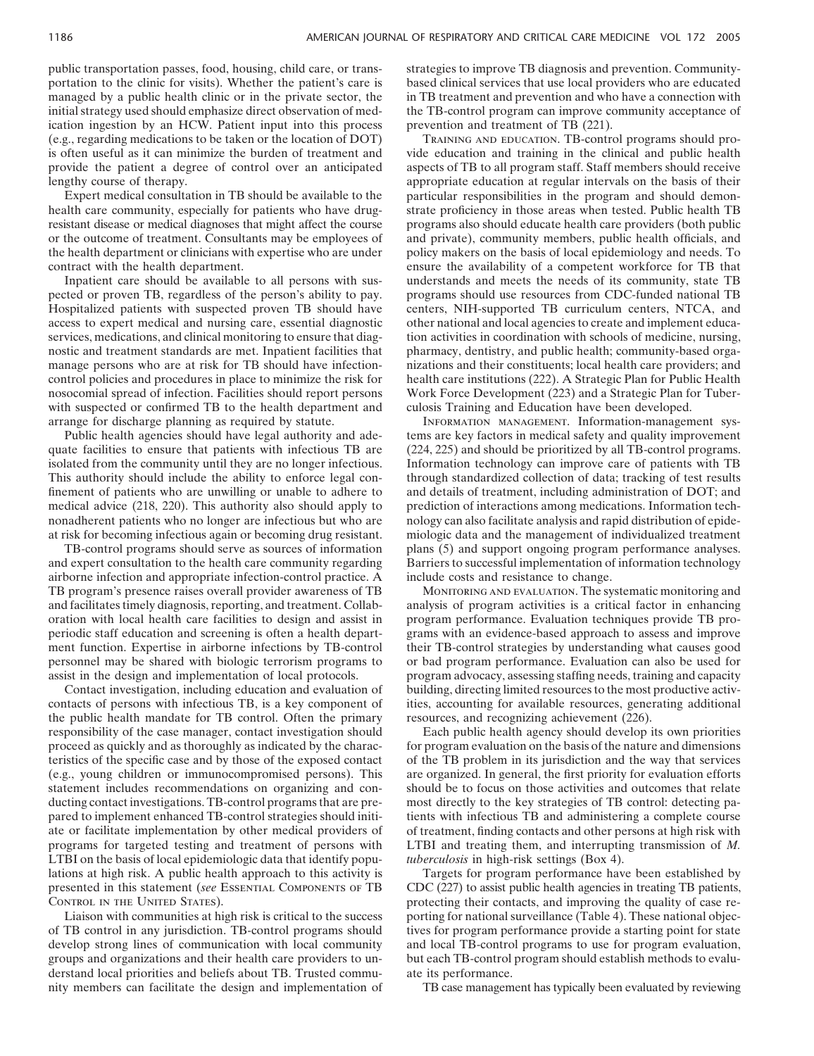public transportation passes, food, housing, child care, or transportation to the clinic for visits). Whether the patient's care is managed by a public health clinic or in the private sector, the initial strategy used should emphasize direct observation of medication ingestion by an HCW. Patient input into this process (e.g., regarding medications to be taken or the location of DOT) is often useful as it can minimize the burden of treatment and provide the patient a degree of control over an anticipated lengthy course of therapy.

Expert medical consultation in TB should be available to the health care community, especially for patients who have drugresistant disease or medical diagnoses that might affect the course or the outcome of treatment. Consultants may be employees of the health department or clinicians with expertise who are under contract with the health department.

Inpatient care should be available to all persons with suspected or proven TB, regardless of the person's ability to pay. Hospitalized patients with suspected proven TB should have access to expert medical and nursing care, essential diagnostic services, medications, and clinical monitoring to ensure that diagnostic and treatment standards are met. Inpatient facilities that manage persons who are at risk for TB should have infectioncontrol policies and procedures in place to minimize the risk for nosocomial spread of infection. Facilities should report persons with suspected or confirmed TB to the health department and arrange for discharge planning as required by statute.

Public health agencies should have legal authority and adequate facilities to ensure that patients with infectious TB are isolated from the community until they are no longer infectious. This authority should include the ability to enforce legal confinement of patients who are unwilling or unable to adhere to medical advice (218, 220). This authority also should apply to nonadherent patients who no longer are infectious but who are at risk for becoming infectious again or becoming drug resistant.

TB-control programs should serve as sources of information and expert consultation to the health care community regarding airborne infection and appropriate infection-control practice. A TB program's presence raises overall provider awareness of TB and facilitates timely diagnosis, reporting, and treatment. Collaboration with local health care facilities to design and assist in periodic staff education and screening is often a health department function. Expertise in airborne infections by TB-control personnel may be shared with biologic terrorism programs to assist in the design and implementation of local protocols.

Contact investigation, including education and evaluation of contacts of persons with infectious TB, is a key component of the public health mandate for TB control. Often the primary responsibility of the case manager, contact investigation should proceed as quickly and as thoroughly as indicated by the characteristics of the specific case and by those of the exposed contact (e.g., young children or immunocompromised persons). This statement includes recommendations on organizing and conducting contact investigations. TB-control programs that are prepared to implement enhanced TB-control strategies should initiate or facilitate implementation by other medical providers of programs for targeted testing and treatment of persons with LTBI on the basis of local epidemiologic data that identify populations at high risk. A public health approach to this activity is presented in this statement (*see* Essential Components of TB CONTROL IN THE UNITED STATES).

Liaison with communities at high risk is critical to the success of TB control in any jurisdiction. TB-control programs should develop strong lines of communication with local community groups and organizations and their health care providers to understand local priorities and beliefs about TB. Trusted community members can facilitate the design and implementation of

strategies to improve TB diagnosis and prevention. Communitybased clinical services that use local providers who are educated in TB treatment and prevention and who have a connection with the TB-control program can improve community acceptance of prevention and treatment of TB (221).

Training and education. TB-control programs should provide education and training in the clinical and public health aspects of TB to all program staff. Staff members should receive appropriate education at regular intervals on the basis of their particular responsibilities in the program and should demonstrate proficiency in those areas when tested. Public health TB programs also should educate health care providers (both public and private), community members, public health officials, and policy makers on the basis of local epidemiology and needs. To ensure the availability of a competent workforce for TB that understands and meets the needs of its community, state TB programs should use resources from CDC-funded national TB centers, NIH-supported TB curriculum centers, NTCA, and other national and local agencies to create and implement education activities in coordination with schools of medicine, nursing, pharmacy, dentistry, and public health; community-based organizations and their constituents; local health care providers; and health care institutions (222). A Strategic Plan for Public Health Work Force Development (223) and a Strategic Plan for Tuberculosis Training and Education have been developed.

Information management. Information-management systems are key factors in medical safety and quality improvement (224, 225) and should be prioritized by all TB-control programs. Information technology can improve care of patients with TB through standardized collection of data; tracking of test results and details of treatment, including administration of DOT; and prediction of interactions among medications. Information technology can also facilitate analysis and rapid distribution of epidemiologic data and the management of individualized treatment plans (5) and support ongoing program performance analyses. Barriers to successful implementation of information technology include costs and resistance to change.

MONITORING AND EVALUATION. The systematic monitoring and analysis of program activities is a critical factor in enhancing program performance. Evaluation techniques provide TB programs with an evidence-based approach to assess and improve their TB-control strategies by understanding what causes good or bad program performance. Evaluation can also be used for program advocacy, assessing staffing needs, training and capacity building, directing limited resources to the most productive activities, accounting for available resources, generating additional resources, and recognizing achievement (226).

Each public health agency should develop its own priorities for program evaluation on the basis of the nature and dimensions of the TB problem in its jurisdiction and the way that services are organized. In general, the first priority for evaluation efforts should be to focus on those activities and outcomes that relate most directly to the key strategies of TB control: detecting patients with infectious TB and administering a complete course of treatment, finding contacts and other persons at high risk with LTBI and treating them, and interrupting transmission of *M. tuberculosis* in high-risk settings (Box 4).

Targets for program performance have been established by CDC (227) to assist public health agencies in treating TB patients, protecting their contacts, and improving the quality of case reporting for national surveillance (Table 4). These national objectives for program performance provide a starting point for state and local TB-control programs to use for program evaluation, but each TB-control program should establish methods to evaluate its performance.

TB case management has typically been evaluated by reviewing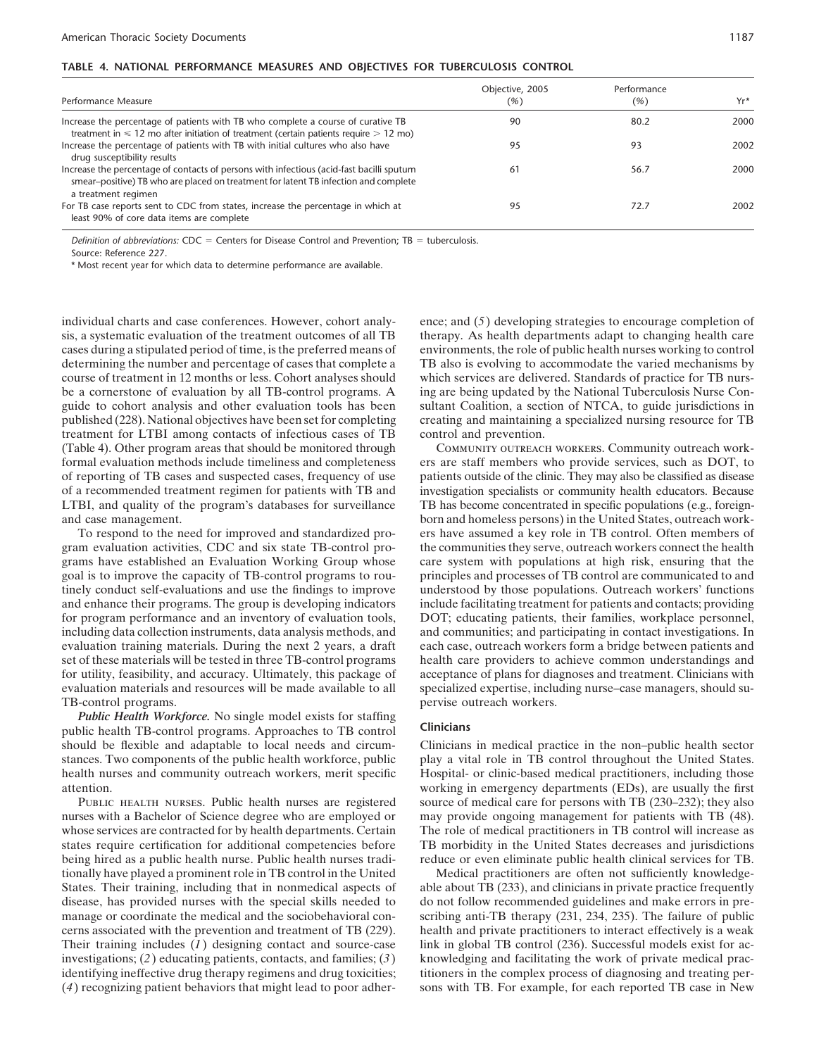| Performance Measure                                                                                                                                                                                    | Objective, 2005<br>(% ) | Performance<br>(%) | Yr*  |
|--------------------------------------------------------------------------------------------------------------------------------------------------------------------------------------------------------|-------------------------|--------------------|------|
|                                                                                                                                                                                                        |                         |                    |      |
| Increase the percentage of patients with TB who complete a course of curative TB<br>treatment in $\leq 12$ mo after initiation of treatment (certain patients require $> 12$ mo)                       | 90                      | 80.2               | 2000 |
| Increase the percentage of patients with TB with initial cultures who also have<br>drug susceptibility results                                                                                         | 95                      | 93                 | 2002 |
| Increase the percentage of contacts of persons with infectious (acid-fast bacilli sputum<br>smear-positive) TB who are placed on treatment for latent TB infection and complete<br>a treatment regimen | 61                      | 56.7               | 2000 |
| For TB case reports sent to CDC from states, increase the percentage in which at<br>least 90% of core data items are complete                                                                          | 95                      | 72.7               | 2002 |

*Definition of abbreviations:*  $\text{CDC} = \text{Centers for Disparse Control and Prevention: } \text{TR} = \text{tuberrulosis}$ . Source: Reference 227.

\* Most recent year for which data to determine performance are available.

individual charts and case conferences. However, cohort analysis, a systematic evaluation of the treatment outcomes of all TB cases during a stipulated period of time, is the preferred means of determining the number and percentage of cases that complete a course of treatment in 12 months or less. Cohort analyses should be a cornerstone of evaluation by all TB-control programs. A guide to cohort analysis and other evaluation tools has been published (228). National objectives have been set for completing treatment for LTBI among contacts of infectious cases of TB (Table 4). Other program areas that should be monitored through formal evaluation methods include timeliness and completeness of reporting of TB cases and suspected cases, frequency of use of a recommended treatment regimen for patients with TB and LTBI, and quality of the program's databases for surveillance and case management.

To respond to the need for improved and standardized program evaluation activities, CDC and six state TB-control programs have established an Evaluation Working Group whose goal is to improve the capacity of TB-control programs to routinely conduct self-evaluations and use the findings to improve and enhance their programs. The group is developing indicators for program performance and an inventory of evaluation tools, including data collection instruments, data analysis methods, and evaluation training materials. During the next 2 years, a draft set of these materials will be tested in three TB-control programs for utility, feasibility, and accuracy. Ultimately, this package of evaluation materials and resources will be made available to all TB-control programs.

*Public Health Workforce.* No single model exists for staffing public health TB-control programs. Approaches to TB control should be flexible and adaptable to local needs and circumstances. Two components of the public health workforce, public health nurses and community outreach workers, merit specific attention.

Public health nurses. Public health nurses are registered nurses with a Bachelor of Science degree who are employed or whose services are contracted for by health departments. Certain states require certification for additional competencies before being hired as a public health nurse. Public health nurses traditionally have played a prominent role in TB control in the United States. Their training, including that in nonmedical aspects of disease, has provided nurses with the special skills needed to manage or coordinate the medical and the sociobehavioral concerns associated with the prevention and treatment of TB (229). Their training includes (*1*) designing contact and source-case investigations; (*2*) educating patients, contacts, and families; (*3*) identifying ineffective drug therapy regimens and drug toxicities; (*4*) recognizing patient behaviors that might lead to poor adherence; and (*5*) developing strategies to encourage completion of therapy. As health departments adapt to changing health care environments, the role of public health nurses working to control TB also is evolving to accommodate the varied mechanisms by which services are delivered. Standards of practice for TB nursing are being updated by the National Tuberculosis Nurse Consultant Coalition, a section of NTCA, to guide jurisdictions in creating and maintaining a specialized nursing resource for TB control and prevention.

Community outreach workers. Community outreach workers are staff members who provide services, such as DOT, to patients outside of the clinic. They may also be classified as disease investigation specialists or community health educators. Because TB has become concentrated in specific populations (e.g., foreignborn and homeless persons) in the United States, outreach workers have assumed a key role in TB control. Often members of the communities they serve, outreach workers connect the health care system with populations at high risk, ensuring that the principles and processes of TB control are communicated to and understood by those populations. Outreach workers' functions include facilitating treatment for patients and contacts; providing DOT; educating patients, their families, workplace personnel, and communities; and participating in contact investigations. In each case, outreach workers form a bridge between patients and health care providers to achieve common understandings and acceptance of plans for diagnoses and treatment. Clinicians with specialized expertise, including nurse–case managers, should supervise outreach workers.

# **Clinicians**

Clinicians in medical practice in the non–public health sector play a vital role in TB control throughout the United States. Hospital- or clinic-based medical practitioners, including those working in emergency departments (EDs), are usually the first source of medical care for persons with TB (230–232); they also may provide ongoing management for patients with TB (48). The role of medical practitioners in TB control will increase as TB morbidity in the United States decreases and jurisdictions reduce or even eliminate public health clinical services for TB.

Medical practitioners are often not sufficiently knowledgeable about TB (233), and clinicians in private practice frequently do not follow recommended guidelines and make errors in prescribing anti-TB therapy (231, 234, 235). The failure of public health and private practitioners to interact effectively is a weak link in global TB control (236). Successful models exist for acknowledging and facilitating the work of private medical practitioners in the complex process of diagnosing and treating persons with TB. For example, for each reported TB case in New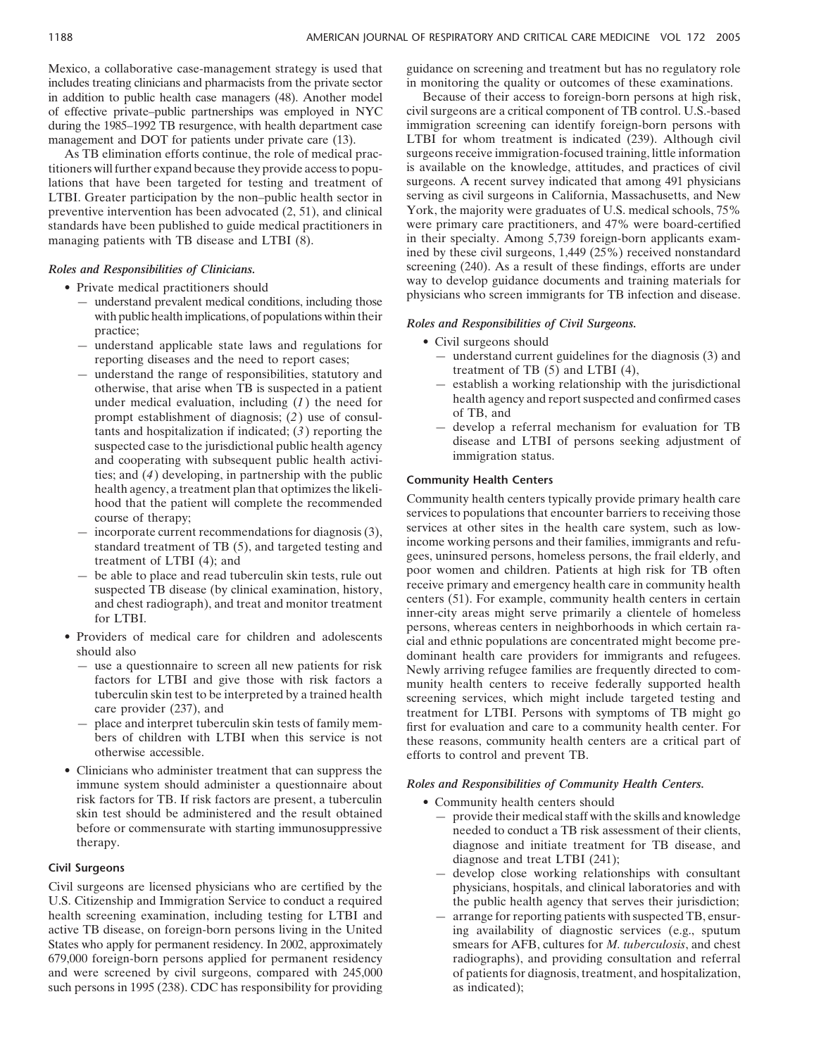Mexico, a collaborative case-management strategy is used that includes treating clinicians and pharmacists from the private sector in addition to public health case managers (48). Another model of effective private–public partnerships was employed in NYC during the 1985–1992 TB resurgence, with health department case management and DOT for patients under private care (13).

As TB elimination efforts continue, the role of medical practitioners will further expand because they provide access to populations that have been targeted for testing and treatment of LTBI. Greater participation by the non–public health sector in preventive intervention has been advocated (2, 51), and clinical standards have been published to guide medical practitioners in managing patients with TB disease and LTBI (8).

#### *Roles and Responsibilities of Clinicians.*

- Private medical practitioners should
	- understand prevalent medical conditions, including those with public health implications, of populations within their practice;
	- understand applicable state laws and regulations for reporting diseases and the need to report cases;
	- understand the range of responsibilities, statutory and otherwise, that arise when TB is suspected in a patient under medical evaluation, including (*1*) the need for prompt establishment of diagnosis; (*2*) use of consultants and hospitalization if indicated; (*3*) reporting the suspected case to the jurisdictional public health agency and cooperating with subsequent public health activities; and (*4*) developing, in partnership with the public health agency, a treatment plan that optimizes the likelihood that the patient will complete the recommended course of therapy;
	- incorporate current recommendations for diagnosis (3), standard treatment of TB (5), and targeted testing and treatment of LTBI (4); and
	- be able to place and read tuberculin skin tests, rule out suspected TB disease (by clinical examination, history, and chest radiograph), and treat and monitor treatment for LTBI.
- Providers of medical care for children and adolescents should also
	- use a questionnaire to screen all new patients for risk factors for LTBI and give those with risk factors a tuberculin skin test to be interpreted by a trained health care provider (237), and
	- place and interpret tuberculin skin tests of family members of children with LTBI when this service is not otherwise accessible.
- Clinicians who administer treatment that can suppress the immune system should administer a questionnaire about risk factors for TB. If risk factors are present, a tuberculin skin test should be administered and the result obtained before or commensurate with starting immunosuppressive therapy.

#### **Civil Surgeons**

Civil surgeons are licensed physicians who are certified by the U.S. Citizenship and Immigration Service to conduct a required health screening examination, including testing for LTBI and active TB disease, on foreign-born persons living in the United States who apply for permanent residency. In 2002, approximately 679,000 foreign-born persons applied for permanent residency and were screened by civil surgeons, compared with 245,000 such persons in 1995 (238). CDC has responsibility for providing guidance on screening and treatment but has no regulatory role in monitoring the quality or outcomes of these examinations.

Because of their access to foreign-born persons at high risk, civil surgeons are a critical component of TB control. U.S.-based immigration screening can identify foreign-born persons with LTBI for whom treatment is indicated (239). Although civil surgeons receive immigration-focused training, little information is available on the knowledge, attitudes, and practices of civil surgeons. A recent survey indicated that among 491 physicians serving as civil surgeons in California, Massachusetts, and New York, the majority were graduates of U.S. medical schools, 75% were primary care practitioners, and 47% were board-certified in their specialty. Among 5,739 foreign-born applicants examined by these civil surgeons, 1,449 (25%) received nonstandard screening (240). As a result of these findings, efforts are under way to develop guidance documents and training materials for physicians who screen immigrants for TB infection and disease.

# *Roles and Responsibilities of Civil Surgeons.*

- Civil surgeons should
	- understand current guidelines for the diagnosis (3) and treatment of TB (5) and LTBI (4),
	- establish a working relationship with the jurisdictional health agency and report suspected and confirmed cases of TB, and
	- develop a referral mechanism for evaluation for TB disease and LTBI of persons seeking adjustment of immigration status.

### **Community Health Centers**

Community health centers typically provide primary health care services to populations that encounter barriers to receiving those services at other sites in the health care system, such as lowincome working persons and their families, immigrants and refugees, uninsured persons, homeless persons, the frail elderly, and poor women and children. Patients at high risk for TB often receive primary and emergency health care in community health centers (51). For example, community health centers in certain inner-city areas might serve primarily a clientele of homeless persons, whereas centers in neighborhoods in which certain racial and ethnic populations are concentrated might become predominant health care providers for immigrants and refugees. Newly arriving refugee families are frequently directed to community health centers to receive federally supported health screening services, which might include targeted testing and treatment for LTBI. Persons with symptoms of TB might go first for evaluation and care to a community health center. For these reasons, community health centers are a critical part of efforts to control and prevent TB.

### *Roles and Responsibilities of Community Health Centers.*

- Community health centers should
	- provide their medical staff with the skills and knowledge needed to conduct a TB risk assessment of their clients, diagnose and initiate treatment for TB disease, and diagnose and treat LTBI (241);
	- develop close working relationships with consultant physicians, hospitals, and clinical laboratories and with the public health agency that serves their jurisdiction;
	- arrange for reporting patients with suspected TB, ensuring availability of diagnostic services (e.g., sputum smears for AFB, cultures for *M. tuberculosis*, and chest radiographs), and providing consultation and referral of patients for diagnosis, treatment, and hospitalization, as indicated);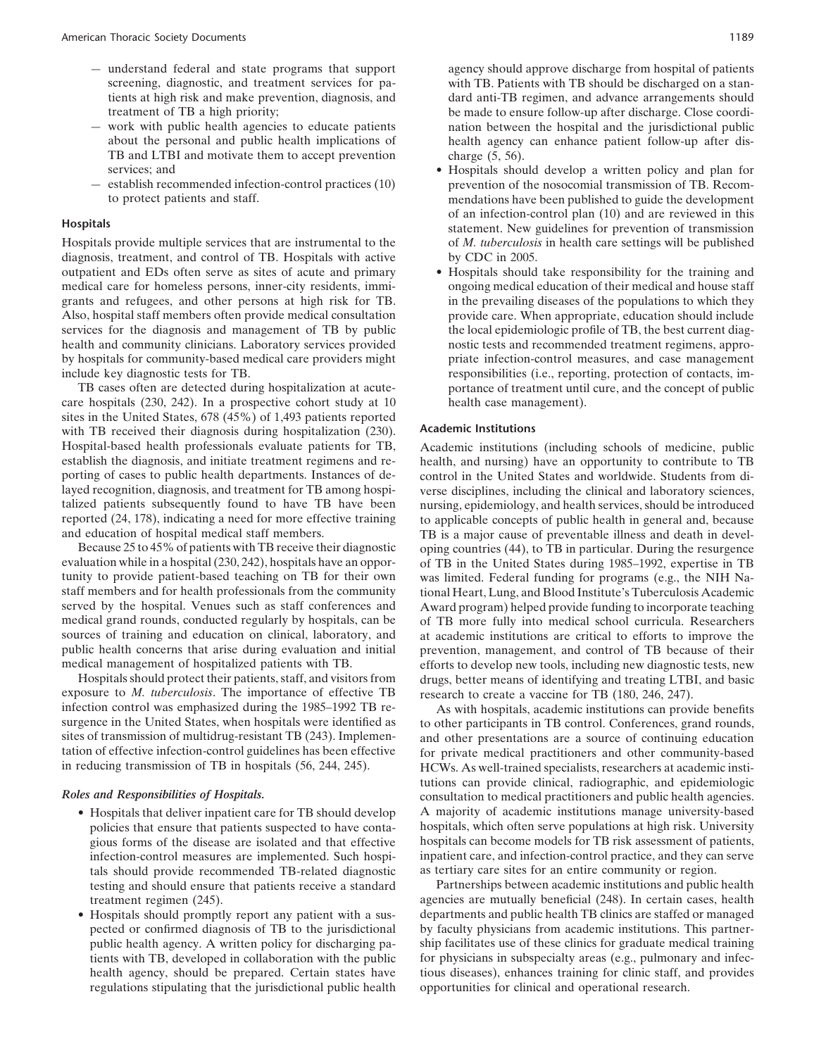- understand federal and state programs that support screening, diagnostic, and treatment services for patients at high risk and make prevention, diagnosis, and treatment of TB a high priority;
- work with public health agencies to educate patients about the personal and public health implications of TB and LTBI and motivate them to accept prevention services; and
- establish recommended infection-control practices (10) to protect patients and staff.

#### **Hospitals**

Hospitals provide multiple services that are instrumental to the diagnosis, treatment, and control of TB. Hospitals with active outpatient and EDs often serve as sites of acute and primary medical care for homeless persons, inner-city residents, immigrants and refugees, and other persons at high risk for TB. Also, hospital staff members often provide medical consultation services for the diagnosis and management of TB by public health and community clinicians. Laboratory services provided by hospitals for community-based medical care providers might include key diagnostic tests for TB.

TB cases often are detected during hospitalization at acutecare hospitals (230, 242). In a prospective cohort study at 10 sites in the United States, 678 (45%) of 1,493 patients reported with TB received their diagnosis during hospitalization (230). Hospital-based health professionals evaluate patients for TB, establish the diagnosis, and initiate treatment regimens and reporting of cases to public health departments. Instances of delayed recognition, diagnosis, and treatment for TB among hospitalized patients subsequently found to have TB have been reported (24, 178), indicating a need for more effective training and education of hospital medical staff members.

Because 25 to 45% of patients with TB receive their diagnostic evaluation while in a hospital (230, 242), hospitals have an opportunity to provide patient-based teaching on TB for their own staff members and for health professionals from the community served by the hospital. Venues such as staff conferences and medical grand rounds, conducted regularly by hospitals, can be sources of training and education on clinical, laboratory, and public health concerns that arise during evaluation and initial medical management of hospitalized patients with TB.

Hospitals should protect their patients, staff, and visitors from exposure to *M. tuberculosis*. The importance of effective TB infection control was emphasized during the 1985–1992 TB resurgence in the United States, when hospitals were identified as sites of transmission of multidrug-resistant TB (243). Implementation of effective infection-control guidelines has been effective in reducing transmission of TB in hospitals (56, 244, 245).

#### *Roles and Responsibilities of Hospitals.*

- Hospitals that deliver inpatient care for TB should develop policies that ensure that patients suspected to have contagious forms of the disease are isolated and that effective infection-control measures are implemented. Such hospitals should provide recommended TB-related diagnostic testing and should ensure that patients receive a standard treatment regimen (245).
- Hospitals should promptly report any patient with a suspected or confirmed diagnosis of TB to the jurisdictional public health agency. A written policy for discharging patients with TB, developed in collaboration with the public health agency, should be prepared. Certain states have regulations stipulating that the jurisdictional public health

agency should approve discharge from hospital of patients with TB. Patients with TB should be discharged on a standard anti-TB regimen, and advance arrangements should be made to ensure follow-up after discharge. Close coordination between the hospital and the jurisdictional public health agency can enhance patient follow-up after discharge (5, 56).

- Hospitals should develop a written policy and plan for prevention of the nosocomial transmission of TB. Recommendations have been published to guide the development of an infection-control plan (10) and are reviewed in this statement. New guidelines for prevention of transmission of *M. tuberculosis* in health care settings will be published by CDC in 2005.
- Hospitals should take responsibility for the training and ongoing medical education of their medical and house staff in the prevailing diseases of the populations to which they provide care. When appropriate, education should include the local epidemiologic profile of TB, the best current diagnostic tests and recommended treatment regimens, appropriate infection-control measures, and case management responsibilities (i.e., reporting, protection of contacts, importance of treatment until cure, and the concept of public health case management).

#### **Academic Institutions**

Academic institutions (including schools of medicine, public health, and nursing) have an opportunity to contribute to TB control in the United States and worldwide. Students from diverse disciplines, including the clinical and laboratory sciences, nursing, epidemiology, and health services, should be introduced to applicable concepts of public health in general and, because TB is a major cause of preventable illness and death in developing countries (44), to TB in particular. During the resurgence of TB in the United States during 1985–1992, expertise in TB was limited. Federal funding for programs (e.g., the NIH National Heart, Lung, and Blood Institute's Tuberculosis Academic Award program) helped provide funding to incorporate teaching of TB more fully into medical school curricula. Researchers at academic institutions are critical to efforts to improve the prevention, management, and control of TB because of their efforts to develop new tools, including new diagnostic tests, new drugs, better means of identifying and treating LTBI, and basic research to create a vaccine for TB (180, 246, 247).

As with hospitals, academic institutions can provide benefits to other participants in TB control. Conferences, grand rounds, and other presentations are a source of continuing education for private medical practitioners and other community-based HCWs. As well-trained specialists, researchers at academic institutions can provide clinical, radiographic, and epidemiologic consultation to medical practitioners and public health agencies. A majority of academic institutions manage university-based hospitals, which often serve populations at high risk. University hospitals can become models for TB risk assessment of patients, inpatient care, and infection-control practice, and they can serve as tertiary care sites for an entire community or region.

Partnerships between academic institutions and public health agencies are mutually beneficial (248). In certain cases, health departments and public health TB clinics are staffed or managed by faculty physicians from academic institutions. This partnership facilitates use of these clinics for graduate medical training for physicians in subspecialty areas (e.g., pulmonary and infectious diseases), enhances training for clinic staff, and provides opportunities for clinical and operational research.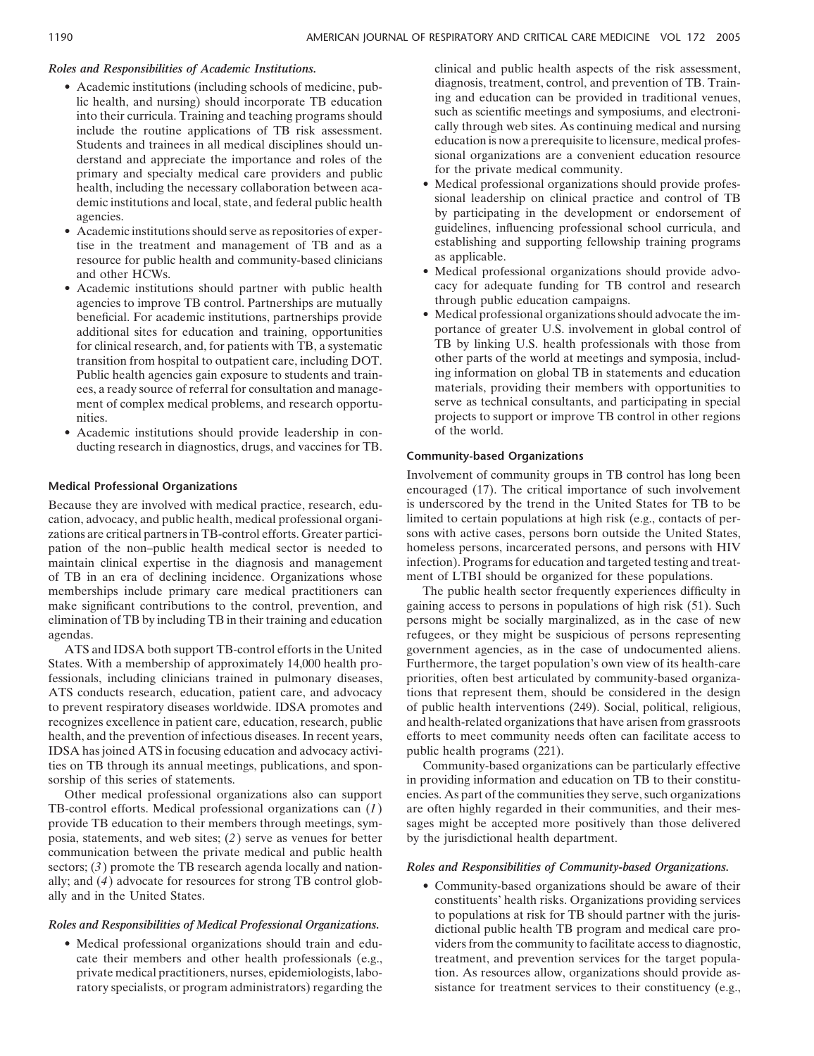### *Roles and Responsibilities of Academic Institutions.*

- Academic institutions (including schools of medicine, public health, and nursing) should incorporate TB education into their curricula. Training and teaching programs should include the routine applications of TB risk assessment. Students and trainees in all medical disciplines should understand and appreciate the importance and roles of the primary and specialty medical care providers and public health, including the necessary collaboration between academic institutions and local, state, and federal public health agencies.
- Academic institutions should serve as repositories of expertise in the treatment and management of TB and as a resource for public health and community-based clinicians and other HCWs.
- Academic institutions should partner with public health agencies to improve TB control. Partnerships are mutually beneficial. For academic institutions, partnerships provide additional sites for education and training, opportunities for clinical research, and, for patients with TB, a systematic transition from hospital to outpatient care, including DOT. Public health agencies gain exposure to students and trainees, a ready source of referral for consultation and management of complex medical problems, and research opportunities.
- Academic institutions should provide leadership in conducting research in diagnostics, drugs, and vaccines for TB.

### **Medical Professional Organizations**

Because they are involved with medical practice, research, education, advocacy, and public health, medical professional organizations are critical partners in TB-control efforts. Greater participation of the non–public health medical sector is needed to maintain clinical expertise in the diagnosis and management of TB in an era of declining incidence. Organizations whose memberships include primary care medical practitioners can make significant contributions to the control, prevention, and elimination of TB by including TB in their training and education agendas.

ATS and IDSA both support TB-control efforts in the United States. With a membership of approximately 14,000 health professionals, including clinicians trained in pulmonary diseases, ATS conducts research, education, patient care, and advocacy to prevent respiratory diseases worldwide. IDSA promotes and recognizes excellence in patient care, education, research, public health, and the prevention of infectious diseases. In recent years, IDSA has joined ATS in focusing education and advocacy activities on TB through its annual meetings, publications, and sponsorship of this series of statements.

Other medical professional organizations also can support TB-control efforts. Medical professional organizations can (*1*) provide TB education to their members through meetings, symposia, statements, and web sites; (*2*) serve as venues for better communication between the private medical and public health sectors; (3) promote the TB research agenda locally and nationally; and (*4*) advocate for resources for strong TB control globally and in the United States.

#### *Roles and Responsibilities of Medical Professional Organizations.*

• Medical professional organizations should train and educate their members and other health professionals (e.g., private medical practitioners, nurses, epidemiologists, laboratory specialists, or program administrators) regarding the clinical and public health aspects of the risk assessment, diagnosis, treatment, control, and prevention of TB. Training and education can be provided in traditional venues, such as scientific meetings and symposiums, and electronically through web sites. As continuing medical and nursing education is now a prerequisite to licensure, medical professional organizations are a convenient education resource for the private medical community.

- Medical professional organizations should provide professional leadership on clinical practice and control of TB by participating in the development or endorsement of guidelines, influencing professional school curricula, and establishing and supporting fellowship training programs as applicable.
- Medical professional organizations should provide advocacy for adequate funding for TB control and research through public education campaigns.
- Medical professional organizations should advocate the importance of greater U.S. involvement in global control of TB by linking U.S. health professionals with those from other parts of the world at meetings and symposia, including information on global TB in statements and education materials, providing their members with opportunities to serve as technical consultants, and participating in special projects to support or improve TB control in other regions of the world.

#### **Community-based Organizations**

Involvement of community groups in TB control has long been encouraged (17). The critical importance of such involvement is underscored by the trend in the United States for TB to be limited to certain populations at high risk (e.g., contacts of persons with active cases, persons born outside the United States, homeless persons, incarcerated persons, and persons with HIV infection). Programs for education and targeted testing and treatment of LTBI should be organized for these populations.

The public health sector frequently experiences difficulty in gaining access to persons in populations of high risk (51). Such persons might be socially marginalized, as in the case of new refugees, or they might be suspicious of persons representing government agencies, as in the case of undocumented aliens. Furthermore, the target population's own view of its health-care priorities, often best articulated by community-based organizations that represent them, should be considered in the design of public health interventions (249). Social, political, religious, and health-related organizations that have arisen from grassroots efforts to meet community needs often can facilitate access to public health programs (221).

Community-based organizations can be particularly effective in providing information and education on TB to their constituencies. As part of the communities they serve, such organizations are often highly regarded in their communities, and their messages might be accepted more positively than those delivered by the jurisdictional health department.

### *Roles and Responsibilities of Community-based Organizations.*

• Community-based organizations should be aware of their constituents' health risks. Organizations providing services to populations at risk for TB should partner with the jurisdictional public health TB program and medical care providers from the community to facilitate access to diagnostic, treatment, and prevention services for the target population. As resources allow, organizations should provide assistance for treatment services to their constituency (e.g.,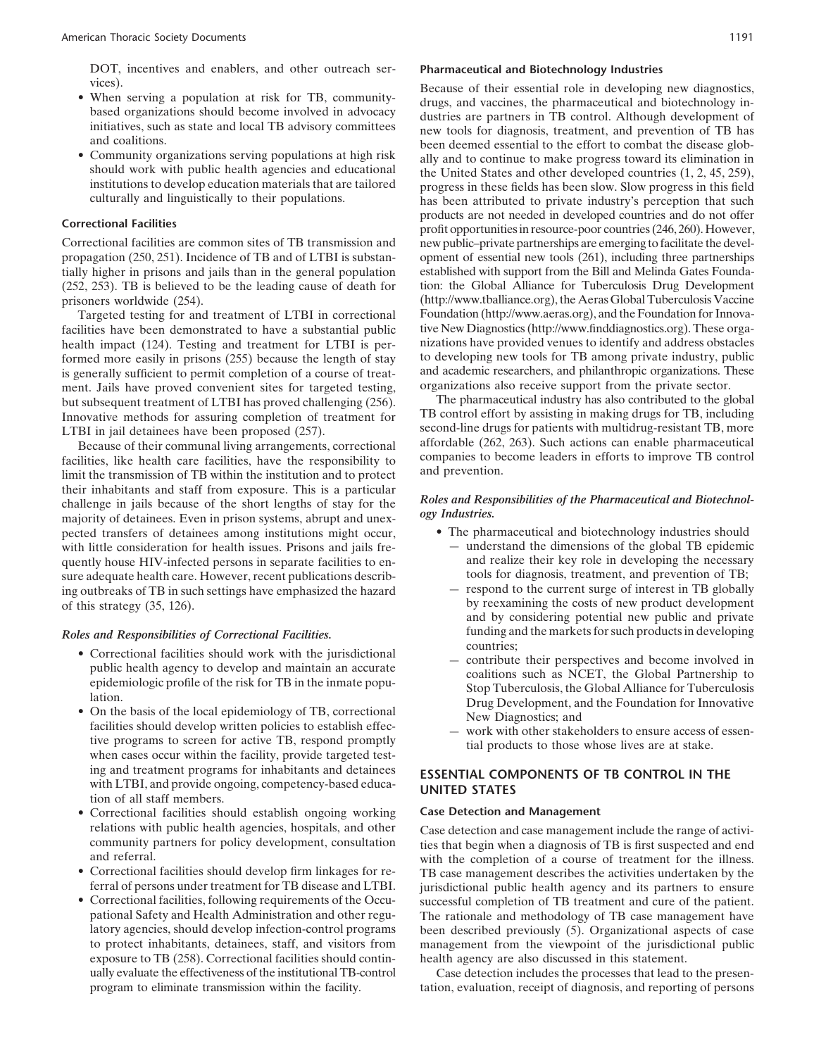DOT, incentives and enablers, and other outreach services).

- When serving a population at risk for TB, communitybased organizations should become involved in advocacy initiatives, such as state and local TB advisory committees and coalitions.
- Community organizations serving populations at high risk should work with public health agencies and educational institutions to develop education materials that are tailored culturally and linguistically to their populations.

### **Correctional Facilities**

Correctional facilities are common sites of TB transmission and propagation (250, 251). Incidence of TB and of LTBI is substantially higher in prisons and jails than in the general population (252, 253). TB is believed to be the leading cause of death for prisoners worldwide (254).

Targeted testing for and treatment of LTBI in correctional facilities have been demonstrated to have a substantial public health impact (124). Testing and treatment for LTBI is performed more easily in prisons (255) because the length of stay is generally sufficient to permit completion of a course of treatment. Jails have proved convenient sites for targeted testing, but subsequent treatment of LTBI has proved challenging (256). Innovative methods for assuring completion of treatment for LTBI in jail detainees have been proposed (257).

Because of their communal living arrangements, correctional facilities, like health care facilities, have the responsibility to limit the transmission of TB within the institution and to protect their inhabitants and staff from exposure. This is a particular challenge in jails because of the short lengths of stay for the majority of detainees. Even in prison systems, abrupt and unexpected transfers of detainees among institutions might occur, with little consideration for health issues. Prisons and jails frequently house HIV-infected persons in separate facilities to ensure adequate health care. However, recent publications describing outbreaks of TB in such settings have emphasized the hazard of this strategy (35, 126).

### *Roles and Responsibilities of Correctional Facilities.*

- Correctional facilities should work with the jurisdictional public health agency to develop and maintain an accurate epidemiologic profile of the risk for TB in the inmate population.
- On the basis of the local epidemiology of TB, correctional facilities should develop written policies to establish effective programs to screen for active TB, respond promptly when cases occur within the facility, provide targeted testing and treatment programs for inhabitants and detainees with LTBI, and provide ongoing, competency-based education of all staff members.
- Correctional facilities should establish ongoing working relations with public health agencies, hospitals, and other community partners for policy development, consultation and referral.
- Correctional facilities should develop firm linkages for referral of persons under treatment for TB disease and LTBI.
- Correctional facilities, following requirements of the Occupational Safety and Health Administration and other regulatory agencies, should develop infection-control programs to protect inhabitants, detainees, staff, and visitors from exposure to TB (258). Correctional facilities should continually evaluate the effectiveness of the institutional TB-control program to eliminate transmission within the facility.

### **Pharmaceutical and Biotechnology Industries**

Because of their essential role in developing new diagnostics, drugs, and vaccines, the pharmaceutical and biotechnology industries are partners in TB control. Although development of new tools for diagnosis, treatment, and prevention of TB has been deemed essential to the effort to combat the disease globally and to continue to make progress toward its elimination in the United States and other developed countries (1, 2, 45, 259), progress in these fields has been slow. Slow progress in this field has been attributed to private industry's perception that such products are not needed in developed countries and do not offer profit opportunities in resource-poor countries (246, 260). However, new public–private partnerships are emerging to facilitate the development of essential new tools (261), including three partnerships established with support from the Bill and Melinda Gates Foundation: the Global Alliance for Tuberculosis Drug Development (http://www.tballiance.org), the Aeras Global Tuberculosis Vaccine Foundation (http://www.aeras.org), and the Foundation for Innovative New Diagnostics (http://www.finddiagnostics.org). These organizations have provided venues to identify and address obstacles to developing new tools for TB among private industry, public and academic researchers, and philanthropic organizations. These organizations also receive support from the private sector.

The pharmaceutical industry has also contributed to the global TB control effort by assisting in making drugs for TB, including second-line drugs for patients with multidrug-resistant TB, more affordable (262, 263). Such actions can enable pharmaceutical companies to become leaders in efforts to improve TB control and prevention.

# *Roles and Responsibilities of the Pharmaceutical and Biotechnology Industries.*

- The pharmaceutical and biotechnology industries should — understand the dimensions of the global TB epidemic and realize their key role in developing the necessary tools for diagnosis, treatment, and prevention of TB;
	- respond to the current surge of interest in TB globally by reexamining the costs of new product development and by considering potential new public and private funding and the markets for such products in developing countries;
	- contribute their perspectives and become involved in coalitions such as NCET, the Global Partnership to Stop Tuberculosis, the Global Alliance for Tuberculosis Drug Development, and the Foundation for Innovative New Diagnostics; and
	- work with other stakeholders to ensure access of essential products to those whose lives are at stake.

# **ESSENTIAL COMPONENTS OF TB CONTROL IN THE UNITED STATES**

#### **Case Detection and Management**

Case detection and case management include the range of activities that begin when a diagnosis of TB is first suspected and end with the completion of a course of treatment for the illness. TB case management describes the activities undertaken by the jurisdictional public health agency and its partners to ensure successful completion of TB treatment and cure of the patient. The rationale and methodology of TB case management have been described previously (5). Organizational aspects of case management from the viewpoint of the jurisdictional public health agency are also discussed in this statement.

Case detection includes the processes that lead to the presentation, evaluation, receipt of diagnosis, and reporting of persons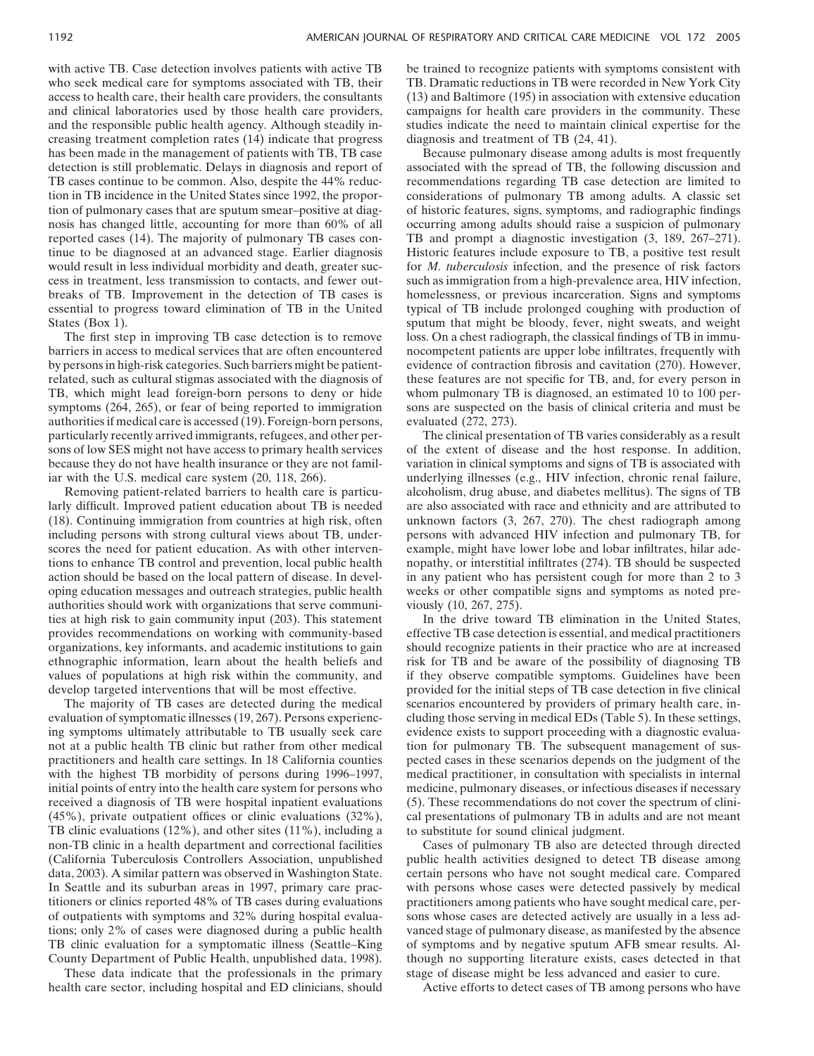with active TB. Case detection involves patients with active TB who seek medical care for symptoms associated with TB, their access to health care, their health care providers, the consultants and clinical laboratories used by those health care providers, and the responsible public health agency. Although steadily increasing treatment completion rates (14) indicate that progress has been made in the management of patients with TB, TB case detection is still problematic. Delays in diagnosis and report of TB cases continue to be common. Also, despite the 44% reduction in TB incidence in the United States since 1992, the proportion of pulmonary cases that are sputum smear–positive at diagnosis has changed little, accounting for more than 60% of all reported cases (14). The majority of pulmonary TB cases continue to be diagnosed at an advanced stage. Earlier diagnosis would result in less individual morbidity and death, greater success in treatment, less transmission to contacts, and fewer outbreaks of TB. Improvement in the detection of TB cases is essential to progress toward elimination of TB in the United States (Box 1).

The first step in improving TB case detection is to remove barriers in access to medical services that are often encountered by persons in high-risk categories. Such barriers might be patientrelated, such as cultural stigmas associated with the diagnosis of TB, which might lead foreign-born persons to deny or hide symptoms (264, 265), or fear of being reported to immigration authorities if medical care is accessed (19). Foreign-born persons, particularly recently arrived immigrants, refugees, and other persons of low SES might not have access to primary health services because they do not have health insurance or they are not familiar with the U.S. medical care system (20, 118, 266).

Removing patient-related barriers to health care is particularly difficult. Improved patient education about TB is needed (18). Continuing immigration from countries at high risk, often including persons with strong cultural views about TB, underscores the need for patient education. As with other interventions to enhance TB control and prevention, local public health action should be based on the local pattern of disease. In developing education messages and outreach strategies, public health authorities should work with organizations that serve communities at high risk to gain community input (203). This statement provides recommendations on working with community-based organizations, key informants, and academic institutions to gain ethnographic information, learn about the health beliefs and values of populations at high risk within the community, and develop targeted interventions that will be most effective.

The majority of TB cases are detected during the medical evaluation of symptomatic illnesses (19, 267). Persons experiencing symptoms ultimately attributable to TB usually seek care not at a public health TB clinic but rather from other medical practitioners and health care settings. In 18 California counties with the highest TB morbidity of persons during 1996–1997, initial points of entry into the health care system for persons who received a diagnosis of TB were hospital inpatient evaluations (45%), private outpatient offices or clinic evaluations (32%), TB clinic evaluations (12%), and other sites (11%), including a non-TB clinic in a health department and correctional facilities (California Tuberculosis Controllers Association, unpublished data, 2003). A similar pattern was observed in Washington State. In Seattle and its suburban areas in 1997, primary care practitioners or clinics reported 48% of TB cases during evaluations of outpatients with symptoms and 32% during hospital evaluations; only 2% of cases were diagnosed during a public health TB clinic evaluation for a symptomatic illness (Seattle–King County Department of Public Health, unpublished data, 1998).

These data indicate that the professionals in the primary health care sector, including hospital and ED clinicians, should

be trained to recognize patients with symptoms consistent with TB. Dramatic reductions in TB were recorded in New York City (13) and Baltimore (195) in association with extensive education campaigns for health care providers in the community. These studies indicate the need to maintain clinical expertise for the diagnosis and treatment of TB (24, 41).

Because pulmonary disease among adults is most frequently associated with the spread of TB, the following discussion and recommendations regarding TB case detection are limited to considerations of pulmonary TB among adults. A classic set of historic features, signs, symptoms, and radiographic findings occurring among adults should raise a suspicion of pulmonary TB and prompt a diagnostic investigation (3, 189, 267–271). Historic features include exposure to TB, a positive test result for *M. tuberculosis* infection, and the presence of risk factors such as immigration from a high-prevalence area, HIV infection, homelessness, or previous incarceration. Signs and symptoms typical of TB include prolonged coughing with production of sputum that might be bloody, fever, night sweats, and weight loss. On a chest radiograph, the classical findings of TB in immunocompetent patients are upper lobe infiltrates, frequently with evidence of contraction fibrosis and cavitation (270). However, these features are not specific for TB, and, for every person in whom pulmonary TB is diagnosed, an estimated 10 to 100 persons are suspected on the basis of clinical criteria and must be evaluated (272, 273).

The clinical presentation of TB varies considerably as a result of the extent of disease and the host response. In addition, variation in clinical symptoms and signs of TB is associated with underlying illnesses (e.g., HIV infection, chronic renal failure, alcoholism, drug abuse, and diabetes mellitus). The signs of TB are also associated with race and ethnicity and are attributed to unknown factors (3, 267, 270). The chest radiograph among persons with advanced HIV infection and pulmonary TB, for example, might have lower lobe and lobar infiltrates, hilar adenopathy, or interstitial infiltrates (274). TB should be suspected in any patient who has persistent cough for more than 2 to 3 weeks or other compatible signs and symptoms as noted previously (10, 267, 275).

In the drive toward TB elimination in the United States, effective TB case detection is essential, and medical practitioners should recognize patients in their practice who are at increased risk for TB and be aware of the possibility of diagnosing TB if they observe compatible symptoms. Guidelines have been provided for the initial steps of TB case detection in five clinical scenarios encountered by providers of primary health care, including those serving in medical EDs (Table 5). In these settings, evidence exists to support proceeding with a diagnostic evaluation for pulmonary TB. The subsequent management of suspected cases in these scenarios depends on the judgment of the medical practitioner, in consultation with specialists in internal medicine, pulmonary diseases, or infectious diseases if necessary (5). These recommendations do not cover the spectrum of clinical presentations of pulmonary TB in adults and are not meant to substitute for sound clinical judgment.

Cases of pulmonary TB also are detected through directed public health activities designed to detect TB disease among certain persons who have not sought medical care. Compared with persons whose cases were detected passively by medical practitioners among patients who have sought medical care, persons whose cases are detected actively are usually in a less advanced stage of pulmonary disease, as manifested by the absence of symptoms and by negative sputum AFB smear results. Although no supporting literature exists, cases detected in that stage of disease might be less advanced and easier to cure.

Active efforts to detect cases of TB among persons who have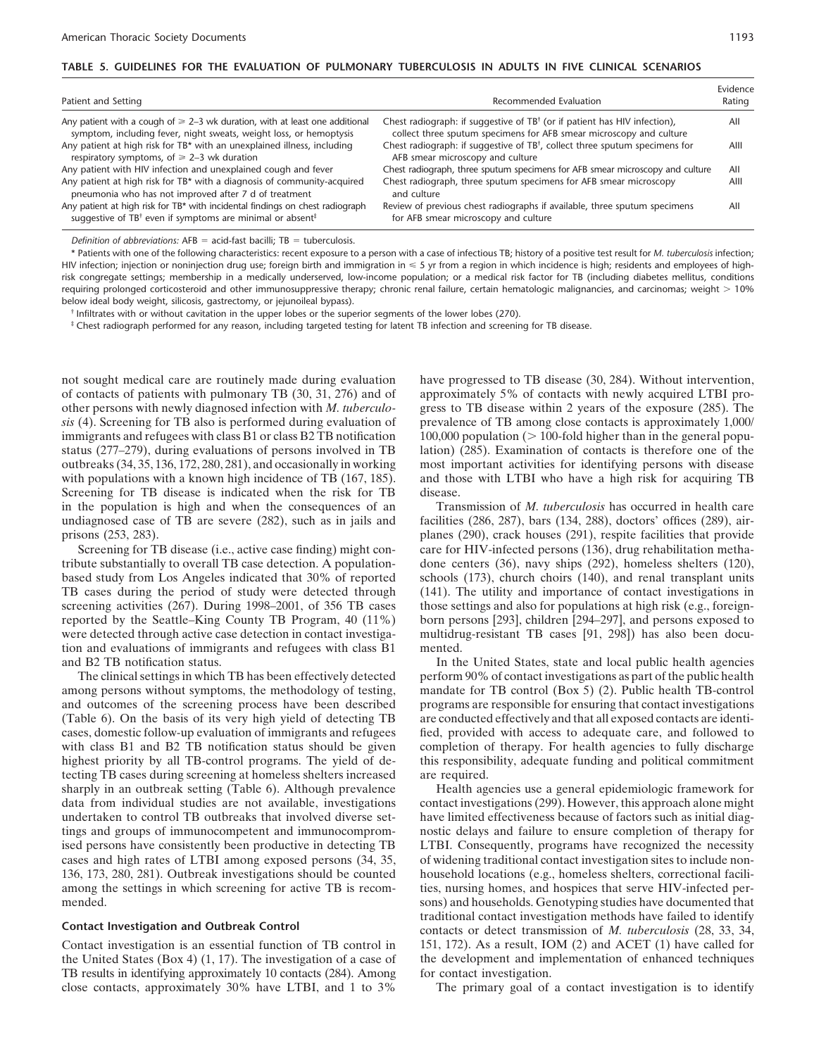#### **TABLE 5. GUIDELINES FOR THE EVALUATION OF PULMONARY TUBERCULOSIS IN ADULTS IN FIVE CLINICAL SCENARIOS**

| Patient and Setting                                                                                                                                                                   | Recommended Evaluation                                                                                                                                      | Evidence<br>Rating |
|---------------------------------------------------------------------------------------------------------------------------------------------------------------------------------------|-------------------------------------------------------------------------------------------------------------------------------------------------------------|--------------------|
| Any patient with a cough of $\geq 2-3$ wk duration, with at least one additional<br>symptom, including fever, night sweats, weight loss, or hemoptysis                                | Chest radiograph: if suggestive of $TB^{\dagger}$ (or if patient has HIV infection),<br>collect three sputum specimens for AFB smear microscopy and culture | All                |
| Any patient at high risk for TB* with an unexplained illness, including<br>respiratory symptoms, of $\geq 2-3$ wk duration                                                            | Chest radiograph: if suggestive of TB <sup>†</sup> , collect three sputum specimens for<br>AFB smear microscopy and culture                                 | AIII               |
| Any patient with HIV infection and unexplained cough and fever                                                                                                                        | Chest radiograph, three sputum specimens for AFB smear microscopy and culture                                                                               | All                |
| Any patient at high risk for TB* with a diagnosis of community-acquired<br>pneumonia who has not improved after 7 d of treatment                                                      | Chest radiograph, three sputum specimens for AFB smear microscopy<br>and culture                                                                            | AIII               |
| Any patient at high risk for TB* with incidental findings on chest radiograph<br>suggestive of $TB^{\dagger}$ even if symptoms are minimal or absent <sup><math>\ddagger</math></sup> | Review of previous chest radiographs if available, three sputum specimens<br>for AFB smear microscopy and culture                                           | All                |

*Definition of abbreviations:*  $AFB = acid$ -fast bacilli;  $TB = tuberculosis$ .

\* Patients with one of the following characteristics: recent exposure to a person with a case of infectious TB; history of a positive test result for *M. tuberculosis* infection; HIV infection; injection or noninjection drug use; foreign birth and immigration in  $\leq 5$  yr from a region in which incidence is high; residents and employees of highrisk congregate settings; membership in a medically underserved, low-income population; or a medical risk factor for TB (including diabetes mellitus, conditions requiring prolonged corticosteroid and other immunosuppressive therapy; chronic renal failure, certain hematologic malignancies, and carcinomas; weight  $> 10\%$ below ideal body weight, silicosis, gastrectomy, or jejunoileal bypass).

† Infiltrates with or without cavitation in the upper lobes or the superior segments of the lower lobes (270).

‡ Chest radiograph performed for any reason, including targeted testing for latent TB infection and screening for TB disease.

not sought medical care are routinely made during evaluation of contacts of patients with pulmonary TB (30, 31, 276) and of other persons with newly diagnosed infection with *M. tuberculosis* (4). Screening for TB also is performed during evaluation of immigrants and refugees with class B1 or class B2 TB notification status (277–279), during evaluations of persons involved in TB outbreaks (34, 35, 136, 172, 280, 281), and occasionally in working with populations with a known high incidence of TB (167, 185). Screening for TB disease is indicated when the risk for TB in the population is high and when the consequences of an undiagnosed case of TB are severe (282), such as in jails and prisons (253, 283).

Screening for TB disease (i.e., active case finding) might contribute substantially to overall TB case detection. A populationbased study from Los Angeles indicated that 30% of reported TB cases during the period of study were detected through screening activities (267). During 1998–2001, of 356 TB cases reported by the Seattle–King County TB Program, 40 (11%) were detected through active case detection in contact investigation and evaluations of immigrants and refugees with class B1 and B2 TB notification status.

The clinical settings in which TB has been effectively detected among persons without symptoms, the methodology of testing, and outcomes of the screening process have been described (Table 6). On the basis of its very high yield of detecting TB cases, domestic follow-up evaluation of immigrants and refugees with class B1 and B2 TB notification status should be given highest priority by all TB-control programs. The yield of detecting TB cases during screening at homeless shelters increased sharply in an outbreak setting (Table 6). Although prevalence data from individual studies are not available, investigations undertaken to control TB outbreaks that involved diverse settings and groups of immunocompetent and immunocompromised persons have consistently been productive in detecting TB cases and high rates of LTBI among exposed persons (34, 35, 136, 173, 280, 281). Outbreak investigations should be counted among the settings in which screening for active TB is recommended.

#### **Contact Investigation and Outbreak Control**

Contact investigation is an essential function of TB control in the United States (Box 4) (1, 17). The investigation of a case of TB results in identifying approximately 10 contacts (284). Among close contacts, approximately 30% have LTBI, and 1 to 3%

have progressed to TB disease (30, 284). Without intervention, approximately 5% of contacts with newly acquired LTBI progress to TB disease within 2 years of the exposure (285). The prevalence of TB among close contacts is approximately 1,000/ 100,000 population ( $> 100$ -fold higher than in the general population) (285). Examination of contacts is therefore one of the most important activities for identifying persons with disease and those with LTBI who have a high risk for acquiring TB disease.

Transmission of *M. tuberculosis* has occurred in health care facilities (286, 287), bars (134, 288), doctors' offices (289), airplanes (290), crack houses (291), respite facilities that provide care for HIV-infected persons (136), drug rehabilitation methadone centers (36), navy ships (292), homeless shelters (120), schools (173), church choirs (140), and renal transplant units (141). The utility and importance of contact investigations in those settings and also for populations at high risk (e.g., foreignborn persons [293], children [294–297], and persons exposed to multidrug-resistant TB cases [91, 298]) has also been documented.

In the United States, state and local public health agencies perform 90% of contact investigations as part of the public health mandate for TB control (Box 5) (2). Public health TB-control programs are responsible for ensuring that contact investigations are conducted effectively and that all exposed contacts are identified, provided with access to adequate care, and followed to completion of therapy. For health agencies to fully discharge this responsibility, adequate funding and political commitment are required.

Health agencies use a general epidemiologic framework for contact investigations (299). However, this approach alone might have limited effectiveness because of factors such as initial diagnostic delays and failure to ensure completion of therapy for LTBI. Consequently, programs have recognized the necessity of widening traditional contact investigation sites to include nonhousehold locations (e.g., homeless shelters, correctional facilities, nursing homes, and hospices that serve HIV-infected persons) and households. Genotyping studies have documented that traditional contact investigation methods have failed to identify contacts or detect transmission of *M. tuberculosis* (28, 33, 34, 151, 172). As a result, IOM (2) and ACET (1) have called for the development and implementation of enhanced techniques for contact investigation.

The primary goal of a contact investigation is to identify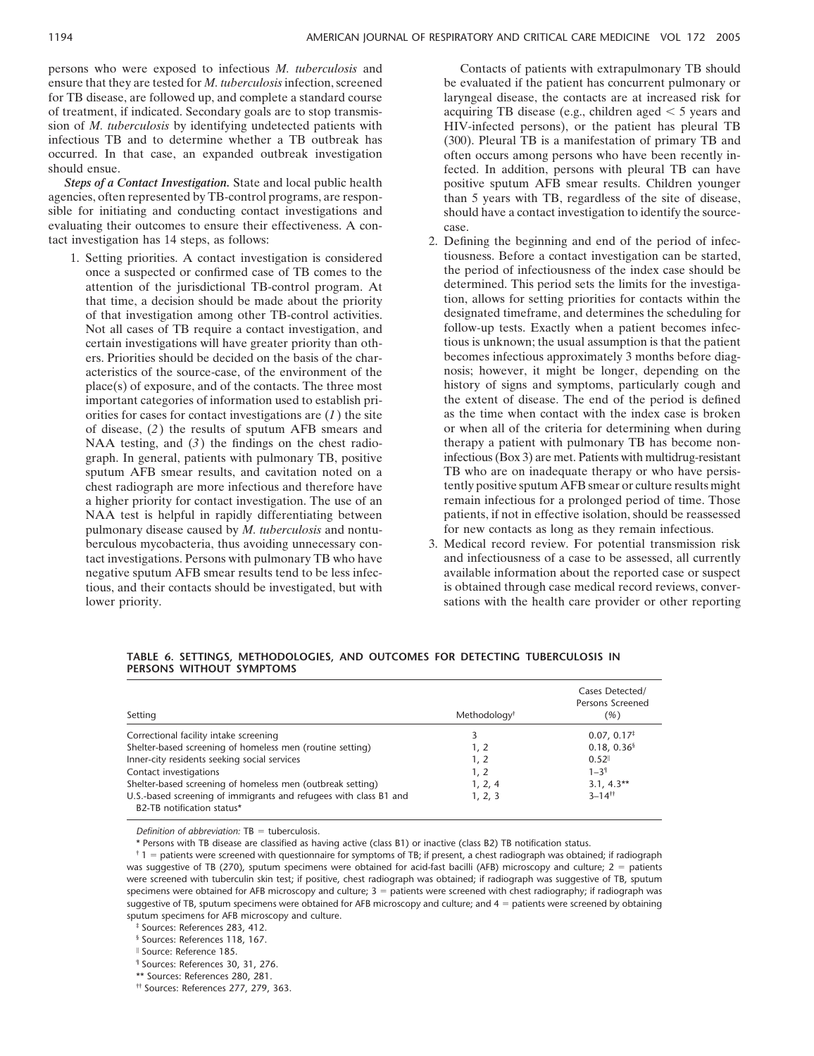persons who were exposed to infectious *M. tuberculosis* and ensure that they are tested for *M. tuberculosis*infection, screened for TB disease, are followed up, and complete a standard course of treatment, if indicated. Secondary goals are to stop transmission of *M. tuberculosis* by identifying undetected patients with infectious TB and to determine whether a TB outbreak has occurred. In that case, an expanded outbreak investigation should ensue.

*Steps of a Contact Investigation.* State and local public health agencies, often represented by TB-control programs, are responsible for initiating and conducting contact investigations and evaluating their outcomes to ensure their effectiveness. A contact investigation has 14 steps, as follows:

1. Setting priorities. A contact investigation is considered once a suspected or confirmed case of TB comes to the attention of the jurisdictional TB-control program. At that time, a decision should be made about the priority of that investigation among other TB-control activities. Not all cases of TB require a contact investigation, and certain investigations will have greater priority than others. Priorities should be decided on the basis of the characteristics of the source-case, of the environment of the place(s) of exposure, and of the contacts. The three most important categories of information used to establish priorities for cases for contact investigations are (*1*) the site of disease, (*2*) the results of sputum AFB smears and NAA testing, and (*3*) the findings on the chest radiograph. In general, patients with pulmonary TB, positive sputum AFB smear results, and cavitation noted on a chest radiograph are more infectious and therefore have a higher priority for contact investigation. The use of an NAA test is helpful in rapidly differentiating between pulmonary disease caused by *M. tuberculosis* and nontuberculous mycobacteria, thus avoiding unnecessary contact investigations. Persons with pulmonary TB who have negative sputum AFB smear results tend to be less infectious, and their contacts should be investigated, but with lower priority.

Contacts of patients with extrapulmonary TB should be evaluated if the patient has concurrent pulmonary or laryngeal disease, the contacts are at increased risk for acquiring TB disease (e.g., children aged  $\leq$  5 years and HIV-infected persons), or the patient has pleural TB (300). Pleural TB is a manifestation of primary TB and often occurs among persons who have been recently infected. In addition, persons with pleural TB can have positive sputum AFB smear results. Children younger than 5 years with TB, regardless of the site of disease, should have a contact investigation to identify the sourcecase.

- 2. Defining the beginning and end of the period of infectiousness. Before a contact investigation can be started, the period of infectiousness of the index case should be determined. This period sets the limits for the investigation, allows for setting priorities for contacts within the designated timeframe, and determines the scheduling for follow-up tests. Exactly when a patient becomes infectious is unknown; the usual assumption is that the patient becomes infectious approximately 3 months before diagnosis; however, it might be longer, depending on the history of signs and symptoms, particularly cough and the extent of disease. The end of the period is defined as the time when contact with the index case is broken or when all of the criteria for determining when during therapy a patient with pulmonary TB has become noninfectious (Box 3) are met. Patients with multidrug-resistant TB who are on inadequate therapy or who have persistently positive sputum AFB smear or culture results might remain infectious for a prolonged period of time. Those patients, if not in effective isolation, should be reassessed for new contacts as long as they remain infectious.
- 3. Medical record review. For potential transmission risk and infectiousness of a case to be assessed, all currently available information about the reported case or suspect is obtained through case medical record reviews, conversations with the health care provider or other reporting

| Setting                                                           | Methodology <sup>†</sup> | Cases Detected/<br>Persons Screened<br>(%) |
|-------------------------------------------------------------------|--------------------------|--------------------------------------------|
| Correctional facility intake screening                            |                          | 0.07, 0.17 <sup>‡</sup>                    |
| Shelter-based screening of homeless men (routine setting)         | 1. 2                     | 0.18, 0.36 <sup>§</sup>                    |
| Inner-city residents seeking social services                      | 1, 2                     | 0.52                                       |
| Contact investigations                                            | 1.2                      | $1 - 3^{9}$                                |
| Shelter-based screening of homeless men (outbreak setting)        | 1, 2, 4                  | $3.1, 4.3**$                               |
| U.S.-based screening of immigrants and refugees with class B1 and | 1, 2, 3                  | $3 - 14$ <sup>††</sup>                     |
| B2-TB notification status*                                        |                          |                                            |

**TABLE 6. SETTINGS, METHODOLOGIES, AND OUTCOMES FOR DETECTING TUBERCULOSIS IN PERSONS WITHOUT SYMPTOMS**

*Definition of abbreviation:* TB = tuberculosis.

\* Persons with TB disease are classified as having active (class B1) or inactive (class B2) TB notification status.

<sup>†</sup> 1 = patients were screened with questionnaire for symptoms of TB; if present, a chest radiograph was obtained; if radiograph was suggestive of TB (270), sputum specimens were obtained for acid-fast bacilli (AFB) microscopy and culture;  $2 =$  patients were screened with tuberculin skin test; if positive, chest radiograph was obtained; if radiograph was suggestive of TB, sputum specimens were obtained for AFB microscopy and culture; 3 = patients were screened with chest radiography; if radiograph was suggestive of TB, sputum specimens were obtained for AFB microscopy and culture; and  $4 =$  patients were screened by obtaining sputum specimens for AFB microscopy and culture.

‡ Sources: References 283, 412.

§ Sources: References 118, 167.

|| Source: Reference 185.

¶ Sources: References 30, 31, 276.

\*\* Sources: References 280, 281.

†† Sources: References 277, 279, 363.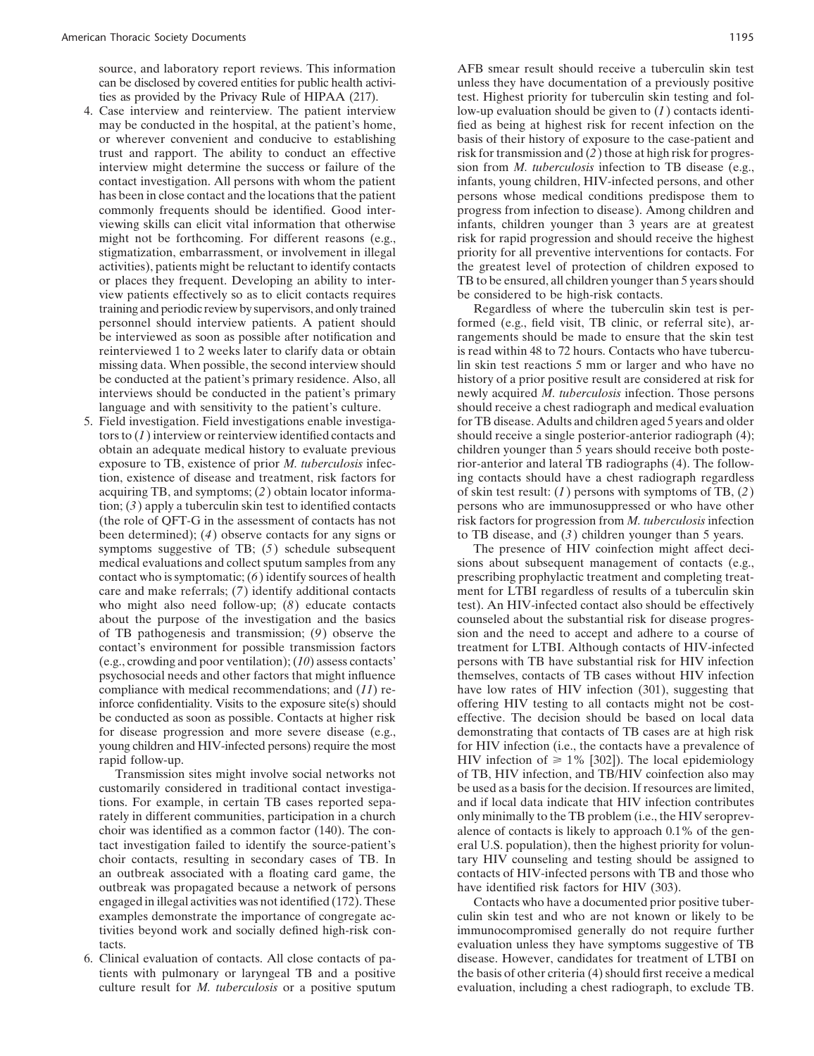source, and laboratory report reviews. This information can be disclosed by covered entities for public health activities as provided by the Privacy Rule of HIPAA (217).

- 4. Case interview and reinterview. The patient interview may be conducted in the hospital, at the patient's home, or wherever convenient and conducive to establishing trust and rapport. The ability to conduct an effective interview might determine the success or failure of the contact investigation. All persons with whom the patient has been in close contact and the locations that the patient commonly frequents should be identified. Good interviewing skills can elicit vital information that otherwise might not be forthcoming. For different reasons (e.g., stigmatization, embarrassment, or involvement in illegal activities), patients might be reluctant to identify contacts or places they frequent. Developing an ability to interview patients effectively so as to elicit contacts requires training and periodic review by supervisors, and only trained personnel should interview patients. A patient should be interviewed as soon as possible after notification and reinterviewed 1 to 2 weeks later to clarify data or obtain missing data. When possible, the second interview should be conducted at the patient's primary residence. Also, all interviews should be conducted in the patient's primary language and with sensitivity to the patient's culture.
- 5. Field investigation. Field investigations enable investigators to (*1*) interview or reinterview identified contacts and obtain an adequate medical history to evaluate previous exposure to TB, existence of prior *M. tuberculosis* infection, existence of disease and treatment, risk factors for acquiring TB, and symptoms; (*2*) obtain locator information; (*3*) apply a tuberculin skin test to identified contacts (the role of QFT-G in the assessment of contacts has not been determined); (*4*) observe contacts for any signs or symptoms suggestive of TB; (*5*) schedule subsequent medical evaluations and collect sputum samples from any contact who is symptomatic; (*6*) identify sources of health care and make referrals; (*7*) identify additional contacts who might also need follow-up; (*8*) educate contacts about the purpose of the investigation and the basics of TB pathogenesis and transmission; (*9*) observe the contact's environment for possible transmission factors (e.g., crowding and poor ventilation); (*10*) assess contacts' psychosocial needs and other factors that might influence compliance with medical recommendations; and (*11*) reinforce confidentiality. Visits to the exposure site(s) should be conducted as soon as possible. Contacts at higher risk for disease progression and more severe disease (e.g., young children and HIV-infected persons) require the most rapid follow-up.

Transmission sites might involve social networks not customarily considered in traditional contact investigations. For example, in certain TB cases reported separately in different communities, participation in a church choir was identified as a common factor (140). The contact investigation failed to identify the source-patient's choir contacts, resulting in secondary cases of TB. In an outbreak associated with a floating card game, the outbreak was propagated because a network of persons engaged in illegal activities was not identified (172). These examples demonstrate the importance of congregate activities beyond work and socially defined high-risk contacts.

6. Clinical evaluation of contacts. All close contacts of patients with pulmonary or laryngeal TB and a positive culture result for *M. tuberculosis* or a positive sputum

AFB smear result should receive a tuberculin skin test unless they have documentation of a previously positive test. Highest priority for tuberculin skin testing and follow-up evaluation should be given to (*1*) contacts identified as being at highest risk for recent infection on the basis of their history of exposure to the case-patient and risk for transmission and (*2*) those at high risk for progression from *M. tuberculosis* infection to TB disease (e.g., infants, young children, HIV-infected persons, and other persons whose medical conditions predispose them to progress from infection to disease). Among children and infants, children younger than 3 years are at greatest risk for rapid progression and should receive the highest priority for all preventive interventions for contacts. For the greatest level of protection of children exposed to TB to be ensured, all children younger than 5 years should be considered to be high-risk contacts.

Regardless of where the tuberculin skin test is performed (e.g., field visit, TB clinic, or referral site), arrangements should be made to ensure that the skin test is read within 48 to 72 hours. Contacts who have tuberculin skin test reactions 5 mm or larger and who have no history of a prior positive result are considered at risk for newly acquired *M. tuberculosis* infection. Those persons should receive a chest radiograph and medical evaluation for TB disease. Adults and children aged 5 years and older should receive a single posterior-anterior radiograph (4); children younger than 5 years should receive both posterior-anterior and lateral TB radiographs (4). The following contacts should have a chest radiograph regardless of skin test result: (*1*) persons with symptoms of TB, (*2*) persons who are immunosuppressed or who have other risk factors for progression from *M. tuberculosis* infection to TB disease, and (*3*) children younger than 5 years.

The presence of HIV coinfection might affect decisions about subsequent management of contacts (e.g., prescribing prophylactic treatment and completing treatment for LTBI regardless of results of a tuberculin skin test). An HIV-infected contact also should be effectively counseled about the substantial risk for disease progression and the need to accept and adhere to a course of treatment for LTBI. Although contacts of HIV-infected persons with TB have substantial risk for HIV infection themselves, contacts of TB cases without HIV infection have low rates of HIV infection (301), suggesting that offering HIV testing to all contacts might not be costeffective. The decision should be based on local data demonstrating that contacts of TB cases are at high risk for HIV infection (i.e., the contacts have a prevalence of HIV infection of  $\geq 1\%$  [302]). The local epidemiology of TB, HIV infection, and TB/HIV coinfection also may be used as a basis for the decision. If resources are limited, and if local data indicate that HIV infection contributes only minimally to the TB problem (i.e., the HIV seroprevalence of contacts is likely to approach 0.1% of the general U.S. population), then the highest priority for voluntary HIV counseling and testing should be assigned to contacts of HIV-infected persons with TB and those who have identified risk factors for HIV (303).

Contacts who have a documented prior positive tuberculin skin test and who are not known or likely to be immunocompromised generally do not require further evaluation unless they have symptoms suggestive of TB disease. However, candidates for treatment of LTBI on the basis of other criteria (4) should first receive a medical evaluation, including a chest radiograph, to exclude TB.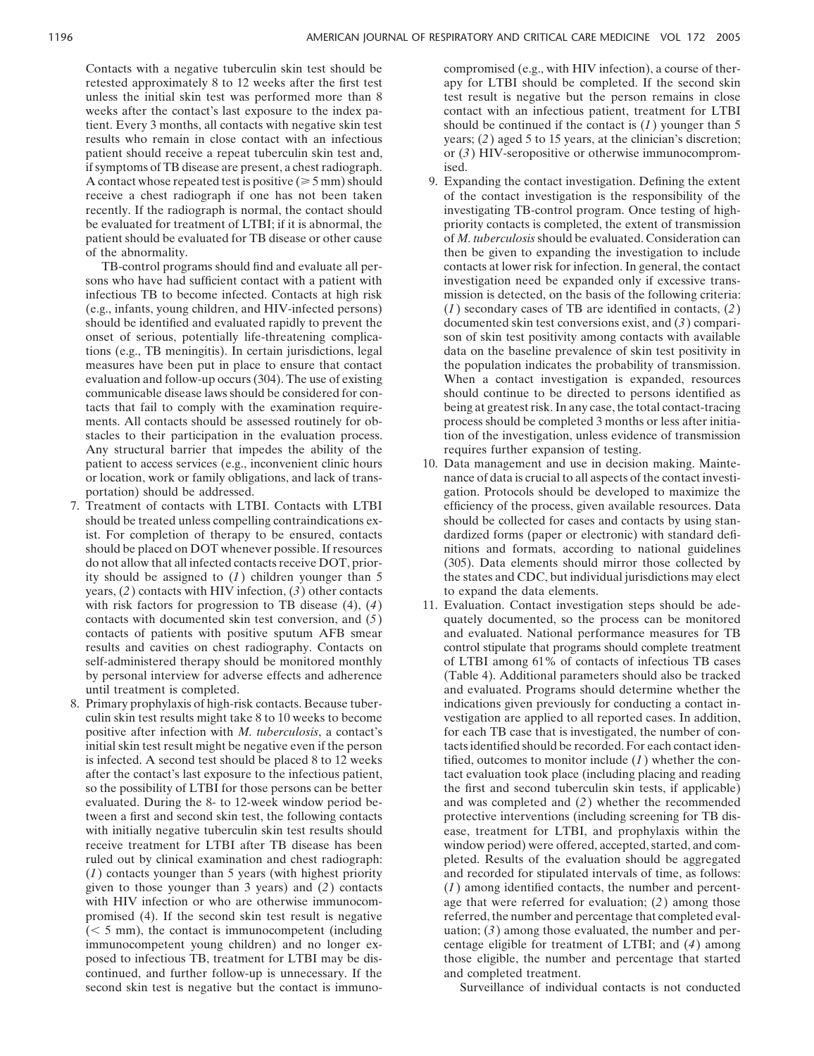Contacts with a negative tuberculin skin test should be retested approximately 8 to 12 weeks after the first test unless the initial skin test was performed more than 8 weeks after the contact's last exposure to the index patient. Every 3 months, all contacts with negative skin test results who remain in close contact with an infectious patient should receive a repeat tuberculin skin test and, if symptoms of TB disease are present, a chest radiograph. A contact whose repeated test is positive ( $\geq 5$  mm) should receive a chest radiograph if one has not been taken recently. If the radiograph is normal, the contact should be evaluated for treatment of LTBI; if it is abnormal, the patient should be evaluated for TB disease or other cause of the abnormality.

TB-control programs should find and evaluate all persons who have had sufficient contact with a patient with infectious TB to become infected. Contacts at high risk (e.g., infants, young children, and HIV-infected persons) should be identified and evaluated rapidly to prevent the onset of serious, potentially life-threatening complications (e.g., TB meningitis). In certain jurisdictions, legal measures have been put in place to ensure that contact evaluation and follow-up occurs (304). The use of existing communicable disease laws should be considered for contacts that fail to comply with the examination requirements. All contacts should be assessed routinely for obstacles to their participation in the evaluation process. Any structural barrier that impedes the ability of the patient to access services (e.g., inconvenient clinic hours or location, work or family obligations, and lack of transportation) should be addressed.

- 7. Treatment of contacts with LTBI. Contacts with LTBI should be treated unless compelling contraindications exist. For completion of therapy to be ensured, contacts should be placed on DOT whenever possible. If resources do not allow that all infected contacts receive DOT, priority should be assigned to (*1*) children younger than 5 years, (*2*) contacts with HIV infection, (*3*) other contacts with risk factors for progression to TB disease (4), (*4*) contacts with documented skin test conversion, and (*5*) contacts of patients with positive sputum AFB smear results and cavities on chest radiography. Contacts on self-administered therapy should be monitored monthly by personal interview for adverse effects and adherence until treatment is completed.
- 8. Primary prophylaxis of high-risk contacts. Because tuberculin skin test results might take 8 to 10 weeks to become positive after infection with *M. tuberculosis*, a contact's initial skin test result might be negative even if the person is infected. A second test should be placed 8 to 12 weeks after the contact's last exposure to the infectious patient, so the possibility of LTBI for those persons can be better evaluated. During the 8- to 12-week window period between a first and second skin test, the following contacts with initially negative tuberculin skin test results should receive treatment for LTBI after TB disease has been ruled out by clinical examination and chest radiograph: (*1*) contacts younger than 5 years (with highest priority given to those younger than 3 years) and (*2*) contacts with HIV infection or who are otherwise immunocompromised (4). If the second skin test result is negative  $(< 5$  mm), the contact is immunocompetent (including immunocompetent young children) and no longer exposed to infectious TB, treatment for LTBI may be discontinued, and further follow-up is unnecessary. If the second skin test is negative but the contact is immuno-

compromised (e.g., with HIV infection), a course of therapy for LTBI should be completed. If the second skin test result is negative but the person remains in close contact with an infectious patient, treatment for LTBI should be continued if the contact is (*1*) younger than 5 years; (*2*) aged 5 to 15 years, at the clinician's discretion; or (*3*) HIV-seropositive or otherwise immunocompromised.

- 9. Expanding the contact investigation. Defining the extent of the contact investigation is the responsibility of the investigating TB-control program. Once testing of highpriority contacts is completed, the extent of transmission of *M. tuberculosis*should be evaluated. Consideration can then be given to expanding the investigation to include contacts at lower risk for infection. In general, the contact investigation need be expanded only if excessive transmission is detected, on the basis of the following criteria: (*1*) secondary cases of TB are identified in contacts, (*2*) documented skin test conversions exist, and (*3*) comparison of skin test positivity among contacts with available data on the baseline prevalence of skin test positivity in the population indicates the probability of transmission. When a contact investigation is expanded, resources should continue to be directed to persons identified as being at greatest risk. In any case, the total contact-tracing process should be completed 3 months or less after initiation of the investigation, unless evidence of transmission requires further expansion of testing.
- 10. Data management and use in decision making. Maintenance of data is crucial to all aspects of the contact investigation. Protocols should be developed to maximize the efficiency of the process, given available resources. Data should be collected for cases and contacts by using standardized forms (paper or electronic) with standard definitions and formats, according to national guidelines (305). Data elements should mirror those collected by the states and CDC, but individual jurisdictions may elect to expand the data elements.
- 11. Evaluation. Contact investigation steps should be adequately documented, so the process can be monitored and evaluated. National performance measures for TB control stipulate that programs should complete treatment of LTBI among 61% of contacts of infectious TB cases (Table 4). Additional parameters should also be tracked and evaluated. Programs should determine whether the indications given previously for conducting a contact investigation are applied to all reported cases. In addition, for each TB case that is investigated, the number of contacts identified should be recorded. For each contact identified, outcomes to monitor include (*1*) whether the contact evaluation took place (including placing and reading the first and second tuberculin skin tests, if applicable) and was completed and (*2*) whether the recommended protective interventions (including screening for TB disease, treatment for LTBI, and prophylaxis within the window period) were offered, accepted, started, and completed. Results of the evaluation should be aggregated and recorded for stipulated intervals of time, as follows: (*1*) among identified contacts, the number and percentage that were referred for evaluation; (*2*) among those referred, the number and percentage that completed evaluation; (*3*) among those evaluated, the number and percentage eligible for treatment of LTBI; and (*4*) among those eligible, the number and percentage that started and completed treatment.

Surveillance of individual contacts is not conducted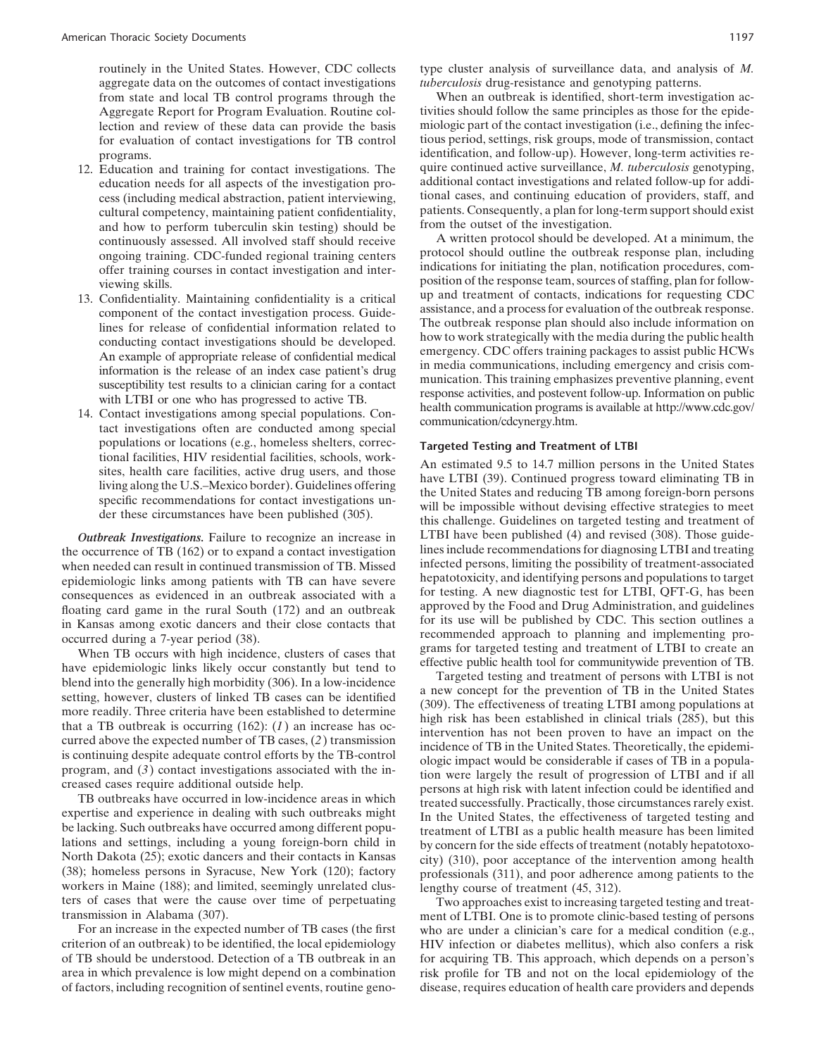routinely in the United States. However, CDC collects aggregate data on the outcomes of contact investigations from state and local TB control programs through the Aggregate Report for Program Evaluation. Routine collection and review of these data can provide the basis for evaluation of contact investigations for TB control programs.

- 12. Education and training for contact investigations. The education needs for all aspects of the investigation process (including medical abstraction, patient interviewing, cultural competency, maintaining patient confidentiality, and how to perform tuberculin skin testing) should be continuously assessed. All involved staff should receive ongoing training. CDC-funded regional training centers offer training courses in contact investigation and interviewing skills.
- 13. Confidentiality. Maintaining confidentiality is a critical component of the contact investigation process. Guidelines for release of confidential information related to conducting contact investigations should be developed. An example of appropriate release of confidential medical information is the release of an index case patient's drug susceptibility test results to a clinician caring for a contact with LTBI or one who has progressed to active TB.
- 14. Contact investigations among special populations. Contact investigations often are conducted among special populations or locations (e.g., homeless shelters, correctional facilities, HIV residential facilities, schools, worksites, health care facilities, active drug users, and those living along the U.S.–Mexico border). Guidelines offering specific recommendations for contact investigations under these circumstances have been published (305).

*Outbreak Investigations.* Failure to recognize an increase in the occurrence of TB (162) or to expand a contact investigation when needed can result in continued transmission of TB. Missed epidemiologic links among patients with TB can have severe consequences as evidenced in an outbreak associated with a floating card game in the rural South (172) and an outbreak in Kansas among exotic dancers and their close contacts that occurred during a 7-year period (38).

When TB occurs with high incidence, clusters of cases that have epidemiologic links likely occur constantly but tend to blend into the generally high morbidity (306). In a low-incidence setting, however, clusters of linked TB cases can be identified more readily. Three criteria have been established to determine that a TB outbreak is occurring (162): (*1*) an increase has occurred above the expected number of TB cases, (*2*) transmission is continuing despite adequate control efforts by the TB-control program, and (*3*) contact investigations associated with the increased cases require additional outside help.

TB outbreaks have occurred in low-incidence areas in which expertise and experience in dealing with such outbreaks might be lacking. Such outbreaks have occurred among different populations and settings, including a young foreign-born child in North Dakota (25); exotic dancers and their contacts in Kansas (38); homeless persons in Syracuse, New York (120); factory workers in Maine (188); and limited, seemingly unrelated clusters of cases that were the cause over time of perpetuating transmission in Alabama (307).

For an increase in the expected number of TB cases (the first criterion of an outbreak) to be identified, the local epidemiology of TB should be understood. Detection of a TB outbreak in an area in which prevalence is low might depend on a combination of factors, including recognition of sentinel events, routine genotype cluster analysis of surveillance data, and analysis of *M. tuberculosis* drug-resistance and genotyping patterns.

When an outbreak is identified, short-term investigation activities should follow the same principles as those for the epidemiologic part of the contact investigation (i.e., defining the infectious period, settings, risk groups, mode of transmission, contact identification, and follow-up). However, long-term activities require continued active surveillance, *M. tuberculosis* genotyping, additional contact investigations and related follow-up for additional cases, and continuing education of providers, staff, and patients. Consequently, a plan for long-term support should exist from the outset of the investigation.

A written protocol should be developed. At a minimum, the protocol should outline the outbreak response plan, including indications for initiating the plan, notification procedures, composition of the response team, sources of staffing, plan for followup and treatment of contacts, indications for requesting CDC assistance, and a process for evaluation of the outbreak response. The outbreak response plan should also include information on how to work strategically with the media during the public health emergency. CDC offers training packages to assist public HCWs in media communications, including emergency and crisis communication. This training emphasizes preventive planning, event response activities, and postevent follow-up. Information on public health communication programs is available at http://www.cdc.gov/ communication/cdcynergy.htm.

#### **Targeted Testing and Treatment of LTBI**

An estimated 9.5 to 14.7 million persons in the United States have LTBI (39). Continued progress toward eliminating TB in the United States and reducing TB among foreign-born persons will be impossible without devising effective strategies to meet this challenge. Guidelines on targeted testing and treatment of LTBI have been published (4) and revised (308). Those guidelines include recommendations for diagnosing LTBI and treating infected persons, limiting the possibility of treatment-associated hepatotoxicity, and identifying persons and populations to target for testing. A new diagnostic test for LTBI, QFT-G, has been approved by the Food and Drug Administration, and guidelines for its use will be published by CDC. This section outlines a recommended approach to planning and implementing programs for targeted testing and treatment of LTBI to create an effective public health tool for communitywide prevention of TB.

Targeted testing and treatment of persons with LTBI is not a new concept for the prevention of TB in the United States (309). The effectiveness of treating LTBI among populations at high risk has been established in clinical trials (285), but this intervention has not been proven to have an impact on the incidence of TB in the United States. Theoretically, the epidemiologic impact would be considerable if cases of TB in a population were largely the result of progression of LTBI and if all persons at high risk with latent infection could be identified and treated successfully. Practically, those circumstances rarely exist. In the United States, the effectiveness of targeted testing and treatment of LTBI as a public health measure has been limited by concern for the side effects of treatment (notably hepatotoxocity) (310), poor acceptance of the intervention among health professionals (311), and poor adherence among patients to the lengthy course of treatment (45, 312).

Two approaches exist to increasing targeted testing and treatment of LTBI. One is to promote clinic-based testing of persons who are under a clinician's care for a medical condition (e.g., HIV infection or diabetes mellitus), which also confers a risk for acquiring TB. This approach, which depends on a person's risk profile for TB and not on the local epidemiology of the disease, requires education of health care providers and depends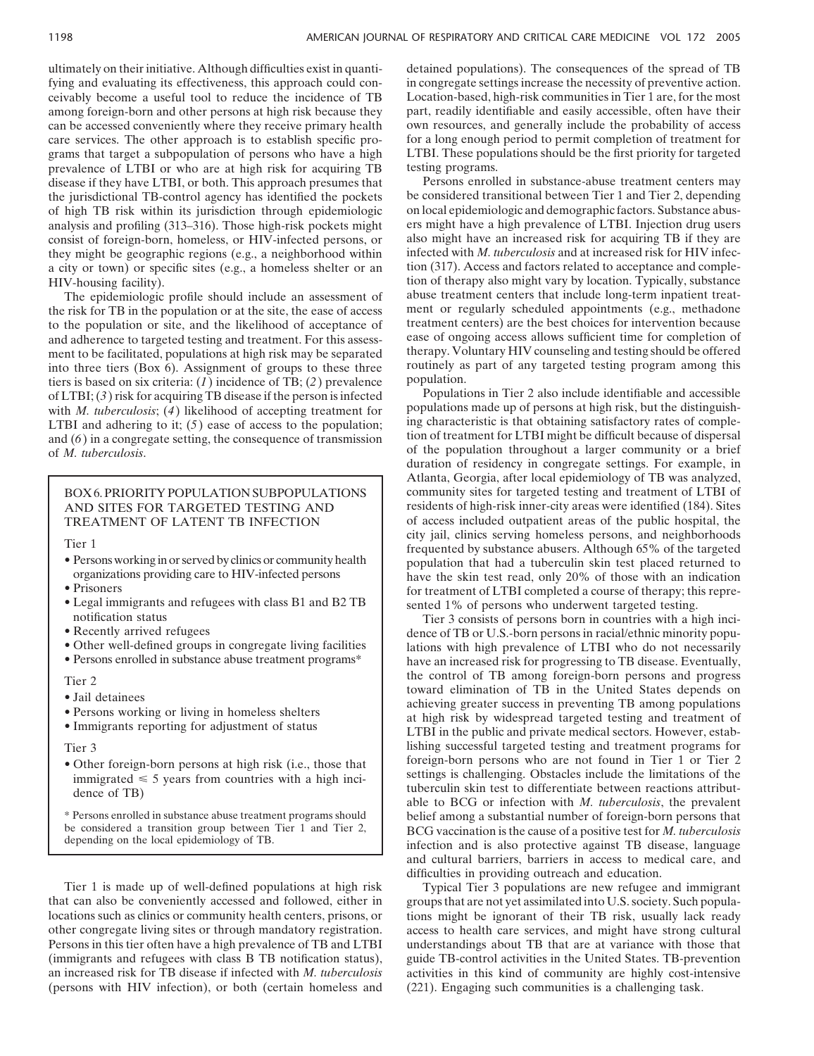ultimately on their initiative. Although difficulties exist in quantifying and evaluating its effectiveness, this approach could conceivably become a useful tool to reduce the incidence of TB among foreign-born and other persons at high risk because they can be accessed conveniently where they receive primary health care services. The other approach is to establish specific programs that target a subpopulation of persons who have a high prevalence of LTBI or who are at high risk for acquiring TB disease if they have LTBI, or both. This approach presumes that the jurisdictional TB-control agency has identified the pockets of high TB risk within its jurisdiction through epidemiologic analysis and profiling (313–316). Those high-risk pockets might consist of foreign-born, homeless, or HIV-infected persons, or they might be geographic regions (e.g., a neighborhood within a city or town) or specific sites (e.g., a homeless shelter or an HIV-housing facility).

The epidemiologic profile should include an assessment of the risk for TB in the population or at the site, the ease of access to the population or site, and the likelihood of acceptance of and adherence to targeted testing and treatment. For this assessment to be facilitated, populations at high risk may be separated into three tiers (Box 6). Assignment of groups to these three tiers is based on six criteria: (*1*) incidence of TB; (*2*) prevalence of LTBI; (*3*) risk for acquiring TB disease if the person is infected with *M. tuberculosis*; (*4*) likelihood of accepting treatment for LTBI and adhering to it; (*5*) ease of access to the population; and (*6*) in a congregate setting, the consequence of transmission of *M. tuberculosis*.

# BOX 6. PRIORITY POPULATION SUBPOPULATIONS AND SITES FOR TARGETED TESTING AND TREATMENT OF LATENT TB INFECTION

Tier 1

- Persons working in or served by clinics or community health organizations providing care to HIV-infected persons
- Prisoners
- Legal immigrants and refugees with class B1 and B2 TB notification status
- Recently arrived refugees
- Other well-defined groups in congregate living facilities
- Persons enrolled in substance abuse treatment programs\*

### Tier 2

- Jail detainees
- Persons working or living in homeless shelters
- Immigrants reporting for adjustment of status
- Tier 3
- Other foreign-born persons at high risk (i.e., those that immigrated  $\leq 5$  years from countries with a high incidence of TB)

\* Persons enrolled in substance abuse treatment programs should be considered a transition group between Tier 1 and Tier 2, depending on the local epidemiology of TB.

Tier 1 is made up of well-defined populations at high risk that can also be conveniently accessed and followed, either in locations such as clinics or community health centers, prisons, or other congregate living sites or through mandatory registration. Persons in this tier often have a high prevalence of TB and LTBI (immigrants and refugees with class B TB notification status), an increased risk for TB disease if infected with *M. tuberculosis* (persons with HIV infection), or both (certain homeless and

detained populations). The consequences of the spread of TB in congregate settings increase the necessity of preventive action. Location-based, high-risk communities in Tier 1 are, for the most part, readily identifiable and easily accessible, often have their own resources, and generally include the probability of access for a long enough period to permit completion of treatment for LTBI. These populations should be the first priority for targeted testing programs.

Persons enrolled in substance-abuse treatment centers may be considered transitional between Tier 1 and Tier 2, depending on local epidemiologic and demographic factors. Substance abusers might have a high prevalence of LTBI. Injection drug users also might have an increased risk for acquiring TB if they are infected with *M. tuberculosis* and at increased risk for HIV infection (317). Access and factors related to acceptance and completion of therapy also might vary by location. Typically, substance abuse treatment centers that include long-term inpatient treatment or regularly scheduled appointments (e.g., methadone treatment centers) are the best choices for intervention because ease of ongoing access allows sufficient time for completion of therapy. Voluntary HIV counseling and testing should be offered routinely as part of any targeted testing program among this population.

Populations in Tier 2 also include identifiable and accessible populations made up of persons at high risk, but the distinguishing characteristic is that obtaining satisfactory rates of completion of treatment for LTBI might be difficult because of dispersal of the population throughout a larger community or a brief duration of residency in congregate settings. For example, in Atlanta, Georgia, after local epidemiology of TB was analyzed, community sites for targeted testing and treatment of LTBI of residents of high-risk inner-city areas were identified (184). Sites of access included outpatient areas of the public hospital, the city jail, clinics serving homeless persons, and neighborhoods frequented by substance abusers. Although 65% of the targeted population that had a tuberculin skin test placed returned to have the skin test read, only 20% of those with an indication for treatment of LTBI completed a course of therapy; this represented 1% of persons who underwent targeted testing.

Tier 3 consists of persons born in countries with a high incidence of TB or U.S.-born persons in racial/ethnic minority populations with high prevalence of LTBI who do not necessarily have an increased risk for progressing to TB disease. Eventually, the control of TB among foreign-born persons and progress toward elimination of TB in the United States depends on achieving greater success in preventing TB among populations at high risk by widespread targeted testing and treatment of LTBI in the public and private medical sectors. However, establishing successful targeted testing and treatment programs for foreign-born persons who are not found in Tier 1 or Tier 2 settings is challenging. Obstacles include the limitations of the tuberculin skin test to differentiate between reactions attributable to BCG or infection with *M. tuberculosis*, the prevalent belief among a substantial number of foreign-born persons that BCG vaccination is the cause of a positive test for *M. tuberculosis* infection and is also protective against TB disease, language and cultural barriers, barriers in access to medical care, and difficulties in providing outreach and education.

Typical Tier 3 populations are new refugee and immigrant groups that are not yet assimilated into U.S. society. Such populations might be ignorant of their TB risk, usually lack ready access to health care services, and might have strong cultural understandings about TB that are at variance with those that guide TB-control activities in the United States. TB-prevention activities in this kind of community are highly cost-intensive (221). Engaging such communities is a challenging task.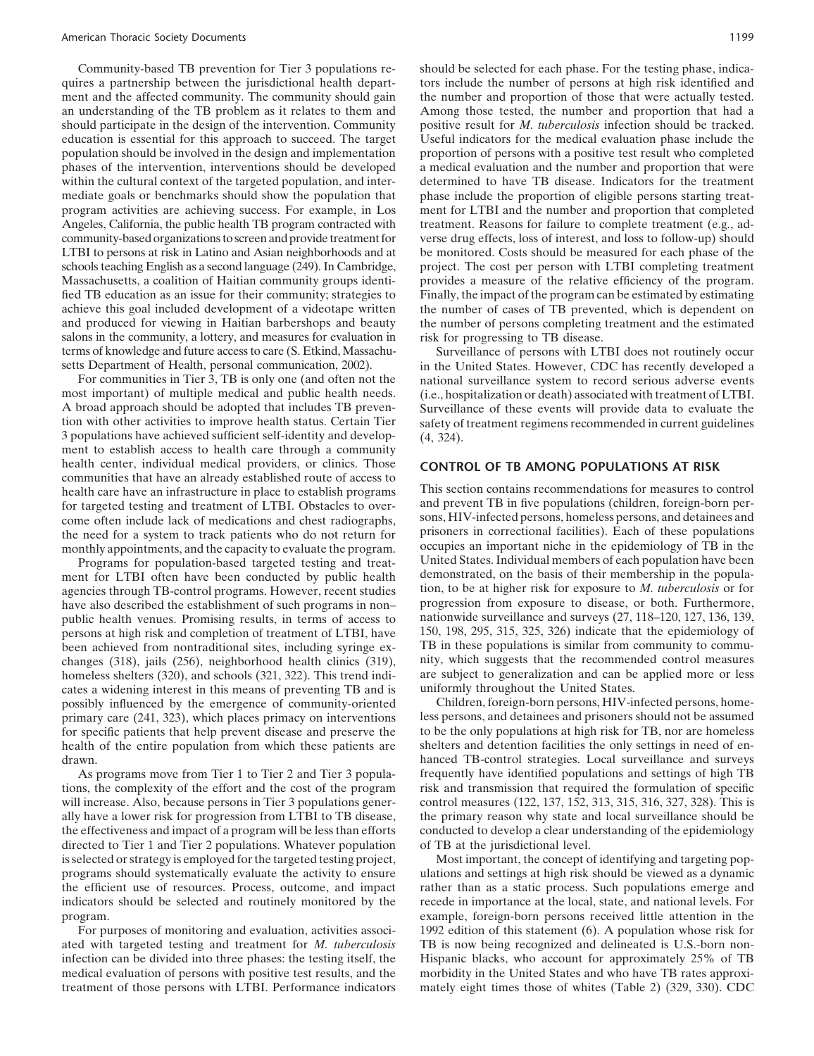Community-based TB prevention for Tier 3 populations requires a partnership between the jurisdictional health department and the affected community. The community should gain an understanding of the TB problem as it relates to them and should participate in the design of the intervention. Community education is essential for this approach to succeed. The target population should be involved in the design and implementation phases of the intervention, interventions should be developed within the cultural context of the targeted population, and intermediate goals or benchmarks should show the population that program activities are achieving success. For example, in Los Angeles, California, the public health TB program contracted with community-based organizations to screen and provide treatment for LTBI to persons at risk in Latino and Asian neighborhoods and at schools teaching English as a second language (249). In Cambridge, Massachusetts, a coalition of Haitian community groups identified TB education as an issue for their community; strategies to achieve this goal included development of a videotape written and produced for viewing in Haitian barbershops and beauty salons in the community, a lottery, and measures for evaluation in terms of knowledge and future access to care (S. Etkind, Massachusetts Department of Health, personal communication, 2002).

For communities in Tier 3, TB is only one (and often not the most important) of multiple medical and public health needs. A broad approach should be adopted that includes TB prevention with other activities to improve health status. Certain Tier 3 populations have achieved sufficient self-identity and development to establish access to health care through a community health center, individual medical providers, or clinics. Those communities that have an already established route of access to health care have an infrastructure in place to establish programs for targeted testing and treatment of LTBI. Obstacles to overcome often include lack of medications and chest radiographs, the need for a system to track patients who do not return for monthly appointments, and the capacity to evaluate the program.

Programs for population-based targeted testing and treatment for LTBI often have been conducted by public health agencies through TB-control programs. However, recent studies have also described the establishment of such programs in non– public health venues. Promising results, in terms of access to persons at high risk and completion of treatment of LTBI, have been achieved from nontraditional sites, including syringe exchanges (318), jails (256), neighborhood health clinics (319), homeless shelters (320), and schools (321, 322). This trend indicates a widening interest in this means of preventing TB and is possibly influenced by the emergence of community-oriented primary care (241, 323), which places primacy on interventions for specific patients that help prevent disease and preserve the health of the entire population from which these patients are drawn.

As programs move from Tier 1 to Tier 2 and Tier 3 populations, the complexity of the effort and the cost of the program will increase. Also, because persons in Tier 3 populations generally have a lower risk for progression from LTBI to TB disease, the effectiveness and impact of a program will be less than efforts directed to Tier 1 and Tier 2 populations. Whatever population is selected or strategy is employed for the targeted testing project, programs should systematically evaluate the activity to ensure the efficient use of resources. Process, outcome, and impact indicators should be selected and routinely monitored by the program.

For purposes of monitoring and evaluation, activities associated with targeted testing and treatment for *M. tuberculosis* infection can be divided into three phases: the testing itself, the medical evaluation of persons with positive test results, and the treatment of those persons with LTBI. Performance indicators should be selected for each phase. For the testing phase, indicators include the number of persons at high risk identified and the number and proportion of those that were actually tested. Among those tested, the number and proportion that had a positive result for *M. tuberculosis* infection should be tracked. Useful indicators for the medical evaluation phase include the proportion of persons with a positive test result who completed a medical evaluation and the number and proportion that were determined to have TB disease. Indicators for the treatment phase include the proportion of eligible persons starting treatment for LTBI and the number and proportion that completed treatment. Reasons for failure to complete treatment (e.g., adverse drug effects, loss of interest, and loss to follow-up) should be monitored. Costs should be measured for each phase of the project. The cost per person with LTBI completing treatment provides a measure of the relative efficiency of the program. Finally, the impact of the program can be estimated by estimating the number of cases of TB prevented, which is dependent on the number of persons completing treatment and the estimated risk for progressing to TB disease.

Surveillance of persons with LTBI does not routinely occur in the United States. However, CDC has recently developed a national surveillance system to record serious adverse events (i.e., hospitalization or death) associated with treatment of LTBI. Surveillance of these events will provide data to evaluate the safety of treatment regimens recommended in current guidelines (4, 324).

# **CONTROL OF TB AMONG POPULATIONS AT RISK**

This section contains recommendations for measures to control and prevent TB in five populations (children, foreign-born persons, HIV-infected persons, homeless persons, and detainees and prisoners in correctional facilities). Each of these populations occupies an important niche in the epidemiology of TB in the United States. Individual members of each population have been demonstrated, on the basis of their membership in the population, to be at higher risk for exposure to *M. tuberculosis* or for progression from exposure to disease, or both. Furthermore, nationwide surveillance and surveys (27, 118–120, 127, 136, 139, 150, 198, 295, 315, 325, 326) indicate that the epidemiology of TB in these populations is similar from community to community, which suggests that the recommended control measures are subject to generalization and can be applied more or less uniformly throughout the United States.

Children, foreign-born persons, HIV-infected persons, homeless persons, and detainees and prisoners should not be assumed to be the only populations at high risk for TB, nor are homeless shelters and detention facilities the only settings in need of enhanced TB-control strategies. Local surveillance and surveys frequently have identified populations and settings of high TB risk and transmission that required the formulation of specific control measures (122, 137, 152, 313, 315, 316, 327, 328). This is the primary reason why state and local surveillance should be conducted to develop a clear understanding of the epidemiology of TB at the jurisdictional level.

Most important, the concept of identifying and targeting populations and settings at high risk should be viewed as a dynamic rather than as a static process. Such populations emerge and recede in importance at the local, state, and national levels. For example, foreign-born persons received little attention in the 1992 edition of this statement (6). A population whose risk for TB is now being recognized and delineated is U.S.-born non-Hispanic blacks, who account for approximately 25% of TB morbidity in the United States and who have TB rates approximately eight times those of whites (Table 2) (329, 330). CDC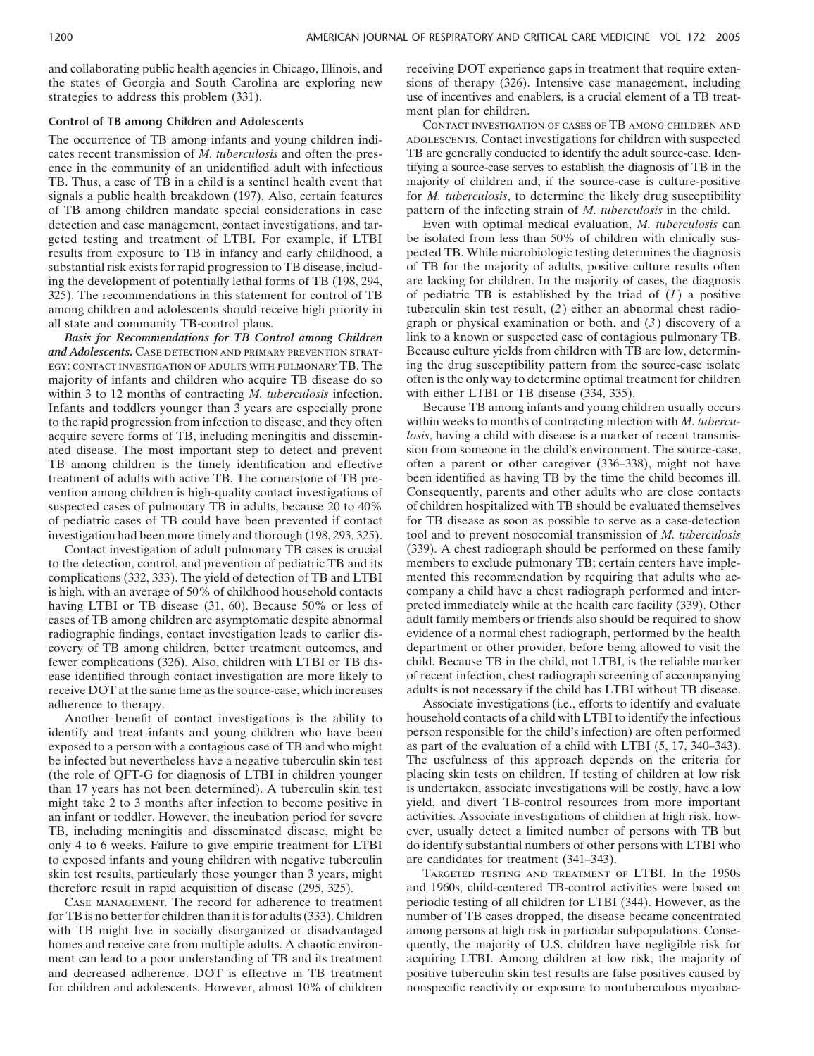and collaborating public health agencies in Chicago, Illinois, and the states of Georgia and South Carolina are exploring new strategies to address this problem (331).

#### **Control of TB among Children and Adolescents**

The occurrence of TB among infants and young children indicates recent transmission of *M. tuberculosis* and often the presence in the community of an unidentified adult with infectious TB. Thus, a case of TB in a child is a sentinel health event that signals a public health breakdown (197). Also, certain features of TB among children mandate special considerations in case detection and case management, contact investigations, and targeted testing and treatment of LTBI. For example, if LTBI results from exposure to TB in infancy and early childhood, a substantial risk exists for rapid progression to TB disease, including the development of potentially lethal forms of TB (198, 294, 325). The recommendations in this statement for control of TB among children and adolescents should receive high priority in all state and community TB-control plans.

*Basis for Recommendations for TB Control among Children* and Adolescents. CASE DETECTION AND PRIMARY PREVENTION STRATegy: contact investigation of adults with pulmonary TB. The majority of infants and children who acquire TB disease do so within 3 to 12 months of contracting *M. tuberculosis* infection. Infants and toddlers younger than 3 years are especially prone to the rapid progression from infection to disease, and they often acquire severe forms of TB, including meningitis and disseminated disease. The most important step to detect and prevent TB among children is the timely identification and effective treatment of adults with active TB. The cornerstone of TB prevention among children is high-quality contact investigations of suspected cases of pulmonary TB in adults, because 20 to 40% of pediatric cases of TB could have been prevented if contact investigation had been more timely and thorough (198, 293, 325).

Contact investigation of adult pulmonary TB cases is crucial to the detection, control, and prevention of pediatric TB and its complications (332, 333). The yield of detection of TB and LTBI is high, with an average of 50% of childhood household contacts having LTBI or TB disease  $(31, 60)$ . Because 50% or less of cases of TB among children are asymptomatic despite abnormal radiographic findings, contact investigation leads to earlier discovery of TB among children, better treatment outcomes, and fewer complications (326). Also, children with LTBI or TB disease identified through contact investigation are more likely to receive DOT at the same time as the source-case, which increases adherence to therapy.

Another benefit of contact investigations is the ability to identify and treat infants and young children who have been exposed to a person with a contagious case of TB and who might be infected but nevertheless have a negative tuberculin skin test (the role of QFT-G for diagnosis of LTBI in children younger than 17 years has not been determined). A tuberculin skin test might take 2 to 3 months after infection to become positive in an infant or toddler. However, the incubation period for severe TB, including meningitis and disseminated disease, might be only 4 to 6 weeks. Failure to give empiric treatment for LTBI to exposed infants and young children with negative tuberculin skin test results, particularly those younger than 3 years, might therefore result in rapid acquisition of disease (295, 325).

Case management. The record for adherence to treatment for TB is no better for children than it is for adults (333). Children with TB might live in socially disorganized or disadvantaged homes and receive care from multiple adults. A chaotic environment can lead to a poor understanding of TB and its treatment and decreased adherence. DOT is effective in TB treatment for children and adolescents. However, almost 10% of children

receiving DOT experience gaps in treatment that require extensions of therapy (326). Intensive case management, including use of incentives and enablers, is a crucial element of a TB treatment plan for children.

Contact investigation of cases of TB among children and adolescents. Contact investigations for children with suspected TB are generally conducted to identify the adult source-case. Identifying a source-case serves to establish the diagnosis of TB in the majority of children and, if the source-case is culture-positive for *M. tuberculosis*, to determine the likely drug susceptibility pattern of the infecting strain of *M. tuberculosis* in the child.

Even with optimal medical evaluation, *M. tuberculosis* can be isolated from less than 50% of children with clinically suspected TB. While microbiologic testing determines the diagnosis of TB for the majority of adults, positive culture results often are lacking for children. In the majority of cases, the diagnosis of pediatric TB is established by the triad of (*1*) a positive tuberculin skin test result, (*2*) either an abnormal chest radiograph or physical examination or both, and (*3*) discovery of a link to a known or suspected case of contagious pulmonary TB. Because culture yields from children with TB are low, determining the drug susceptibility pattern from the source-case isolate often is the only way to determine optimal treatment for children with either LTBI or TB disease (334, 335).

Because TB among infants and young children usually occurs within weeks to months of contracting infection with *M. tuberculosis*, having a child with disease is a marker of recent transmission from someone in the child's environment. The source-case, often a parent or other caregiver (336–338), might not have been identified as having TB by the time the child becomes ill. Consequently, parents and other adults who are close contacts of children hospitalized with TB should be evaluated themselves for TB disease as soon as possible to serve as a case-detection tool and to prevent nosocomial transmission of *M. tuberculosis* (339). A chest radiograph should be performed on these family members to exclude pulmonary TB; certain centers have implemented this recommendation by requiring that adults who accompany a child have a chest radiograph performed and interpreted immediately while at the health care facility (339). Other adult family members or friends also should be required to show evidence of a normal chest radiograph, performed by the health department or other provider, before being allowed to visit the child. Because TB in the child, not LTBI, is the reliable marker of recent infection, chest radiograph screening of accompanying adults is not necessary if the child has LTBI without TB disease.

Associate investigations (i.e., efforts to identify and evaluate household contacts of a child with LTBI to identify the infectious person responsible for the child's infection) are often performed as part of the evaluation of a child with LTBI (5, 17, 340–343). The usefulness of this approach depends on the criteria for placing skin tests on children. If testing of children at low risk is undertaken, associate investigations will be costly, have a low yield, and divert TB-control resources from more important activities. Associate investigations of children at high risk, however, usually detect a limited number of persons with TB but do identify substantial numbers of other persons with LTBI who are candidates for treatment (341–343).

Targeted testing and treatment of LTBI. In the 1950s and 1960s, child-centered TB-control activities were based on periodic testing of all children for LTBI (344). However, as the number of TB cases dropped, the disease became concentrated among persons at high risk in particular subpopulations. Consequently, the majority of U.S. children have negligible risk for acquiring LTBI. Among children at low risk, the majority of positive tuberculin skin test results are false positives caused by nonspecific reactivity or exposure to nontuberculous mycobac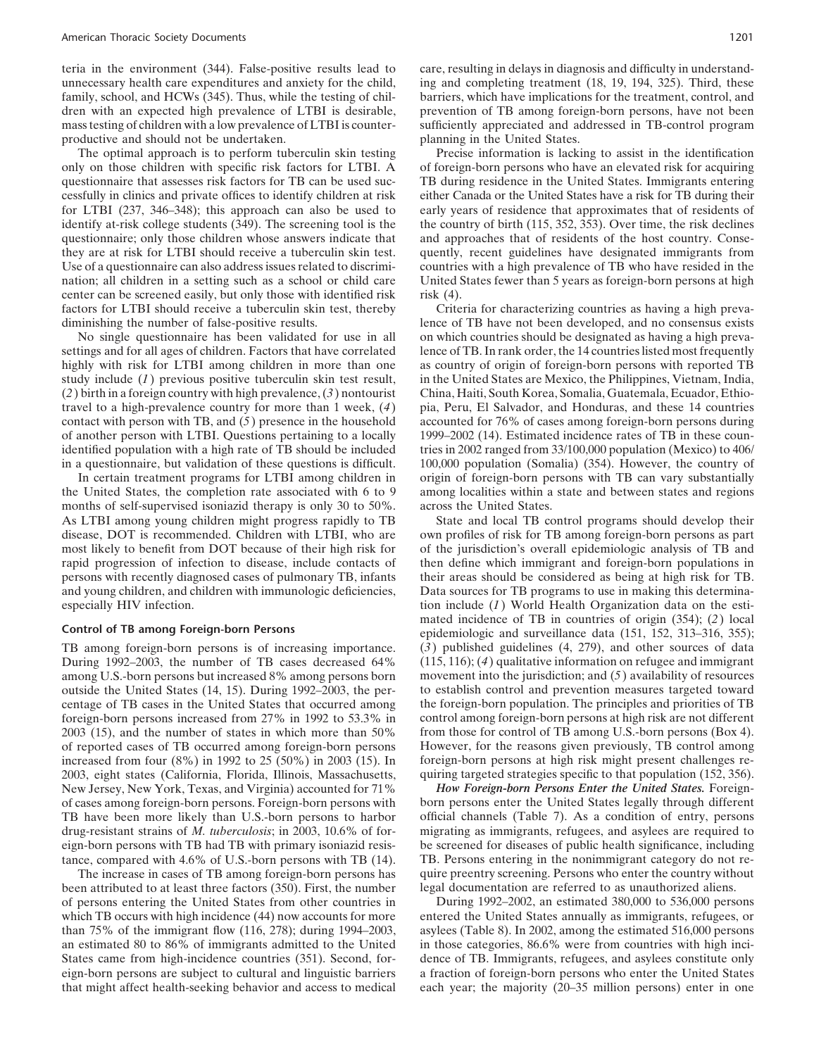teria in the environment (344). False-positive results lead to unnecessary health care expenditures and anxiety for the child, family, school, and HCWs (345). Thus, while the testing of children with an expected high prevalence of LTBI is desirable, mass testing of children with a low prevalence of LTBI is counterproductive and should not be undertaken.

The optimal approach is to perform tuberculin skin testing only on those children with specific risk factors for LTBI. A questionnaire that assesses risk factors for TB can be used successfully in clinics and private offices to identify children at risk for LTBI (237, 346–348); this approach can also be used to identify at-risk college students (349). The screening tool is the questionnaire; only those children whose answers indicate that they are at risk for LTBI should receive a tuberculin skin test. Use of a questionnaire can also address issues related to discrimination; all children in a setting such as a school or child care center can be screened easily, but only those with identified risk factors for LTBI should receive a tuberculin skin test, thereby diminishing the number of false-positive results.

No single questionnaire has been validated for use in all settings and for all ages of children. Factors that have correlated highly with risk for LTBI among children in more than one study include (*1*) previous positive tuberculin skin test result, (*2*) birth in a foreign country with high prevalence, (*3*) nontourist travel to a high-prevalence country for more than 1 week, (*4*) contact with person with TB, and (*5*) presence in the household of another person with LTBI. Questions pertaining to a locally identified population with a high rate of TB should be included in a questionnaire, but validation of these questions is difficult.

In certain treatment programs for LTBI among children in the United States, the completion rate associated with 6 to 9 months of self-supervised isoniazid therapy is only 30 to 50%. As LTBI among young children might progress rapidly to TB disease, DOT is recommended. Children with LTBI, who are most likely to benefit from DOT because of their high risk for rapid progression of infection to disease, include contacts of persons with recently diagnosed cases of pulmonary TB, infants and young children, and children with immunologic deficiencies, especially HIV infection.

#### **Control of TB among Foreign-born Persons**

TB among foreign-born persons is of increasing importance. During 1992–2003, the number of TB cases decreased 64% among U.S.-born persons but increased 8% among persons born outside the United States (14, 15). During 1992–2003, the percentage of TB cases in the United States that occurred among foreign-born persons increased from 27% in 1992 to 53.3% in 2003 (15), and the number of states in which more than 50% of reported cases of TB occurred among foreign-born persons increased from four (8%) in 1992 to 25 (50%) in 2003 (15). In 2003, eight states (California, Florida, Illinois, Massachusetts, New Jersey, New York, Texas, and Virginia) accounted for 71% of cases among foreign-born persons. Foreign-born persons with TB have been more likely than U.S.-born persons to harbor drug-resistant strains of *M. tuberculosis*; in 2003, 10.6% of foreign-born persons with TB had TB with primary isoniazid resistance, compared with 4.6% of U.S.-born persons with TB (14).

The increase in cases of TB among foreign-born persons has been attributed to at least three factors (350). First, the number of persons entering the United States from other countries in which TB occurs with high incidence (44) now accounts for more than 75% of the immigrant flow (116, 278); during 1994–2003, an estimated 80 to 86% of immigrants admitted to the United States came from high-incidence countries (351). Second, foreign-born persons are subject to cultural and linguistic barriers that might affect health-seeking behavior and access to medical care, resulting in delays in diagnosis and difficulty in understanding and completing treatment (18, 19, 194, 325). Third, these barriers, which have implications for the treatment, control, and prevention of TB among foreign-born persons, have not been sufficiently appreciated and addressed in TB-control program planning in the United States.

Precise information is lacking to assist in the identification of foreign-born persons who have an elevated risk for acquiring TB during residence in the United States. Immigrants entering either Canada or the United States have a risk for TB during their early years of residence that approximates that of residents of the country of birth (115, 352, 353). Over time, the risk declines and approaches that of residents of the host country. Consequently, recent guidelines have designated immigrants from countries with a high prevalence of TB who have resided in the United States fewer than 5 years as foreign-born persons at high risk (4).

Criteria for characterizing countries as having a high prevalence of TB have not been developed, and no consensus exists on which countries should be designated as having a high prevalence of TB. In rank order, the 14 countries listed most frequently as country of origin of foreign-born persons with reported TB in the United States are Mexico, the Philippines, Vietnam, India, China, Haiti, South Korea, Somalia, Guatemala, Ecuador, Ethiopia, Peru, El Salvador, and Honduras, and these 14 countries accounted for 76% of cases among foreign-born persons during 1999–2002 (14). Estimated incidence rates of TB in these countries in 2002 ranged from 33/100,000 population (Mexico) to 406/ 100,000 population (Somalia) (354). However, the country of origin of foreign-born persons with TB can vary substantially among localities within a state and between states and regions across the United States.

State and local TB control programs should develop their own profiles of risk for TB among foreign-born persons as part of the jurisdiction's overall epidemiologic analysis of TB and then define which immigrant and foreign-born populations in their areas should be considered as being at high risk for TB. Data sources for TB programs to use in making this determination include (*1*) World Health Organization data on the estimated incidence of TB in countries of origin (354); (*2*) local epidemiologic and surveillance data (151, 152, 313–316, 355); (*3*) published guidelines (4, 279), and other sources of data (115, 116); (*4*) qualitative information on refugee and immigrant movement into the jurisdiction; and (*5*) availability of resources to establish control and prevention measures targeted toward the foreign-born population. The principles and priorities of TB control among foreign-born persons at high risk are not different from those for control of TB among U.S.-born persons (Box 4). However, for the reasons given previously, TB control among foreign-born persons at high risk might present challenges requiring targeted strategies specific to that population (152, 356).

*How Foreign-born Persons Enter the United States.* Foreignborn persons enter the United States legally through different official channels (Table 7). As a condition of entry, persons migrating as immigrants, refugees, and asylees are required to be screened for diseases of public health significance, including TB. Persons entering in the nonimmigrant category do not require preentry screening. Persons who enter the country without legal documentation are referred to as unauthorized aliens.

During 1992–2002, an estimated 380,000 to 536,000 persons entered the United States annually as immigrants, refugees, or asylees (Table 8). In 2002, among the estimated 516,000 persons in those categories, 86.6% were from countries with high incidence of TB. Immigrants, refugees, and asylees constitute only a fraction of foreign-born persons who enter the United States each year; the majority (20–35 million persons) enter in one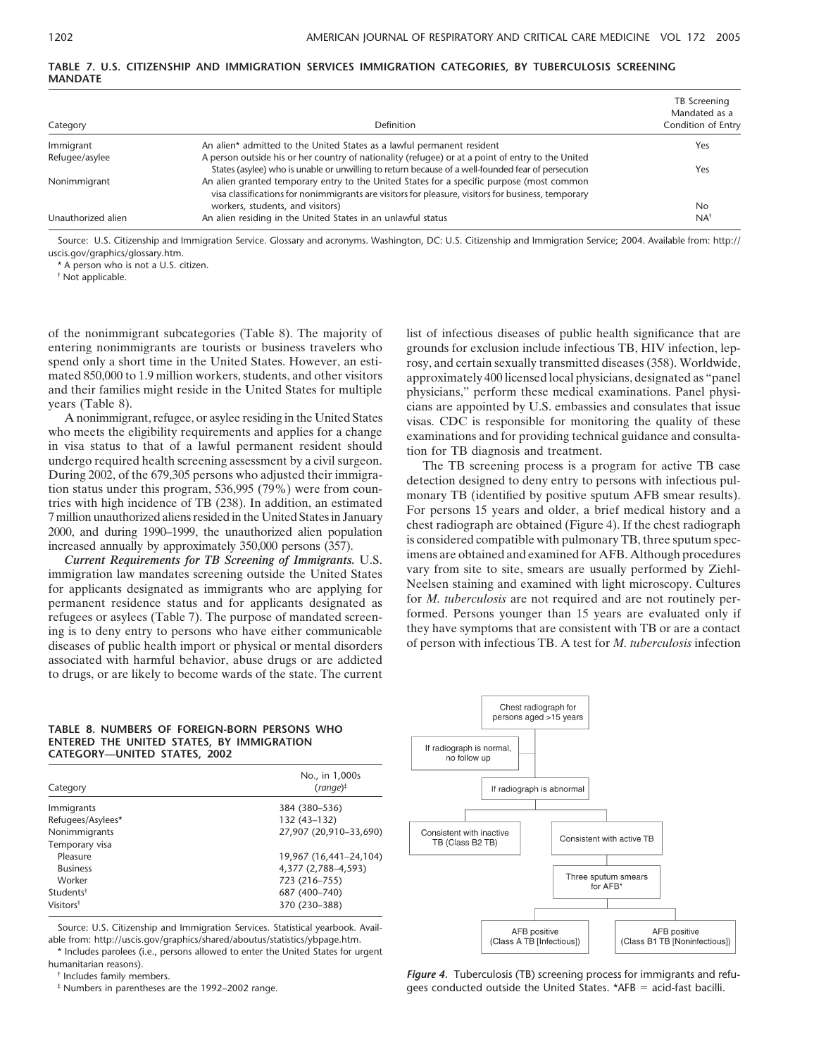| Category           | <b>Definition</b>                                                                                                                                                                                       | TB Screening<br>Mandated as a<br>Condition of Entry |
|--------------------|---------------------------------------------------------------------------------------------------------------------------------------------------------------------------------------------------------|-----------------------------------------------------|
| Immigrant          | An alien* admitted to the United States as a lawful permanent resident                                                                                                                                  | Yes                                                 |
| Refugee/asylee     | A person outside his or her country of nationality (refugee) or at a point of entry to the United<br>States (asylee) who is unable or unwilling to return because of a well-founded fear of persecution | Yes                                                 |
| Nonimmigrant       | An alien granted temporary entry to the United States for a specific purpose (most common<br>visa classifications for nonimmigrants are visitors for pleasure, visitors for business, temporary         |                                                     |
|                    | workers, students, and visitors)                                                                                                                                                                        | <b>No</b>                                           |
| Unauthorized alien | An alien residing in the United States in an unlawful status                                                                                                                                            | NA <sup>1</sup>                                     |

|         |  |  |  | TABLE 7. U.S. CITIZENSHIP AND IMMIGRATION SERVICES IMMIGRATION CATEGORIES, BY TUBERCULOSIS SCREENING |  |
|---------|--|--|--|------------------------------------------------------------------------------------------------------|--|
| MANDATE |  |  |  |                                                                                                      |  |

Source: U.S. Citizenship and Immigration Service. Glossary and acronyms. Washington, DC: U.S. Citizenship and Immigration Service; 2004. Available from: http:// uscis.gov/graphics/glossary.htm.

\* A person who is not a U.S. citizen.

† Not applicable.

of the nonimmigrant subcategories (Table 8). The majority of entering nonimmigrants are tourists or business travelers who spend only a short time in the United States. However, an estimated 850,000 to 1.9 million workers, students, and other visitors and their families might reside in the United States for multiple years (Table 8).

A nonimmigrant, refugee, or asylee residing in the United States who meets the eligibility requirements and applies for a change in visa status to that of a lawful permanent resident should undergo required health screening assessment by a civil surgeon. During 2002, of the 679,305 persons who adjusted their immigration status under this program, 536,995 (79%) were from countries with high incidence of TB (238). In addition, an estimated 7 million unauthorized aliens resided in the United States in January 2000, and during 1990–1999, the unauthorized alien population increased annually by approximately 350,000 persons (357).

*Current Requirements for TB Screening of Immigrants.* U.S. immigration law mandates screening outside the United States for applicants designated as immigrants who are applying for permanent residence status and for applicants designated as refugees or asylees (Table 7). The purpose of mandated screening is to deny entry to persons who have either communicable diseases of public health import or physical or mental disorders associated with harmful behavior, abuse drugs or are addicted to drugs, or are likely to become wards of the state. The current

list of infectious diseases of public health significance that are grounds for exclusion include infectious TB, HIV infection, leprosy, and certain sexually transmitted diseases (358). Worldwide, approximately 400 licensed local physicians, designated as "panel physicians," perform these medical examinations. Panel physicians are appointed by U.S. embassies and consulates that issue visas. CDC is responsible for monitoring the quality of these examinations and for providing technical guidance and consultation for TB diagnosis and treatment.

The TB screening process is a program for active TB case detection designed to deny entry to persons with infectious pulmonary TB (identified by positive sputum AFB smear results). For persons 15 years and older, a brief medical history and a chest radiograph are obtained (Figure 4). If the chest radiograph is considered compatible with pulmonary TB, three sputum specimens are obtained and examined for AFB. Although procedures vary from site to site, smears are usually performed by Ziehl-Neelsen staining and examined with light microscopy. Cultures for *M. tuberculosis* are not required and are not routinely performed. Persons younger than 15 years are evaluated only if they have symptoms that are consistent with TB or are a contact of person with infectious TB. A test for *M. tuberculosis* infection

#### **TABLE 8. NUMBERS OF FOREIGN-BORN PERSONS WHO ENTERED THE UNITED STATES, BY IMMIGRATION CATEGORY—UNITED STATES, 2002**

| Category              | No., in 1,000s<br>$(range)^{\ddagger}$ |
|-----------------------|----------------------------------------|
| Immigrants            | 384 (380-536)                          |
| Refugees/Asylees*     | 132 (43-132)                           |
| Nonimmigrants         | 27,907 (20,910-33,690)                 |
| Temporary visa        |                                        |
| Pleasure              | 19,967 (16,441-24,104)                 |
| <b>Business</b>       | 4,377 (2,788-4,593)                    |
| Worker                | 723 (216-755)                          |
| Students <sup>†</sup> | 687 (400-740)                          |
| Visitors <sup>†</sup> | 370 (230-388)                          |

Source: U.S. Citizenship and Immigration Services. Statistical yearbook. Available from: http://uscis.gov/graphics/shared/aboutus/statistics/ybpage.htm.

\* Includes parolees (i.e., persons allowed to enter the United States for urgent humanitarian reasons).

† Includes family members.

‡ Numbers in parentheses are the 1992–2002 range.



*Figure 4.* Tuberculosis (TB) screening process for immigrants and refugees conducted outside the United States.  $*AFB = acid$ -fast bacilli.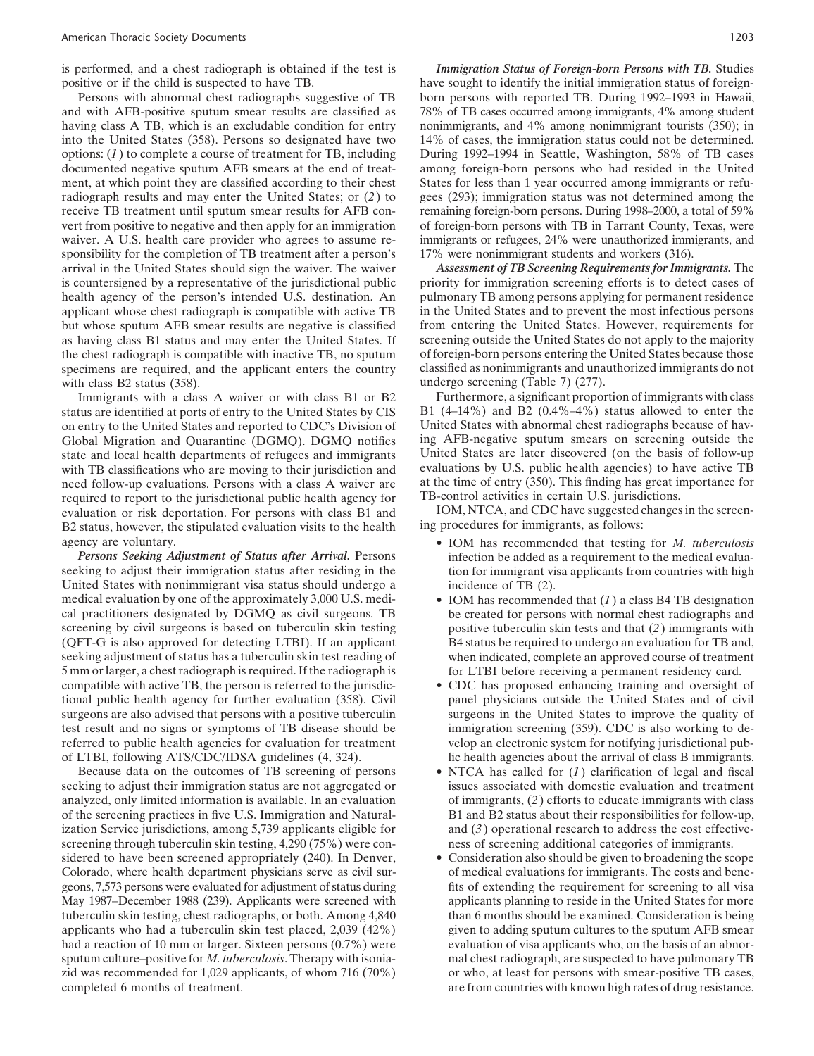is performed, and a chest radiograph is obtained if the test is positive or if the child is suspected to have TB.

Persons with abnormal chest radiographs suggestive of TB and with AFB-positive sputum smear results are classified as having class A TB, which is an excludable condition for entry into the United States (358). Persons so designated have two options: (*1*) to complete a course of treatment for TB, including documented negative sputum AFB smears at the end of treatment, at which point they are classified according to their chest radiograph results and may enter the United States; or (*2*) to receive TB treatment until sputum smear results for AFB convert from positive to negative and then apply for an immigration waiver. A U.S. health care provider who agrees to assume responsibility for the completion of TB treatment after a person's arrival in the United States should sign the waiver. The waiver is countersigned by a representative of the jurisdictional public health agency of the person's intended U.S. destination. An applicant whose chest radiograph is compatible with active TB but whose sputum AFB smear results are negative is classified as having class B1 status and may enter the United States. If the chest radiograph is compatible with inactive TB, no sputum specimens are required, and the applicant enters the country with class B2 status (358).

Immigrants with a class A waiver or with class B1 or B2 status are identified at ports of entry to the United States by CIS on entry to the United States and reported to CDC's Division of Global Migration and Quarantine (DGMQ). DGMQ notifies state and local health departments of refugees and immigrants with TB classifications who are moving to their jurisdiction and need follow-up evaluations. Persons with a class A waiver are required to report to the jurisdictional public health agency for evaluation or risk deportation. For persons with class B1 and B2 status, however, the stipulated evaluation visits to the health agency are voluntary.

*Persons Seeking Adjustment of Status after Arrival.* Persons seeking to adjust their immigration status after residing in the United States with nonimmigrant visa status should undergo a medical evaluation by one of the approximately 3,000 U.S. medical practitioners designated by DGMQ as civil surgeons. TB screening by civil surgeons is based on tuberculin skin testing (QFT-G is also approved for detecting LTBI). If an applicant seeking adjustment of status has a tuberculin skin test reading of 5 mm or larger, a chest radiograph is required. If the radiograph is compatible with active TB, the person is referred to the jurisdictional public health agency for further evaluation (358). Civil surgeons are also advised that persons with a positive tuberculin test result and no signs or symptoms of TB disease should be referred to public health agencies for evaluation for treatment of LTBI, following ATS/CDC/IDSA guidelines (4, 324).

Because data on the outcomes of TB screening of persons seeking to adjust their immigration status are not aggregated or analyzed, only limited information is available. In an evaluation of the screening practices in five U.S. Immigration and Naturalization Service jurisdictions, among 5,739 applicants eligible for screening through tuberculin skin testing, 4,290 (75%) were considered to have been screened appropriately (240). In Denver, Colorado, where health department physicians serve as civil surgeons, 7,573 persons were evaluated for adjustment of status during May 1987–December 1988 (239). Applicants were screened with tuberculin skin testing, chest radiographs, or both. Among 4,840 applicants who had a tuberculin skin test placed, 2,039 (42%) had a reaction of 10 mm or larger. Sixteen persons (0.7%) were sputum culture–positive for *M. tuberculosis*. Therapy with isoniazid was recommended for 1,029 applicants, of whom 716 (70%) completed 6 months of treatment.

*Immigration Status of Foreign-born Persons with TB.* Studies have sought to identify the initial immigration status of foreignborn persons with reported TB. During 1992–1993 in Hawaii, 78% of TB cases occurred among immigrants, 4% among student nonimmigrants, and 4% among nonimmigrant tourists (350); in 14% of cases, the immigration status could not be determined. During 1992–1994 in Seattle, Washington, 58% of TB cases among foreign-born persons who had resided in the United States for less than 1 year occurred among immigrants or refugees (293); immigration status was not determined among the remaining foreign-born persons. During 1998–2000, a total of 59% of foreign-born persons with TB in Tarrant County, Texas, were immigrants or refugees, 24% were unauthorized immigrants, and 17% were nonimmigrant students and workers (316).

*Assessment of TB Screening Requirements for Immigrants.* The priority for immigration screening efforts is to detect cases of pulmonary TB among persons applying for permanent residence in the United States and to prevent the most infectious persons from entering the United States. However, requirements for screening outside the United States do not apply to the majority of foreign-born persons entering the United States because those classified as nonimmigrants and unauthorized immigrants do not undergo screening (Table 7) (277).

Furthermore, a significant proportion of immigrants with class B1  $(4-14\%)$  and B2  $(0.4\% - 4\%)$  status allowed to enter the United States with abnormal chest radiographs because of having AFB-negative sputum smears on screening outside the United States are later discovered (on the basis of follow-up evaluations by U.S. public health agencies) to have active TB at the time of entry (350). This finding has great importance for TB-control activities in certain U.S. jurisdictions.

IOM, NTCA, and CDC have suggested changes in the screening procedures for immigrants, as follows:

- IOM has recommended that testing for *M. tuberculosis* infection be added as a requirement to the medical evaluation for immigrant visa applicants from countries with high incidence of TB (2).
- IOM has recommended that (*1*) a class B4 TB designation be created for persons with normal chest radiographs and positive tuberculin skin tests and that (*2*) immigrants with B4 status be required to undergo an evaluation for TB and, when indicated, complete an approved course of treatment for LTBI before receiving a permanent residency card.
- CDC has proposed enhancing training and oversight of panel physicians outside the United States and of civil surgeons in the United States to improve the quality of immigration screening (359). CDC is also working to develop an electronic system for notifying jurisdictional public health agencies about the arrival of class B immigrants.
- NTCA has called for (*1*) clarification of legal and fiscal issues associated with domestic evaluation and treatment of immigrants, (*2*) efforts to educate immigrants with class B1 and B2 status about their responsibilities for follow-up, and (*3*) operational research to address the cost effectiveness of screening additional categories of immigrants.
- Consideration also should be given to broadening the scope of medical evaluations for immigrants. The costs and benefits of extending the requirement for screening to all visa applicants planning to reside in the United States for more than 6 months should be examined. Consideration is being given to adding sputum cultures to the sputum AFB smear evaluation of visa applicants who, on the basis of an abnormal chest radiograph, are suspected to have pulmonary TB or who, at least for persons with smear-positive TB cases, are from countries with known high rates of drug resistance.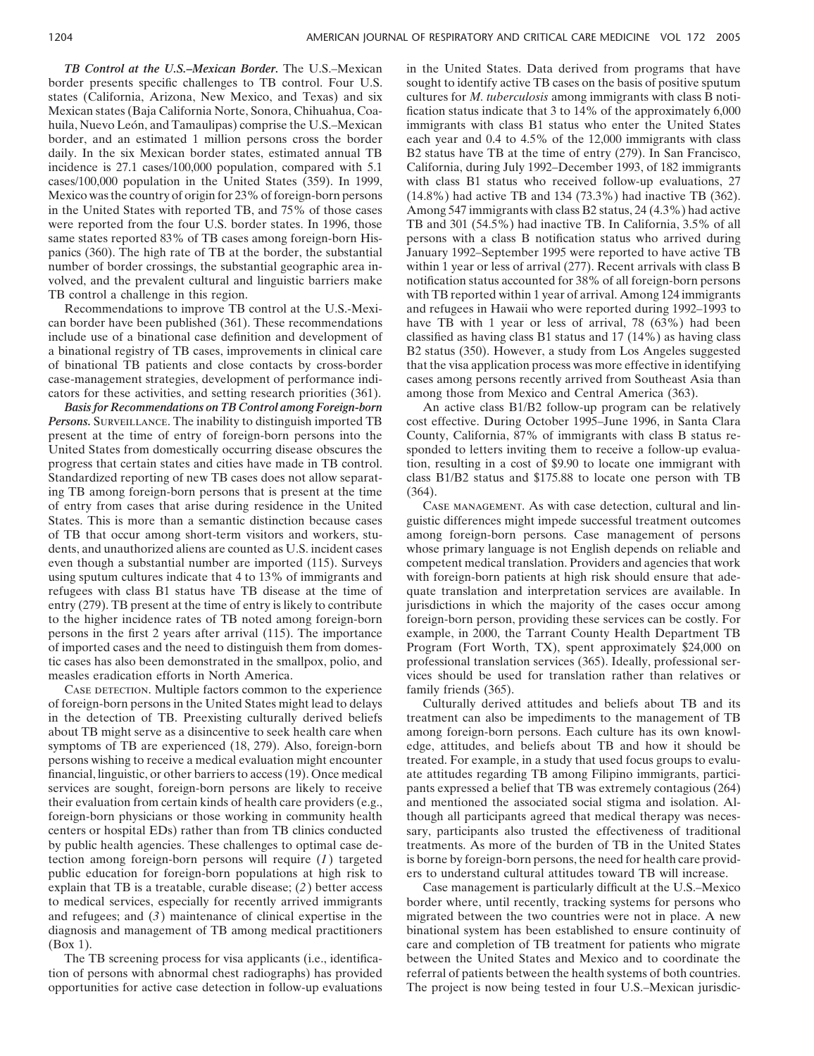*TB Control at the U.S.–Mexican Border.* The U.S.–Mexican border presents specific challenges to TB control. Four U.S. states (California, Arizona, New Mexico, and Texas) and six Mexican states (Baja California Norte, Sonora, Chihuahua, Coahuila, Nuevo León, and Tamaulipas) comprise the U.S.–Mexican border, and an estimated 1 million persons cross the border daily. In the six Mexican border states, estimated annual TB incidence is 27.1 cases/100,000 population, compared with 5.1 cases/100,000 population in the United States (359). In 1999, Mexico was the country of origin for 23% of foreign-born persons in the United States with reported TB, and 75% of those cases were reported from the four U.S. border states. In 1996, those same states reported 83% of TB cases among foreign-born Hispanics (360). The high rate of TB at the border, the substantial number of border crossings, the substantial geographic area involved, and the prevalent cultural and linguistic barriers make TB control a challenge in this region.

Recommendations to improve TB control at the U.S.-Mexican border have been published (361). These recommendations include use of a binational case definition and development of a binational registry of TB cases, improvements in clinical care of binational TB patients and close contacts by cross-border case-management strategies, development of performance indicators for these activities, and setting research priorities (361).

*Basis for Recommendations on TB Control among Foreign-born Persons.* SURVEILLANCE. The inability to distinguish imported TB present at the time of entry of foreign-born persons into the United States from domestically occurring disease obscures the progress that certain states and cities have made in TB control. Standardized reporting of new TB cases does not allow separating TB among foreign-born persons that is present at the time of entry from cases that arise during residence in the United States. This is more than a semantic distinction because cases of TB that occur among short-term visitors and workers, students, and unauthorized aliens are counted as U.S. incident cases even though a substantial number are imported (115). Surveys using sputum cultures indicate that 4 to 13% of immigrants and refugees with class B1 status have TB disease at the time of entry (279). TB present at the time of entry is likely to contribute to the higher incidence rates of TB noted among foreign-born persons in the first 2 years after arrival (115). The importance of imported cases and the need to distinguish them from domestic cases has also been demonstrated in the smallpox, polio, and measles eradication efforts in North America.

CASE DETECTION. Multiple factors common to the experience of foreign-born persons in the United States might lead to delays in the detection of TB. Preexisting culturally derived beliefs about TB might serve as a disincentive to seek health care when symptoms of TB are experienced (18, 279). Also, foreign-born persons wishing to receive a medical evaluation might encounter financial, linguistic, or other barriers to access (19). Once medical services are sought, foreign-born persons are likely to receive their evaluation from certain kinds of health care providers (e.g., foreign-born physicians or those working in community health centers or hospital EDs) rather than from TB clinics conducted by public health agencies. These challenges to optimal case detection among foreign-born persons will require (*1*) targeted public education for foreign-born populations at high risk to explain that TB is a treatable, curable disease; (*2*) better access to medical services, especially for recently arrived immigrants and refugees; and (*3*) maintenance of clinical expertise in the diagnosis and management of TB among medical practitioners (Box 1).

The TB screening process for visa applicants (i.e., identification of persons with abnormal chest radiographs) has provided opportunities for active case detection in follow-up evaluations

in the United States. Data derived from programs that have sought to identify active TB cases on the basis of positive sputum cultures for *M. tuberculosis* among immigrants with class B notification status indicate that 3 to 14% of the approximately 6,000 immigrants with class B1 status who enter the United States each year and 0.4 to 4.5% of the 12,000 immigrants with class B2 status have TB at the time of entry (279). In San Francisco, California, during July 1992–December 1993, of 182 immigrants with class B1 status who received follow-up evaluations, 27 (14.8%) had active TB and 134 (73.3%) had inactive TB (362). Among 547 immigrants with class B2 status, 24 (4.3%) had active TB and 301 (54.5%) had inactive TB. In California, 3.5% of all persons with a class B notification status who arrived during January 1992–September 1995 were reported to have active TB within 1 year or less of arrival (277). Recent arrivals with class B notification status accounted for 38% of all foreign-born persons with TB reported within 1 year of arrival. Among 124 immigrants and refugees in Hawaii who were reported during 1992–1993 to have TB with 1 year or less of arrival, 78 (63%) had been classified as having class B1 status and 17 (14%) as having class B2 status (350). However, a study from Los Angeles suggested that the visa application process was more effective in identifying cases among persons recently arrived from Southeast Asia than among those from Mexico and Central America (363).

An active class B1/B2 follow-up program can be relatively cost effective. During October 1995–June 1996, in Santa Clara County, California, 87% of immigrants with class B status responded to letters inviting them to receive a follow-up evaluation, resulting in a cost of \$9.90 to locate one immigrant with class B1/B2 status and \$175.88 to locate one person with TB (364).

Case management. As with case detection, cultural and linguistic differences might impede successful treatment outcomes among foreign-born persons. Case management of persons whose primary language is not English depends on reliable and competent medical translation. Providers and agencies that work with foreign-born patients at high risk should ensure that adequate translation and interpretation services are available. In jurisdictions in which the majority of the cases occur among foreign-born person, providing these services can be costly. For example, in 2000, the Tarrant County Health Department TB Program (Fort Worth, TX), spent approximately \$24,000 on professional translation services (365). Ideally, professional services should be used for translation rather than relatives or family friends (365).

Culturally derived attitudes and beliefs about TB and its treatment can also be impediments to the management of TB among foreign-born persons. Each culture has its own knowledge, attitudes, and beliefs about TB and how it should be treated. For example, in a study that used focus groups to evaluate attitudes regarding TB among Filipino immigrants, participants expressed a belief that TB was extremely contagious (264) and mentioned the associated social stigma and isolation. Although all participants agreed that medical therapy was necessary, participants also trusted the effectiveness of traditional treatments. As more of the burden of TB in the United States is borne by foreign-born persons, the need for health care providers to understand cultural attitudes toward TB will increase.

Case management is particularly difficult at the U.S.–Mexico border where, until recently, tracking systems for persons who migrated between the two countries were not in place. A new binational system has been established to ensure continuity of care and completion of TB treatment for patients who migrate between the United States and Mexico and to coordinate the referral of patients between the health systems of both countries. The project is now being tested in four U.S.–Mexican jurisdic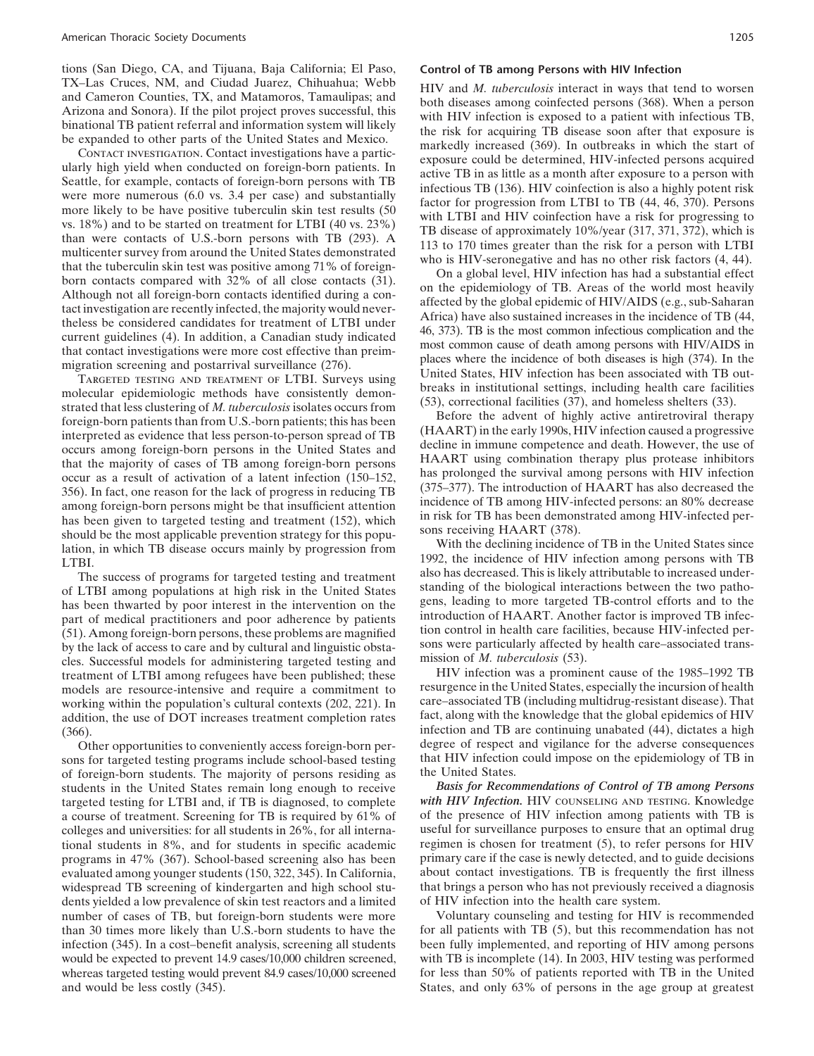tions (San Diego, CA, and Tijuana, Baja California; El Paso, TX–Las Cruces, NM, and Ciudad Juarez, Chihuahua; Webb and Cameron Counties, TX, and Matamoros, Tamaulipas; and Arizona and Sonora). If the pilot project proves successful, this binational TB patient referral and information system will likely be expanded to other parts of the United States and Mexico.

Contact investigation. Contact investigations have a particularly high yield when conducted on foreign-born patients. In Seattle, for example, contacts of foreign-born persons with TB were more numerous (6.0 vs. 3.4 per case) and substantially more likely to be have positive tuberculin skin test results (50 vs. 18%) and to be started on treatment for LTBI (40 vs. 23%) than were contacts of U.S.-born persons with TB (293). A multicenter survey from around the United States demonstrated that the tuberculin skin test was positive among 71% of foreignborn contacts compared with 32% of all close contacts (31). Although not all foreign-born contacts identified during a contact investigation are recently infected, the majority would nevertheless be considered candidates for treatment of LTBI under current guidelines (4). In addition, a Canadian study indicated that contact investigations were more cost effective than preimmigration screening and postarrival surveillance (276).

Targeted testing and treatment of LTBI. Surveys using molecular epidemiologic methods have consistently demonstrated that less clustering of *M. tuberculosis* isolates occurs from foreign-born patients than from U.S.-born patients; this has been interpreted as evidence that less person-to-person spread of TB occurs among foreign-born persons in the United States and that the majority of cases of TB among foreign-born persons occur as a result of activation of a latent infection (150–152, 356). In fact, one reason for the lack of progress in reducing TB among foreign-born persons might be that insufficient attention has been given to targeted testing and treatment (152), which should be the most applicable prevention strategy for this population, in which TB disease occurs mainly by progression from LTBI.

The success of programs for targeted testing and treatment of LTBI among populations at high risk in the United States has been thwarted by poor interest in the intervention on the part of medical practitioners and poor adherence by patients (51). Among foreign-born persons, these problems are magnified by the lack of access to care and by cultural and linguistic obstacles. Successful models for administering targeted testing and treatment of LTBI among refugees have been published; these models are resource-intensive and require a commitment to working within the population's cultural contexts (202, 221). In addition, the use of DOT increases treatment completion rates (366).

Other opportunities to conveniently access foreign-born persons for targeted testing programs include school-based testing of foreign-born students. The majority of persons residing as students in the United States remain long enough to receive targeted testing for LTBI and, if TB is diagnosed, to complete a course of treatment. Screening for TB is required by 61% of colleges and universities: for all students in 26%, for all international students in 8%, and for students in specific academic programs in 47% (367). School-based screening also has been evaluated among younger students (150, 322, 345). In California, widespread TB screening of kindergarten and high school students yielded a low prevalence of skin test reactors and a limited number of cases of TB, but foreign-born students were more than 30 times more likely than U.S.-born students to have the infection (345). In a cost–benefit analysis, screening all students would be expected to prevent 14.9 cases/10,000 children screened, whereas targeted testing would prevent 84.9 cases/10,000 screened and would be less costly (345).

### **Control of TB among Persons with HIV Infection**

HIV and *M. tuberculosis* interact in ways that tend to worsen both diseases among coinfected persons (368). When a person with HIV infection is exposed to a patient with infectious TB, the risk for acquiring TB disease soon after that exposure is markedly increased (369). In outbreaks in which the start of exposure could be determined, HIV-infected persons acquired active TB in as little as a month after exposure to a person with infectious TB (136). HIV coinfection is also a highly potent risk factor for progression from LTBI to TB (44, 46, 370). Persons with LTBI and HIV coinfection have a risk for progressing to TB disease of approximately 10%/year (317, 371, 372), which is 113 to 170 times greater than the risk for a person with LTBI who is HIV-seronegative and has no other risk factors (4, 44).

On a global level, HIV infection has had a substantial effect on the epidemiology of TB. Areas of the world most heavily affected by the global epidemic of HIV/AIDS (e.g., sub-Saharan Africa) have also sustained increases in the incidence of TB (44, 46, 373). TB is the most common infectious complication and the most common cause of death among persons with HIV/AIDS in places where the incidence of both diseases is high (374). In the United States, HIV infection has been associated with TB outbreaks in institutional settings, including health care facilities (53), correctional facilities (37), and homeless shelters (33).

Before the advent of highly active antiretroviral therapy (HAART) in the early 1990s, HIV infection caused a progressive decline in immune competence and death. However, the use of HAART using combination therapy plus protease inhibitors has prolonged the survival among persons with HIV infection (375–377). The introduction of HAART has also decreased the incidence of TB among HIV-infected persons: an 80% decrease in risk for TB has been demonstrated among HIV-infected persons receiving HAART (378).

With the declining incidence of TB in the United States since 1992, the incidence of HIV infection among persons with TB also has decreased. This is likely attributable to increased understanding of the biological interactions between the two pathogens, leading to more targeted TB-control efforts and to the introduction of HAART. Another factor is improved TB infection control in health care facilities, because HIV-infected persons were particularly affected by health care–associated transmission of *M. tuberculosis* (53).

HIV infection was a prominent cause of the 1985–1992 TB resurgence in the United States, especially the incursion of health care–associated TB (including multidrug-resistant disease). That fact, along with the knowledge that the global epidemics of HIV infection and TB are continuing unabated (44), dictates a high degree of respect and vigilance for the adverse consequences that HIV infection could impose on the epidemiology of TB in the United States.

*Basis for Recommendations of Control of TB among Persons* with HIV Infection. HIV counseling and testing. Knowledge of the presence of HIV infection among patients with TB is useful for surveillance purposes to ensure that an optimal drug regimen is chosen for treatment (5), to refer persons for HIV primary care if the case is newly detected, and to guide decisions about contact investigations. TB is frequently the first illness that brings a person who has not previously received a diagnosis of HIV infection into the health care system.

Voluntary counseling and testing for HIV is recommended for all patients with TB (5), but this recommendation has not been fully implemented, and reporting of HIV among persons with TB is incomplete (14). In 2003, HIV testing was performed for less than 50% of patients reported with TB in the United States, and only 63% of persons in the age group at greatest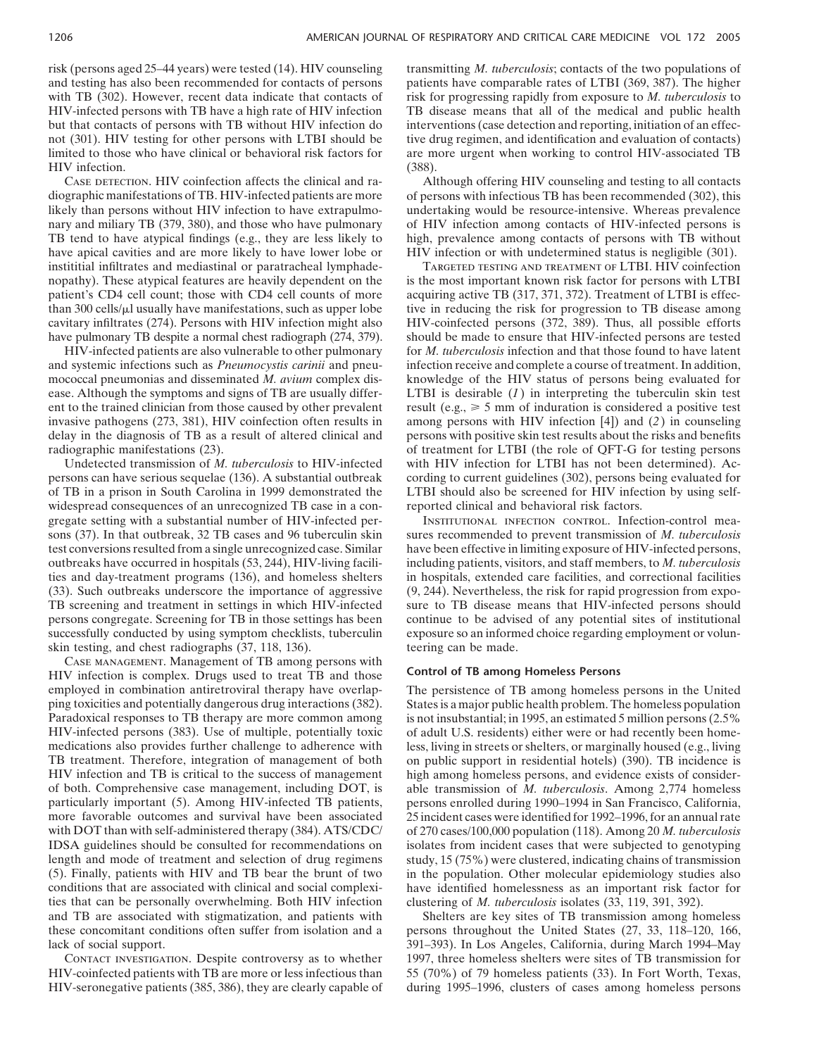risk (persons aged 25–44 years) were tested (14). HIV counseling and testing has also been recommended for contacts of persons with TB (302). However, recent data indicate that contacts of HIV-infected persons with TB have a high rate of HIV infection but that contacts of persons with TB without HIV infection do not (301). HIV testing for other persons with LTBI should be limited to those who have clinical or behavioral risk factors for HIV infection.

CASE DETECTION. HIV coinfection affects the clinical and radiographic manifestations of TB. HIV-infected patients are more likely than persons without HIV infection to have extrapulmonary and miliary TB (379, 380), and those who have pulmonary TB tend to have atypical findings (e.g., they are less likely to have apical cavities and are more likely to have lower lobe or instititial infiltrates and mediastinal or paratracheal lymphadenopathy). These atypical features are heavily dependent on the patient's CD4 cell count; those with CD4 cell counts of more than 300 cells/ $\mu$ l usually have manifestations, such as upper lobe cavitary infiltrates (274). Persons with HIV infection might also have pulmonary TB despite a normal chest radiograph (274, 379).

HIV-infected patients are also vulnerable to other pulmonary and systemic infections such as *Pneumocystis carinii* and pneumococcal pneumonias and disseminated *M. avium* complex disease. Although the symptoms and signs of TB are usually different to the trained clinician from those caused by other prevalent invasive pathogens (273, 381), HIV coinfection often results in delay in the diagnosis of TB as a result of altered clinical and radiographic manifestations (23).

Undetected transmission of *M. tuberculosis* to HIV-infected persons can have serious sequelae (136). A substantial outbreak of TB in a prison in South Carolina in 1999 demonstrated the widespread consequences of an unrecognized TB case in a congregate setting with a substantial number of HIV-infected persons (37). In that outbreak, 32 TB cases and 96 tuberculin skin test conversions resulted from a single unrecognized case. Similar outbreaks have occurred in hospitals (53, 244), HIV-living facilities and day-treatment programs (136), and homeless shelters (33). Such outbreaks underscore the importance of aggressive TB screening and treatment in settings in which HIV-infected persons congregate. Screening for TB in those settings has been successfully conducted by using symptom checklists, tuberculin skin testing, and chest radiographs (37, 118, 136).

Case management. Management of TB among persons with HIV infection is complex. Drugs used to treat TB and those employed in combination antiretroviral therapy have overlapping toxicities and potentially dangerous drug interactions (382). Paradoxical responses to TB therapy are more common among HIV-infected persons (383). Use of multiple, potentially toxic medications also provides further challenge to adherence with TB treatment. Therefore, integration of management of both HIV infection and TB is critical to the success of management of both. Comprehensive case management, including DOT, is particularly important (5). Among HIV-infected TB patients, more favorable outcomes and survival have been associated with DOT than with self-administered therapy (384). ATS/CDC/ IDSA guidelines should be consulted for recommendations on length and mode of treatment and selection of drug regimens (5). Finally, patients with HIV and TB bear the brunt of two conditions that are associated with clinical and social complexities that can be personally overwhelming. Both HIV infection and TB are associated with stigmatization, and patients with these concomitant conditions often suffer from isolation and a lack of social support.

CONTACT INVESTIGATION. Despite controversy as to whether HIV-coinfected patients with TB are more or less infectious than HIV-seronegative patients (385, 386), they are clearly capable of

transmitting *M. tuberculosis*; contacts of the two populations of patients have comparable rates of LTBI (369, 387). The higher risk for progressing rapidly from exposure to *M. tuberculosis* to TB disease means that all of the medical and public health interventions (case detection and reporting, initiation of an effective drug regimen, and identification and evaluation of contacts) are more urgent when working to control HIV-associated TB (388).

Although offering HIV counseling and testing to all contacts of persons with infectious TB has been recommended (302), this undertaking would be resource-intensive. Whereas prevalence of HIV infection among contacts of HIV-infected persons is high, prevalence among contacts of persons with TB without HIV infection or with undetermined status is negligible (301).

Targeted testing and treatment of LTBI. HIV coinfection is the most important known risk factor for persons with LTBI acquiring active TB (317, 371, 372). Treatment of LTBI is effective in reducing the risk for progression to TB disease among HIV-coinfected persons (372, 389). Thus, all possible efforts should be made to ensure that HIV-infected persons are tested for *M. tuberculosis* infection and that those found to have latent infection receive and complete a course of treatment. In addition, knowledge of the HIV status of persons being evaluated for LTBI is desirable (*1*) in interpreting the tuberculin skin test result (e.g.,  $\geq 5$  mm of induration is considered a positive test among persons with HIV infection [4]) and (*2*) in counseling persons with positive skin test results about the risks and benefits of treatment for LTBI (the role of QFT-G for testing persons with HIV infection for LTBI has not been determined). According to current guidelines (302), persons being evaluated for LTBI should also be screened for HIV infection by using selfreported clinical and behavioral risk factors.

INSTITUTIONAL INFECTION CONTROL. Infection-control measures recommended to prevent transmission of *M. tuberculosis* have been effective in limiting exposure of HIV-infected persons, including patients, visitors, and staff members, to *M. tuberculosis* in hospitals, extended care facilities, and correctional facilities (9, 244). Nevertheless, the risk for rapid progression from exposure to TB disease means that HIV-infected persons should continue to be advised of any potential sites of institutional exposure so an informed choice regarding employment or volunteering can be made.

#### **Control of TB among Homeless Persons**

The persistence of TB among homeless persons in the United States is a major public health problem. The homeless population is not insubstantial; in 1995, an estimated 5 million persons (2.5% of adult U.S. residents) either were or had recently been homeless, living in streets or shelters, or marginally housed (e.g., living on public support in residential hotels) (390). TB incidence is high among homeless persons, and evidence exists of considerable transmission of *M. tuberculosis*. Among 2,774 homeless persons enrolled during 1990–1994 in San Francisco, California, 25 incident cases were identified for 1992–1996, for an annual rate of 270 cases/100,000 population (118). Among 20 *M. tuberculosis* isolates from incident cases that were subjected to genotyping study, 15 (75%) were clustered, indicating chains of transmission in the population. Other molecular epidemiology studies also have identified homelessness as an important risk factor for clustering of *M. tuberculosis* isolates (33, 119, 391, 392).

Shelters are key sites of TB transmission among homeless persons throughout the United States (27, 33, 118–120, 166, 391–393). In Los Angeles, California, during March 1994–May 1997, three homeless shelters were sites of TB transmission for 55 (70%) of 79 homeless patients (33). In Fort Worth, Texas, during 1995–1996, clusters of cases among homeless persons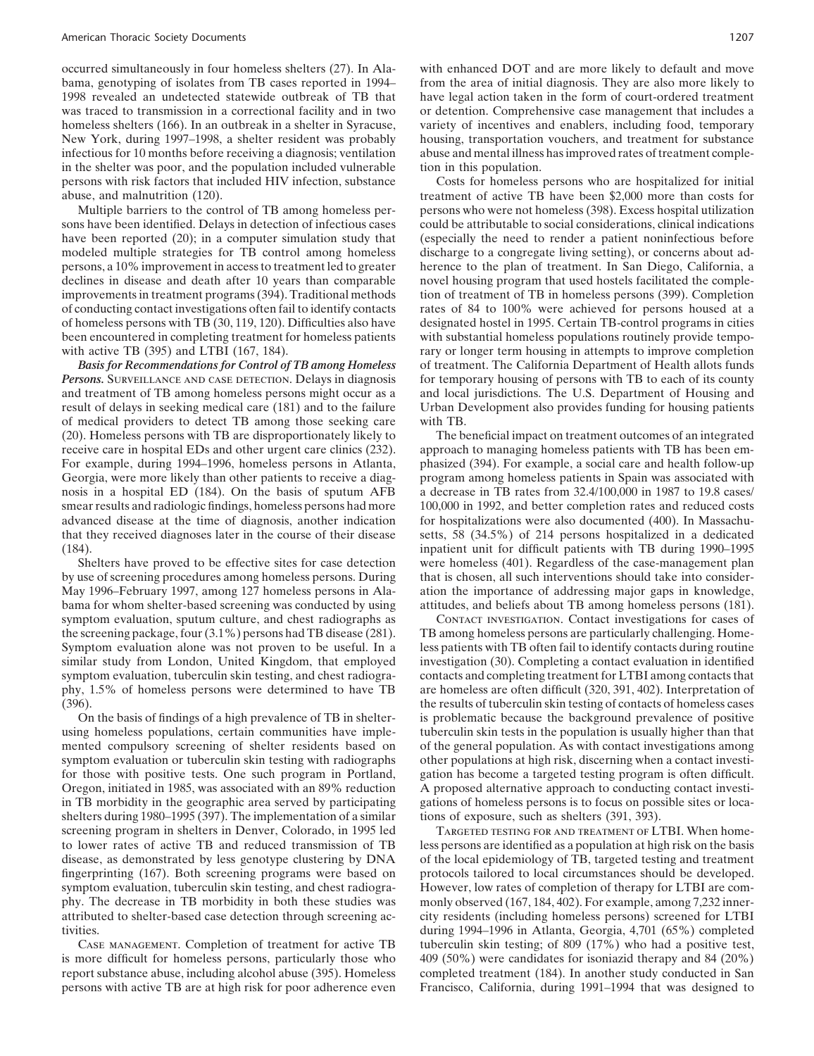occurred simultaneously in four homeless shelters (27). In Alabama, genotyping of isolates from TB cases reported in 1994– 1998 revealed an undetected statewide outbreak of TB that was traced to transmission in a correctional facility and in two homeless shelters (166). In an outbreak in a shelter in Syracuse, New York, during 1997–1998, a shelter resident was probably infectious for 10 months before receiving a diagnosis; ventilation in the shelter was poor, and the population included vulnerable persons with risk factors that included HIV infection, substance abuse, and malnutrition (120).

Multiple barriers to the control of TB among homeless persons have been identified. Delays in detection of infectious cases have been reported (20); in a computer simulation study that modeled multiple strategies for TB control among homeless persons, a 10% improvement in access to treatment led to greater declines in disease and death after 10 years than comparable improvements in treatment programs (394). Traditional methods of conducting contact investigations often fail to identify contacts of homeless persons with TB (30, 119, 120). Difficulties also have been encountered in completing treatment for homeless patients with active TB (395) and LTBI (167, 184).

*Basis for Recommendations for Control of TB among Homeless* Persons. SURVEILLANCE AND CASE DETECTION. Delays in diagnosis and treatment of TB among homeless persons might occur as a result of delays in seeking medical care (181) and to the failure of medical providers to detect TB among those seeking care (20). Homeless persons with TB are disproportionately likely to receive care in hospital EDs and other urgent care clinics (232). For example, during 1994–1996, homeless persons in Atlanta, Georgia, were more likely than other patients to receive a diagnosis in a hospital ED (184). On the basis of sputum AFB smear results and radiologic findings, homeless persons had more advanced disease at the time of diagnosis, another indication that they received diagnoses later in the course of their disease (184).

Shelters have proved to be effective sites for case detection by use of screening procedures among homeless persons. During May 1996–February 1997, among 127 homeless persons in Alabama for whom shelter-based screening was conducted by using symptom evaluation, sputum culture, and chest radiographs as the screening package, four (3.1%) persons had TB disease (281). Symptom evaluation alone was not proven to be useful. In a similar study from London, United Kingdom, that employed symptom evaluation, tuberculin skin testing, and chest radiography, 1.5% of homeless persons were determined to have TB (396).

On the basis of findings of a high prevalence of TB in shelterusing homeless populations, certain communities have implemented compulsory screening of shelter residents based on symptom evaluation or tuberculin skin testing with radiographs for those with positive tests. One such program in Portland, Oregon, initiated in 1985, was associated with an 89% reduction in TB morbidity in the geographic area served by participating shelters during 1980–1995 (397). The implementation of a similar screening program in shelters in Denver, Colorado, in 1995 led to lower rates of active TB and reduced transmission of TB disease, as demonstrated by less genotype clustering by DNA fingerprinting (167). Both screening programs were based on symptom evaluation, tuberculin skin testing, and chest radiography. The decrease in TB morbidity in both these studies was attributed to shelter-based case detection through screening activities.

Case management. Completion of treatment for active TB is more difficult for homeless persons, particularly those who report substance abuse, including alcohol abuse (395). Homeless persons with active TB are at high risk for poor adherence even with enhanced DOT and are more likely to default and move from the area of initial diagnosis. They are also more likely to have legal action taken in the form of court-ordered treatment or detention. Comprehensive case management that includes a variety of incentives and enablers, including food, temporary housing, transportation vouchers, and treatment for substance abuse and mental illness has improved rates of treatment completion in this population.

Costs for homeless persons who are hospitalized for initial treatment of active TB have been \$2,000 more than costs for persons who were not homeless (398). Excess hospital utilization could be attributable to social considerations, clinical indications (especially the need to render a patient noninfectious before discharge to a congregate living setting), or concerns about adherence to the plan of treatment. In San Diego, California, a novel housing program that used hostels facilitated the completion of treatment of TB in homeless persons (399). Completion rates of 84 to 100% were achieved for persons housed at a designated hostel in 1995. Certain TB-control programs in cities with substantial homeless populations routinely provide temporary or longer term housing in attempts to improve completion of treatment. The California Department of Health allots funds for temporary housing of persons with TB to each of its county and local jurisdictions. The U.S. Department of Housing and Urban Development also provides funding for housing patients with TB.

The beneficial impact on treatment outcomes of an integrated approach to managing homeless patients with TB has been emphasized (394). For example, a social care and health follow-up program among homeless patients in Spain was associated with a decrease in TB rates from 32.4/100,000 in 1987 to 19.8 cases/ 100,000 in 1992, and better completion rates and reduced costs for hospitalizations were also documented (400). In Massachusetts, 58 (34.5%) of 214 persons hospitalized in a dedicated inpatient unit for difficult patients with TB during 1990–1995 were homeless (401). Regardless of the case-management plan that is chosen, all such interventions should take into consideration the importance of addressing major gaps in knowledge, attitudes, and beliefs about TB among homeless persons (181).

Contact investigation. Contact investigations for cases of TB among homeless persons are particularly challenging. Homeless patients with TB often fail to identify contacts during routine investigation (30). Completing a contact evaluation in identified contacts and completing treatment for LTBI among contacts that are homeless are often difficult (320, 391, 402). Interpretation of the results of tuberculin skin testing of contacts of homeless cases is problematic because the background prevalence of positive tuberculin skin tests in the population is usually higher than that of the general population. As with contact investigations among other populations at high risk, discerning when a contact investigation has become a targeted testing program is often difficult. A proposed alternative approach to conducting contact investigations of homeless persons is to focus on possible sites or locations of exposure, such as shelters (391, 393).

Targeted testing for and treatment of LTBI. When homeless persons are identified as a population at high risk on the basis of the local epidemiology of TB, targeted testing and treatment protocols tailored to local circumstances should be developed. However, low rates of completion of therapy for LTBI are commonly observed (167, 184, 402). For example, among 7,232 innercity residents (including homeless persons) screened for LTBI during 1994–1996 in Atlanta, Georgia, 4,701 (65%) completed tuberculin skin testing; of 809 (17%) who had a positive test, 409 (50%) were candidates for isoniazid therapy and 84 (20%) completed treatment (184). In another study conducted in San Francisco, California, during 1991–1994 that was designed to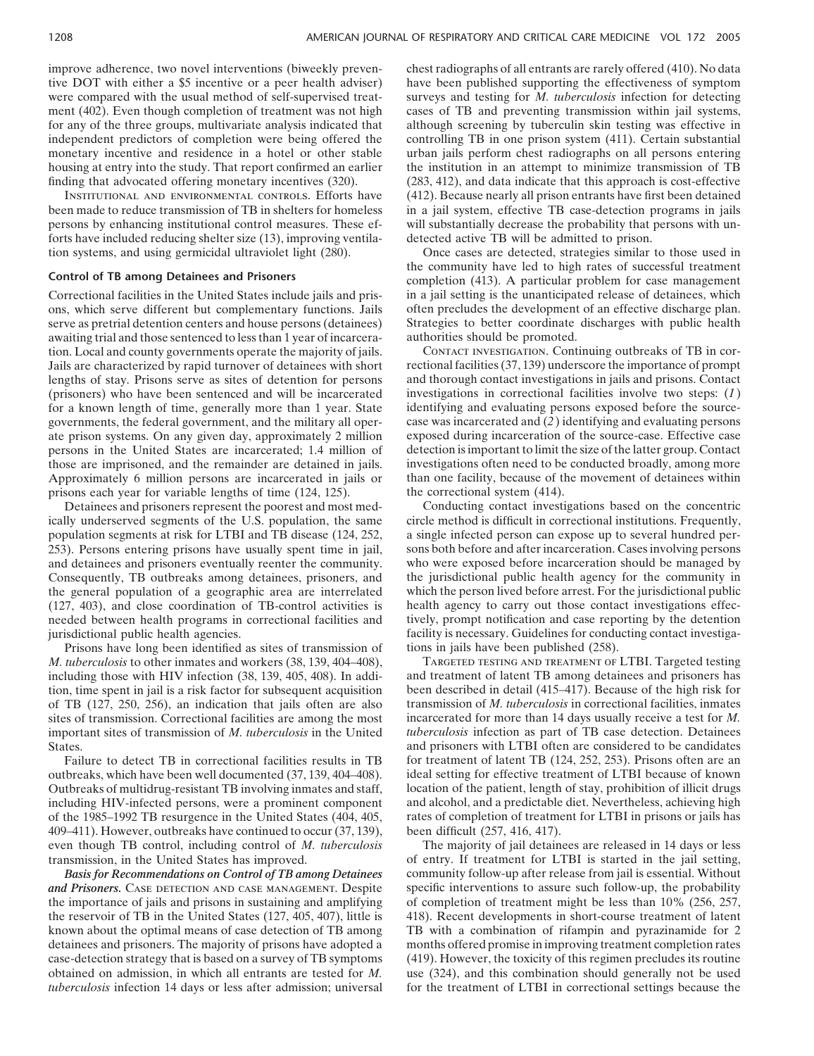improve adherence, two novel interventions (biweekly preventive DOT with either a \$5 incentive or a peer health adviser) were compared with the usual method of self-supervised treatment (402). Even though completion of treatment was not high for any of the three groups, multivariate analysis indicated that independent predictors of completion were being offered the monetary incentive and residence in a hotel or other stable housing at entry into the study. That report confirmed an earlier finding that advocated offering monetary incentives (320).

Institutional and environmental controls. Efforts have been made to reduce transmission of TB in shelters for homeless persons by enhancing institutional control measures. These efforts have included reducing shelter size (13), improving ventilation systems, and using germicidal ultraviolet light (280).

#### **Control of TB among Detainees and Prisoners**

Correctional facilities in the United States include jails and prisons, which serve different but complementary functions. Jails serve as pretrial detention centers and house persons (detainees) awaiting trial and those sentenced to less than 1 year of incarceration. Local and county governments operate the majority of jails. Jails are characterized by rapid turnover of detainees with short lengths of stay. Prisons serve as sites of detention for persons (prisoners) who have been sentenced and will be incarcerated for a known length of time, generally more than 1 year. State governments, the federal government, and the military all operate prison systems. On any given day, approximately 2 million persons in the United States are incarcerated; 1.4 million of those are imprisoned, and the remainder are detained in jails. Approximately 6 million persons are incarcerated in jails or prisons each year for variable lengths of time (124, 125).

Detainees and prisoners represent the poorest and most medically underserved segments of the U.S. population, the same population segments at risk for LTBI and TB disease (124, 252, 253). Persons entering prisons have usually spent time in jail, and detainees and prisoners eventually reenter the community. Consequently, TB outbreaks among detainees, prisoners, and the general population of a geographic area are interrelated (127, 403), and close coordination of TB-control activities is needed between health programs in correctional facilities and jurisdictional public health agencies.

Prisons have long been identified as sites of transmission of *M. tuberculosis* to other inmates and workers (38, 139, 404–408), including those with HIV infection (38, 139, 405, 408). In addition, time spent in jail is a risk factor for subsequent acquisition of TB (127, 250, 256), an indication that jails often are also sites of transmission. Correctional facilities are among the most important sites of transmission of *M. tuberculosis* in the United States.

Failure to detect TB in correctional facilities results in TB outbreaks, which have been well documented (37, 139, 404–408). Outbreaks of multidrug-resistant TB involving inmates and staff, including HIV-infected persons, were a prominent component of the 1985–1992 TB resurgence in the United States (404, 405, 409–411). However, outbreaks have continued to occur (37, 139), even though TB control, including control of *M. tuberculosis* transmission, in the United States has improved.

*Basis for Recommendations on Control of TB among Detainees* and Prisoners. CASE DETECTION AND CASE MANAGEMENT. Despite the importance of jails and prisons in sustaining and amplifying the reservoir of TB in the United States (127, 405, 407), little is known about the optimal means of case detection of TB among detainees and prisoners. The majority of prisons have adopted a case-detection strategy that is based on a survey of TB symptoms obtained on admission, in which all entrants are tested for *M. tuberculosis* infection 14 days or less after admission; universal

chest radiographs of all entrants are rarely offered (410). No data have been published supporting the effectiveness of symptom surveys and testing for *M. tuberculosis* infection for detecting cases of TB and preventing transmission within jail systems, although screening by tuberculin skin testing was effective in controlling TB in one prison system (411). Certain substantial urban jails perform chest radiographs on all persons entering the institution in an attempt to minimize transmission of TB (283, 412), and data indicate that this approach is cost-effective (412). Because nearly all prison entrants have first been detained in a jail system, effective TB case-detection programs in jails will substantially decrease the probability that persons with undetected active TB will be admitted to prison.

Once cases are detected, strategies similar to those used in the community have led to high rates of successful treatment completion (413). A particular problem for case management in a jail setting is the unanticipated release of detainees, which often precludes the development of an effective discharge plan. Strategies to better coordinate discharges with public health authorities should be promoted.

Contact investigation. Continuing outbreaks of TB in correctional facilities (37, 139) underscore the importance of prompt and thorough contact investigations in jails and prisons. Contact investigations in correctional facilities involve two steps: (*1*) identifying and evaluating persons exposed before the sourcecase was incarcerated and (*2*) identifying and evaluating persons exposed during incarceration of the source-case. Effective case detection is important to limit the size of the latter group. Contact investigations often need to be conducted broadly, among more than one facility, because of the movement of detainees within the correctional system (414).

Conducting contact investigations based on the concentric circle method is difficult in correctional institutions. Frequently, a single infected person can expose up to several hundred persons both before and after incarceration. Cases involving persons who were exposed before incarceration should be managed by the jurisdictional public health agency for the community in which the person lived before arrest. For the jurisdictional public health agency to carry out those contact investigations effectively, prompt notification and case reporting by the detention facility is necessary. Guidelines for conducting contact investigations in jails have been published (258).

Targeted testing and treatment of LTBI. Targeted testing and treatment of latent TB among detainees and prisoners has been described in detail (415–417). Because of the high risk for transmission of *M. tuberculosis* in correctional facilities, inmates incarcerated for more than 14 days usually receive a test for *M. tuberculosis* infection as part of TB case detection. Detainees and prisoners with LTBI often are considered to be candidates for treatment of latent TB (124, 252, 253). Prisons often are an ideal setting for effective treatment of LTBI because of known location of the patient, length of stay, prohibition of illicit drugs and alcohol, and a predictable diet. Nevertheless, achieving high rates of completion of treatment for LTBI in prisons or jails has been difficult (257, 416, 417).

The majority of jail detainees are released in 14 days or less of entry. If treatment for LTBI is started in the jail setting, community follow-up after release from jail is essential. Without specific interventions to assure such follow-up, the probability of completion of treatment might be less than 10% (256, 257, 418). Recent developments in short-course treatment of latent TB with a combination of rifampin and pyrazinamide for 2 months offered promise in improving treatment completion rates (419). However, the toxicity of this regimen precludes its routine use (324), and this combination should generally not be used for the treatment of LTBI in correctional settings because the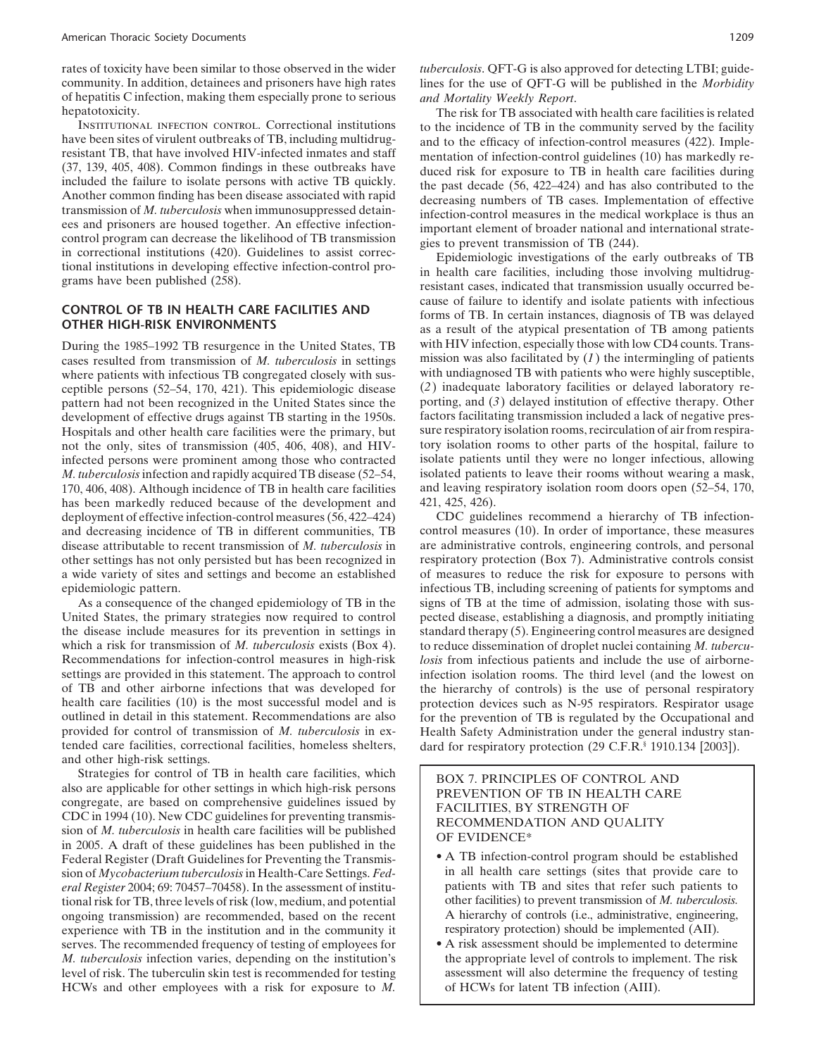rates of toxicity have been similar to those observed in the wider community. In addition, detainees and prisoners have high rates of hepatitis C infection, making them especially prone to serious hepatotoxicity.

Institutional infection control. Correctional institutions have been sites of virulent outbreaks of TB, including multidrugresistant TB, that have involved HIV-infected inmates and staff (37, 139, 405, 408). Common findings in these outbreaks have included the failure to isolate persons with active TB quickly. Another common finding has been disease associated with rapid transmission of *M. tuberculosis* when immunosuppressed detainees and prisoners are housed together. An effective infectioncontrol program can decrease the likelihood of TB transmission in correctional institutions (420). Guidelines to assist correctional institutions in developing effective infection-control programs have been published (258).

# **CONTROL OF TB IN HEALTH CARE FACILITIES AND OTHER HIGH-RISK ENVIRONMENTS**

During the 1985–1992 TB resurgence in the United States, TB cases resulted from transmission of *M. tuberculosis* in settings where patients with infectious TB congregated closely with susceptible persons (52–54, 170, 421). This epidemiologic disease pattern had not been recognized in the United States since the development of effective drugs against TB starting in the 1950s. Hospitals and other health care facilities were the primary, but not the only, sites of transmission (405, 406, 408), and HIVinfected persons were prominent among those who contracted *M. tuberculosis*infection and rapidly acquired TB disease (52–54, 170, 406, 408). Although incidence of TB in health care facilities has been markedly reduced because of the development and deployment of effective infection-control measures (56, 422–424) and decreasing incidence of TB in different communities, TB disease attributable to recent transmission of *M. tuberculosis* in other settings has not only persisted but has been recognized in a wide variety of sites and settings and become an established epidemiologic pattern.

As a consequence of the changed epidemiology of TB in the United States, the primary strategies now required to control the disease include measures for its prevention in settings in which a risk for transmission of *M. tuberculosis* exists (Box 4). Recommendations for infection-control measures in high-risk settings are provided in this statement. The approach to control of TB and other airborne infections that was developed for health care facilities (10) is the most successful model and is outlined in detail in this statement. Recommendations are also provided for control of transmission of *M. tuberculosis* in extended care facilities, correctional facilities, homeless shelters, and other high-risk settings.

Strategies for control of TB in health care facilities, which also are applicable for other settings in which high-risk persons congregate, are based on comprehensive guidelines issued by CDC in 1994 (10). New CDC guidelines for preventing transmission of *M. tuberculosis* in health care facilities will be published in 2005. A draft of these guidelines has been published in the Federal Register (Draft Guidelines for Preventing the Transmission of *Mycobacterium tuberculosis*in Health-Care Settings. *Federal Register* 2004; 69: 70457–70458). In the assessment of institutional risk for TB, three levels of risk (low, medium, and potential ongoing transmission) are recommended, based on the recent experience with TB in the institution and in the community it serves. The recommended frequency of testing of employees for *M. tuberculosis* infection varies, depending on the institution's level of risk. The tuberculin skin test is recommended for testing HCWs and other employees with a risk for exposure to *M.* *tuberculosis*. QFT-G is also approved for detecting LTBI; guidelines for the use of QFT-G will be published in the *Morbidity and Mortality Weekly Report*.

The risk for TB associated with health care facilities is related to the incidence of TB in the community served by the facility and to the efficacy of infection-control measures (422). Implementation of infection-control guidelines (10) has markedly reduced risk for exposure to TB in health care facilities during the past decade (56, 422–424) and has also contributed to the decreasing numbers of TB cases. Implementation of effective infection-control measures in the medical workplace is thus an important element of broader national and international strategies to prevent transmission of TB (244).

Epidemiologic investigations of the early outbreaks of TB in health care facilities, including those involving multidrugresistant cases, indicated that transmission usually occurred because of failure to identify and isolate patients with infectious forms of TB. In certain instances, diagnosis of TB was delayed as a result of the atypical presentation of TB among patients with HIV infection, especially those with low CD4 counts. Transmission was also facilitated by  $(1)$  the intermingling of patients with undiagnosed TB with patients who were highly susceptible, (*2*) inadequate laboratory facilities or delayed laboratory reporting, and (*3*) delayed institution of effective therapy. Other factors facilitating transmission included a lack of negative pressure respiratory isolation rooms, recirculation of air from respiratory isolation rooms to other parts of the hospital, failure to isolate patients until they were no longer infectious, allowing isolated patients to leave their rooms without wearing a mask, and leaving respiratory isolation room doors open (52–54, 170, 421, 425, 426).

CDC guidelines recommend a hierarchy of TB infectioncontrol measures (10). In order of importance, these measures are administrative controls, engineering controls, and personal respiratory protection (Box 7). Administrative controls consist of measures to reduce the risk for exposure to persons with infectious TB, including screening of patients for symptoms and signs of TB at the time of admission, isolating those with suspected disease, establishing a diagnosis, and promptly initiating standard therapy (5). Engineering control measures are designed to reduce dissemination of droplet nuclei containing *M. tuberculosis* from infectious patients and include the use of airborneinfection isolation rooms. The third level (and the lowest on the hierarchy of controls) is the use of personal respiratory protection devices such as N-95 respirators. Respirator usage for the prevention of TB is regulated by the Occupational and Health Safety Administration under the general industry standard for respiratory protection (29 C.F.R.<sup>§</sup> 1910.134 [2003]).

# BOX 7. PRINCIPLES OF CONTROL AND PREVENTION OF TB IN HEALTH CARE FACILITIES, BY STRENGTH OF RECOMMENDATION AND QUALITY OF EVIDENCE\*

- A TB infection-control program should be established in all health care settings (sites that provide care to patients with TB and sites that refer such patients to other facilities) to prevent transmission of *M. tuberculosis.* A hierarchy of controls (i.e., administrative, engineering, respiratory protection) should be implemented (AII).
- A risk assessment should be implemented to determine the appropriate level of controls to implement. The risk assessment will also determine the frequency of testing of HCWs for latent TB infection (AIII).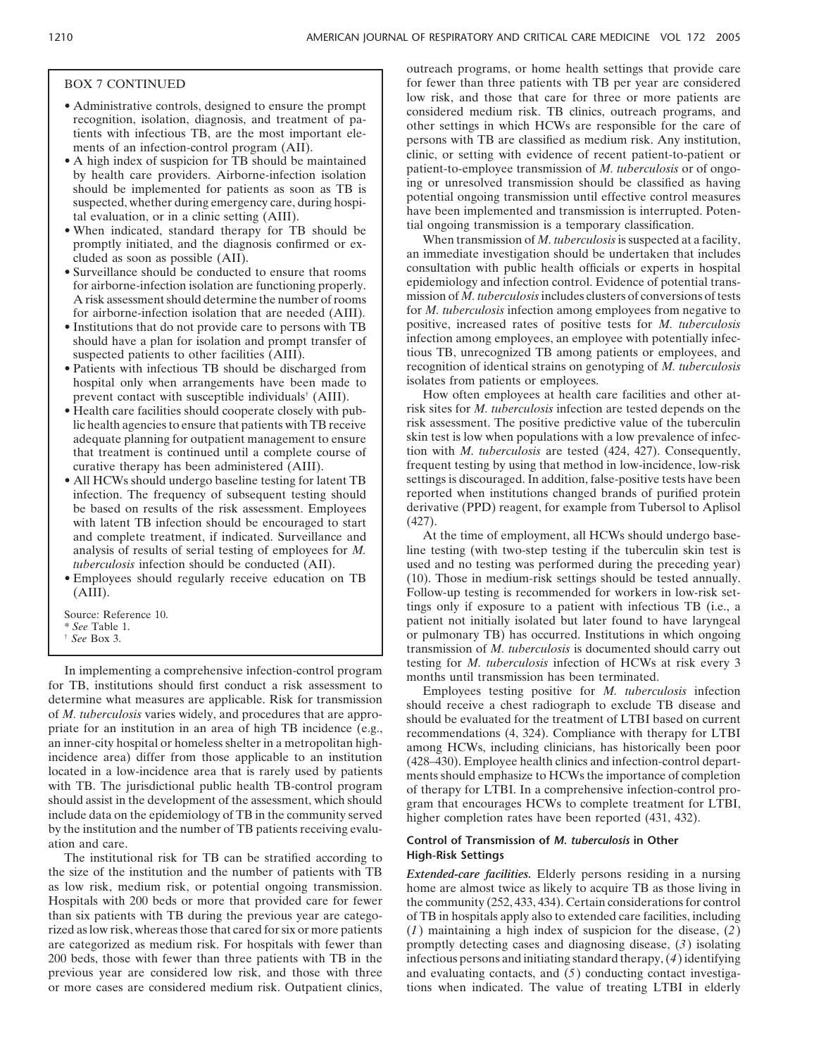#### BOX 7 CONTINUED

- Administrative controls, designed to ensure the prompt recognition, isolation, diagnosis, and treatment of patients with infectious TB, are the most important elements of an infection-control program (AII).
- A high index of suspicion for TB should be maintained by health care providers. Airborne-infection isolation should be implemented for patients as soon as TB is suspected, whether during emergency care, during hospital evaluation, or in a clinic setting (AIII).
- When indicated, standard therapy for TB should be promptly initiated, and the diagnosis confirmed or excluded as soon as possible (AII).
- Surveillance should be conducted to ensure that rooms for airborne-infection isolation are functioning properly. A risk assessment should determine the number of rooms for airborne-infection isolation that are needed (AIII).
- Institutions that do not provide care to persons with TB should have a plan for isolation and prompt transfer of suspected patients to other facilities (AIII).
- Patients with infectious TB should be discharged from hospital only when arrangements have been made to prevent contact with susceptible individuals† (AIII).
- Health care facilities should cooperate closely with public health agencies to ensure that patients with TB receive adequate planning for outpatient management to ensure that treatment is continued until a complete course of curative therapy has been administered (AIII).
- All HCWs should undergo baseline testing for latent TB infection. The frequency of subsequent testing should be based on results of the risk assessment. Employees with latent TB infection should be encouraged to start and complete treatment, if indicated. Surveillance and analysis of results of serial testing of employees for *M. tuberculosis* infection should be conducted (AII).
- Employees should regularly receive education on TB (AIII).

Source: Reference 10. \* *See* Table 1.

† *See* Box 3.

In implementing a comprehensive infection-control program for TB, institutions should first conduct a risk assessment to determine what measures are applicable. Risk for transmission of *M. tuberculosis* varies widely, and procedures that are appropriate for an institution in an area of high TB incidence (e.g., an inner-city hospital or homeless shelter in a metropolitan highincidence area) differ from those applicable to an institution located in a low-incidence area that is rarely used by patients with TB. The jurisdictional public health TB-control program should assist in the development of the assessment, which should include data on the epidemiology of TB in the community served by the institution and the number of TB patients receiving evaluation and care.

The institutional risk for TB can be stratified according to the size of the institution and the number of patients with TB as low risk, medium risk, or potential ongoing transmission. Hospitals with 200 beds or more that provided care for fewer than six patients with TB during the previous year are categorized as low risk, whereas those that cared for six or more patients are categorized as medium risk. For hospitals with fewer than 200 beds, those with fewer than three patients with TB in the previous year are considered low risk, and those with three or more cases are considered medium risk. Outpatient clinics,

outreach programs, or home health settings that provide care for fewer than three patients with TB per year are considered low risk, and those that care for three or more patients are considered medium risk. TB clinics, outreach programs, and other settings in which HCWs are responsible for the care of persons with TB are classified as medium risk. Any institution, clinic, or setting with evidence of recent patient-to-patient or patient-to-employee transmission of *M. tuberculosis* or of ongoing or unresolved transmission should be classified as having potential ongoing transmission until effective control measures have been implemented and transmission is interrupted. Potential ongoing transmission is a temporary classification.

When transmission of *M. tuberculosis*is suspected at a facility, an immediate investigation should be undertaken that includes consultation with public health officials or experts in hospital epidemiology and infection control. Evidence of potential transmission of *M. tuberculosis*includes clusters of conversions of tests for *M. tuberculosis* infection among employees from negative to positive, increased rates of positive tests for *M. tuberculosis* infection among employees, an employee with potentially infectious TB, unrecognized TB among patients or employees, and recognition of identical strains on genotyping of *M. tuberculosis* isolates from patients or employees.

How often employees at health care facilities and other atrisk sites for *M. tuberculosis* infection are tested depends on the risk assessment. The positive predictive value of the tuberculin skin test is low when populations with a low prevalence of infection with *M. tuberculosis* are tested (424, 427). Consequently, frequent testing by using that method in low-incidence, low-risk settings is discouraged. In addition, false-positive tests have been reported when institutions changed brands of purified protein derivative (PPD) reagent, for example from Tubersol to Aplisol (427).

At the time of employment, all HCWs should undergo baseline testing (with two-step testing if the tuberculin skin test is used and no testing was performed during the preceding year) (10). Those in medium-risk settings should be tested annually. Follow-up testing is recommended for workers in low-risk settings only if exposure to a patient with infectious TB (i.e., a patient not initially isolated but later found to have laryngeal or pulmonary TB) has occurred. Institutions in which ongoing transmission of *M. tuberculosis* is documented should carry out testing for *M. tuberculosis* infection of HCWs at risk every 3 months until transmission has been terminated.

Employees testing positive for *M. tuberculosis* infection should receive a chest radiograph to exclude TB disease and should be evaluated for the treatment of LTBI based on current recommendations (4, 324). Compliance with therapy for LTBI among HCWs, including clinicians, has historically been poor (428–430). Employee health clinics and infection-control departments should emphasize to HCWs the importance of completion of therapy for LTBI. In a comprehensive infection-control program that encourages HCWs to complete treatment for LTBI, higher completion rates have been reported (431, 432).

### **Control of Transmission of** *M. tuberculosis* **in Other High-Risk Settings**

*Extended-care facilities.* Elderly persons residing in a nursing home are almost twice as likely to acquire TB as those living in the community (252, 433, 434). Certain considerations for control of TB in hospitals apply also to extended care facilities, including (*1*) maintaining a high index of suspicion for the disease, (*2*) promptly detecting cases and diagnosing disease, (*3*) isolating infectious persons and initiating standard therapy, (*4*) identifying and evaluating contacts, and (*5*) conducting contact investigations when indicated. The value of treating LTBI in elderly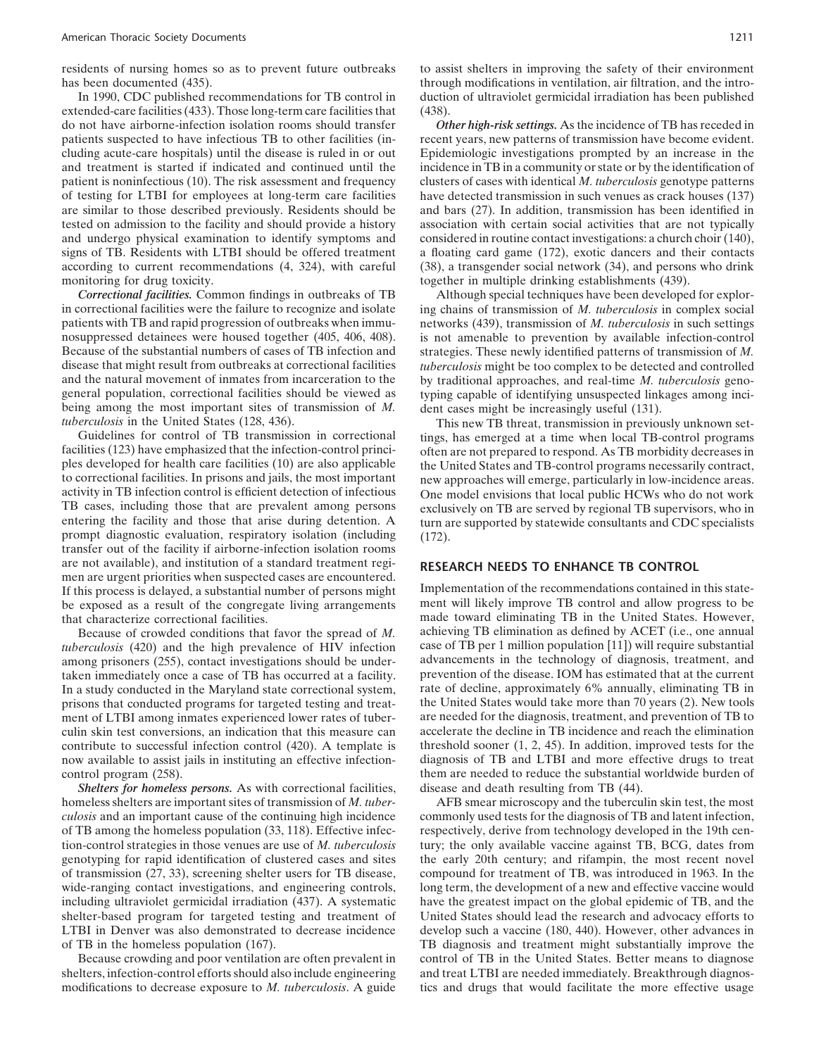residents of nursing homes so as to prevent future outbreaks has been documented (435).

In 1990, CDC published recommendations for TB control in extended-care facilities (433). Those long-term care facilities that do not have airborne-infection isolation rooms should transfer patients suspected to have infectious TB to other facilities (including acute-care hospitals) until the disease is ruled in or out and treatment is started if indicated and continued until the patient is noninfectious (10). The risk assessment and frequency of testing for LTBI for employees at long-term care facilities are similar to those described previously. Residents should be tested on admission to the facility and should provide a history and undergo physical examination to identify symptoms and signs of TB. Residents with LTBI should be offered treatment according to current recommendations (4, 324), with careful monitoring for drug toxicity.

*Correctional facilities.* Common findings in outbreaks of TB in correctional facilities were the failure to recognize and isolate patients with TB and rapid progression of outbreaks when immunosuppressed detainees were housed together (405, 406, 408). Because of the substantial numbers of cases of TB infection and disease that might result from outbreaks at correctional facilities and the natural movement of inmates from incarceration to the general population, correctional facilities should be viewed as being among the most important sites of transmission of *M. tuberculosis* in the United States (128, 436).

Guidelines for control of TB transmission in correctional facilities (123) have emphasized that the infection-control principles developed for health care facilities (10) are also applicable to correctional facilities. In prisons and jails, the most important activity in TB infection control is efficient detection of infectious TB cases, including those that are prevalent among persons entering the facility and those that arise during detention. A prompt diagnostic evaluation, respiratory isolation (including transfer out of the facility if airborne-infection isolation rooms are not available), and institution of a standard treatment regimen are urgent priorities when suspected cases are encountered. If this process is delayed, a substantial number of persons might be exposed as a result of the congregate living arrangements that characterize correctional facilities.

Because of crowded conditions that favor the spread of *M. tuberculosis* (420) and the high prevalence of HIV infection among prisoners (255), contact investigations should be undertaken immediately once a case of TB has occurred at a facility. In a study conducted in the Maryland state correctional system, prisons that conducted programs for targeted testing and treatment of LTBI among inmates experienced lower rates of tuberculin skin test conversions, an indication that this measure can contribute to successful infection control (420). A template is now available to assist jails in instituting an effective infectioncontrol program (258).

*Shelters for homeless persons.* As with correctional facilities, homeless shelters are important sites of transmission of *M. tuberculosis* and an important cause of the continuing high incidence of TB among the homeless population (33, 118). Effective infection-control strategies in those venues are use of *M. tuberculosis* genotyping for rapid identification of clustered cases and sites of transmission (27, 33), screening shelter users for TB disease, wide-ranging contact investigations, and engineering controls, including ultraviolet germicidal irradiation (437). A systematic shelter-based program for targeted testing and treatment of LTBI in Denver was also demonstrated to decrease incidence of TB in the homeless population (167).

Because crowding and poor ventilation are often prevalent in shelters, infection-control efforts should also include engineering modifications to decrease exposure to *M. tuberculosis*. A guide to assist shelters in improving the safety of their environment through modifications in ventilation, air filtration, and the introduction of ultraviolet germicidal irradiation has been published  $(438)$ 

*Other high-risk settings.* As the incidence of TB has receded in recent years, new patterns of transmission have become evident. Epidemiologic investigations prompted by an increase in the incidence in TB in a community or state or by the identification of clusters of cases with identical *M. tuberculosis* genotype patterns have detected transmission in such venues as crack houses (137) and bars (27). In addition, transmission has been identified in association with certain social activities that are not typically considered in routine contact investigations: a church choir (140), a floating card game (172), exotic dancers and their contacts (38), a transgender social network (34), and persons who drink together in multiple drinking establishments (439).

Although special techniques have been developed for exploring chains of transmission of *M. tuberculosis* in complex social networks (439), transmission of *M. tuberculosis* in such settings is not amenable to prevention by available infection-control strategies. These newly identified patterns of transmission of *M. tuberculosis* might be too complex to be detected and controlled by traditional approaches, and real-time *M. tuberculosis* genotyping capable of identifying unsuspected linkages among incident cases might be increasingly useful (131).

This new TB threat, transmission in previously unknown settings, has emerged at a time when local TB-control programs often are not prepared to respond. As TB morbidity decreases in the United States and TB-control programs necessarily contract, new approaches will emerge, particularly in low-incidence areas. One model envisions that local public HCWs who do not work exclusively on TB are served by regional TB supervisors, who in turn are supported by statewide consultants and CDC specialists (172).

#### **RESEARCH NEEDS TO ENHANCE TB CONTROL**

Implementation of the recommendations contained in this statement will likely improve TB control and allow progress to be made toward eliminating TB in the United States. However, achieving TB elimination as defined by ACET (i.e., one annual case of TB per 1 million population [11]) will require substantial advancements in the technology of diagnosis, treatment, and prevention of the disease. IOM has estimated that at the current rate of decline, approximately 6% annually, eliminating TB in the United States would take more than 70 years (2). New tools are needed for the diagnosis, treatment, and prevention of TB to accelerate the decline in TB incidence and reach the elimination threshold sooner (1, 2, 45). In addition, improved tests for the diagnosis of TB and LTBI and more effective drugs to treat them are needed to reduce the substantial worldwide burden of disease and death resulting from TB (44).

AFB smear microscopy and the tuberculin skin test, the most commonly used tests for the diagnosis of TB and latent infection, respectively, derive from technology developed in the 19th century; the only available vaccine against TB, BCG, dates from the early 20th century; and rifampin, the most recent novel compound for treatment of TB, was introduced in 1963. In the long term, the development of a new and effective vaccine would have the greatest impact on the global epidemic of TB, and the United States should lead the research and advocacy efforts to develop such a vaccine (180, 440). However, other advances in TB diagnosis and treatment might substantially improve the control of TB in the United States. Better means to diagnose and treat LTBI are needed immediately. Breakthrough diagnostics and drugs that would facilitate the more effective usage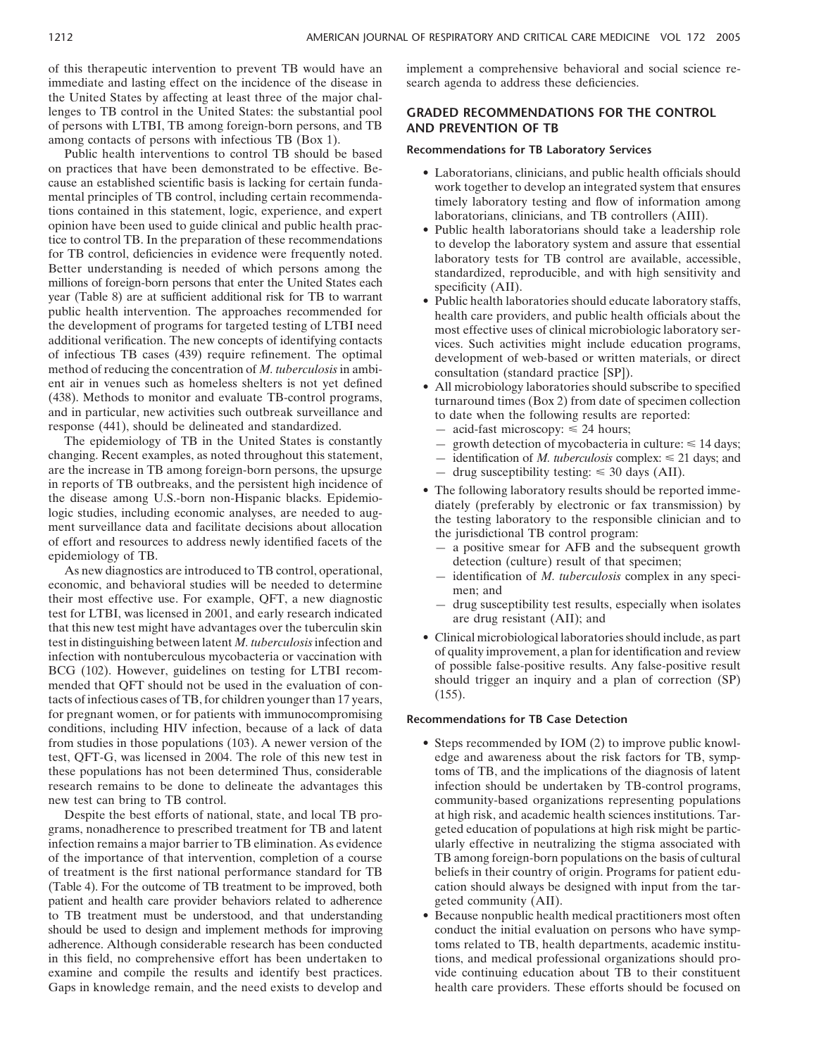of this therapeutic intervention to prevent TB would have an immediate and lasting effect on the incidence of the disease in the United States by affecting at least three of the major challenges to TB control in the United States: the substantial pool of persons with LTBI, TB among foreign-born persons, and TB among contacts of persons with infectious TB (Box 1).

Public health interventions to control TB should be based on practices that have been demonstrated to be effective. Because an established scientific basis is lacking for certain fundamental principles of TB control, including certain recommendations contained in this statement, logic, experience, and expert opinion have been used to guide clinical and public health practice to control TB. In the preparation of these recommendations for TB control, deficiencies in evidence were frequently noted. Better understanding is needed of which persons among the millions of foreign-born persons that enter the United States each year (Table 8) are at sufficient additional risk for TB to warrant public health intervention. The approaches recommended for the development of programs for targeted testing of LTBI need additional verification. The new concepts of identifying contacts of infectious TB cases (439) require refinement. The optimal method of reducing the concentration of *M. tuberculosis*in ambient air in venues such as homeless shelters is not yet defined (438). Methods to monitor and evaluate TB-control programs, and in particular, new activities such outbreak surveillance and response (441), should be delineated and standardized.

The epidemiology of TB in the United States is constantly changing. Recent examples, as noted throughout this statement, are the increase in TB among foreign-born persons, the upsurge in reports of TB outbreaks, and the persistent high incidence of the disease among U.S.-born non-Hispanic blacks. Epidemiologic studies, including economic analyses, are needed to augment surveillance data and facilitate decisions about allocation of effort and resources to address newly identified facets of the epidemiology of TB.

As new diagnostics are introduced to TB control, operational, economic, and behavioral studies will be needed to determine their most effective use. For example, QFT, a new diagnostic test for LTBI, was licensed in 2001, and early research indicated that this new test might have advantages over the tuberculin skin test in distinguishing between latent *M. tuberculosis*infection and infection with nontuberculous mycobacteria or vaccination with BCG (102). However, guidelines on testing for LTBI recommended that QFT should not be used in the evaluation of contacts of infectious cases of TB, for children younger than 17 years, for pregnant women, or for patients with immunocompromising conditions, including HIV infection, because of a lack of data from studies in those populations (103). A newer version of the test, QFT-G, was licensed in 2004. The role of this new test in these populations has not been determined Thus, considerable research remains to be done to delineate the advantages this new test can bring to TB control.

Despite the best efforts of national, state, and local TB programs, nonadherence to prescribed treatment for TB and latent infection remains a major barrier to TB elimination. As evidence of the importance of that intervention, completion of a course of treatment is the first national performance standard for TB (Table 4). For the outcome of TB treatment to be improved, both patient and health care provider behaviors related to adherence to TB treatment must be understood, and that understanding should be used to design and implement methods for improving adherence. Although considerable research has been conducted in this field, no comprehensive effort has been undertaken to examine and compile the results and identify best practices. Gaps in knowledge remain, and the need exists to develop and

implement a comprehensive behavioral and social science research agenda to address these deficiencies.

# **GRADED RECOMMENDATIONS FOR THE CONTROL AND PREVENTION OF TB**

# **Recommendations for TB Laboratory Services**

- Laboratorians, clinicians, and public health officials should work together to develop an integrated system that ensures timely laboratory testing and flow of information among laboratorians, clinicians, and TB controllers (AIII).
- Public health laboratorians should take a leadership role to develop the laboratory system and assure that essential laboratory tests for TB control are available, accessible, standardized, reproducible, and with high sensitivity and specificity (AII).
- Public health laboratories should educate laboratory staffs, health care providers, and public health officials about the most effective uses of clinical microbiologic laboratory services. Such activities might include education programs, development of web-based or written materials, or direct consultation (standard practice [SP]).
- All microbiology laboratories should subscribe to specified turnaround times (Box 2) from date of specimen collection to date when the following results are reported:
	- acid-fast microscopy:  $\leq 24$  hours;
	- $-$  growth detection of mycobacteria in culture:  $\leq 14$  days;
	- identification of *M. tuberculosis* complex:  $\leq 21$  days; and
	- drug susceptibility testing:  $\leq 30$  days (AII).
- The following laboratory results should be reported immediately (preferably by electronic or fax transmission) by the testing laboratory to the responsible clinician and to the jurisdictional TB control program:
	- a positive smear for AFB and the subsequent growth detection (culture) result of that specimen;
	- identification of *M. tuberculosis* complex in any specimen; and
	- drug susceptibility test results, especially when isolates are drug resistant (AII); and
- Clinical microbiological laboratories should include, as part of quality improvement, a plan for identification and review of possible false-positive results. Any false-positive result should trigger an inquiry and a plan of correction (SP) (155).

# **Recommendations for TB Case Detection**

- Steps recommended by IOM (2) to improve public knowledge and awareness about the risk factors for TB, symptoms of TB, and the implications of the diagnosis of latent infection should be undertaken by TB-control programs, community-based organizations representing populations at high risk, and academic health sciences institutions. Targeted education of populations at high risk might be particularly effective in neutralizing the stigma associated with TB among foreign-born populations on the basis of cultural beliefs in their country of origin. Programs for patient education should always be designed with input from the targeted community (AII).
- Because nonpublic health medical practitioners most often conduct the initial evaluation on persons who have symptoms related to TB, health departments, academic institutions, and medical professional organizations should provide continuing education about TB to their constituent health care providers. These efforts should be focused on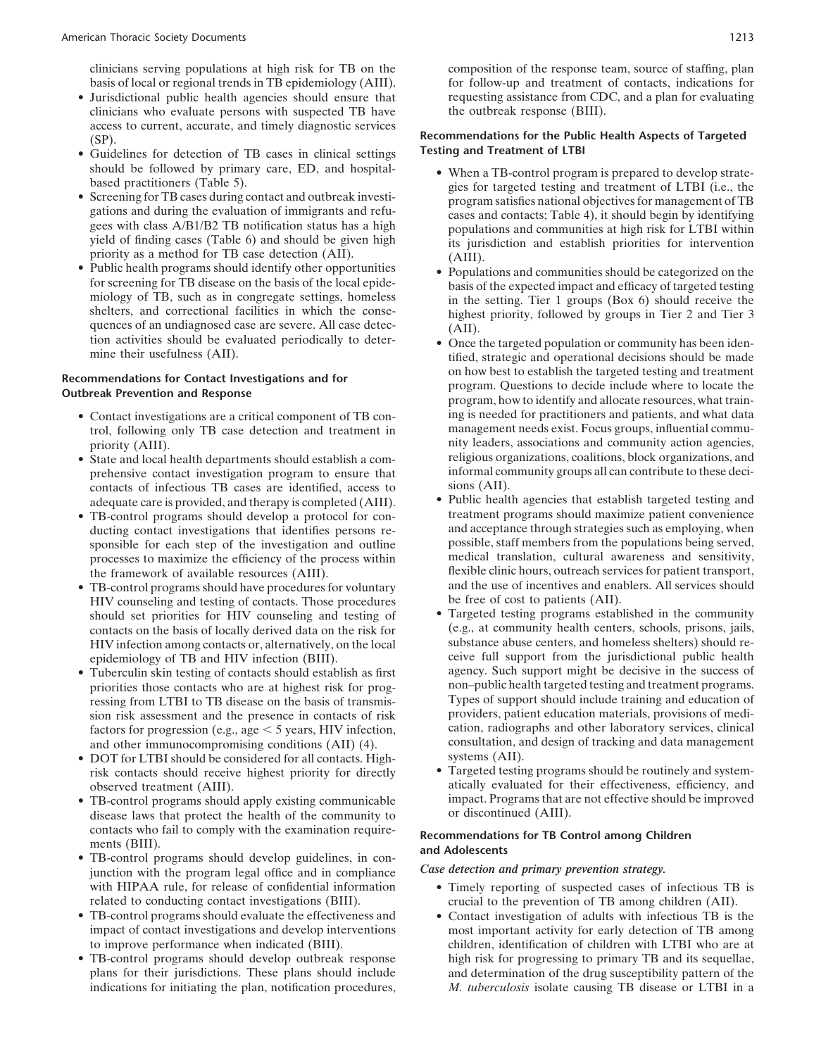clinicians serving populations at high risk for TB on the basis of local or regional trends in TB epidemiology (AIII).

- Jurisdictional public health agencies should ensure that clinicians who evaluate persons with suspected TB have access to current, accurate, and timely diagnostic services (SP).
- Guidelines for detection of TB cases in clinical settings should be followed by primary care, ED, and hospitalbased practitioners (Table 5).
- Screening for TB cases during contact and outbreak investigations and during the evaluation of immigrants and refugees with class A/B1/B2 TB notification status has a high yield of finding cases (Table 6) and should be given high priority as a method for TB case detection (AII).
- Public health programs should identify other opportunities for screening for TB disease on the basis of the local epidemiology of TB, such as in congregate settings, homeless shelters, and correctional facilities in which the consequences of an undiagnosed case are severe. All case detection activities should be evaluated periodically to determine their usefulness (AII).

### **Recommendations for Contact Investigations and for Outbreak Prevention and Response**

- Contact investigations are a critical component of TB control, following only TB case detection and treatment in priority (AIII).
- State and local health departments should establish a comprehensive contact investigation program to ensure that contacts of infectious TB cases are identified, access to adequate care is provided, and therapy is completed (AIII).
- TB-control programs should develop a protocol for conducting contact investigations that identifies persons responsible for each step of the investigation and outline processes to maximize the efficiency of the process within the framework of available resources (AIII).
- TB-control programs should have procedures for voluntary HIV counseling and testing of contacts. Those procedures should set priorities for HIV counseling and testing of contacts on the basis of locally derived data on the risk for HIV infection among contacts or, alternatively, on the local epidemiology of TB and HIV infection (BIII).
- Tuberculin skin testing of contacts should establish as first priorities those contacts who are at highest risk for progressing from LTBI to TB disease on the basis of transmission risk assessment and the presence in contacts of risk factors for progression (e.g., age  $\leq$  5 years, HIV infection, and other immunocompromising conditions (AII) (4).
- DOT for LTBI should be considered for all contacts. Highrisk contacts should receive highest priority for directly observed treatment (AIII).
- TB-control programs should apply existing communicable disease laws that protect the health of the community to contacts who fail to comply with the examination requirements (BIII).
- TB-control programs should develop guidelines, in conjunction with the program legal office and in compliance with HIPAA rule, for release of confidential information related to conducting contact investigations (BIII).
- TB-control programs should evaluate the effectiveness and impact of contact investigations and develop interventions to improve performance when indicated (BIII).
- TB-control programs should develop outbreak response plans for their jurisdictions. These plans should include indications for initiating the plan, notification procedures,

composition of the response team, source of staffing, plan for follow-up and treatment of contacts, indications for requesting assistance from CDC, and a plan for evaluating the outbreak response (BIII).

### **Recommendations for the Public Health Aspects of Targeted Testing and Treatment of LTBI**

- When a TB-control program is prepared to develop strategies for targeted testing and treatment of LTBI (i.e., the program satisfies national objectives for management of TB cases and contacts; Table 4), it should begin by identifying populations and communities at high risk for LTBI within its jurisdiction and establish priorities for intervention (AIII).
- Populations and communities should be categorized on the basis of the expected impact and efficacy of targeted testing in the setting. Tier 1 groups (Box 6) should receive the highest priority, followed by groups in Tier 2 and Tier 3 (AII).
- Once the targeted population or community has been identified, strategic and operational decisions should be made on how best to establish the targeted testing and treatment program. Questions to decide include where to locate the program, how to identify and allocate resources, what training is needed for practitioners and patients, and what data management needs exist. Focus groups, influential community leaders, associations and community action agencies, religious organizations, coalitions, block organizations, and informal community groups all can contribute to these decisions (AII).
- Public health agencies that establish targeted testing and treatment programs should maximize patient convenience and acceptance through strategies such as employing, when possible, staff members from the populations being served, medical translation, cultural awareness and sensitivity, flexible clinic hours, outreach services for patient transport, and the use of incentives and enablers. All services should be free of cost to patients (AII).
- Targeted testing programs established in the community (e.g., at community health centers, schools, prisons, jails, substance abuse centers, and homeless shelters) should receive full support from the jurisdictional public health agency. Such support might be decisive in the success of non–public health targeted testing and treatment programs. Types of support should include training and education of providers, patient education materials, provisions of medication, radiographs and other laboratory services, clinical consultation, and design of tracking and data management systems (AII).
- Targeted testing programs should be routinely and systematically evaluated for their effectiveness, efficiency, and impact. Programs that are not effective should be improved or discontinued (AIII).

### **Recommendations for TB Control among Children and Adolescents**

### *Case detection and primary prevention strategy.*

- Timely reporting of suspected cases of infectious TB is crucial to the prevention of TB among children (AII).
- Contact investigation of adults with infectious TB is the most important activity for early detection of TB among children, identification of children with LTBI who are at high risk for progressing to primary TB and its sequellae, and determination of the drug susceptibility pattern of the *M. tuberculosis* isolate causing TB disease or LTBI in a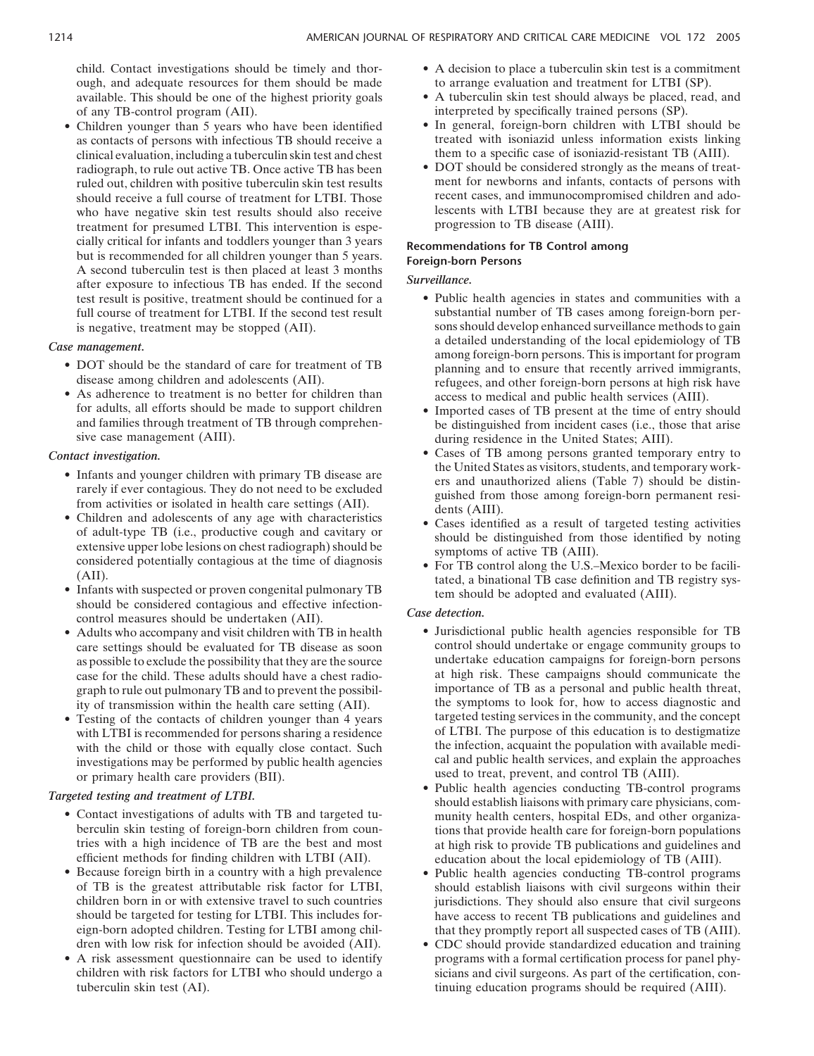child. Contact investigations should be timely and thorough, and adequate resources for them should be made available. This should be one of the highest priority goals of any TB-control program (AII).

• Children younger than 5 years who have been identified as contacts of persons with infectious TB should receive a clinical evaluation, including a tuberculin skin test and chest radiograph, to rule out active TB. Once active TB has been ruled out, children with positive tuberculin skin test results should receive a full course of treatment for LTBI. Those who have negative skin test results should also receive treatment for presumed LTBI. This intervention is especially critical for infants and toddlers younger than 3 years but is recommended for all children younger than 5 years. A second tuberculin test is then placed at least 3 months after exposure to infectious TB has ended. If the second test result is positive, treatment should be continued for a full course of treatment for LTBI. If the second test result is negative, treatment may be stopped (AII).

# *Case management.*

- DOT should be the standard of care for treatment of TB disease among children and adolescents (AII).
- As adherence to treatment is no better for children than for adults, all efforts should be made to support children and families through treatment of TB through comprehensive case management (AIII).

# *Contact investigation.*

- Infants and younger children with primary TB disease are rarely if ever contagious. They do not need to be excluded from activities or isolated in health care settings (AII).
- Children and adolescents of any age with characteristics of adult-type TB (i.e., productive cough and cavitary or extensive upper lobe lesions on chest radiograph) should be considered potentially contagious at the time of diagnosis (AII).
- Infants with suspected or proven congenital pulmonary TB should be considered contagious and effective infectioncontrol measures should be undertaken (AII).
- Adults who accompany and visit children with TB in health care settings should be evaluated for TB disease as soon as possible to exclude the possibility that they are the source case for the child. These adults should have a chest radiograph to rule out pulmonary TB and to prevent the possibility of transmission within the health care setting (AII).
- Testing of the contacts of children younger than 4 years with LTBI is recommended for persons sharing a residence with the child or those with equally close contact. Such investigations may be performed by public health agencies or primary health care providers (BII).

### *Targeted testing and treatment of LTBI.*

- Contact investigations of adults with TB and targeted tuberculin skin testing of foreign-born children from countries with a high incidence of TB are the best and most efficient methods for finding children with LTBI (AII).
- Because foreign birth in a country with a high prevalence of TB is the greatest attributable risk factor for LTBI, children born in or with extensive travel to such countries should be targeted for testing for LTBI. This includes foreign-born adopted children. Testing for LTBI among children with low risk for infection should be avoided (AII).
- A risk assessment questionnaire can be used to identify children with risk factors for LTBI who should undergo a tuberculin skin test (AI).
- A decision to place a tuberculin skin test is a commitment to arrange evaluation and treatment for LTBI (SP).
- A tuberculin skin test should always be placed, read, and interpreted by specifically trained persons (SP).
- In general, foreign-born children with LTBI should be treated with isoniazid unless information exists linking them to a specific case of isoniazid-resistant TB (AIII).
- DOT should be considered strongly as the means of treatment for newborns and infants, contacts of persons with recent cases, and immunocompromised children and adolescents with LTBI because they are at greatest risk for progression to TB disease (AIII).

# **Recommendations for TB Control among Foreign-born Persons**

# *Surveillance.*

- Public health agencies in states and communities with a substantial number of TB cases among foreign-born persons should develop enhanced surveillance methods to gain a detailed understanding of the local epidemiology of TB among foreign-born persons. This is important for program planning and to ensure that recently arrived immigrants, refugees, and other foreign-born persons at high risk have access to medical and public health services (AIII).
- Imported cases of TB present at the time of entry should be distinguished from incident cases (i.e., those that arise during residence in the United States; AIII).
- Cases of TB among persons granted temporary entry to the United States as visitors, students, and temporary workers and unauthorized aliens (Table 7) should be distinguished from those among foreign-born permanent residents (AIII).
- Cases identified as a result of targeted testing activities should be distinguished from those identified by noting symptoms of active TB (AIII).
- For TB control along the U.S.–Mexico border to be facilitated, a binational TB case definition and TB registry system should be adopted and evaluated (AIII).

# *Case detection.*

- Jurisdictional public health agencies responsible for TB control should undertake or engage community groups to undertake education campaigns for foreign-born persons at high risk. These campaigns should communicate the importance of TB as a personal and public health threat, the symptoms to look for, how to access diagnostic and targeted testing services in the community, and the concept of LTBI. The purpose of this education is to destigmatize the infection, acquaint the population with available medical and public health services, and explain the approaches used to treat, prevent, and control TB (AIII).
- Public health agencies conducting TB-control programs should establish liaisons with primary care physicians, community health centers, hospital EDs, and other organizations that provide health care for foreign-born populations at high risk to provide TB publications and guidelines and education about the local epidemiology of TB (AIII).
- Public health agencies conducting TB-control programs should establish liaisons with civil surgeons within their jurisdictions. They should also ensure that civil surgeons have access to recent TB publications and guidelines and that they promptly report all suspected cases of TB (AIII).
- CDC should provide standardized education and training programs with a formal certification process for panel physicians and civil surgeons. As part of the certification, continuing education programs should be required (AIII).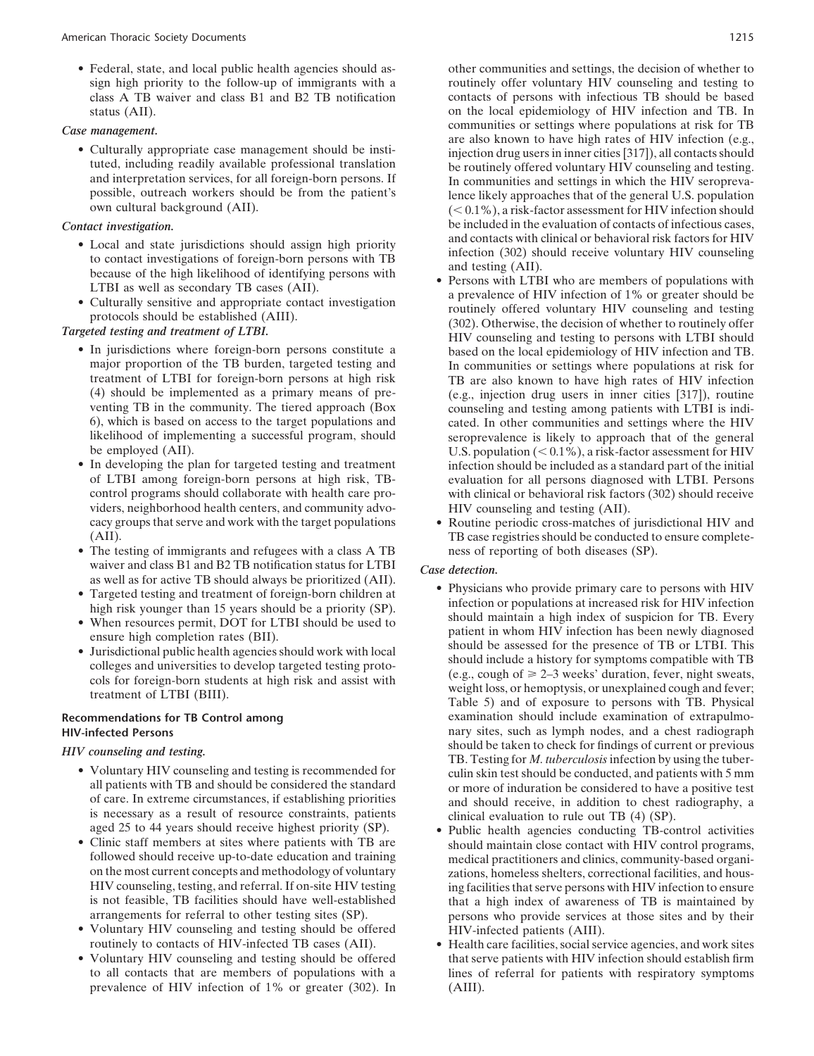• Federal, state, and local public health agencies should assign high priority to the follow-up of immigrants with a class A TB waiver and class B1 and B2 TB notification status (AII).

### *Case management.*

• Culturally appropriate case management should be instituted, including readily available professional translation and interpretation services, for all foreign-born persons. If possible, outreach workers should be from the patient's own cultural background (AII).

### *Contact investigation.*

- Local and state jurisdictions should assign high priority to contact investigations of foreign-born persons with TB because of the high likelihood of identifying persons with LTBI as well as secondary TB cases (AII).
- Culturally sensitive and appropriate contact investigation protocols should be established (AIII).

*Targeted testing and treatment of LTBI.*

- In jurisdictions where foreign-born persons constitute a major proportion of the TB burden, targeted testing and treatment of LTBI for foreign-born persons at high risk (4) should be implemented as a primary means of preventing TB in the community. The tiered approach (Box 6), which is based on access to the target populations and likelihood of implementing a successful program, should be employed (AII).
- In developing the plan for targeted testing and treatment of LTBI among foreign-born persons at high risk, TBcontrol programs should collaborate with health care providers, neighborhood health centers, and community advocacy groups that serve and work with the target populations  $(AII)$ .
- The testing of immigrants and refugees with a class A TB waiver and class B1 and B2 TB notification status for LTBI as well as for active TB should always be prioritized (AII).
- Targeted testing and treatment of foreign-born children at high risk younger than 15 years should be a priority (SP).
- When resources permit, DOT for LTBI should be used to ensure high completion rates (BII).
- Jurisdictional public health agencies should work with local colleges and universities to develop targeted testing protocols for foreign-born students at high risk and assist with treatment of LTBI (BIII).

# **Recommendations for TB Control among HIV-infected Persons**

### *HIV counseling and testing.*

- Voluntary HIV counseling and testing is recommended for all patients with TB and should be considered the standard of care. In extreme circumstances, if establishing priorities is necessary as a result of resource constraints, patients aged 25 to 44 years should receive highest priority (SP).
- Clinic staff members at sites where patients with TB are followed should receive up-to-date education and training on the most current concepts and methodology of voluntary HIV counseling, testing, and referral. If on-site HIV testing is not feasible, TB facilities should have well-established arrangements for referral to other testing sites (SP).
- Voluntary HIV counseling and testing should be offered routinely to contacts of HIV-infected TB cases (AII).
- Voluntary HIV counseling and testing should be offered to all contacts that are members of populations with a prevalence of HIV infection of 1% or greater (302). In

other communities and settings, the decision of whether to routinely offer voluntary HIV counseling and testing to contacts of persons with infectious TB should be based on the local epidemiology of HIV infection and TB. In communities or settings where populations at risk for TB are also known to have high rates of HIV infection (e.g., injection drug users in inner cities [317]), all contacts should be routinely offered voluntary HIV counseling and testing. In communities and settings in which the HIV seroprevalence likely approaches that of the general U.S. population  $(< 0.1\%)$ , a risk-factor assessment for HIV infection should be included in the evaluation of contacts of infectious cases, and contacts with clinical or behavioral risk factors for HIV infection (302) should receive voluntary HIV counseling and testing (AII).

- Persons with LTBI who are members of populations with a prevalence of HIV infection of 1% or greater should be routinely offered voluntary HIV counseling and testing (302). Otherwise, the decision of whether to routinely offer HIV counseling and testing to persons with LTBI should based on the local epidemiology of HIV infection and TB. In communities or settings where populations at risk for TB are also known to have high rates of HIV infection (e.g., injection drug users in inner cities [317]), routine counseling and testing among patients with LTBI is indicated. In other communities and settings where the HIV seroprevalence is likely to approach that of the general U.S. population  $(< 0.1\%)$ , a risk-factor assessment for HIV infection should be included as a standard part of the initial evaluation for all persons diagnosed with LTBI. Persons with clinical or behavioral risk factors (302) should receive HIV counseling and testing (AII).
- Routine periodic cross-matches of jurisdictional HIV and TB case registries should be conducted to ensure completeness of reporting of both diseases (SP).

#### *Case detection.*

- Physicians who provide primary care to persons with HIV infection or populations at increased risk for HIV infection should maintain a high index of suspicion for TB. Every patient in whom HIV infection has been newly diagnosed should be assessed for the presence of TB or LTBI. This should include a history for symptoms compatible with TB (e.g., cough of  $\ge 2-3$  weeks' duration, fever, night sweats, weight loss, or hemoptysis, or unexplained cough and fever; Table 5) and of exposure to persons with TB. Physical examination should include examination of extrapulmonary sites, such as lymph nodes, and a chest radiograph should be taken to check for findings of current or previous TB. Testing for *M. tuberculosis*infection by using the tuberculin skin test should be conducted, and patients with 5 mm or more of induration be considered to have a positive test and should receive, in addition to chest radiography, a clinical evaluation to rule out TB (4) (SP).
- Public health agencies conducting TB-control activities should maintain close contact with HIV control programs, medical practitioners and clinics, community-based organizations, homeless shelters, correctional facilities, and housing facilities that serve persons with HIV infection to ensure that a high index of awareness of TB is maintained by persons who provide services at those sites and by their HIV-infected patients (AIII).
- Health care facilities, social service agencies, and work sites that serve patients with HIV infection should establish firm lines of referral for patients with respiratory symptoms  $(AIII).$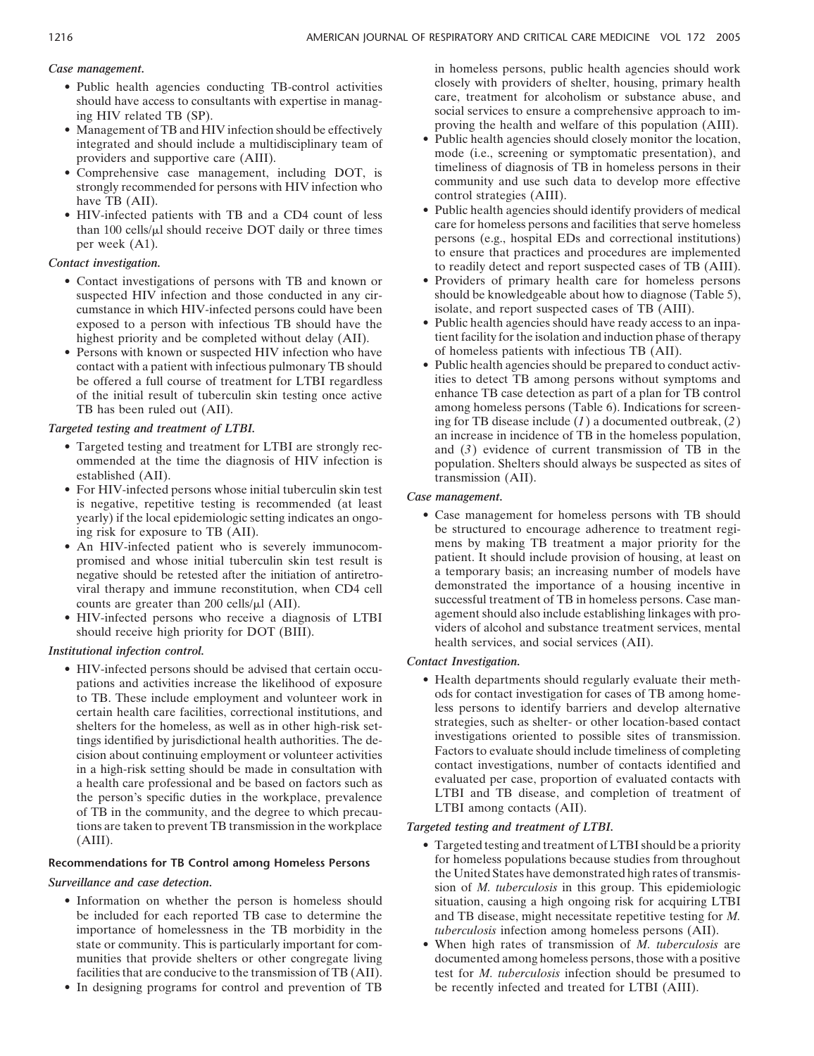# *Case management.*

- Public health agencies conducting TB-control activities should have access to consultants with expertise in managing HIV related TB (SP).
- Management of TB and HIV infection should be effectively integrated and should include a multidisciplinary team of providers and supportive care (AIII).
- Comprehensive case management, including DOT, is strongly recommended for persons with HIV infection who have TB (AII).
- HIV-infected patients with TB and a CD4 count of less than  $100$  cells/ $\mu$ l should receive DOT daily or three times per week (A1).

# *Contact investigation.*

- Contact investigations of persons with TB and known or suspected HIV infection and those conducted in any circumstance in which HIV-infected persons could have been exposed to a person with infectious TB should have the highest priority and be completed without delay (AII).
- Persons with known or suspected HIV infection who have contact with a patient with infectious pulmonary TB should be offered a full course of treatment for LTBI regardless of the initial result of tuberculin skin testing once active TB has been ruled out (AII).

# *Targeted testing and treatment of LTBI.*

- Targeted testing and treatment for LTBI are strongly recommended at the time the diagnosis of HIV infection is established (AII).
- For HIV-infected persons whose initial tuberculin skin test is negative, repetitive testing is recommended (at least yearly) if the local epidemiologic setting indicates an ongoing risk for exposure to TB (AII).
- An HIV-infected patient who is severely immunocompromised and whose initial tuberculin skin test result is negative should be retested after the initiation of antiretroviral therapy and immune reconstitution, when CD4 cell counts are greater than 200 cells/ $\mu$ l (AII).
- HIV-infected persons who receive a diagnosis of LTBI should receive high priority for DOT (BIII).

# *Institutional infection control.*

• HIV-infected persons should be advised that certain occupations and activities increase the likelihood of exposure to TB. These include employment and volunteer work in certain health care facilities, correctional institutions, and shelters for the homeless, as well as in other high-risk settings identified by jurisdictional health authorities. The decision about continuing employment or volunteer activities in a high-risk setting should be made in consultation with a health care professional and be based on factors such as the person's specific duties in the workplace, prevalence of TB in the community, and the degree to which precautions are taken to prevent TB transmission in the workplace (AIII).

# **Recommendations for TB Control among Homeless Persons**

# *Surveillance and case detection.*

- Information on whether the person is homeless should be included for each reported TB case to determine the importance of homelessness in the TB morbidity in the state or community. This is particularly important for communities that provide shelters or other congregate living facilities that are conducive to the transmission of TB (AII).
- In designing programs for control and prevention of TB

in homeless persons, public health agencies should work closely with providers of shelter, housing, primary health care, treatment for alcoholism or substance abuse, and social services to ensure a comprehensive approach to improving the health and welfare of this population (AIII).

- Public health agencies should closely monitor the location, mode (i.e., screening or symptomatic presentation), and timeliness of diagnosis of TB in homeless persons in their community and use such data to develop more effective control strategies (AIII).
- Public health agencies should identify providers of medical care for homeless persons and facilities that serve homeless persons (e.g., hospital EDs and correctional institutions) to ensure that practices and procedures are implemented to readily detect and report suspected cases of TB (AIII).
- Providers of primary health care for homeless persons should be knowledgeable about how to diagnose (Table 5), isolate, and report suspected cases of TB (AIII).
- Public health agencies should have ready access to an inpatient facility for the isolation and induction phase of therapy of homeless patients with infectious TB (AII).
- Public health agencies should be prepared to conduct activities to detect TB among persons without symptoms and enhance TB case detection as part of a plan for TB control among homeless persons (Table 6). Indications for screening for TB disease include (*1*) a documented outbreak, (*2*) an increase in incidence of TB in the homeless population, and (*3*) evidence of current transmission of TB in the population. Shelters should always be suspected as sites of transmission (AII).

# *Case management.*

• Case management for homeless persons with TB should be structured to encourage adherence to treatment regimens by making TB treatment a major priority for the patient. It should include provision of housing, at least on a temporary basis; an increasing number of models have demonstrated the importance of a housing incentive in successful treatment of TB in homeless persons. Case management should also include establishing linkages with providers of alcohol and substance treatment services, mental health services, and social services (AII).

# *Contact Investigation.*

• Health departments should regularly evaluate their methods for contact investigation for cases of TB among homeless persons to identify barriers and develop alternative strategies, such as shelter- or other location-based contact investigations oriented to possible sites of transmission. Factors to evaluate should include timeliness of completing contact investigations, number of contacts identified and evaluated per case, proportion of evaluated contacts with LTBI and TB disease, and completion of treatment of LTBI among contacts (AII).

# *Targeted testing and treatment of LTBI.*

- Targeted testing and treatment of LTBI should be a priority for homeless populations because studies from throughout the United States have demonstrated high rates of transmission of *M. tuberculosis* in this group. This epidemiologic situation, causing a high ongoing risk for acquiring LTBI and TB disease, might necessitate repetitive testing for *M. tuberculosis* infection among homeless persons (AII).
- When high rates of transmission of *M. tuberculosis* are documented among homeless persons, those with a positive test for *M. tuberculosis* infection should be presumed to be recently infected and treated for LTBI (AIII).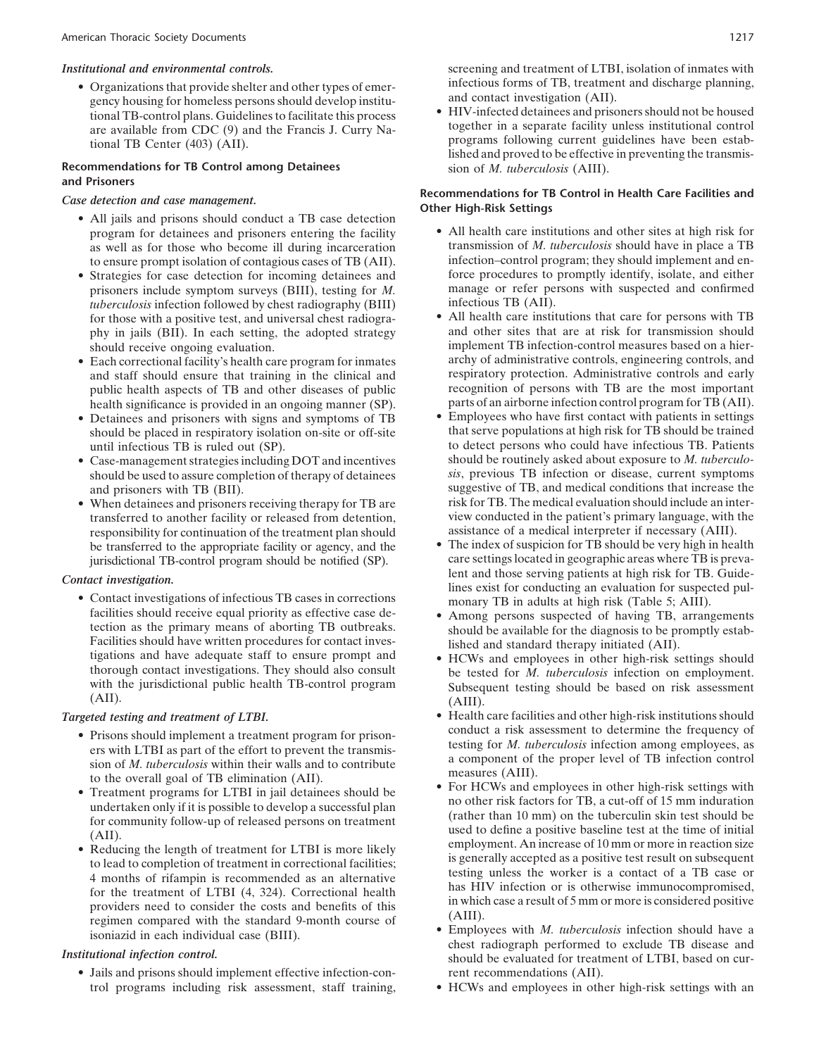### *Institutional and environmental controls.*

• Organizations that provide shelter and other types of emergency housing for homeless persons should develop institutional TB-control plans. Guidelines to facilitate this process are available from CDC (9) and the Francis J. Curry National TB Center (403) (AII).

### **Recommendations for TB Control among Detainees and Prisoners**

### *Case detection and case management.*

- All jails and prisons should conduct a TB case detection program for detainees and prisoners entering the facility as well as for those who become ill during incarceration to ensure prompt isolation of contagious cases of TB (AII).
- Strategies for case detection for incoming detainees and prisoners include symptom surveys (BIII), testing for *M. tuberculosis* infection followed by chest radiography (BIII) for those with a positive test, and universal chest radiography in jails (BII). In each setting, the adopted strategy should receive ongoing evaluation.
- Each correctional facility's health care program for inmates and staff should ensure that training in the clinical and public health aspects of TB and other diseases of public health significance is provided in an ongoing manner (SP).
- Detainees and prisoners with signs and symptoms of TB should be placed in respiratory isolation on-site or off-site until infectious TB is ruled out (SP).
- Case-management strategies including DOT and incentives should be used to assure completion of therapy of detainees and prisoners with TB (BII).
- When detainees and prisoners receiving therapy for TB are transferred to another facility or released from detention, responsibility for continuation of the treatment plan should be transferred to the appropriate facility or agency, and the jurisdictional TB-control program should be notified (SP).

### *Contact investigation.*

• Contact investigations of infectious TB cases in corrections facilities should receive equal priority as effective case detection as the primary means of aborting TB outbreaks. Facilities should have written procedures for contact investigations and have adequate staff to ensure prompt and thorough contact investigations. They should also consult with the jurisdictional public health TB-control program (AII).

#### *Targeted testing and treatment of LTBI.*

- Prisons should implement a treatment program for prisoners with LTBI as part of the effort to prevent the transmission of *M. tuberculosis* within their walls and to contribute to the overall goal of TB elimination (AII).
- Treatment programs for LTBI in jail detainees should be undertaken only if it is possible to develop a successful plan for community follow-up of released persons on treatment  $(AII).$
- Reducing the length of treatment for LTBI is more likely to lead to completion of treatment in correctional facilities; 4 months of rifampin is recommended as an alternative for the treatment of LTBI (4, 324). Correctional health providers need to consider the costs and benefits of this regimen compared with the standard 9-month course of isoniazid in each individual case (BIII).

### *Institutional infection control.*

• Jails and prisons should implement effective infection-control programs including risk assessment, staff training, • HIV-infected detainees and prisoners should not be housed together in a separate facility unless institutional control programs following current guidelines have been established and proved to be effective in preventing the transmission of *M. tuberculosis* (AIII).

### **Recommendations for TB Control in Health Care Facilities and Other High-Risk Settings**

- All health care institutions and other sites at high risk for transmission of *M. tuberculosis* should have in place a TB infection–control program; they should implement and enforce procedures to promptly identify, isolate, and either manage or refer persons with suspected and confirmed infectious TB (AII).
- All health care institutions that care for persons with TB and other sites that are at risk for transmission should implement TB infection-control measures based on a hierarchy of administrative controls, engineering controls, and respiratory protection. Administrative controls and early recognition of persons with TB are the most important parts of an airborne infection control program for TB (AII).
- Employees who have first contact with patients in settings that serve populations at high risk for TB should be trained to detect persons who could have infectious TB. Patients should be routinely asked about exposure to *M. tuberculosis*, previous TB infection or disease, current symptoms suggestive of TB, and medical conditions that increase the risk for TB. The medical evaluation should include an interview conducted in the patient's primary language, with the assistance of a medical interpreter if necessary (AIII).
- The index of suspicion for TB should be very high in health care settings located in geographic areas where TB is prevalent and those serving patients at high risk for TB. Guidelines exist for conducting an evaluation for suspected pulmonary TB in adults at high risk (Table 5; AIII).
- Among persons suspected of having TB, arrangements should be available for the diagnosis to be promptly established and standard therapy initiated (AII).
- HCWs and employees in other high-risk settings should be tested for *M. tuberculosis* infection on employment. Subsequent testing should be based on risk assessment (AIII).
- Health care facilities and other high-risk institutions should conduct a risk assessment to determine the frequency of testing for *M. tuberculosis* infection among employees, as a component of the proper level of TB infection control measures (AIII).
- For HCWs and employees in other high-risk settings with no other risk factors for TB, a cut-off of 15 mm induration (rather than 10 mm) on the tuberculin skin test should be used to define a positive baseline test at the time of initial employment. An increase of 10 mm or more in reaction size is generally accepted as a positive test result on subsequent testing unless the worker is a contact of a TB case or has HIV infection or is otherwise immunocompromised, in which case a result of 5 mm or more is considered positive (AIII).
- Employees with *M. tuberculosis* infection should have a chest radiograph performed to exclude TB disease and should be evaluated for treatment of LTBI, based on current recommendations (AII).
- HCWs and employees in other high-risk settings with an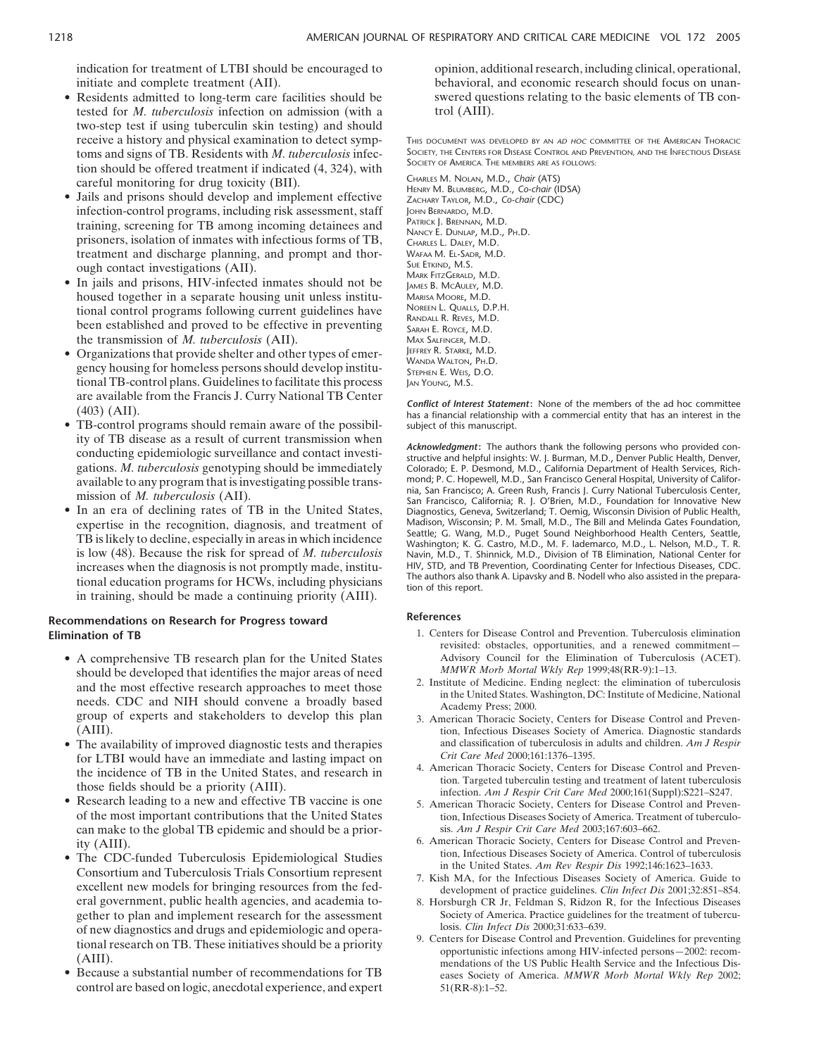indication for treatment of LTBI should be encouraged to initiate and complete treatment (AII).

- Residents admitted to long-term care facilities should be tested for *M. tuberculosis* infection on admission (with a two-step test if using tuberculin skin testing) and should receive a history and physical examination to detect symptoms and signs of TB. Residents with *M. tuberculosis* infection should be offered treatment if indicated (4, 324), with careful monitoring for drug toxicity (BII).
- Jails and prisons should develop and implement effective infection-control programs, including risk assessment, staff training, screening for TB among incoming detainees and prisoners, isolation of inmates with infectious forms of TB, treatment and discharge planning, and prompt and thorough contact investigations (AII).
- In jails and prisons, HIV-infected inmates should not be housed together in a separate housing unit unless institutional control programs following current guidelines have been established and proved to be effective in preventing the transmission of *M. tuberculosis* (AII).
- Organizations that provide shelter and other types of emergency housing for homeless persons should develop institutional TB-control plans. Guidelines to facilitate this process are available from the Francis J. Curry National TB Center (403) (AII).
- TB-control programs should remain aware of the possibility of TB disease as a result of current transmission when conducting epidemiologic surveillance and contact investigations. *M. tuberculosis* genotyping should be immediately available to any program that is investigating possible transmission of *M. tuberculosis* (AII).
- In an era of declining rates of TB in the United States, expertise in the recognition, diagnosis, and treatment of TB is likely to decline, especially in areas in which incidence is low (48). Because the risk for spread of *M. tuberculosis* increases when the diagnosis is not promptly made, institutional education programs for HCWs, including physicians in training, should be made a continuing priority (AIII).

### **Recommendations on Research for Progress toward Elimination of TB**

- A comprehensive TB research plan for the United States should be developed that identifies the major areas of need and the most effective research approaches to meet those needs. CDC and NIH should convene a broadly based group of experts and stakeholders to develop this plan (AIII).
- The availability of improved diagnostic tests and therapies for LTBI would have an immediate and lasting impact on the incidence of TB in the United States, and research in those fields should be a priority (AIII).
- Research leading to a new and effective TB vaccine is one of the most important contributions that the United States can make to the global TB epidemic and should be a priority (AIII).
- The CDC-funded Tuberculosis Epidemiological Studies Consortium and Tuberculosis Trials Consortium represent excellent new models for bringing resources from the federal government, public health agencies, and academia together to plan and implement research for the assessment of new diagnostics and drugs and epidemiologic and operational research on TB. These initiatives should be a priority  $(AIII).$
- Because a substantial number of recommendations for TB control are based on logic, anecdotal experience, and expert

opinion, additional research, including clinical, operational, behavioral, and economic research should focus on unanswered questions relating to the basic elements of TB control (AIII).

THIS DOCUMENT WAS DEVELOPED BY AN AD HOC COMMITTEE OF THE AMERICAN THORACIC SOCIETY, THE CENTERS FOR DISEASE CONTROL AND PREVENTION, AND THE INFECTIOUS DISEASE SOCIETY OF AMERICA. THE MEMBERS ARE AS FOLLOWS:

CHARLES M. NOLAN, M.D., *Chair* (ATS) HENRY M. BLUMBERG, M.D., *Co-chair* (IDSA) ZACHARY TAYLOR, M.D., *Co-chair* (CDC) JOHN BERNARDO, M.D. PATRICK J. BRENNAN, M.D. NANCY E. DUNLAP, M.D., PH.D. CHARLES L. DALEY, M.D. WAFAA M. EL-SADR, M.D. SUE ETKIND, M.S. MARK FITZGERALD, M.D. JAMES B. MCAULEY, M.D. MARISA MOORE, M.D. NOREEN L. QUALLS, D.P.H. RANDALL R. REVES, M.D. SARAH E. ROYCE, M.D. MAX SALFINGER, M.D. JEFFREY R. STARKE, M.D. WANDA WALTON, PH.D. STEPHEN E. WEIS, D.O. JAN YOUNG, M.S.

*Conflict of Interest Statement***:** None of the members of the ad hoc committee has a financial relationship with a commercial entity that has an interest in the subject of this manuscript.

*Acknowledgment***:** The authors thank the following persons who provided constructive and helpful insights: W. J. Burman, M.D., Denver Public Health, Denver, Colorado; E. P. Desmond, M.D., California Department of Health Services, Richmond; P. C. Hopewell, M.D., San Francisco General Hospital, University of California, San Francisco; A. Green Rush, Francis J. Curry National Tuberculosis Center, San Francisco, California; R. J. O'Brien, M.D., Foundation for Innovative New Diagnostics, Geneva, Switzerland; T. Oemig, Wisconsin Division of Public Health, Madison, Wisconsin; P. M. Small, M.D., The Bill and Melinda Gates Foundation, Seattle; G. Wang, M.D., Puget Sound Neighborhood Health Centers, Seattle, Washington; K. G. Castro, M.D., M. F. Iademarco, M.D., L. Nelson, M.D., T. R. Navin, M.D., T. Shinnick, M.D., Division of TB Elimination, National Center for HIV, STD, and TB Prevention, Coordinating Center for Infectious Diseases, CDC. The authors also thank A. Lipavsky and B. Nodell who also assisted in the preparation of this report.

#### **References**

- 1. Centers for Disease Control and Prevention. Tuberculosis elimination revisited: obstacles, opportunities, and a renewed commitment— Advisory Council for the Elimination of Tuberculosis (ACET). *MMWR Morb Mortal Wkly Rep* 1999;48(RR-9):1–13.
- 2. Institute of Medicine. Ending neglect: the elimination of tuberculosis in the United States. Washington, DC: Institute of Medicine, National Academy Press; 2000.
- 3. American Thoracic Society, Centers for Disease Control and Prevention, Infectious Diseases Society of America. Diagnostic standards and classification of tuberculosis in adults and children. *Am J Respir Crit Care Med* 2000;161:1376–1395.
- 4. American Thoracic Society, Centers for Disease Control and Prevention. Targeted tuberculin testing and treatment of latent tuberculosis infection. *Am J Respir Crit Care Med* 2000;161(Suppl):S221–S247.
- 5. American Thoracic Society, Centers for Disease Control and Prevention, Infectious Diseases Society of America. Treatment of tuberculosis. *Am J Respir Crit Care Med* 2003;167:603–662.
- 6. American Thoracic Society, Centers for Disease Control and Prevention, Infectious Diseases Society of America. Control of tuberculosis in the United States. *Am Rev Respir Dis* 1992;146:1623–1633.
- 7. Kish MA, for the Infectious Diseases Society of America. Guide to development of practice guidelines. *Clin Infect Dis* 2001;32:851–854.
- 8. Horsburgh CR Jr, Feldman S, Ridzon R, for the Infectious Diseases Society of America. Practice guidelines for the treatment of tuberculosis. *Clin Infect Dis* 2000;31:633–639.
- 9. Centers for Disease Control and Prevention. Guidelines for preventing opportunistic infections among HIV-infected persons—2002: recommendations of the US Public Health Service and the Infectious Diseases Society of America. *MMWR Morb Mortal Wkly Rep* 2002; 51(RR-8):1–52.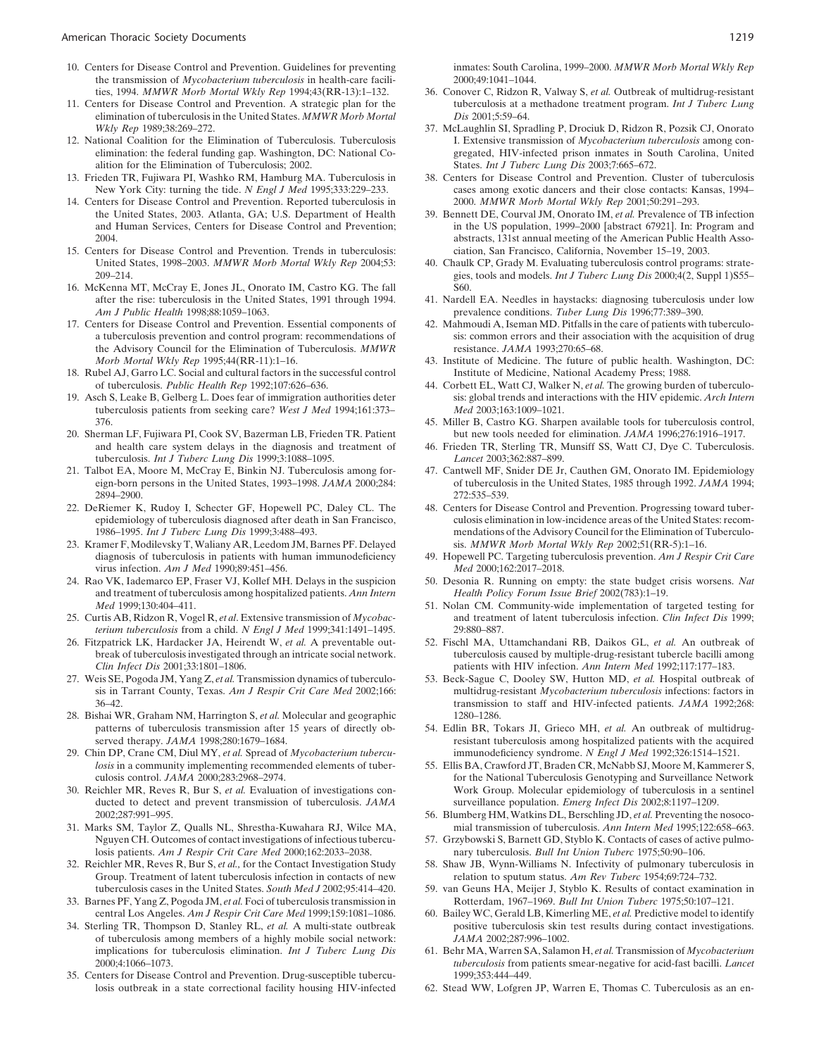- 10. Centers for Disease Control and Prevention. Guidelines for preventing the transmission of *Mycobacterium tuberculosis* in health-care facilities, 1994. *MMWR Morb Mortal Wkly Rep* 1994;43(RR-13):1–132.
- 11. Centers for Disease Control and Prevention. A strategic plan for the elimination of tuberculosis in the United States. *MMWR Morb Mortal Wkly Rep* 1989;38:269–272.
- 12. National Coalition for the Elimination of Tuberculosis. Tuberculosis elimination: the federal funding gap. Washington, DC: National Coalition for the Elimination of Tuberculosis; 2002.
- 13. Frieden TR, Fujiwara PI, Washko RM, Hamburg MA. Tuberculosis in New York City: turning the tide. *N Engl J Med* 1995;333:229–233.
- 14. Centers for Disease Control and Prevention. Reported tuberculosis in the United States, 2003. Atlanta, GA; U.S. Department of Health and Human Services, Centers for Disease Control and Prevention; 2004.
- 15. Centers for Disease Control and Prevention. Trends in tuberculosis: United States, 1998–2003. *MMWR Morb Mortal Wkly Rep* 2004;53: 209–214.
- 16. McKenna MT, McCray E, Jones JL, Onorato IM, Castro KG. The fall after the rise: tuberculosis in the United States, 1991 through 1994. *Am J Public Health* 1998;88:1059–1063.
- 17. Centers for Disease Control and Prevention. Essential components of a tuberculosis prevention and control program: recommendations of the Advisory Council for the Elimination of Tuberculosis. *MMWR Morb Mortal Wkly Rep* 1995;44(RR-11):1–16.
- 18. Rubel AJ, Garro LC. Social and cultural factors in the successful control of tuberculosis. *Public Health Rep* 1992;107:626–636.
- 19. Asch S, Leake B, Gelberg L. Does fear of immigration authorities deter tuberculosis patients from seeking care? *West J Med* 1994;161:373– 376.
- 20. Sherman LF, Fujiwara PI, Cook SV, Bazerman LB, Frieden TR. Patient and health care system delays in the diagnosis and treatment of tuberculosis. *Int J Tuberc Lung Dis* 1999;3:1088–1095.
- 21. Talbot EA, Moore M, McCray E, Binkin NJ. Tuberculosis among foreign-born persons in the United States, 1993–1998. *JAMA* 2000;284: 2894–2900.
- 22. DeRiemer K, Rudoy I, Schecter GF, Hopewell PC, Daley CL. The epidemiology of tuberculosis diagnosed after death in San Francisco, 1986–1995. *Int J Tuberc Lung Dis* 1999;3:488–493.
- 23. Kramer F, Modilevsky T, Waliany AR, Leedom JM, Barnes PF. Delayed diagnosis of tuberculosis in patients with human immunodeficiency virus infection. *Am J Med* 1990;89:451–456.
- 24. Rao VK, Iademarco EP, Fraser VJ, Kollef MH. Delays in the suspicion and treatment of tuberculosis among hospitalized patients. *Ann Intern Med* 1999;130:404–411.
- 25. Curtis AB, Ridzon R, Vogel R, *et al*. Extensive transmission of *Mycobacterium tuberculosis* from a child. *N Engl J Med* 1999;341:1491–1495.
- 26. Fitzpatrick LK, Hardacker JA, Heirendt W, *et al.* A preventable outbreak of tuberculosis investigated through an intricate social network. *Clin Infect Dis* 2001;33:1801–1806.
- 27. Weis SE, Pogoda JM, Yang Z, *et al.* Transmission dynamics of tuberculosis in Tarrant County, Texas. *Am J Respir Crit Care Med* 2002;166: 36–42.
- 28. Bishai WR, Graham NM, Harrington S, *et al.* Molecular and geographic patterns of tuberculosis transmission after 15 years of directly observed therapy. *JAMA* 1998;280:1679–1684.
- 29. Chin DP, Crane CM, Diul MY, *et al.* Spread of *Mycobacterium tuberculosis* in a community implementing recommended elements of tuberculosis control. *JAMA* 2000;283:2968–2974.
- 30. Reichler MR, Reves R, Bur S, *et al.* Evaluation of investigations conducted to detect and prevent transmission of tuberculosis. *JAMA* 2002;287:991–995.
- 31. Marks SM, Taylor Z, Qualls NL, Shrestha-Kuwahara RJ, Wilce MA, Nguyen CH. Outcomes of contact investigations of infectious tuberculosis patients. *Am J Respir Crit Care Med* 2000;162:2033–2038.
- 32. Reichler MR, Reves R, Bur S, *et al.,* for the Contact Investigation Study Group. Treatment of latent tuberculosis infection in contacts of new tuberculosis cases in the United States. *South Med J* 2002;95:414–420.
- 33. Barnes PF, Yang Z, Pogoda JM, *et al.* Foci of tuberculosis transmission in central Los Angeles. *Am J Respir Crit Care Med* 1999;159:1081–1086.
- 34. Sterling TR, Thompson D, Stanley RL, *et al.* A multi-state outbreak of tuberculosis among members of a highly mobile social network: implications for tuberculosis elimination. *Int J Tuberc Lung Dis* 2000;4:1066–1073.
- 35. Centers for Disease Control and Prevention. Drug-susceptible tuberculosis outbreak in a state correctional facility housing HIV-infected

inmates: South Carolina, 1999–2000. *MMWR Morb Mortal Wkly Rep* 2000;49:1041–1044.

- 36. Conover C, Ridzon R, Valway S, *et al.* Outbreak of multidrug-resistant tuberculosis at a methadone treatment program. *Int J Tuberc Lung Dis* 2001;5:59–64.
- 37. McLaughlin SI, Spradling P, Drociuk D, Ridzon R, Pozsik CJ, Onorato I. Extensive transmission of *Mycobacterium tuberculosis* among congregated, HIV-infected prison inmates in South Carolina, United States. *Int J Tuberc Lung Dis* 2003;7:665–672.
- 38. Centers for Disease Control and Prevention. Cluster of tuberculosis cases among exotic dancers and their close contacts: Kansas, 1994– 2000. *MMWR Morb Mortal Wkly Rep* 2001;50:291–293.
- 39. Bennett DE, Courval JM, Onorato IM, *et al.* Prevalence of TB infection in the US population, 1999–2000 [abstract 67921]. In: Program and abstracts, 131st annual meeting of the American Public Health Association, San Francisco, California, November 15–19, 2003.
- 40. Chaulk CP, Grady M. Evaluating tuberculosis control programs: strategies, tools and models. *Int J Tuberc Lung Dis* 2000;4(2, Suppl 1)S55– S60.
- 41. Nardell EA. Needles in haystacks: diagnosing tuberculosis under low prevalence conditions. *Tuber Lung Dis* 1996;77:389–390.
- 42. Mahmoudi A, Iseman MD. Pitfalls in the care of patients with tuberculosis: common errors and their association with the acquisition of drug resistance. *JAMA* 1993;270:65–68.
- 43. Institute of Medicine. The future of public health. Washington, DC: Institute of Medicine, National Academy Press; 1988.
- 44. Corbett EL, Watt CJ, Walker N, *et al.* The growing burden of tuberculosis: global trends and interactions with the HIV epidemic. *Arch Intern Med* 2003;163:1009–1021.
- 45. Miller B, Castro KG. Sharpen available tools for tuberculosis control, but new tools needed for elimination. *JAMA* 1996;276:1916–1917.
- 46. Frieden TR, Sterling TR, Munsiff SS, Watt CJ, Dye C. Tuberculosis. *Lancet* 2003;362:887–899.
- 47. Cantwell MF, Snider DE Jr, Cauthen GM, Onorato IM. Epidemiology of tuberculosis in the United States, 1985 through 1992. *JAMA* 1994; 272:535–539.
- 48. Centers for Disease Control and Prevention. Progressing toward tuberculosis elimination in low-incidence areas of the United States: recommendations of the Advisory Council for the Elimination of Tuberculosis. *MMWR Morb Mortal Wkly Rep* 2002;51(RR-5):1–16.
- 49. Hopewell PC. Targeting tuberculosis prevention. *Am J Respir Crit Care Med* 2000;162:2017–2018.
- 50. Desonia R. Running on empty: the state budget crisis worsens. *Nat Health Policy Forum Issue Brief* 2002(783):1–19.
- 51. Nolan CM. Community-wide implementation of targeted testing for and treatment of latent tuberculosis infection. *Clin Infect Dis* 1999; 29:880–887.
- 52. Fischl MA, Uttamchandani RB, Daikos GL, *et al.* An outbreak of tuberculosis caused by multiple-drug-resistant tubercle bacilli among patients with HIV infection. *Ann Intern Med* 1992;117:177–183.
- 53. Beck-Sague C, Dooley SW, Hutton MD, *et al.* Hospital outbreak of multidrug-resistant *Mycobacterium tuberculosis* infections: factors in transmission to staff and HIV-infected patients. *JAMA* 1992;268: 1280–1286.
- 54. Edlin BR, Tokars JI, Grieco MH, *et al.* An outbreak of multidrugresistant tuberculosis among hospitalized patients with the acquired immunodeficiency syndrome. *N Engl J Med* 1992;326:1514–1521.
- 55. Ellis BA, Crawford JT, Braden CR, McNabb SJ, Moore M, Kammerer S, for the National Tuberculosis Genotyping and Surveillance Network Work Group. Molecular epidemiology of tuberculosis in a sentinel surveillance population. *Emerg Infect Dis* 2002;8:1197–1209.
- 56. Blumberg HM, Watkins DL, Berschling JD, *et al.* Preventing the nosocomial transmission of tuberculosis. *Ann Intern Med* 1995;122:658–663.
- 57. Grzybowski S, Barnett GD, Styblo K. Contacts of cases of active pulmonary tuberculosis. *Bull Int Union Tuberc* 1975;50:90–106.
- 58. Shaw JB, Wynn-Williams N. Infectivity of pulmonary tuberculosis in relation to sputum status. *Am Rev Tuberc* 1954;69:724–732.
- 59. van Geuns HA, Meijer J, Styblo K. Results of contact examination in Rotterdam, 1967–1969. *Bull Int Union Tuberc* 1975;50:107–121.
- 60. Bailey WC, Gerald LB, Kimerling ME, *et al.* Predictive model to identify positive tuberculosis skin test results during contact investigations. *JAMA* 2002;287:996–1002.
- 61. Behr MA, Warren SA, Salamon H, *et al.* Transmission of *Mycobacterium tuberculosis* from patients smear-negative for acid-fast bacilli. *Lancet* 1999;353:444–449.
- 62. Stead WW, Lofgren JP, Warren E, Thomas C. Tuberculosis as an en-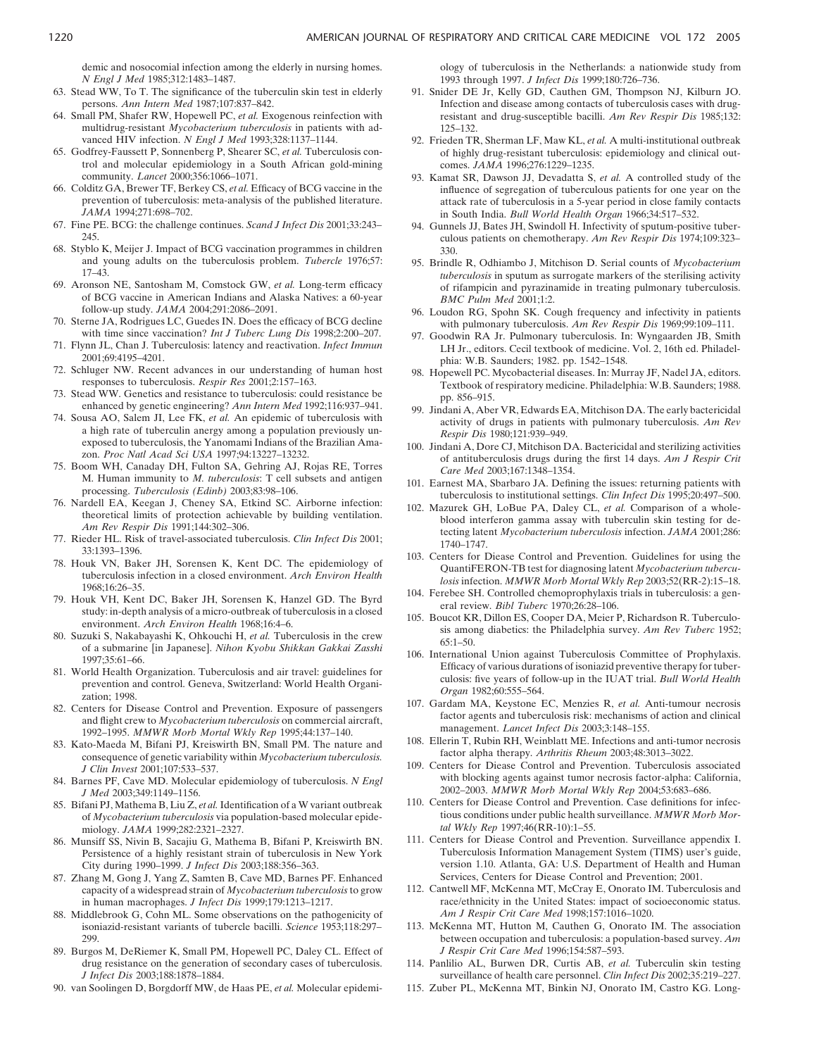demic and nosocomial infection among the elderly in nursing homes. *N Engl J Med* 1985;312:1483–1487.

- 63. Stead WW, To T. The significance of the tuberculin skin test in elderly persons. *Ann Intern Med* 1987;107:837–842.
- 64. Small PM, Shafer RW, Hopewell PC, *et al.* Exogenous reinfection with multidrug-resistant *Mycobacterium tuberculosis* in patients with advanced HIV infection. *N Engl J Med* 1993;328:1137–1144.
- 65. Godfrey-Faussett P, Sonnenberg P, Shearer SC, *et al.* Tuberculosis control and molecular epidemiology in a South African gold-mining community. *Lancet* 2000;356:1066–1071.
- 66. Colditz GA, Brewer TF, Berkey CS, *et al.* Efficacy of BCG vaccine in the prevention of tuberculosis: meta-analysis of the published literature. *JAMA* 1994;271:698–702.
- 67. Fine PE. BCG: the challenge continues. *Scand J Infect Dis* 2001;33:243– 245.
- 68. Styblo K, Meijer J. Impact of BCG vaccination programmes in children and young adults on the tuberculosis problem. *Tubercle* 1976;57: 17–43.
- 69. Aronson NE, Santosham M, Comstock GW, *et al.* Long-term efficacy of BCG vaccine in American Indians and Alaska Natives: a 60-year follow-up study. *JAMA* 2004;291:2086–2091.
- 70. Sterne JA, Rodrigues LC, Guedes IN. Does the efficacy of BCG decline with time since vaccination? *Int J Tuberc Lung Dis* 1998;2:200–207.
- 71. Flynn JL, Chan J. Tuberculosis: latency and reactivation. *Infect Immun* 2001;69:4195–4201.
- 72. Schluger NW. Recent advances in our understanding of human host responses to tuberculosis. *Respir Res* 2001;2:157–163.
- 73. Stead WW. Genetics and resistance to tuberculosis: could resistance be enhanced by genetic engineering? *Ann Intern Med* 1992;116:937–941.
- 74. Sousa AO, Salem JI, Lee FK, *et al.* An epidemic of tuberculosis with a high rate of tuberculin anergy among a population previously unexposed to tuberculosis, the Yanomami Indians of the Brazilian Amazon. *Proc Natl Acad Sci USA* 1997;94:13227–13232.
- 75. Boom WH, Canaday DH, Fulton SA, Gehring AJ, Rojas RE, Torres M. Human immunity to *M. tuberculosis*: T cell subsets and antigen processing. *Tuberculosis (Edinb)* 2003;83:98–106.
- 76. Nardell EA, Keegan J, Cheney SA, Etkind SC. Airborne infection: theoretical limits of protection achievable by building ventilation. *Am Rev Respir Dis* 1991;144:302–306.
- 77. Rieder HL. Risk of travel-associated tuberculosis. *Clin Infect Dis* 2001; 33:1393–1396.
- 78. Houk VN, Baker JH, Sorensen K, Kent DC. The epidemiology of tuberculosis infection in a closed environment. *Arch Environ Health* 1968;16:26–35.
- 79. Houk VH, Kent DC, Baker JH, Sorensen K, Hanzel GD. The Byrd study: in-depth analysis of a micro-outbreak of tuberculosis in a closed environment. *Arch Environ Health* 1968;16:4–6.
- 80. Suzuki S, Nakabayashi K, Ohkouchi H, *et al.* Tuberculosis in the crew of a submarine [in Japanese]. *Nihon Kyobu Shikkan Gakkai Zasshi* 1997;35:61–66.
- 81. World Health Organization. Tuberculosis and air travel: guidelines for prevention and control. Geneva, Switzerland: World Health Organization; 1998.
- 82. Centers for Disease Control and Prevention. Exposure of passengers and flight crew to *Mycobacterium tuberculosis* on commercial aircraft, 1992–1995. *MMWR Morb Mortal Wkly Rep* 1995;44:137–140.
- 83. Kato-Maeda M, Bifani PJ, Kreiswirth BN, Small PM. The nature and consequence of genetic variability within *Mycobacterium tuberculosis. J Clin Invest* 2001;107:533–537.
- 84. Barnes PF, Cave MD. Molecular epidemiology of tuberculosis. *N Engl J Med* 2003;349:1149–1156.
- 85. Bifani PJ, Mathema B, Liu Z, *et al.*Identification of a W variant outbreak of *Mycobacterium tuberculosis* via population-based molecular epidemiology. *JAMA* 1999;282:2321–2327.
- 86. Munsiff SS, Nivin B, Sacajiu G, Mathema B, Bifani P, Kreiswirth BN. Persistence of a highly resistant strain of tuberculosis in New York City during 1990–1999. *J Infect Dis* 2003;188:356–363.
- 87. Zhang M, Gong J, Yang Z, Samten B, Cave MD, Barnes PF. Enhanced capacity of a widespread strain of *Mycobacterium tuberculosis*to grow in human macrophages. *J Infect Dis* 1999;179:1213–1217.
- 88. Middlebrook G, Cohn ML. Some observations on the pathogenicity of isoniazid-resistant variants of tubercle bacilli. *Science* 1953;118:297– 299.
- 89. Burgos M, DeRiemer K, Small PM, Hopewell PC, Daley CL. Effect of drug resistance on the generation of secondary cases of tuberculosis. *J Infect Dis* 2003;188:1878–1884.
- 90. van Soolingen D, Borgdorff MW, de Haas PE, *et al.* Molecular epidemi-

ology of tuberculosis in the Netherlands: a nationwide study from 1993 through 1997. *J Infect Dis* 1999;180:726–736.

- 91. Snider DE Jr, Kelly GD, Cauthen GM, Thompson NJ, Kilburn JO. Infection and disease among contacts of tuberculosis cases with drugresistant and drug-susceptible bacilli. *Am Rev Respir Dis* 1985;132: 125–132.
- 92. Frieden TR, Sherman LF, Maw KL, *et al.* A multi-institutional outbreak of highly drug-resistant tuberculosis: epidemiology and clinical outcomes. *JAMA* 1996;276:1229–1235.
- 93. Kamat SR, Dawson JJ, Devadatta S, *et al.* A controlled study of the influence of segregation of tuberculous patients for one year on the attack rate of tuberculosis in a 5-year period in close family contacts in South India. *Bull World Health Organ* 1966;34:517–532.
- 94. Gunnels JJ, Bates JH, Swindoll H. Infectivity of sputum-positive tuberculous patients on chemotherapy. *Am Rev Respir Dis* 1974;109:323– 330.
- 95. Brindle R, Odhiambo J, Mitchison D. Serial counts of *Mycobacterium tuberculosis* in sputum as surrogate markers of the sterilising activity of rifampicin and pyrazinamide in treating pulmonary tuberculosis. *BMC Pulm Med* 2001;1:2.
- 96. Loudon RG, Spohn SK. Cough frequency and infectivity in patients with pulmonary tuberculosis. *Am Rev Respir Dis* 1969;99:109–111.
- 97. Goodwin RA Jr. Pulmonary tuberculosis. In: Wyngaarden JB, Smith LH Jr., editors. Cecil textbook of medicine. Vol. 2, 16th ed. Philadelphia: W.B. Saunders; 1982. pp. 1542–1548.
- 98. Hopewell PC. Mycobacterial diseases. In: Murray JF, Nadel JA, editors. Textbook of respiratory medicine. Philadelphia: W.B. Saunders; 1988. pp. 856–915.
- 99. Jindani A, Aber VR, Edwards EA, Mitchison DA. The early bactericidal activity of drugs in patients with pulmonary tuberculosis. *Am Rev Respir Dis* 1980;121:939–949.
- 100. Jindani A, Dore CJ, Mitchison DA. Bactericidal and sterilizing activities of antituberculosis drugs during the first 14 days. *Am J Respir Crit Care Med* 2003;167:1348–1354.
- 101. Earnest MA, Sbarbaro JA. Defining the issues: returning patients with tuberculosis to institutional settings. *Clin Infect Dis* 1995;20:497–500.
- 102. Mazurek GH, LoBue PA, Daley CL, *et al.* Comparison of a wholeblood interferon gamma assay with tuberculin skin testing for detecting latent *Mycobacterium tuberculosis* infection. *JAMA* 2001;286: 1740–1747.
- 103. Centers for Diease Control and Prevention. Guidelines for using the QuantiFERON-TB test for diagnosing latent *Mycobacterium tuberculosis* infection. *MMWR Morb Mortal Wkly Rep* 2003;52(RR-2):15–18.
- 104. Ferebee SH. Controlled chemoprophylaxis trials in tuberculosis: a general review. *Bibl Tuberc* 1970;26:28–106.
- 105. Boucot KR, Dillon ES, Cooper DA, Meier P, Richardson R. Tuberculosis among diabetics: the Philadelphia survey. *Am Rev Tuberc* 1952;  $65.1 - 50$
- 106. International Union against Tuberculosis Committee of Prophylaxis. Efficacy of various durations of isoniazid preventive therapy for tuberculosis: five years of follow-up in the IUAT trial. *Bull World Health Organ* 1982;60:555–564.
- 107. Gardam MA, Keystone EC, Menzies R, *et al.* Anti-tumour necrosis factor agents and tuberculosis risk: mechanisms of action and clinical management. *Lancet Infect Dis* 2003;3:148–155.
- 108. Ellerin T, Rubin RH, Weinblatt ME. Infections and anti-tumor necrosis factor alpha therapy. *Arthritis Rheum* 2003;48:3013–3022.
- 109. Centers for Diease Control and Prevention. Tuberculosis associated with blocking agents against tumor necrosis factor-alpha: California, 2002–2003. *MMWR Morb Mortal Wkly Rep* 2004;53:683–686.
- 110. Centers for Diease Control and Prevention. Case definitions for infectious conditions under public health surveillance. *MMWR Morb Mortal Wkly Rep* 1997;46(RR-10):1–55.
- 111. Centers for Diease Control and Prevention. Surveillance appendix I. Tuberculosis Information Management System (TIMS) user's guide, version 1.10. Atlanta, GA: U.S. Department of Health and Human Services, Centers for Diease Control and Prevention; 2001.
- 112. Cantwell MF, McKenna MT, McCray E, Onorato IM. Tuberculosis and race/ethnicity in the United States: impact of socioeconomic status. *Am J Respir Crit Care Med* 1998;157:1016–1020.
- 113. McKenna MT, Hutton M, Cauthen G, Onorato IM. The association between occupation and tuberculosis: a population-based survey. *Am J Respir Crit Care Med* 1996;154:587–593.
- 114. Panlilio AL, Burwen DR, Curtis AB, *et al.* Tuberculin skin testing surveillance of health care personnel. *Clin Infect Dis* 2002;35:219–227.
- 115. Zuber PL, McKenna MT, Binkin NJ, Onorato IM, Castro KG. Long-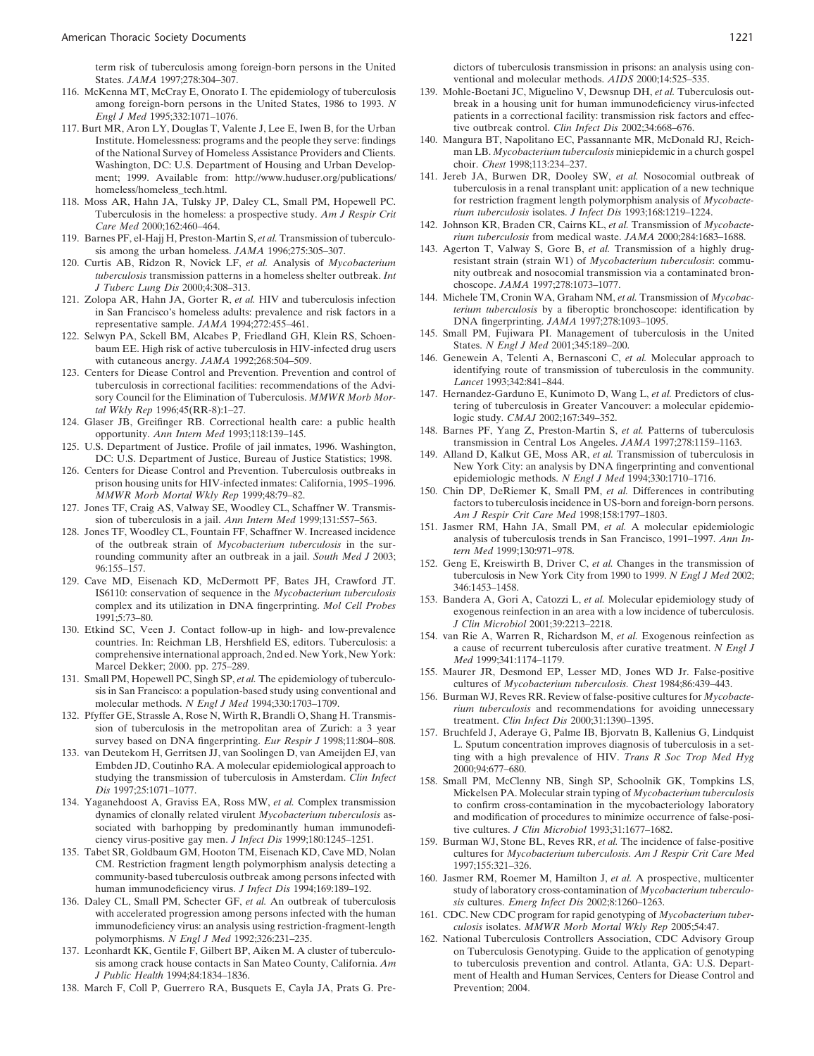term risk of tuberculosis among foreign-born persons in the United States. *JAMA* 1997;278:304–307.

- 116. McKenna MT, McCray E, Onorato I. The epidemiology of tuberculosis among foreign-born persons in the United States, 1986 to 1993. *N Engl J Med* 1995;332:1071–1076.
- 117. Burt MR, Aron LY, Douglas T, Valente J, Lee E, Iwen B, for the Urban Institute. Homelessness: programs and the people they serve: findings of the National Survey of Homeless Assistance Providers and Clients. Washington, DC: U.S. Department of Housing and Urban Development; 1999. Available from: http://www.huduser.org/publications/ homeless/homeless\_tech.html.
- 118. Moss AR, Hahn JA, Tulsky JP, Daley CL, Small PM, Hopewell PC. Tuberculosis in the homeless: a prospective study. *Am J Respir Crit Care Med* 2000;162:460–464.
- 119. Barnes PF, el-Hajj H, Preston-Martin S, *et al.* Transmission of tuberculosis among the urban homeless. *JAMA* 1996;275:305–307.
- 120. Curtis AB, Ridzon R, Novick LF, *et al.* Analysis of *Mycobacterium tuberculosis* transmission patterns in a homeless shelter outbreak. *Int J Tuberc Lung Dis* 2000;4:308–313.
- 121. Zolopa AR, Hahn JA, Gorter R, *et al.* HIV and tuberculosis infection in San Francisco's homeless adults: prevalence and risk factors in a representative sample. *JAMA* 1994;272:455–461.
- 122. Selwyn PA, Sckell BM, Alcabes P, Friedland GH, Klein RS, Schoenbaum EE. High risk of active tuberculosis in HIV-infected drug users with cutaneous anergy. *JAMA* 1992;268:504–509.
- 123. Centers for Diease Control and Prevention. Prevention and control of tuberculosis in correctional facilities: recommendations of the Advisory Council for the Elimination of Tuberculosis. *MMWR Morb Mortal Wkly Rep* 1996;45(RR-8):1–27.
- 124. Glaser JB, Greifinger RB. Correctional health care: a public health opportunity. *Ann Intern Med* 1993;118:139–145.
- 125. U.S. Department of Justice. Profile of jail inmates, 1996. Washington, DC: U.S. Department of Justice, Bureau of Justice Statistics; 1998.
- 126. Centers for Diease Control and Prevention. Tuberculosis outbreaks in prison housing units for HIV-infected inmates: California, 1995–1996. *MMWR Morb Mortal Wkly Rep* 1999;48:79–82.
- 127. Jones TF, Craig AS, Valway SE, Woodley CL, Schaffner W. Transmission of tuberculosis in a jail. *Ann Intern Med* 1999;131:557–563.
- 128. Jones TF, Woodley CL, Fountain FF, Schaffner W. Increased incidence of the outbreak strain of *Mycobacterium tuberculosis* in the surrounding community after an outbreak in a jail. *South Med J* 2003; 96:155–157.
- 129. Cave MD, Eisenach KD, McDermott PF, Bates JH, Crawford JT. IS6110: conservation of sequence in the *Mycobacterium tuberculosis* complex and its utilization in DNA fingerprinting. *Mol Cell Probes* 1991;5:73–80.
- 130. Etkind SC, Veen J. Contact follow-up in high- and low-prevalence countries. In: Reichman LB, Hershfield ES, editors. Tuberculosis: a comprehensive international approach, 2nd ed. New York, New York: Marcel Dekker; 2000. pp. 275–289.
- 131. Small PM, Hopewell PC, Singh SP, *et al.* The epidemiology of tuberculosis in San Francisco: a population-based study using conventional and molecular methods. *N Engl J Med* 1994;330:1703–1709.
- 132. Pfyffer GE, Strassle A, Rose N, Wirth R, Brandli O, Shang H. Transmission of tuberculosis in the metropolitan area of Zurich: a 3 year survey based on DNA fingerprinting. *Eur Respir J* 1998;11:804–808.
- 133. van Deutekom H, Gerritsen JJ, van Soolingen D, van Ameijden EJ, van Embden JD, Coutinho RA. A molecular epidemiological approach to studying the transmission of tuberculosis in Amsterdam. *Clin Infect Dis* 1997;25:1071–1077.
- 134. Yaganehdoost A, Graviss EA, Ross MW, *et al.* Complex transmission dynamics of clonally related virulent *Mycobacterium tuberculosis* associated with barhopping by predominantly human immunodeficiency virus-positive gay men. *J Infect Dis* 1999;180:1245–1251.
- 135. Tabet SR, Goldbaum GM, Hooton TM, Eisenach KD, Cave MD, Nolan CM. Restriction fragment length polymorphism analysis detecting a community-based tuberculosis outbreak among persons infected with human immunodeficiency virus. *J Infect Dis* 1994;169:189–192.
- 136. Daley CL, Small PM, Schecter GF, *et al.* An outbreak of tuberculosis with accelerated progression among persons infected with the human immunodeficiency virus: an analysis using restriction-fragment-length polymorphisms. *N Engl J Med* 1992;326:231–235.
- 137. Leonhardt KK, Gentile F, Gilbert BP, Aiken M. A cluster of tuberculosis among crack house contacts in San Mateo County, California. *Am J Public Health* 1994;84:1834–1836.
- 138. March F, Coll P, Guerrero RA, Busquets E, Cayla JA, Prats G. Pre-

dictors of tuberculosis transmission in prisons: an analysis using conventional and molecular methods. *AIDS* 2000;14:525–535.

- 139. Mohle-Boetani JC, Miguelino V, Dewsnup DH, *et al.* Tuberculosis outbreak in a housing unit for human immunodeficiency virus-infected patients in a correctional facility: transmission risk factors and effective outbreak control. *Clin Infect Dis* 2002;34:668–676.
- 140. Mangura BT, Napolitano EC, Passannante MR, McDonald RJ, Reichman LB. *Mycobacterium tuberculosis* miniepidemic in a church gospel choir. *Chest* 1998;113:234–237.
- 141. Jereb JA, Burwen DR, Dooley SW, *et al.* Nosocomial outbreak of tuberculosis in a renal transplant unit: application of a new technique for restriction fragment length polymorphism analysis of *Mycobacterium tuberculosis* isolates. *J Infect Dis* 1993;168:1219–1224.
- 142. Johnson KR, Braden CR, Cairns KL, *et al.* Transmission of *Mycobacterium tuberculosis* from medical waste. *JAMA* 2000;284:1683–1688.
- 143. Agerton T, Valway S, Gore B, *et al.* Transmission of a highly drugresistant strain (strain W1) of *Mycobacterium tuberculosis*: community outbreak and nosocomial transmission via a contaminated bronchoscope. *JAMA* 1997;278:1073–1077.
- 144. Michele TM, Cronin WA, Graham NM, *et al.* Transmission of *Mycobacterium tuberculosis* by a fiberoptic bronchoscope: identification by DNA fingerprinting. *JAMA* 1997;278:1093–1095.
- 145. Small PM, Fujiwara PI. Management of tuberculosis in the United States. *N Engl J Med* 2001;345:189–200.
- 146. Genewein A, Telenti A, Bernasconi C, *et al.* Molecular approach to identifying route of transmission of tuberculosis in the community. *Lancet* 1993;342:841–844.
- 147. Hernandez-Garduno E, Kunimoto D, Wang L, *et al.* Predictors of clustering of tuberculosis in Greater Vancouver: a molecular epidemiologic study. *CMAJ* 2002;167:349–352.
- 148. Barnes PF, Yang Z, Preston-Martin S, *et al.* Patterns of tuberculosis transmission in Central Los Angeles. *JAMA* 1997;278:1159–1163.
- 149. Alland D, Kalkut GE, Moss AR, *et al.* Transmission of tuberculosis in New York City: an analysis by DNA fingerprinting and conventional epidemiologic methods. *N Engl J Med* 1994;330:1710–1716.
- 150. Chin DP, DeRiemer K, Small PM, *et al.* Differences in contributing factors to tuberculosis incidence in US-born and foreign-born persons. *Am J Respir Crit Care Med* 1998;158:1797–1803.
- 151. Jasmer RM, Hahn JA, Small PM, *et al.* A molecular epidemiologic analysis of tuberculosis trends in San Francisco, 1991–1997. *Ann Intern Med* 1999;130:971–978.
- 152. Geng E, Kreiswirth B, Driver C, *et al.* Changes in the transmission of tuberculosis in New York City from 1990 to 1999. *N Engl J Med* 2002; 346:1453–1458.
- 153. Bandera A, Gori A, Catozzi L, *et al.* Molecular epidemiology study of exogenous reinfection in an area with a low incidence of tuberculosis. *J Clin Microbiol* 2001;39:2213–2218.
- 154. van Rie A, Warren R, Richardson M, *et al.* Exogenous reinfection as a cause of recurrent tuberculosis after curative treatment. *N Engl J Med* 1999;341:1174–1179.
- 155. Maurer JR, Desmond EP, Lesser MD, Jones WD Jr. False-positive cultures of *Mycobacterium tuberculosis. Chest* 1984;86:439–443.
- 156. Burman WJ, Reves RR. Review of false-positive cultures for *Mycobacterium tuberculosis* and recommendations for avoiding unnecessary treatment. *Clin Infect Dis* 2000;31:1390–1395.
- 157. Bruchfeld J, Aderaye G, Palme IB, Bjorvatn B, Kallenius G, Lindquist L. Sputum concentration improves diagnosis of tuberculosis in a setting with a high prevalence of HIV. *Trans R Soc Trop Med Hyg* 2000;94:677–680.
- 158. Small PM, McClenny NB, Singh SP, Schoolnik GK, Tompkins LS, Mickelsen PA. Molecular strain typing of *Mycobacterium tuberculosis* to confirm cross-contamination in the mycobacteriology laboratory and modification of procedures to minimize occurrence of false-positive cultures. *J Clin Microbiol* 1993;31:1677–1682.
- 159. Burman WJ, Stone BL, Reves RR, *et al.* The incidence of false-positive cultures for *Mycobacterium tuberculosis. Am J Respir Crit Care Med* 1997;155:321–326.
- 160. Jasmer RM, Roemer M, Hamilton J, *et al.* A prospective, multicenter study of laboratory cross-contamination of *Mycobacterium tuberculosis* cultures. *Emerg Infect Dis* 2002;8:1260–1263.
- 161. CDC. New CDC program for rapid genotyping of *Mycobacterium tuberculosis* isolates. *MMWR Morb Mortal Wkly Rep* 2005;54:47.
- 162. National Tuberculosis Controllers Association, CDC Advisory Group on Tuberculosis Genotyping. Guide to the application of genotyping to tuberculosis prevention and control. Atlanta, GA: U.S. Department of Health and Human Services, Centers for Diease Control and Prevention; 2004.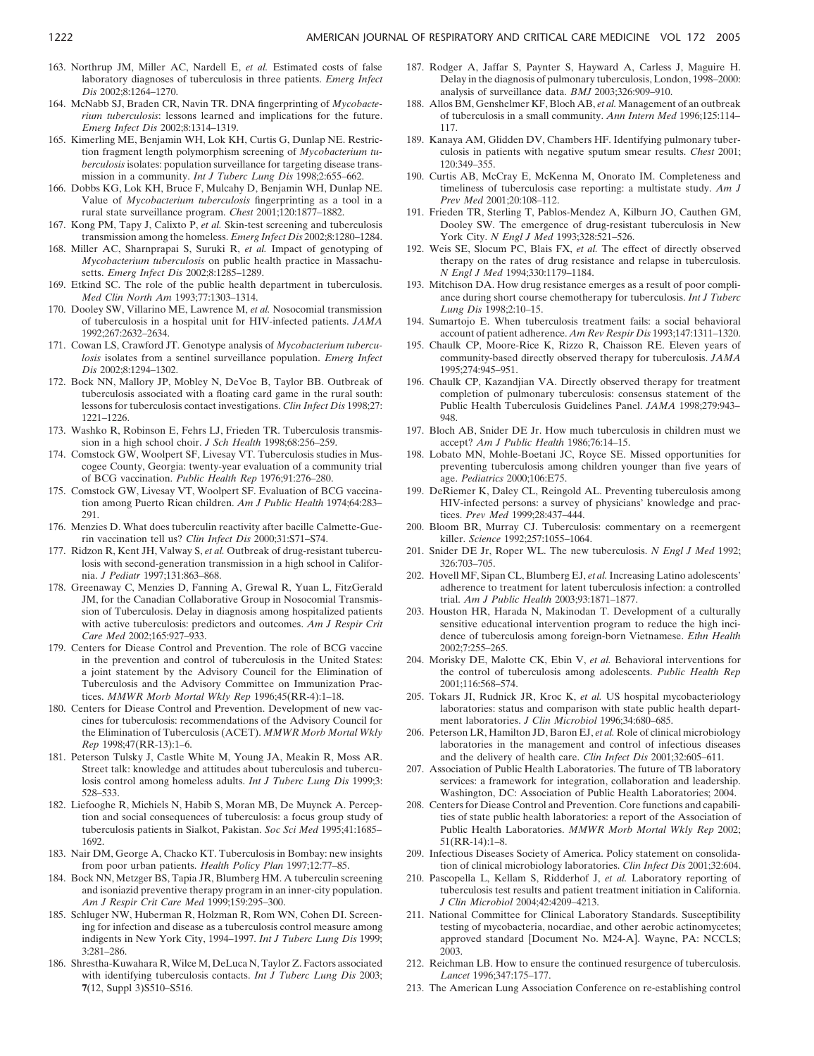- 163. Northrup JM, Miller AC, Nardell E, *et al.* Estimated costs of false laboratory diagnoses of tuberculosis in three patients. *Emerg Infect Dis* 2002;8:1264–1270.
- 164. McNabb SJ, Braden CR, Navin TR. DNA fingerprinting of *Mycobacterium tuberculosis*: lessons learned and implications for the future. *Emerg Infect Dis* 2002;8:1314–1319.
- 165. Kimerling ME, Benjamin WH, Lok KH, Curtis G, Dunlap NE. Restriction fragment length polymorphism screening of *Mycobacterium tuberculosis* isolates: population surveillance for targeting disease transmission in a community. *Int J Tuberc Lung Dis* 1998;2:655–662.
- 166. Dobbs KG, Lok KH, Bruce F, Mulcahy D, Benjamin WH, Dunlap NE. Value of *Mycobacterium tuberculosis* fingerprinting as a tool in a rural state surveillance program. *Chest* 2001;120:1877–1882.
- 167. Kong PM, Tapy J, Calixto P, *et al.* Skin-test screening and tuberculosis transmission among the homeless. *Emerg Infect Dis* 2002;8:1280–1284.
- 168. Miller AC, Sharnprapai S, Suruki R, *et al.* Impact of genotyping of *Mycobacterium tuberculosis* on public health practice in Massachusetts. *Emerg Infect Dis* 2002;8:1285–1289.
- 169. Etkind SC. The role of the public health department in tuberculosis. *Med Clin North Am* 1993;77:1303–1314.
- 170. Dooley SW, Villarino ME, Lawrence M, *et al.* Nosocomial transmission of tuberculosis in a hospital unit for HIV-infected patients. *JAMA* 1992;267:2632–2634.
- 171. Cowan LS, Crawford JT. Genotype analysis of *Mycobacterium tuberculosis* isolates from a sentinel surveillance population. *Emerg Infect Dis* 2002;8:1294–1302.
- 172. Bock NN, Mallory JP, Mobley N, DeVoe B, Taylor BB. Outbreak of tuberculosis associated with a floating card game in the rural south: lessons for tuberculosis contact investigations. *Clin Infect Dis* 1998;27: 1221–1226.
- 173. Washko R, Robinson E, Fehrs LJ, Frieden TR. Tuberculosis transmission in a high school choir. *J Sch Health* 1998;68:256–259.
- 174. Comstock GW, Woolpert SF, Livesay VT. Tuberculosis studies in Muscogee County, Georgia: twenty-year evaluation of a community trial of BCG vaccination. *Public Health Rep* 1976;91:276–280.
- 175. Comstock GW, Livesay VT, Woolpert SF. Evaluation of BCG vaccination among Puerto Rican children. *Am J Public Health* 1974;64:283– 291.
- 176. Menzies D. What does tuberculin reactivity after bacille Calmette-Guerin vaccination tell us? *Clin Infect Dis* 2000;31:S71–S74.
- 177. Ridzon R, Kent JH, Valway S, *et al.* Outbreak of drug-resistant tuberculosis with second-generation transmission in a high school in California. *J Pediatr* 1997;131:863–868.
- 178. Greenaway C, Menzies D, Fanning A, Grewal R, Yuan L, FitzGerald JM, for the Canadian Collaborative Group in Nosocomial Transmission of Tuberculosis. Delay in diagnosis among hospitalized patients with active tuberculosis: predictors and outcomes. *Am J Respir Crit Care Med* 2002;165:927–933.
- 179. Centers for Diease Control and Prevention. The role of BCG vaccine in the prevention and control of tuberculosis in the United States: a joint statement by the Advisory Council for the Elimination of Tuberculosis and the Advisory Committee on Immunization Practices. *MMWR Morb Mortal Wkly Rep* 1996;45(RR-4):1–18.
- 180. Centers for Diease Control and Prevention. Development of new vaccines for tuberculosis: recommendations of the Advisory Council for the Elimination of Tuberculosis (ACET). *MMWR Morb Mortal Wkly Rep* 1998;47(RR-13):1–6.
- 181. Peterson Tulsky J, Castle White M, Young JA, Meakin R, Moss AR. Street talk: knowledge and attitudes about tuberculosis and tuberculosis control among homeless adults. *Int J Tuberc Lung Dis* 1999;3: 528–533.
- 182. Liefooghe R, Michiels N, Habib S, Moran MB, De Muynck A. Perception and social consequences of tuberculosis: a focus group study of tuberculosis patients in Sialkot, Pakistan. *Soc Sci Med* 1995;41:1685– 1692.
- 183. Nair DM, George A, Chacko KT. Tuberculosis in Bombay: new insights from poor urban patients. *Health Policy Plan* 1997;12:77–85.
- 184. Bock NN, Metzger BS, Tapia JR, Blumberg HM. A tuberculin screening and isoniazid preventive therapy program in an inner-city population. *Am J Respir Crit Care Med* 1999;159:295–300.
- 185. Schluger NW, Huberman R, Holzman R, Rom WN, Cohen DI. Screening for infection and disease as a tuberculosis control measure among indigents in New York City, 1994–1997. *Int J Tuberc Lung Dis* 1999; 3:281–286.
- 186. Shrestha-Kuwahara R, Wilce M, DeLuca N, Taylor Z. Factors associated with identifying tuberculosis contacts. *Int J Tuberc Lung Dis* 2003; **7**(12, Suppl 3)S510–S516.
- 187. Rodger A, Jaffar S, Paynter S, Hayward A, Carless J, Maguire H. Delay in the diagnosis of pulmonary tuberculosis, London, 1998–2000: analysis of surveillance data. *BMJ* 2003;326:909–910.
- 188. Allos BM, Genshelmer KF, Bloch AB, *et al.* Management of an outbreak of tuberculosis in a small community. *Ann Intern Med* 1996;125:114– 117.
- 189. Kanaya AM, Glidden DV, Chambers HF. Identifying pulmonary tuberculosis in patients with negative sputum smear results. *Chest* 2001; 120:349–355.
- 190. Curtis AB, McCray E, McKenna M, Onorato IM. Completeness and timeliness of tuberculosis case reporting: a multistate study. *Am J Prev Med* 2001;20:108–112.
- 191. Frieden TR, Sterling T, Pablos-Mendez A, Kilburn JO, Cauthen GM, Dooley SW. The emergence of drug-resistant tuberculosis in New York City. *N Engl J Med* 1993;328:521–526.
- 192. Weis SE, Slocum PC, Blais FX, *et al.* The effect of directly observed therapy on the rates of drug resistance and relapse in tuberculosis. *N Engl J Med* 1994;330:1179–1184.
- 193. Mitchison DA. How drug resistance emerges as a result of poor compliance during short course chemotherapy for tuberculosis. *Int J Tuberc Lung Dis* 1998;2:10–15.
- 194. Sumartojo E. When tuberculosis treatment fails: a social behavioral account of patient adherence. *Am Rev Respir Dis* 1993;147:1311–1320.
- 195. Chaulk CP, Moore-Rice K, Rizzo R, Chaisson RE. Eleven years of community-based directly observed therapy for tuberculosis. *JAMA* 1995;274:945–951.
- 196. Chaulk CP, Kazandjian VA. Directly observed therapy for treatment completion of pulmonary tuberculosis: consensus statement of the Public Health Tuberculosis Guidelines Panel. *JAMA* 1998;279:943– 948.
- 197. Bloch AB, Snider DE Jr. How much tuberculosis in children must we accept? *Am J Public Health* 1986;76:14–15.
- 198. Lobato MN, Mohle-Boetani JC, Royce SE. Missed opportunities for preventing tuberculosis among children younger than five years of age. *Pediatrics* 2000;106:E75.
- 199. DeRiemer K, Daley CL, Reingold AL. Preventing tuberculosis among HIV-infected persons: a survey of physicians' knowledge and practices. *Prev Med* 1999;28:437–444.
- 200. Bloom BR, Murray CJ. Tuberculosis: commentary on a reemergent killer. *Science* 1992;257:1055–1064.
- 201. Snider DE Jr, Roper WL. The new tuberculosis. *N Engl J Med* 1992; 326:703–705.
- 202. Hovell MF, Sipan CL, Blumberg EJ, *et al.* Increasing Latino adolescents' adherence to treatment for latent tuberculosis infection: a controlled trial. *Am J Public Health* 2003;93:1871–1877.
- 203. Houston HR, Harada N, Makinodan T. Development of a culturally sensitive educational intervention program to reduce the high incidence of tuberculosis among foreign-born Vietnamese. *Ethn Health* 2002;7:255–265.
- 204. Morisky DE, Malotte CK, Ebin V, *et al.* Behavioral interventions for the control of tuberculosis among adolescents. *Public Health Rep* 2001;116:568–574.
- 205. Tokars JI, Rudnick JR, Kroc K, *et al.* US hospital mycobacteriology laboratories: status and comparison with state public health department laboratories. *J Clin Microbiol* 1996;34:680–685.
- 206. Peterson LR, Hamilton JD, Baron EJ, *et al.* Role of clinical microbiology laboratories in the management and control of infectious diseases and the delivery of health care. *Clin Infect Dis* 2001;32:605–611.
- 207. Association of Public Health Laboratories. The future of TB laboratory services: a framework for integration, collaboration and leadership. Washington, DC: Association of Public Health Laboratories; 2004.
- 208. Centers for Diease Control and Prevention. Core functions and capabilities of state public health laboratories: a report of the Association of Public Health Laboratories. *MMWR Morb Mortal Wkly Rep* 2002; 51(RR-14):1–8.
- 209. Infectious Diseases Society of America. Policy statement on consolidation of clinical microbiology laboratories. *Clin Infect Dis* 2001;32:604.
- 210. Pascopella L, Kellam S, Ridderhof J, *et al.* Laboratory reporting of tuberculosis test results and patient treatment initiation in California. *J Clin Microbiol* 2004;42:4209–4213.
- 211. National Committee for Clinical Laboratory Standards. Susceptibility testing of mycobacteria, nocardiae, and other aerobic actinomycetes; approved standard [Document No. M24-A]. Wayne, PA: NCCLS; 2003.
- 212. Reichman LB. How to ensure the continued resurgence of tuberculosis. *Lancet* 1996;347:175–177.
- 213. The American Lung Association Conference on re-establishing control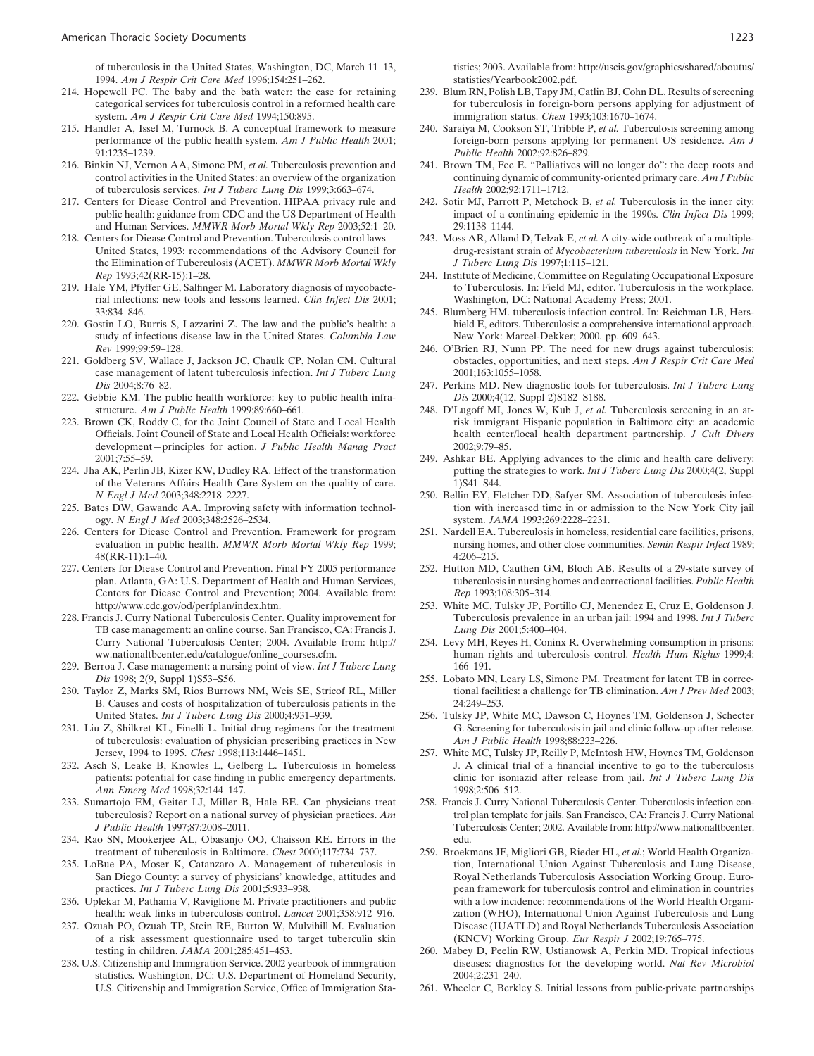of tuberculosis in the United States, Washington, DC, March 11–13, 1994. *Am J Respir Crit Care Med* 1996;154:251–262.

- 214. Hopewell PC. The baby and the bath water: the case for retaining categorical services for tuberculosis control in a reformed health care system. *Am J Respir Crit Care Med* 1994;150:895.
- 215. Handler A, Issel M, Turnock B. A conceptual framework to measure performance of the public health system. *Am J Public Health* 2001; 91:1235–1239.
- 216. Binkin NJ, Vernon AA, Simone PM, *et al.* Tuberculosis prevention and control activities in the United States: an overview of the organization of tuberculosis services. *Int J Tuberc Lung Dis* 1999;3:663–674.
- 217. Centers for Diease Control and Prevention. HIPAA privacy rule and public health: guidance from CDC and the US Department of Health and Human Services. *MMWR Morb Mortal Wkly Rep* 2003;52:1–20.
- 218. Centers for Diease Control and Prevention. Tuberculosis control laws— United States, 1993: recommendations of the Advisory Council for the Elimination of Tuberculosis (ACET). *MMWR Morb Mortal Wkly Rep* 1993;42(RR-15):1–28.
- 219. Hale YM, Pfyffer GE, Salfinger M. Laboratory diagnosis of mycobacterial infections: new tools and lessons learned. *Clin Infect Dis* 2001; 33:834–846.
- 220. Gostin LO, Burris S, Lazzarini Z. The law and the public's health: a study of infectious disease law in the United States. *Columbia Law Rev* 1999;99:59–128.
- 221. Goldberg SV, Wallace J, Jackson JC, Chaulk CP, Nolan CM. Cultural case management of latent tuberculosis infection. *Int J Tuberc Lung Dis* 2004;8:76–82.
- 222. Gebbie KM. The public health workforce: key to public health infrastructure. *Am J Public Health* 1999;89:660–661.
- 223. Brown CK, Roddy C, for the Joint Council of State and Local Health Officials. Joint Council of State and Local Health Officials: workforce development—principles for action. *J Public Health Manag Pract*  $2001.7:55–59.$
- 224. Jha AK, Perlin JB, Kizer KW, Dudley RA. Effect of the transformation of the Veterans Affairs Health Care System on the quality of care. *N Engl J Med* 2003;348:2218–2227.
- 225. Bates DW, Gawande AA. Improving safety with information technology. *N Engl J Med* 2003;348:2526–2534.
- 226. Centers for Diease Control and Prevention. Framework for program evaluation in public health. *MMWR Morb Mortal Wkly Rep* 1999; 48(RR-11):1–40.
- 227. Centers for Diease Control and Prevention. Final FY 2005 performance plan. Atlanta, GA: U.S. Department of Health and Human Services, Centers for Diease Control and Prevention; 2004. Available from: http://www.cdc.gov/od/perfplan/index.htm.
- 228. Francis J. Curry National Tuberculosis Center. Quality improvement for TB case management: an online course. San Francisco, CA: Francis J. Curry National Tuberculosis Center; 2004. Available from: http:// ww.nationaltbcenter.edu/catalogue/online\_courses.cfm.
- 229. Berroa J. Case management: a nursing point of view. *Int J Tuberc Lung Dis* 1998; 2(9, Suppl 1)S53–S56.
- 230. Taylor Z, Marks SM, Rios Burrows NM, Weis SE, Stricof RL, Miller B. Causes and costs of hospitalization of tuberculosis patients in the United States. *Int J Tuberc Lung Dis* 2000;4:931–939.
- 231. Liu Z, Shilkret KL, Finelli L. Initial drug regimens for the treatment of tuberculosis: evaluation of physician prescribing practices in New Jersey, 1994 to 1995. *Chest* 1998;113:1446–1451.
- 232. Asch S, Leake B, Knowles L, Gelberg L. Tuberculosis in homeless patients: potential for case finding in public emergency departments. *Ann Emerg Med* 1998;32:144–147.
- 233. Sumartojo EM, Geiter LJ, Miller B, Hale BE. Can physicians treat tuberculosis? Report on a national survey of physician practices. *Am J Public Health* 1997;87:2008–2011.
- 234. Rao SN, Mookerjee AL, Obasanjo OO, Chaisson RE. Errors in the treatment of tuberculosis in Baltimore. *Chest* 2000;117:734–737.
- 235. LoBue PA, Moser K, Catanzaro A. Management of tuberculosis in San Diego County: a survey of physicians' knowledge, attitudes and practices. *Int J Tuberc Lung Dis* 2001;5:933–938.
- 236. Uplekar M, Pathania V, Raviglione M. Private practitioners and public health: weak links in tuberculosis control. *Lancet* 2001;358:912–916.
- 237. Ozuah PO, Ozuah TP, Stein RE, Burton W, Mulvihill M. Evaluation of a risk assessment questionnaire used to target tuberculin skin testing in children. *JAMA* 2001;285:451–453.
- 238. U.S. Citizenship and Immigration Service. 2002 yearbook of immigration statistics. Washington, DC: U.S. Department of Homeland Security, U.S. Citizenship and Immigration Service, Office of Immigration Sta-

tistics; 2003. Available from: http://uscis.gov/graphics/shared/aboutus/ statistics/Yearbook2002.pdf.

- 239. Blum RN, Polish LB, Tapy JM, Catlin BJ, Cohn DL. Results of screening for tuberculosis in foreign-born persons applying for adjustment of immigration status. *Chest* 1993;103:1670–1674.
- 240. Saraiya M, Cookson ST, Tribble P, *et al.* Tuberculosis screening among foreign-born persons applying for permanent US residence. *Am J Public Health* 2002;92:826–829.
- 241. Brown TM, Fee E. "Palliatives will no longer do": the deep roots and continuing dynamic of community-oriented primary care. *Am J Public Health* 2002;92:1711–1712.
- 242. Sotir MJ, Parrott P, Metchock B, *et al.* Tuberculosis in the inner city: impact of a continuing epidemic in the 1990s. *Clin Infect Dis* 1999; 29:1138–1144.
- 243. Moss AR, Alland D, Telzak E, *et al.* A city-wide outbreak of a multipledrug-resistant strain of *Mycobacterium tuberculosis* in New York. *Int J Tuberc Lung Dis* 1997;1:115–121.
- 244. Institute of Medicine, Committee on Regulating Occupational Exposure to Tuberculosis. In: Field MJ, editor. Tuberculosis in the workplace. Washington, DC: National Academy Press; 2001.
- 245. Blumberg HM. tuberculosis infection control. In: Reichman LB, Hershield E, editors. Tuberculosis: a comprehensive international approach. New York: Marcel-Dekker; 2000. pp. 609–643.
- 246. O'Brien RJ, Nunn PP. The need for new drugs against tuberculosis: obstacles, opportunities, and next steps. *Am J Respir Crit Care Med* 2001;163:1055–1058.
- 247. Perkins MD. New diagnostic tools for tuberculosis. *Int J Tuberc Lung Dis* 2000;4(12, Suppl 2)S182–S188.
- 248. D'Lugoff MI, Jones W, Kub J, *et al.* Tuberculosis screening in an atrisk immigrant Hispanic population in Baltimore city: an academic health center/local health department partnership. *J Cult Divers* 2002;9:79–85.
- 249. Ashkar BE. Applying advances to the clinic and health care delivery: putting the strategies to work. *Int J Tuberc Lung Dis* 2000;4(2, Suppl 1)S41–S44.
- 250. Bellin EY, Fletcher DD, Safyer SM. Association of tuberculosis infection with increased time in or admission to the New York City jail system. *JAMA* 1993;269:2228–2231.
- 251. Nardell EA. Tuberculosis in homeless, residential care facilities, prisons, nursing homes, and other close communities. *Semin Respir Infect* 1989; 4:206–215.
- 252. Hutton MD, Cauthen GM, Bloch AB. Results of a 29-state survey of tuberculosis in nursing homes and correctional facilities. *Public Health Rep* 1993;108:305–314.
- 253. White MC, Tulsky JP, Portillo CJ, Menendez E, Cruz E, Goldenson J. Tuberculosis prevalence in an urban jail: 1994 and 1998. *Int J Tuberc Lung Dis* 2001;5:400–404.
- 254. Levy MH, Reyes H, Coninx R. Overwhelming consumption in prisons: human rights and tuberculosis control. *Health Hum Rights* 1999;4: 166–191.
- 255. Lobato MN, Leary LS, Simone PM. Treatment for latent TB in correctional facilities: a challenge for TB elimination. *Am J Prev Med* 2003; 24:249–253.
- 256. Tulsky JP, White MC, Dawson C, Hoynes TM, Goldenson J, Schecter G. Screening for tuberculosis in jail and clinic follow-up after release. *Am J Public Health* 1998;88:223–226.
- 257. White MC, Tulsky JP, Reilly P, McIntosh HW, Hoynes TM, Goldenson J. A clinical trial of a financial incentive to go to the tuberculosis clinic for isoniazid after release from jail. *Int J Tuberc Lung Dis* 1998;2:506–512.
- 258. Francis J. Curry National Tuberculosis Center. Tuberculosis infection control plan template for jails. San Francisco, CA: Francis J. Curry National Tuberculosis Center; 2002. Available from: http://www.nationaltbcenter. edu.
- 259. Broekmans JF, Migliori GB, Rieder HL, *et al.*; World Health Organization, International Union Against Tuberculosis and Lung Disease, Royal Netherlands Tuberculosis Association Working Group. European framework for tuberculosis control and elimination in countries with a low incidence: recommendations of the World Health Organization (WHO), International Union Against Tuberculosis and Lung Disease (IUATLD) and Royal Netherlands Tuberculosis Association (KNCV) Working Group. *Eur Respir J* 2002;19:765–775.
- 260. Mabey D, Peelin RW, Ustianowsk A, Perkin MD. Tropical infectious diseases: diagnostics for the developing world. *Nat Rev Microbiol* 2004;2:231–240.
- 261. Wheeler C, Berkley S. Initial lessons from public-private partnerships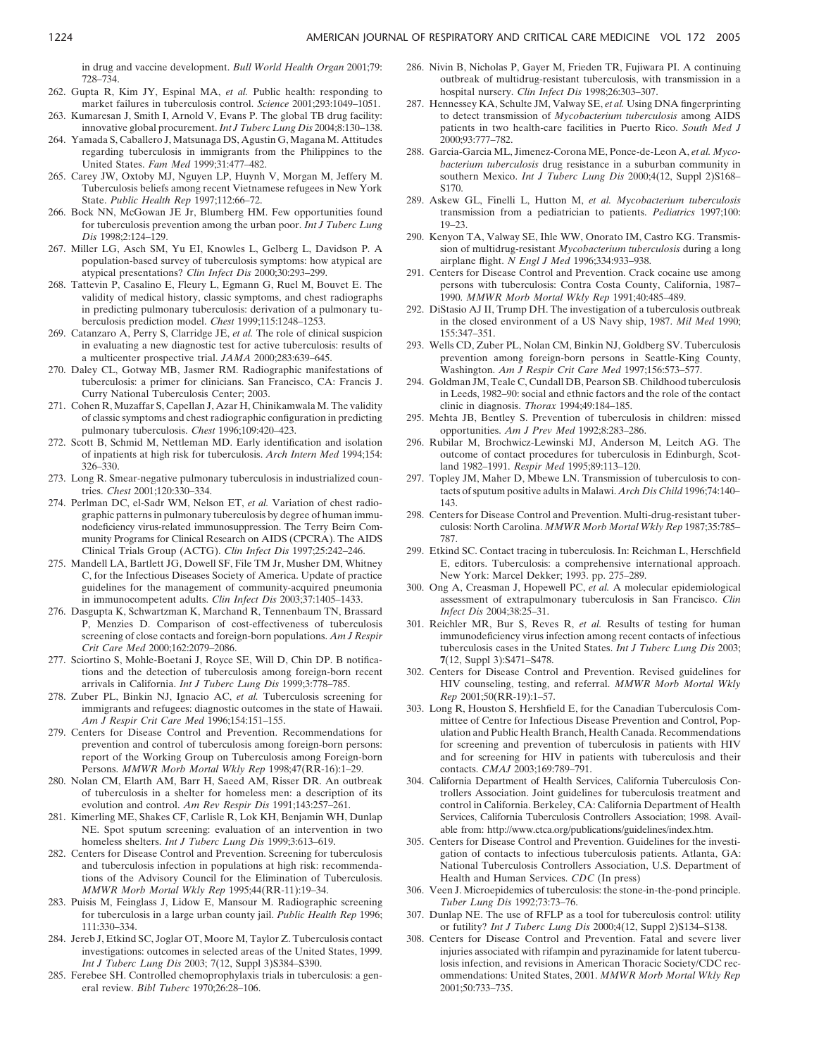in drug and vaccine development. *Bull World Health Organ* 2001;79: 728–734.

- 262. Gupta R, Kim JY, Espinal MA, *et al.* Public health: responding to market failures in tuberculosis control. *Science* 2001;293:1049–1051.
- 263. Kumaresan J, Smith I, Arnold V, Evans P. The global TB drug facility: innovative global procurement.*Int J Tuberc Lung Dis* 2004;8:130–138.
- 264. Yamada S, Caballero J, Matsunaga DS, Agustin G, Magana M. Attitudes regarding tuberculosis in immigrants from the Philippines to the United States. *Fam Med* 1999;31:477–482.
- 265. Carey JW, Oxtoby MJ, Nguyen LP, Huynh V, Morgan M, Jeffery M. Tuberculosis beliefs among recent Vietnamese refugees in New York State. *Public Health Rep* 1997;112:66–72.
- 266. Bock NN, McGowan JE Jr, Blumberg HM. Few opportunities found for tuberculosis prevention among the urban poor. *Int J Tuberc Lung Dis* 1998;2:124–129.
- 267. Miller LG, Asch SM, Yu EI, Knowles L, Gelberg L, Davidson P. A population-based survey of tuberculosis symptoms: how atypical are atypical presentations? *Clin Infect Dis* 2000;30:293–299.
- 268. Tattevin P, Casalino E, Fleury L, Egmann G, Ruel M, Bouvet E. The validity of medical history, classic symptoms, and chest radiographs in predicting pulmonary tuberculosis: derivation of a pulmonary tuberculosis prediction model. *Chest* 1999;115:1248–1253.
- 269. Catanzaro A, Perry S, Clarridge JE, *et al.* The role of clinical suspicion in evaluating a new diagnostic test for active tuberculosis: results of a multicenter prospective trial. *JAMA* 2000;283:639–645.
- 270. Daley CL, Gotway MB, Jasmer RM. Radiographic manifestations of tuberculosis: a primer for clinicians. San Francisco, CA: Francis J. Curry National Tuberculosis Center; 2003.
- 271. Cohen R, Muzaffar S, Capellan J, Azar H, Chinikamwala M. The validity of classic symptoms and chest radiographic configuration in predicting pulmonary tuberculosis. *Chest* 1996;109:420–423.
- 272. Scott B, Schmid M, Nettleman MD. Early identification and isolation of inpatients at high risk for tuberculosis. *Arch Intern Med* 1994;154: 326–330.
- 273. Long R. Smear-negative pulmonary tuberculosis in industrialized countries. *Chest* 2001;120:330–334.
- 274. Perlman DC, el-Sadr WM, Nelson ET, *et al.* Variation of chest radiographic patterns in pulmonary tuberculosis by degree of human immunodeficiency virus-related immunosuppression. The Terry Beirn Community Programs for Clinical Research on AIDS (CPCRA). The AIDS Clinical Trials Group (ACTG). *Clin Infect Dis* 1997;25:242–246.
- 275. Mandell LA, Bartlett JG, Dowell SF, File TM Jr, Musher DM, Whitney C, for the Infectious Diseases Society of America. Update of practice guidelines for the management of community-acquired pneumonia in immunocompetent adults. *Clin Infect Dis* 2003;37:1405–1433.
- 276. Dasgupta K, Schwartzman K, Marchand R, Tennenbaum TN, Brassard P, Menzies D. Comparison of cost-effectiveness of tuberculosis screening of close contacts and foreign-born populations. *Am J Respir Crit Care Med* 2000;162:2079–2086.
- 277. Sciortino S, Mohle-Boetani J, Royce SE, Will D, Chin DP. B notifications and the detection of tuberculosis among foreign-born recent arrivals in California. *Int J Tuberc Lung Dis* 1999;3:778–785.
- 278. Zuber PL, Binkin NJ, Ignacio AC, *et al.* Tuberculosis screening for immigrants and refugees: diagnostic outcomes in the state of Hawaii. *Am J Respir Crit Care Med* 1996;154:151–155.
- 279. Centers for Disease Control and Prevention. Recommendations for prevention and control of tuberculosis among foreign-born persons: report of the Working Group on Tuberculosis among Foreign-born Persons. *MMWR Morb Mortal Wkly Rep* 1998;47(RR-16):1–29.
- 280. Nolan CM, Elarth AM, Barr H, Saeed AM, Risser DR. An outbreak of tuberculosis in a shelter for homeless men: a description of its evolution and control. *Am Rev Respir Dis* 1991;143:257–261.
- 281. Kimerling ME, Shakes CF, Carlisle R, Lok KH, Benjamin WH, Dunlap NE. Spot sputum screening: evaluation of an intervention in two homeless shelters. *Int J Tuberc Lung Dis* 1999;3:613–619.
- 282. Centers for Disease Control and Prevention. Screening for tuberculosis and tuberculosis infection in populations at high risk: recommendations of the Advisory Council for the Elimination of Tuberculosis. *MMWR Morb Mortal Wkly Rep* 1995;44(RR-11):19–34.
- 283. Puisis M, Feinglass J, Lidow E, Mansour M. Radiographic screening for tuberculosis in a large urban county jail. *Public Health Rep* 1996; 111:330–334.
- 284. Jereb J, Etkind SC, Joglar OT, Moore M, Taylor Z. Tuberculosis contact investigations: outcomes in selected areas of the United States, 1999. *Int J Tuberc Lung Dis* 2003; 7(12, Suppl 3)S384–S390.
- 285. Ferebee SH. Controlled chemoprophylaxis trials in tuberculosis: a general review. *Bibl Tuberc* 1970;26:28–106.
- 286. Nivin B, Nicholas P, Gayer M, Frieden TR, Fujiwara PI. A continuing outbreak of multidrug-resistant tuberculosis, with transmission in a hospital nursery. *Clin Infect Dis* 1998;26:303–307.
- 287. Hennessey KA, Schulte JM, Valway SE, *et al.* Using DNA fingerprinting to detect transmission of *Mycobacterium tuberculosis* among AIDS patients in two health-care facilities in Puerto Rico. *South Med J* 2000;93:777–782.
- 288. Garcia-Garcia ML, Jimenez-Corona ME, Ponce-de-Leon A, *et al. Mycobacterium tuberculosis* drug resistance in a suburban community in southern Mexico. *Int J Tuberc Lung Dis* 2000;4(12, Suppl 2)S168– S170.
- 289. Askew GL, Finelli L, Hutton M, *et al. Mycobacterium tuberculosis* transmission from a pediatrician to patients. *Pediatrics* 1997;100: 19–23.
- 290. Kenyon TA, Valway SE, Ihle WW, Onorato IM, Castro KG. Transmission of multidrug-resistant *Mycobacterium tuberculosis* during a long airplane flight. *N Engl J Med* 1996;334:933–938.
- 291. Centers for Disease Control and Prevention. Crack cocaine use among persons with tuberculosis: Contra Costa County, California, 1987– 1990. *MMWR Morb Mortal Wkly Rep* 1991;40:485–489.
- 292. DiStasio AJ II, Trump DH. The investigation of a tuberculosis outbreak in the closed environment of a US Navy ship, 1987. *Mil Med* 1990; 155:347–351.
- 293. Wells CD, Zuber PL, Nolan CM, Binkin NJ, Goldberg SV. Tuberculosis prevention among foreign-born persons in Seattle-King County, Washington. *Am J Respir Crit Care Med* 1997;156:573–577.
- 294. Goldman JM, Teale C, Cundall DB, Pearson SB. Childhood tuberculosis in Leeds, 1982–90: social and ethnic factors and the role of the contact clinic in diagnosis. *Thorax* 1994;49:184–185.
- 295. Mehta JB, Bentley S. Prevention of tuberculosis in children: missed opportunities. *Am J Prev Med* 1992;8:283–286.
- 296. Rubilar M, Brochwicz-Lewinski MJ, Anderson M, Leitch AG. The outcome of contact procedures for tuberculosis in Edinburgh, Scotland 1982–1991. *Respir Med* 1995;89:113–120.
- 297. Topley JM, Maher D, Mbewe LN. Transmission of tuberculosis to contacts of sputum positive adults in Malawi. *Arch Dis Child* 1996;74:140– 143.
- 298. Centers for Disease Control and Prevention. Multi-drug-resistant tuberculosis: North Carolina. *MMWR Morb Mortal Wkly Rep* 1987;35:785– 787.
- 299. Etkind SC. Contact tracing in tuberculosis. In: Reichman L, Herschfield E, editors. Tuberculosis: a comprehensive international approach. New York: Marcel Dekker; 1993. pp. 275–289.
- 300. Ong A, Creasman J, Hopewell PC, *et al.* A molecular epidemiological assessment of extrapulmonary tuberculosis in San Francisco. *Clin Infect Dis* 2004;38:25–31.
- 301. Reichler MR, Bur S, Reves R, *et al.* Results of testing for human immunodeficiency virus infection among recent contacts of infectious tuberculosis cases in the United States. *Int J Tuberc Lung Dis* 2003; **7**(12, Suppl 3):S471–S478.
- 302. Centers for Disease Control and Prevention. Revised guidelines for HIV counseling, testing, and referral. *MMWR Morb Mortal Wkly Rep* 2001;50(RR-19):1–57.
- 303. Long R, Houston S, Hershfield E, for the Canadian Tuberculosis Committee of Centre for Infectious Disease Prevention and Control, Population and Public Health Branch, Health Canada. Recommendations for screening and prevention of tuberculosis in patients with HIV and for screening for HIV in patients with tuberculosis and their contacts. *CMAJ* 2003;169:789–791.
- 304. California Department of Health Services, California Tuberculosis Controllers Association. Joint guidelines for tuberculosis treatment and control in California. Berkeley, CA: California Department of Health Services, California Tuberculosis Controllers Association; 1998. Available from: http://www.ctca.org/publications/guidelines/index.htm.
- 305. Centers for Disease Control and Prevention. Guidelines for the investigation of contacts to infectious tuberculosis patients. Atlanta, GA: National Tuberculosis Controllers Association, U.S. Department of Health and Human Services. *CDC* (In press)
- 306. Veen J. Microepidemics of tuberculosis: the stone-in-the-pond principle. *Tuber Lung Dis* 1992;73:73–76.
- 307. Dunlap NE. The use of RFLP as a tool for tuberculosis control: utility or futility? *Int J Tuberc Lung Dis* 2000;4(12, Suppl 2)S134–S138.
- 308. Centers for Disease Control and Prevention. Fatal and severe liver injuries associated with rifampin and pyrazinamide for latent tuberculosis infection, and revisions in American Thoracic Society/CDC recommendations: United States, 2001. *MMWR Morb Mortal Wkly Rep* 2001;50:733–735.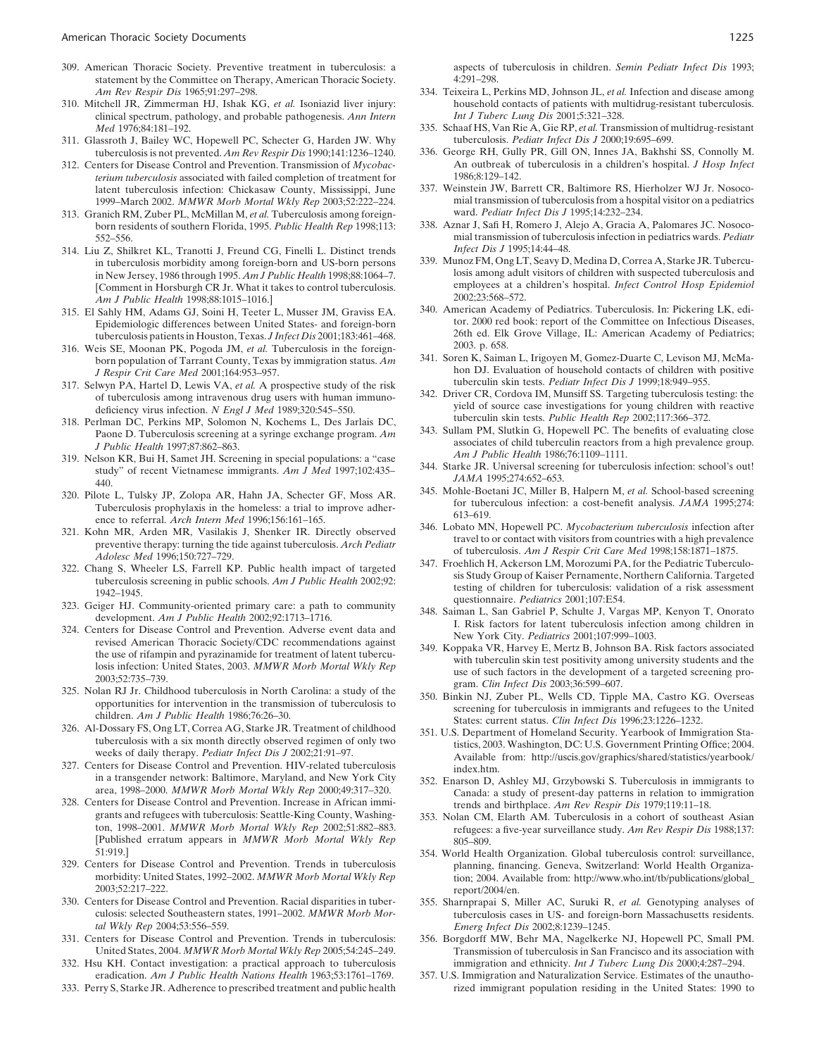- 309. American Thoracic Society. Preventive treatment in tuberculosis: a statement by the Committee on Therapy, American Thoracic Society. *Am Rev Respir Dis* 1965;91:297–298.
- 310. Mitchell JR, Zimmerman HJ, Ishak KG, *et al.* Isoniazid liver injury: clinical spectrum, pathology, and probable pathogenesis. *Ann Intern Med* 1976;84:181–192.
- 311. Glassroth J, Bailey WC, Hopewell PC, Schecter G, Harden JW. Why tuberculosis is not prevented. *Am Rev Respir Dis* 1990;141:1236–1240.
- 312. Centers for Disease Control and Prevention. Transmission of *Mycobacterium tuberculosis* associated with failed completion of treatment for latent tuberculosis infection: Chickasaw County, Mississippi, June 1999–March 2002. *MMWR Morb Mortal Wkly Rep* 2003;52:222–224.
- 313. Granich RM, Zuber PL, McMillan M, *et al.* Tuberculosis among foreignborn residents of southern Florida, 1995. *Public Health Rep* 1998;113: 552–556.
- 314. Liu Z, Shilkret KL, Tranotti J, Freund CG, Finelli L. Distinct trends in tuberculosis morbidity among foreign-born and US-born persons in New Jersey, 1986 through 1995. *Am J Public Health* 1998;88:1064–7. [Comment in Horsburgh CR Jr. What it takes to control tuberculosis. *Am J Public Health* 1998;88:1015–1016.]
- 315. El Sahly HM, Adams GJ, Soini H, Teeter L, Musser JM, Graviss EA. Epidemiologic differences between United States- and foreign-born tuberculosis patients in Houston, Texas. *J Infect Dis* 2001;183:461–468.
- 316. Weis SE, Moonan PK, Pogoda JM, *et al.* Tuberculosis in the foreignborn population of Tarrant County, Texas by immigration status. *Am J Respir Crit Care Med* 2001;164:953–957.
- 317. Selwyn PA, Hartel D, Lewis VA, *et al.* A prospective study of the risk of tuberculosis among intravenous drug users with human immunodeficiency virus infection. *N Engl J Med* 1989;320:545–550.
- 318. Perlman DC, Perkins MP, Solomon N, Kochems L, Des Jarlais DC, Paone D. Tuberculosis screening at a syringe exchange program. *Am J Public Health* 1997;87:862–863.
- 319. Nelson KR, Bui H, Samet JH. Screening in special populations: a "case study" of recent Vietnamese immigrants. *Am J Med* 1997;102:435– 440.
- 320. Pilote L, Tulsky JP, Zolopa AR, Hahn JA, Schecter GF, Moss AR. Tuberculosis prophylaxis in the homeless: a trial to improve adherence to referral. *Arch Intern Med* 1996;156:161–165.
- 321. Kohn MR, Arden MR, Vasilakis J, Shenker IR. Directly observed preventive therapy: turning the tide against tuberculosis. *Arch Pediatr Adolesc Med* 1996;150:727–729.
- 322. Chang S, Wheeler LS, Farrell KP. Public health impact of targeted tuberculosis screening in public schools. *Am J Public Health* 2002;92: 1942–1945.
- 323. Geiger HJ. Community-oriented primary care: a path to community development. *Am J Public Health* 2002;92:1713–1716.
- 324. Centers for Disease Control and Prevention. Adverse event data and revised American Thoracic Society/CDC recommendations against the use of rifampin and pyrazinamide for treatment of latent tuberculosis infection: United States, 2003. *MMWR Morb Mortal Wkly Rep* 2003;52:735–739.
- 325. Nolan RJ Jr. Childhood tuberculosis in North Carolina: a study of the opportunities for intervention in the transmission of tuberculosis to children. *Am J Public Health* 1986;76:26–30.
- 326. Al-Dossary FS, Ong LT, Correa AG, Starke JR. Treatment of childhood tuberculosis with a six month directly observed regimen of only two weeks of daily therapy. *Pediatr Infect Dis J* 2002;21:91–97.
- 327. Centers for Disease Control and Prevention. HIV-related tuberculosis in a transgender network: Baltimore, Maryland, and New York City area, 1998–2000. *MMWR Morb Mortal Wkly Rep* 2000;49:317–320.
- 328. Centers for Disease Control and Prevention. Increase in African immigrants and refugees with tuberculosis: Seattle-King County, Washington, 1998–2001. *MMWR Morb Mortal Wkly Rep* 2002;51:882–883. [Published erratum appears in *MMWR Morb Mortal Wkly Rep* 51:919.]
- 329. Centers for Disease Control and Prevention. Trends in tuberculosis morbidity: United States, 1992–2002. *MMWR Morb Mortal Wkly Rep* 2003;52:217–222.
- 330. Centers for Disease Control and Prevention. Racial disparities in tuberculosis: selected Southeastern states, 1991–2002. *MMWR Morb Mortal Wkly Rep* 2004;53:556–559.
- 331. Centers for Disease Control and Prevention. Trends in tuberculosis: United States, 2004. *MMWR Morb Mortal Wkly Rep* 2005;54:245–249.
- 332. Hsu KH. Contact investigation: a practical approach to tuberculosis eradication. *Am J Public Health Nations Health* 1963;53:1761–1769.
- 333. Perry S, Starke JR. Adherence to prescribed treatment and public health

aspects of tuberculosis in children. *Semin Pediatr Infect Dis* 1993; 4:291–298.

- 334. Teixeira L, Perkins MD, Johnson JL, *et al.* Infection and disease among household contacts of patients with multidrug-resistant tuberculosis. *Int J Tuberc Lung Dis* 2001;5:321–328.
- 335. Schaaf HS, Van Rie A, Gie RP, *et al.* Transmission of multidrug-resistant tuberculosis. *Pediatr Infect Dis J* 2000;19:695–699.
- 336. George RH, Gully PR, Gill ON, Innes JA, Bakhshi SS, Connolly M. An outbreak of tuberculosis in a children's hospital. *J Hosp Infect* 1986;8:129–142.
- 337. Weinstein JW, Barrett CR, Baltimore RS, Hierholzer WJ Jr. Nosocomial transmission of tuberculosis from a hospital visitor on a pediatrics ward. *Pediatr Infect Dis J* 1995;14:232–234.
- 338. Aznar J, Safi H, Romero J, Alejo A, Gracia A, Palomares JC. Nosocomial transmission of tuberculosis infection in pediatrics wards. *Pediatr Infect Dis J* 1995;14:44–48.
- 339. Munoz FM, Ong LT, Seavy D, Medina D, Correa A, Starke JR. Tuberculosis among adult visitors of children with suspected tuberculosis and employees at a children's hospital. *Infect Control Hosp Epidemiol* 2002;23:568–572.
- 340. American Academy of Pediatrics. Tuberculosis. In: Pickering LK, editor. 2000 red book: report of the Committee on Infectious Diseases, 26th ed. Elk Grove Village, IL: American Academy of Pediatrics; 2003. p. 658.
- 341. Soren K, Saiman L, Irigoyen M, Gomez-Duarte C, Levison MJ, McMahon DJ. Evaluation of household contacts of children with positive tuberculin skin tests. *Pediatr Infect Dis J* 1999;18:949–955.
- 342. Driver CR, Cordova IM, Munsiff SS. Targeting tuberculosis testing: the yield of source case investigations for young children with reactive tuberculin skin tests. *Public Health Rep* 2002;117:366–372.
- 343. Sullam PM, Slutkin G, Hopewell PC. The benefits of evaluating close associates of child tuberculin reactors from a high prevalence group. *Am J Public Health* 1986;76:1109–1111.
- 344. Starke JR. Universal screening for tuberculosis infection: school's out! *JAMA* 1995;274:652–653.
- 345. Mohle-Boetani JC, Miller B, Halpern M, *et al.* School-based screening for tuberculous infection: a cost-benefit analysis. *JAMA* 1995;274: 613–619.
- 346. Lobato MN, Hopewell PC. *Mycobacterium tuberculosis* infection after travel to or contact with visitors from countries with a high prevalence of tuberculosis. *Am J Respir Crit Care Med* 1998;158:1871–1875.
- 347. Froehlich H, Ackerson LM, Morozumi PA, for the Pediatric Tuberculosis Study Group of Kaiser Pernamente, Northern California. Targeted testing of children for tuberculosis: validation of a risk assessment questionnaire. *Pediatrics* 2001;107:E54.
- 348. Saiman L, San Gabriel P, Schulte J, Vargas MP, Kenyon T, Onorato I. Risk factors for latent tuberculosis infection among children in New York City. *Pediatrics* 2001;107:999–1003.
- 349. Koppaka VR, Harvey E, Mertz B, Johnson BA. Risk factors associated with tuberculin skin test positivity among university students and the use of such factors in the development of a targeted screening program. *Clin Infect Dis* 2003;36:599–607.
- 350. Binkin NJ, Zuber PL, Wells CD, Tipple MA, Castro KG. Overseas screening for tuberculosis in immigrants and refugees to the United States: current status. *Clin Infect Dis* 1996;23:1226–1232.
- 351. U.S. Department of Homeland Security. Yearbook of Immigration Statistics, 2003. Washington, DC: U.S. Government Printing Office; 2004. Available from: http://uscis.gov/graphics/shared/statistics/yearbook/ index.htm.
- 352. Enarson D, Ashley MJ, Grzybowski S. Tuberculosis in immigrants to Canada: a study of present-day patterns in relation to immigration trends and birthplace. *Am Rev Respir Dis* 1979;119:11–18.
- 353. Nolan CM, Elarth AM. Tuberculosis in a cohort of southeast Asian refugees: a five-year surveillance study. *Am Rev Respir Dis* 1988;137: 805–809.
- 354. World Health Organization. Global tuberculosis control: surveillance, planning, financing. Geneva, Switzerland: World Health Organization; 2004. Available from: http://www.who.int/tb/publications/global\_ report/2004/en.
- 355. Sharnprapai S, Miller AC, Suruki R, *et al.* Genotyping analyses of tuberculosis cases in US- and foreign-born Massachusetts residents. *Emerg Infect Dis* 2002;8:1239–1245.
- 356. Borgdorff MW, Behr MA, Nagelkerke NJ, Hopewell PC, Small PM. Transmission of tuberculosis in San Francisco and its association with immigration and ethnicity. *Int J Tuberc Lung Dis* 2000;4:287–294.
- 357. U.S. Immigration and Naturalization Service. Estimates of the unauthorized immigrant population residing in the United States: 1990 to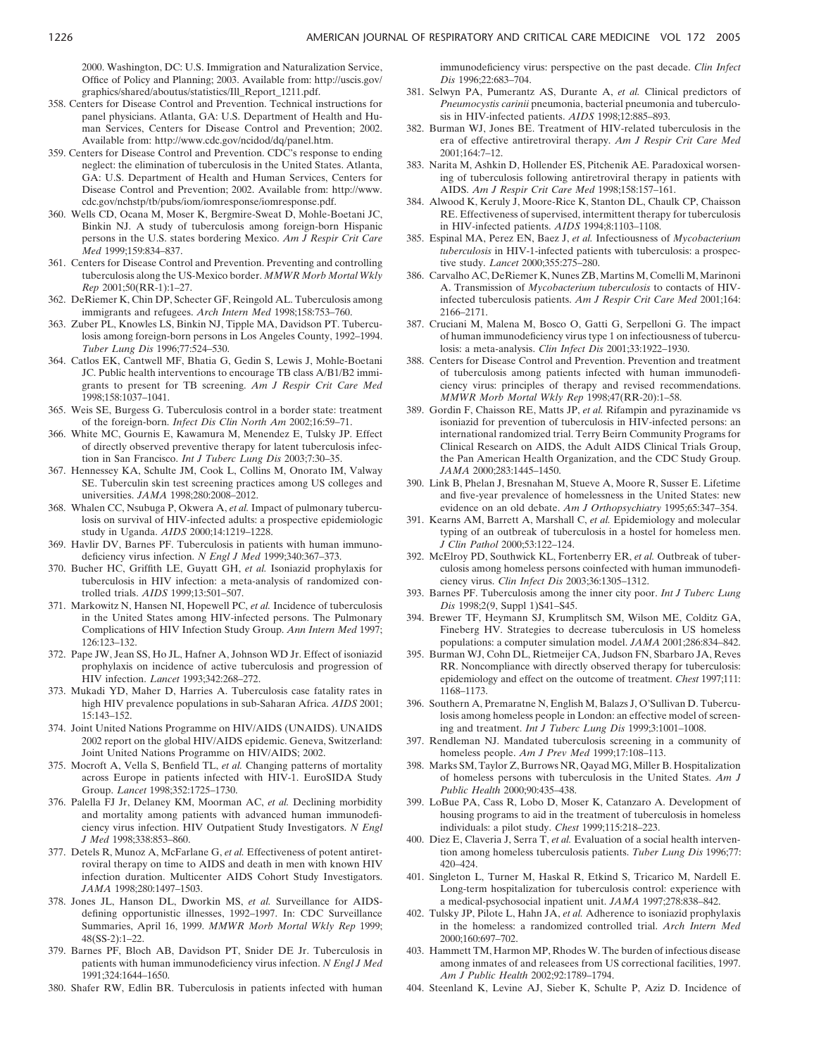2000. Washington, DC: U.S. Immigration and Naturalization Service, Office of Policy and Planning; 2003. Available from: http://uscis.gov/ graphics/shared/aboutus/statistics/Ill\_Report\_1211.pdf.

- 358. Centers for Disease Control and Prevention. Technical instructions for panel physicians. Atlanta, GA: U.S. Department of Health and Human Services, Centers for Disease Control and Prevention; 2002. Available from: http://www.cdc.gov/ncidod/dq/panel.htm.
- 359. Centers for Disease Control and Prevention. CDC's response to ending neglect: the elimination of tuberculosis in the United States. Atlanta, GA: U.S. Department of Health and Human Services, Centers for Disease Control and Prevention; 2002. Available from: http://www. cdc.gov/nchstp/tb/pubs/iom/iomresponse/iomresponse.pdf.
- 360. Wells CD, Ocana M, Moser K, Bergmire-Sweat D, Mohle-Boetani JC, Binkin NJ. A study of tuberculosis among foreign-born Hispanic persons in the U.S. states bordering Mexico. *Am J Respir Crit Care Med* 1999;159:834–837.
- 361. Centers for Disease Control and Prevention. Preventing and controlling tuberculosis along the US-Mexico border. *MMWR Morb Mortal Wkly Rep* 2001;50(RR-1):1–27.
- 362. DeRiemer K, Chin DP, Schecter GF, Reingold AL. Tuberculosis among immigrants and refugees. *Arch Intern Med* 1998;158:753–760.
- 363. Zuber PL, Knowles LS, Binkin NJ, Tipple MA, Davidson PT. Tuberculosis among foreign-born persons in Los Angeles County, 1992–1994. *Tuber Lung Dis* 1996;77:524–530.
- 364. Catlos EK, Cantwell MF, Bhatia G, Gedin S, Lewis J, Mohle-Boetani JC. Public health interventions to encourage TB class A/B1/B2 immigrants to present for TB screening. *Am J Respir Crit Care Med* 1998;158:1037–1041.
- 365. Weis SE, Burgess G. Tuberculosis control in a border state: treatment of the foreign-born. *Infect Dis Clin North Am* 2002;16:59–71.
- 366. White MC, Gournis E, Kawamura M, Menendez E, Tulsky JP. Effect of directly observed preventive therapy for latent tuberculosis infection in San Francisco. *Int J Tuberc Lung Dis* 2003;7:30–35.
- 367. Hennessey KA, Schulte JM, Cook L, Collins M, Onorato IM, Valway SE. Tuberculin skin test screening practices among US colleges and universities. *JAMA* 1998;280:2008–2012.
- 368. Whalen CC, Nsubuga P, Okwera A, *et al.* Impact of pulmonary tuberculosis on survival of HIV-infected adults: a prospective epidemiologic study in Uganda. *AIDS* 2000;14:1219–1228.
- 369. Havlir DV, Barnes PF. Tuberculosis in patients with human immunodeficiency virus infection. *N Engl J Med* 1999;340:367–373.
- 370. Bucher HC, Griffith LE, Guyatt GH, *et al.* Isoniazid prophylaxis for tuberculosis in HIV infection: a meta-analysis of randomized controlled trials. *AIDS* 1999;13:501–507.
- 371. Markowitz N, Hansen NI, Hopewell PC, *et al.* Incidence of tuberculosis in the United States among HIV-infected persons. The Pulmonary Complications of HIV Infection Study Group. *Ann Intern Med* 1997; 126:123–132.
- 372. Pape JW, Jean SS, Ho JL, Hafner A, Johnson WD Jr. Effect of isoniazid prophylaxis on incidence of active tuberculosis and progression of HIV infection. *Lancet* 1993;342:268–272.
- 373. Mukadi YD, Maher D, Harries A. Tuberculosis case fatality rates in high HIV prevalence populations in sub-Saharan Africa. *AIDS* 2001; 15:143–152.
- 374. Joint United Nations Programme on HIV/AIDS (UNAIDS). UNAIDS 2002 report on the global HIV/AIDS epidemic. Geneva, Switzerland: Joint United Nations Programme on HIV/AIDS; 2002.
- 375. Mocroft A, Vella S, Benfield TL, *et al.* Changing patterns of mortality across Europe in patients infected with HIV-1. EuroSIDA Study Group. *Lancet* 1998;352:1725–1730.
- 376. Palella FJ Jr, Delaney KM, Moorman AC, *et al.* Declining morbidity and mortality among patients with advanced human immunodeficiency virus infection. HIV Outpatient Study Investigators. *N Engl J Med* 1998;338:853–860.
- 377. Detels R, Munoz A, McFarlane G, *et al.* Effectiveness of potent antiretroviral therapy on time to AIDS and death in men with known HIV infection duration. Multicenter AIDS Cohort Study Investigators. *JAMA* 1998;280:1497–1503.
- 378. Jones JL, Hanson DL, Dworkin MS, *et al.* Surveillance for AIDSdefining opportunistic illnesses, 1992–1997. In: CDC Surveillance Summaries, April 16, 1999. *MMWR Morb Mortal Wkly Rep* 1999; 48(SS-2):1–22.
- 379. Barnes PF, Bloch AB, Davidson PT, Snider DE Jr. Tuberculosis in patients with human immunodeficiency virus infection. *N Engl J Med* 1991;324:1644–1650.
- 380. Shafer RW, Edlin BR. Tuberculosis in patients infected with human

immunodeficiency virus: perspective on the past decade. *Clin Infect Dis* 1996;22:683–704.

- 381. Selwyn PA, Pumerantz AS, Durante A, *et al.* Clinical predictors of *Pneumocystis carinii* pneumonia, bacterial pneumonia and tuberculosis in HIV-infected patients. *AIDS* 1998;12:885–893.
- 382. Burman WJ, Jones BE. Treatment of HIV-related tuberculosis in the era of effective antiretroviral therapy. *Am J Respir Crit Care Med* 2001;164:7–12.
- 383. Narita M, Ashkin D, Hollender ES, Pitchenik AE. Paradoxical worsening of tuberculosis following antiretroviral therapy in patients with AIDS. *Am J Respir Crit Care Med* 1998;158:157–161.
- 384. Alwood K, Keruly J, Moore-Rice K, Stanton DL, Chaulk CP, Chaisson RE. Effectiveness of supervised, intermittent therapy for tuberculosis in HIV-infected patients. *AIDS* 1994;8:1103–1108.
- 385. Espinal MA, Perez EN, Baez J, *et al.* Infectiousness of *Mycobacterium tuberculosis* in HIV-1-infected patients with tuberculosis: a prospective study. *Lancet* 2000;355:275–280.
- 386. Carvalho AC, DeRiemer K, Nunes ZB, Martins M, Comelli M, Marinoni A. Transmission of *Mycobacterium tuberculosis* to contacts of HIVinfected tuberculosis patients. *Am J Respir Crit Care Med* 2001;164: 2166–2171.
- 387. Cruciani M, Malena M, Bosco O, Gatti G, Serpelloni G. The impact of human immunodeficiency virus type 1 on infectiousness of tuberculosis: a meta-analysis. *Clin Infect Dis* 2001;33:1922–1930.
- 388. Centers for Disease Control and Prevention. Prevention and treatment of tuberculosis among patients infected with human immunodeficiency virus: principles of therapy and revised recommendations. *MMWR Morb Mortal Wkly Rep* 1998;47(RR-20):1–58.
- 389. Gordin F, Chaisson RE, Matts JP, *et al.* Rifampin and pyrazinamide vs isoniazid for prevention of tuberculosis in HIV-infected persons: an international randomized trial. Terry Beirn Community Programs for Clinical Research on AIDS, the Adult AIDS Clinical Trials Group, the Pan American Health Organization, and the CDC Study Group. *JAMA* 2000;283:1445–1450.
- 390. Link B, Phelan J, Bresnahan M, Stueve A, Moore R, Susser E. Lifetime and five-year prevalence of homelessness in the United States: new evidence on an old debate. *Am J Orthopsychiatry* 1995;65:347–354.
- 391. Kearns AM, Barrett A, Marshall C, *et al.* Epidemiology and molecular typing of an outbreak of tuberculosis in a hostel for homeless men. *J Clin Pathol* 2000;53:122–124.
- 392. McElroy PD, Southwick KL, Fortenberry ER, *et al.* Outbreak of tuberculosis among homeless persons coinfected with human immunodeficiency virus. *Clin Infect Dis* 2003;36:1305–1312.
- 393. Barnes PF. Tuberculosis among the inner city poor. *Int J Tuberc Lung Dis* 1998;2(9, Suppl 1)S41–S45.
- 394. Brewer TF, Heymann SJ, Krumplitsch SM, Wilson ME, Colditz GA, Fineberg HV. Strategies to decrease tuberculosis in US homeless populations: a computer simulation model. *JAMA* 2001;286:834–842.
- 395. Burman WJ, Cohn DL, Rietmeijer CA, Judson FN, Sbarbaro JA, Reves RR. Noncompliance with directly observed therapy for tuberculosis: epidemiology and effect on the outcome of treatment. *Chest* 1997;111: 1168–1173.
- 396. Southern A, Premaratne N, English M, Balazs J, O'Sullivan D. Tuberculosis among homeless people in London: an effective model of screening and treatment. *Int J Tuberc Lung Dis* 1999;3:1001–1008.
- 397. Rendleman NJ. Mandated tuberculosis screening in a community of homeless people. *Am J Prev Med* 1999;17:108–113.
- 398. Marks SM, Taylor Z, Burrows NR, Qayad MG, Miller B. Hospitalization of homeless persons with tuberculosis in the United States. *Am J Public Health* 2000;90:435–438.
- 399. LoBue PA, Cass R, Lobo D, Moser K, Catanzaro A. Development of housing programs to aid in the treatment of tuberculosis in homeless individuals: a pilot study. *Chest* 1999;115:218–223.
- 400. Diez E, Claveria J, Serra T, *et al.* Evaluation of a social health intervention among homeless tuberculosis patients. *Tuber Lung Dis* 1996;77: 420–424.
- 401. Singleton L, Turner M, Haskal R, Etkind S, Tricarico M, Nardell E. Long-term hospitalization for tuberculosis control: experience with a medical-psychosocial inpatient unit. *JAMA* 1997;278:838–842.
- 402. Tulsky JP, Pilote L, Hahn JA, *et al.* Adherence to isoniazid prophylaxis in the homeless: a randomized controlled trial. *Arch Intern Med* 2000;160:697–702.
- 403. Hammett TM, Harmon MP, Rhodes W. The burden of infectious disease among inmates of and releasees from US correctional facilities, 1997. *Am J Public Health* 2002;92:1789–1794.
- 404. Steenland K, Levine AJ, Sieber K, Schulte P, Aziz D. Incidence of